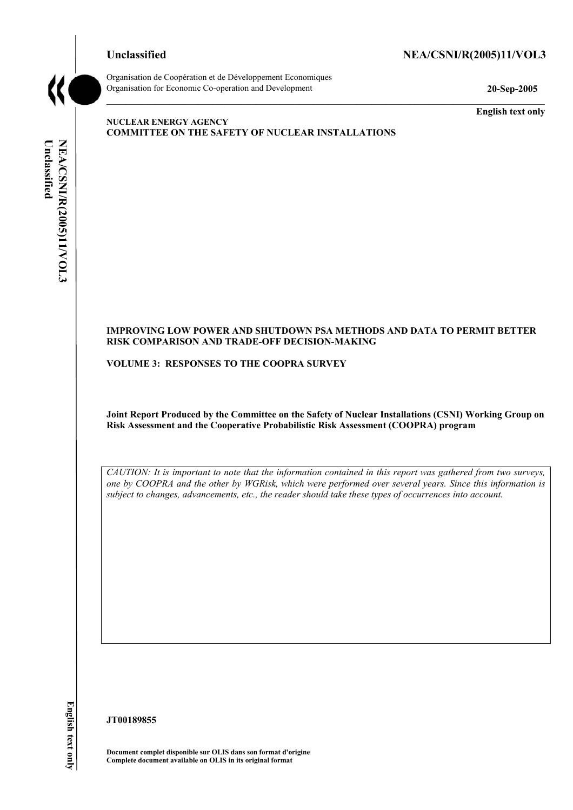# Unclassified NEA/CSNI/R(2005)11/VOL3



Organisation de Coopération et de Développement Economiques Organisation for Economic Co-operation and Development **20-Sep-2005** 

**English text only** 

### **NUCLEAR ENERGY AGENCY COMMITTEE ON THE SAFETY OF NUCLEAR INSTALLATIONS**

# NEA/CSNI/R(2005)11/VOL3 Unclassified **Unclassified NEA/CSNI/R(2005)11/VOL3 English text only**

#### **IMPROVING LOW POWER AND SHUTDOWN PSA METHODS AND DATA TO PERMIT BETTER RISK COMPARISON AND TRADE-OFF DECISION-MAKING**

**VOLUME 3: RESPONSES TO THE COOPRA SURVEY** 

**Joint Report Produced by the Committee on the Safety of Nuclear Installations (CSNI) Working Group on Risk Assessment and the Cooperative Probabilistic Risk Assessment (COOPRA) program** 

*CAUTION: It is important to note that the information contained in this report was gathered from two surveys, one by COOPRA and the other by WGRisk, which were performed over several years. Since this information is subject to changes, advancements, etc., the reader should take these types of occurrences into account.* 

**JT00189855** 

**Document complet disponible sur OLIS dans son format d'origine Complete document available on OLIS in its original format**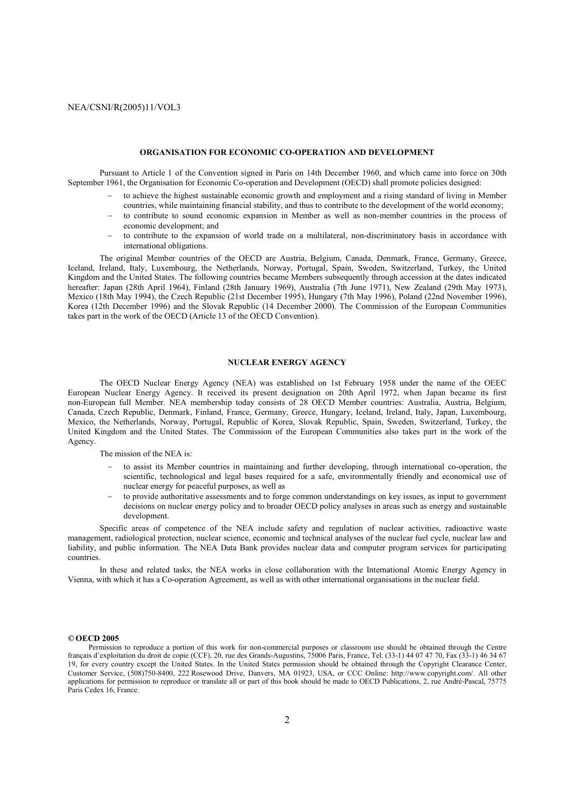#### **ORGANISATION FOR ECONOMIC CO-OPERATION AND DEVELOPMENT**

 Pursuant to Article 1 of the Convention signed in Paris on 14th December 1960, and which came into force on 30th September 1961, the Organisation for Economic Co-operation and Development (OECD) shall promote policies designed:

- − to achieve the highest sustainable economic growth and employment and a rising standard of living in Member countries, while maintaining financial stability, and thus to contribute to the development of the world economy;
- − to contribute to sound economic expansion in Member as well as non-member countries in the process of economic development; and
- − to contribute to the expansion of world trade on a multilateral, non-discriminatory basis in accordance with international obligations.

 The original Member countries of the OECD are Austria, Belgium, Canada, Denmark, France, Germany, Greece, Iceland, Ireland, Italy, Luxembourg, the Netherlands, Norway, Portugal, Spain, Sweden, Switzerland, Turkey, the United Kingdom and the United States. The following countries became Members subsequently through accession at the dates indicated hereafter: Japan (28th April 1964), Finland (28th January 1969), Australia (7th June 1971), New Zealand (29th May 1973), Mexico (18th May 1994), the Czech Republic (21st December 1995), Hungary (7th May 1996), Poland (22nd November 1996), Korea (12th December 1996) and the Slovak Republic (14 December 2000). The Commission of the European Communities takes part in the work of the OECD (Article 13 of the OECD Convention).

#### **NUCLEAR ENERGY AGENCY**

 The OECD Nuclear Energy Agency (NEA) was established on 1st February 1958 under the name of the OEEC European Nuclear Energy Agency. It received its present designation on 20th April 1972, when Japan became its first non-European full Member. NEA membership today consists of 28 OECD Member countries: Australia, Austria, Belgium, Canada, Czech Republic, Denmark, Finland, France, Germany, Greece, Hungary, Iceland, Ireland, Italy, Japan, Luxembourg, Mexico, the Netherlands, Norway, Portugal, Republic of Korea, Slovak Republic, Spain, Sweden, Switzerland, Turkey, the United Kingdom and the United States. The Commission of the European Communities also takes part in the work of the Agency.

The mission of the NEA is:

- − to assist its Member countries in maintaining and further developing, through international co-operation, the scientific, technological and legal bases required for a safe, environmentally friendly and economical use of nuclear energy for peaceful purposes, as well as
- − to provide authoritative assessments and to forge common understandings on key issues, as input to government decisions on nuclear energy policy and to broader OECD policy analyses in areas such as energy and sustainable development.

 Specific areas of competence of the NEA include safety and regulation of nuclear activities, radioactive waste management, radiological protection, nuclear science, economic and technical analyses of the nuclear fuel cycle, nuclear law and liability, and public information. The NEA Data Bank provides nuclear data and computer program services for participating countries.

 In these and related tasks, the NEA works in close collaboration with the International Atomic Energy Agency in Vienna, with which it has a Co-operation Agreement, as well as with other international organisations in the nuclear field.

#### *©* **OECD 2005**

Permission to reproduce a portion of this work for non-commercial purposes or classroom use should be obtained through the Centre français d'exploitation du droit de copie (CCF), 20, rue des Grands-Augustins, 75006 Paris, France, Tel. (33-1) 44 07 47 70, Fax (33-1) 46 34 67 19, for every country except the United States. In the United States permission should be obtained through the Copyright Clearance Center, Customer Service, (508)750-8400, 222 Rosewood Drive, Danvers, MA 01923, USA, or CCC Online: http://www.copyright.com/. All other applications for permission to reproduce or translate all or part of this book should be made to OECD Publications, 2, rue André-Pascal, 75775 Paris Cedex 16, France.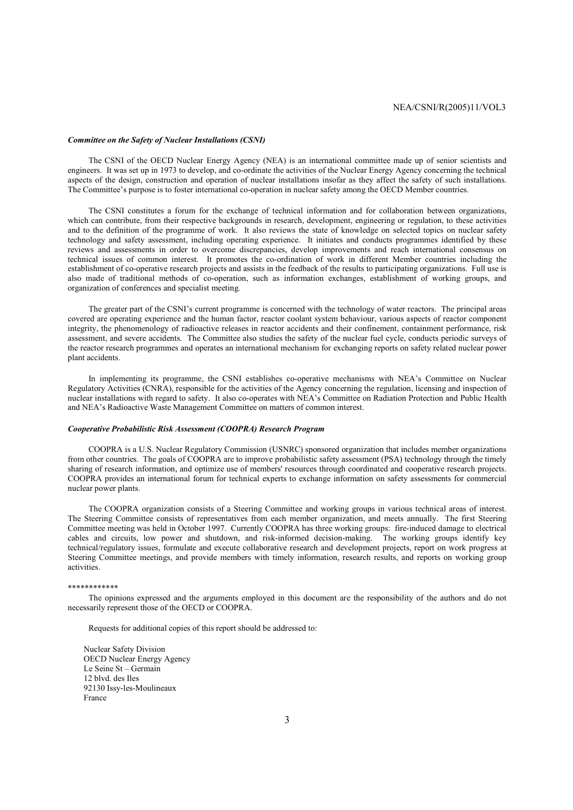#### *Committee on the Safety of Nuclear Installations (CSNI)*

The CSNI of the OECD Nuclear Energy Agency (NEA) is an international committee made up of senior scientists and engineers. It was set up in 1973 to develop, and co-ordinate the activities of the Nuclear Energy Agency concerning the technical aspects of the design, construction and operation of nuclear installations insofar as they affect the safety of such installations. The Committee's purpose is to foster international co-operation in nuclear safety among the OECD Member countries.

The CSNI constitutes a forum for the exchange of technical information and for collaboration between organizations, which can contribute, from their respective backgrounds in research, development, engineering or regulation, to these activities and to the definition of the programme of work. It also reviews the state of knowledge on selected topics on nuclear safety technology and safety assessment, including operating experience. It initiates and conducts programmes identified by these reviews and assessments in order to overcome discrepancies, develop improvements and reach international consensus on technical issues of common interest. It promotes the co-ordination of work in different Member countries including the establishment of co-operative research projects and assists in the feedback of the results to participating organizations. Full use is also made of traditional methods of co-operation, such as information exchanges, establishment of working groups, and organization of conferences and specialist meeting.

The greater part of the CSNI's current programme is concerned with the technology of water reactors. The principal areas covered are operating experience and the human factor, reactor coolant system behaviour, various aspects of reactor component integrity, the phenomenology of radioactive releases in reactor accidents and their confinement, containment performance, risk assessment, and severe accidents. The Committee also studies the safety of the nuclear fuel cycle, conducts periodic surveys of the reactor research programmes and operates an international mechanism for exchanging reports on safety related nuclear power plant accidents.

In implementing its programme, the CSNI establishes co-operative mechanisms with NEA's Committee on Nuclear Regulatory Activities (CNRA), responsible for the activities of the Agency concerning the regulation, licensing and inspection of nuclear installations with regard to safety. It also co-operates with NEA's Committee on Radiation Protection and Public Health and NEA's Radioactive Waste Management Committee on matters of common interest.

#### *Cooperative Probabilistic Risk Assessment (COOPRA) Research Program*

COOPRA is a U.S. Nuclear Regulatory Commission (USNRC) sponsored organization that includes member organizations from other countries. The goals of COOPRA are to improve probabilistic safety assessment (PSA) technology through the timely sharing of research information, and optimize use of members' resources through coordinated and cooperative research projects. COOPRA provides an international forum for technical experts to exchange information on safety assessments for commercial nuclear power plants.

The COOPRA organization consists of a Steering Committee and working groups in various technical areas of interest. The Steering Committee consists of representatives from each member organization, and meets annually. The first Steering Committee meeting was held in October 1997. Currently COOPRA has three working groups: fire-induced damage to electrical cables and circuits, low power and shutdown, and risk-informed decision-making. The working groups identify key technical/regulatory issues, formulate and execute collaborative research and development projects, report on work progress at Steering Committee meetings, and provide members with timely information, research results, and reports on working group activities.

#### \*\*\*\*\*\*\*\*\*\*\*\*

The opinions expressed and the arguments employed in this document are the responsibility of the authors and do not necessarily represent those of the OECD or COOPRA.

Requests for additional copies of this report should be addressed to:

 Nuclear Safety Division OECD Nuclear Energy Agency Le Seine St – Germain 12 blvd. des Iles 92130 Issy-les-Moulineaux France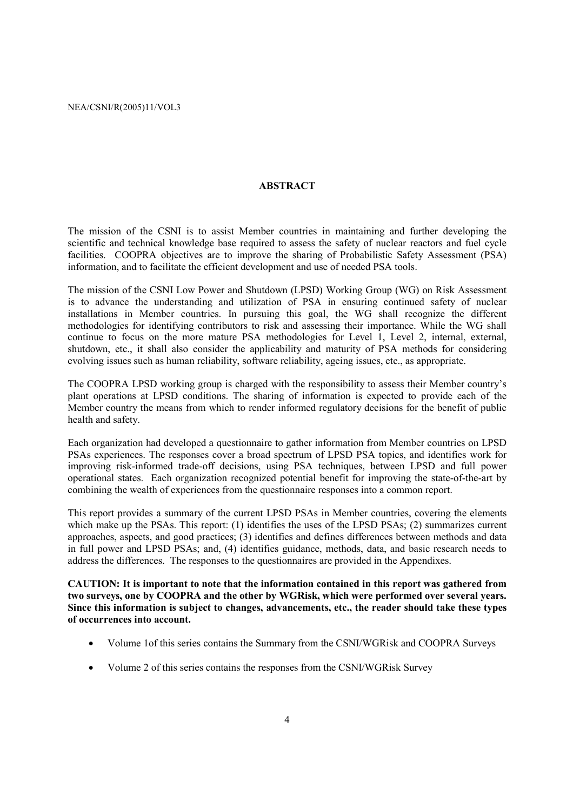#### **ABSTRACT**

The mission of the CSNI is to assist Member countries in maintaining and further developing the scientific and technical knowledge base required to assess the safety of nuclear reactors and fuel cycle facilities. COOPRA objectives are to improve the sharing of Probabilistic Safety Assessment (PSA) information, and to facilitate the efficient development and use of needed PSA tools.

The mission of the CSNI Low Power and Shutdown (LPSD) Working Group (WG) on Risk Assessment is to advance the understanding and utilization of PSA in ensuring continued safety of nuclear installations in Member countries. In pursuing this goal, the WG shall recognize the different methodologies for identifying contributors to risk and assessing their importance. While the WG shall continue to focus on the more mature PSA methodologies for Level 1, Level 2, internal, external, shutdown, etc., it shall also consider the applicability and maturity of PSA methods for considering evolving issues such as human reliability, software reliability, ageing issues, etc., as appropriate.

The COOPRA LPSD working group is charged with the responsibility to assess their Member country's plant operations at LPSD conditions. The sharing of information is expected to provide each of the Member country the means from which to render informed regulatory decisions for the benefit of public health and safety.

Each organization had developed a questionnaire to gather information from Member countries on LPSD PSAs experiences. The responses cover a broad spectrum of LPSD PSA topics, and identifies work for improving risk-informed trade-off decisions, using PSA techniques, between LPSD and full power operational states. Each organization recognized potential benefit for improving the state-of-the-art by combining the wealth of experiences from the questionnaire responses into a common report.

This report provides a summary of the current LPSD PSAs in Member countries, covering the elements which make up the PSAs. This report: (1) identifies the uses of the LPSD PSAs; (2) summarizes current approaches, aspects, and good practices; (3) identifies and defines differences between methods and data in full power and LPSD PSAs; and, (4) identifies guidance, methods, data, and basic research needs to address the differences. The responses to the questionnaires are provided in the Appendixes.

**CAUTION: It is important to note that the information contained in this report was gathered from two surveys, one by COOPRA and the other by WGRisk, which were performed over several years. Since this information is subject to changes, advancements, etc., the reader should take these types of occurrences into account.** 

- Volume 1of this series contains the Summary from the CSNI/WGRisk and COOPRA Surveys
- Volume 2 of this series contains the responses from the CSNI/WGRisk Survey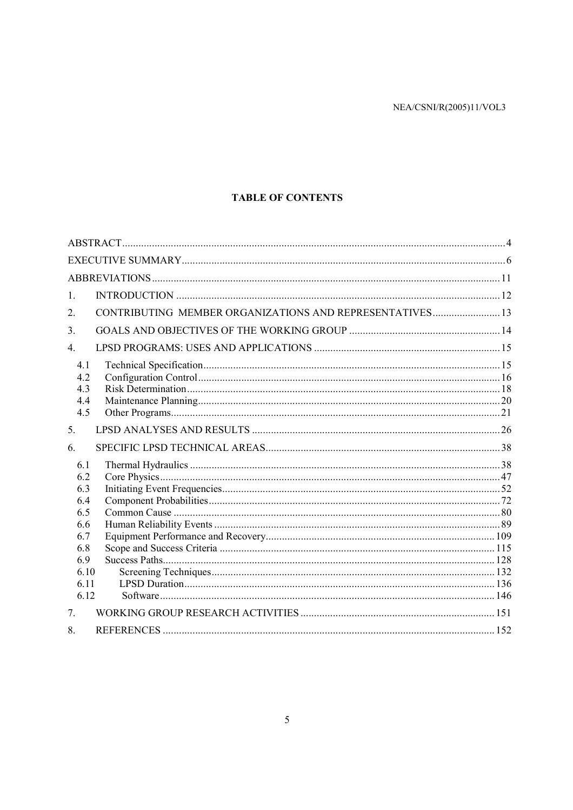# **TABLE OF CONTENTS**

| 1.                                                                                  |                                                          |  |
|-------------------------------------------------------------------------------------|----------------------------------------------------------|--|
| 2.                                                                                  | CONTRIBUTING MEMBER ORGANIZATIONS AND REPRESENTATIVES 13 |  |
| $\mathcal{E}$                                                                       |                                                          |  |
| $\overline{4}$ .                                                                    |                                                          |  |
| 4.1<br>4.2<br>4.3<br>4.4<br>4.5                                                     |                                                          |  |
| 5.                                                                                  |                                                          |  |
| 6.                                                                                  |                                                          |  |
| 6.1<br>6.2<br>6.3<br>6.4<br>6.5<br>6.6<br>6.7<br>6.8<br>6.9<br>6.10<br>6.11<br>6.12 |                                                          |  |
| 7 <sub>1</sub>                                                                      |                                                          |  |
| 8.                                                                                  |                                                          |  |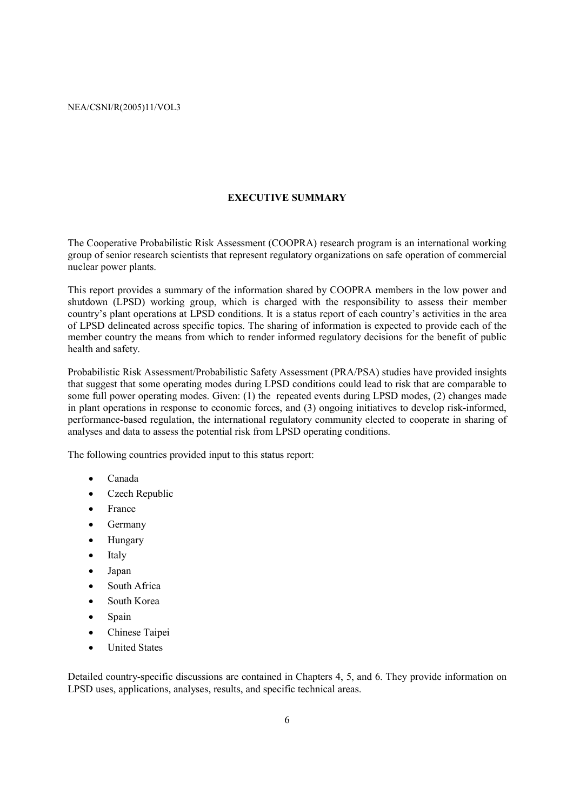#### **EXECUTIVE SUMMARY**

The Cooperative Probabilistic Risk Assessment (COOPRA) research program is an international working group of senior research scientists that represent regulatory organizations on safe operation of commercial nuclear power plants.

This report provides a summary of the information shared by COOPRA members in the low power and shutdown (LPSD) working group, which is charged with the responsibility to assess their member country's plant operations at LPSD conditions. It is a status report of each country's activities in the area of LPSD delineated across specific topics. The sharing of information is expected to provide each of the member country the means from which to render informed regulatory decisions for the benefit of public health and safety.

Probabilistic Risk Assessment/Probabilistic Safety Assessment (PRA/PSA) studies have provided insights that suggest that some operating modes during LPSD conditions could lead to risk that are comparable to some full power operating modes. Given: (1) the repeated events during LPSD modes, (2) changes made in plant operations in response to economic forces, and (3) ongoing initiatives to develop risk-informed, performance-based regulation, the international regulatory community elected to cooperate in sharing of analyses and data to assess the potential risk from LPSD operating conditions.

The following countries provided input to this status report:

- Canada
- Czech Republic
- **France**
- **Germany**
- Hungary
- **Italy**
- Japan
- South Africa
- South Korea
- Spain
- Chinese Taipei
- United States

Detailed country-specific discussions are contained in Chapters 4, 5, and 6. They provide information on LPSD uses, applications, analyses, results, and specific technical areas.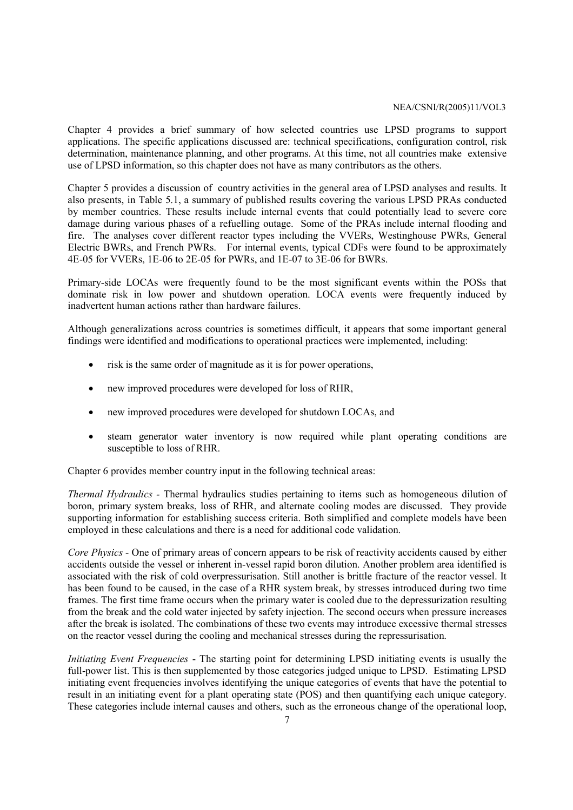Chapter 4 provides a brief summary of how selected countries use LPSD programs to support applications. The specific applications discussed are: technical specifications, configuration control, risk determination, maintenance planning, and other programs. At this time, not all countries make extensive use of LPSD information, so this chapter does not have as many contributors as the others.

Chapter 5 provides a discussion of country activities in the general area of LPSD analyses and results. It also presents, in Table 5.1, a summary of published results covering the various LPSD PRAs conducted by member countries. These results include internal events that could potentially lead to severe core damage during various phases of a refuelling outage. Some of the PRAs include internal flooding and fire. The analyses cover different reactor types including the VVERs, Westinghouse PWRs, General Electric BWRs, and French PWRs. For internal events, typical CDFs were found to be approximately 4E-05 for VVERs, 1E-06 to 2E-05 for PWRs, and 1E-07 to 3E-06 for BWRs.

Primary-side LOCAs were frequently found to be the most significant events within the POSs that dominate risk in low power and shutdown operation. LOCA events were frequently induced by inadvertent human actions rather than hardware failures.

Although generalizations across countries is sometimes difficult, it appears that some important general findings were identified and modifications to operational practices were implemented, including:

- risk is the same order of magnitude as it is for power operations,
- new improved procedures were developed for loss of RHR.
- new improved procedures were developed for shutdown LOCAs, and
- steam generator water inventory is now required while plant operating conditions are susceptible to loss of RHR.

Chapter 6 provides member country input in the following technical areas:

*Thermal Hydraulics -* Thermal hydraulics studies pertaining to items such as homogeneous dilution of boron, primary system breaks, loss of RHR, and alternate cooling modes are discussed. They provide supporting information for establishing success criteria. Both simplified and complete models have been employed in these calculations and there is a need for additional code validation.

*Core Physics -* One of primary areas of concern appears to be risk of reactivity accidents caused by either accidents outside the vessel or inherent in-vessel rapid boron dilution. Another problem area identified is associated with the risk of cold overpressurisation. Still another is brittle fracture of the reactor vessel. It has been found to be caused, in the case of a RHR system break, by stresses introduced during two time frames. The first time frame occurs when the primary water is cooled due to the depressurization resulting from the break and the cold water injected by safety injection. The second occurs when pressure increases after the break is isolated. The combinations of these two events may introduce excessive thermal stresses on the reactor vessel during the cooling and mechanical stresses during the repressurisation.

*Initiating Event Frequencies* - The starting point for determining LPSD initiating events is usually the full-power list. This is then supplemented by those categories judged unique to LPSD. Estimating LPSD initiating event frequencies involves identifying the unique categories of events that have the potential to result in an initiating event for a plant operating state (POS) and then quantifying each unique category. These categories include internal causes and others, such as the erroneous change of the operational loop,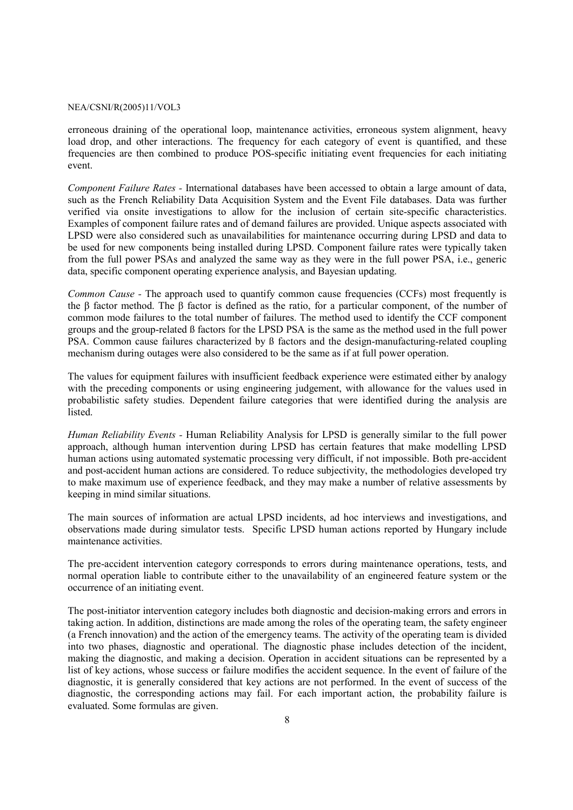erroneous draining of the operational loop, maintenance activities, erroneous system alignment, heavy load drop, and other interactions. The frequency for each category of event is quantified, and these frequencies are then combined to produce POS-specific initiating event frequencies for each initiating event.

*Component Failure Rates -* International databases have been accessed to obtain a large amount of data, such as the French Reliability Data Acquisition System and the Event File databases. Data was further verified via onsite investigations to allow for the inclusion of certain site-specific characteristics. Examples of component failure rates and of demand failures are provided. Unique aspects associated with LPSD were also considered such as unavailabilities for maintenance occurring during LPSD and data to be used for new components being installed during LPSD. Component failure rates were typically taken from the full power PSAs and analyzed the same way as they were in the full power PSA, i.e., generic data, specific component operating experience analysis, and Bayesian updating.

*Common Cause -* The approach used to quantify common cause frequencies (CCFs) most frequently is the β factor method. The β factor is defined as the ratio, for a particular component, of the number of common mode failures to the total number of failures. The method used to identify the CCF component groups and the group-related ß factors for the LPSD PSA is the same as the method used in the full power PSA. Common cause failures characterized by ß factors and the design-manufacturing-related coupling mechanism during outages were also considered to be the same as if at full power operation.

The values for equipment failures with insufficient feedback experience were estimated either by analogy with the preceding components or using engineering judgement, with allowance for the values used in probabilistic safety studies. Dependent failure categories that were identified during the analysis are listed.

*Human Reliability Events -* Human Reliability Analysis for LPSD is generally similar to the full power approach, although human intervention during LPSD has certain features that make modelling LPSD human actions using automated systematic processing very difficult, if not impossible. Both pre-accident and post-accident human actions are considered. To reduce subjectivity, the methodologies developed try to make maximum use of experience feedback, and they may make a number of relative assessments by keeping in mind similar situations.

The main sources of information are actual LPSD incidents, ad hoc interviews and investigations, and observations made during simulator tests. Specific LPSD human actions reported by Hungary include maintenance activities.

The pre-accident intervention category corresponds to errors during maintenance operations, tests, and normal operation liable to contribute either to the unavailability of an engineered feature system or the occurrence of an initiating event.

The post-initiator intervention category includes both diagnostic and decision-making errors and errors in taking action. In addition, distinctions are made among the roles of the operating team, the safety engineer (a French innovation) and the action of the emergency teams. The activity of the operating team is divided into two phases, diagnostic and operational. The diagnostic phase includes detection of the incident, making the diagnostic, and making a decision. Operation in accident situations can be represented by a list of key actions, whose success or failure modifies the accident sequence. In the event of failure of the diagnostic, it is generally considered that key actions are not performed. In the event of success of the diagnostic, the corresponding actions may fail. For each important action, the probability failure is evaluated. Some formulas are given.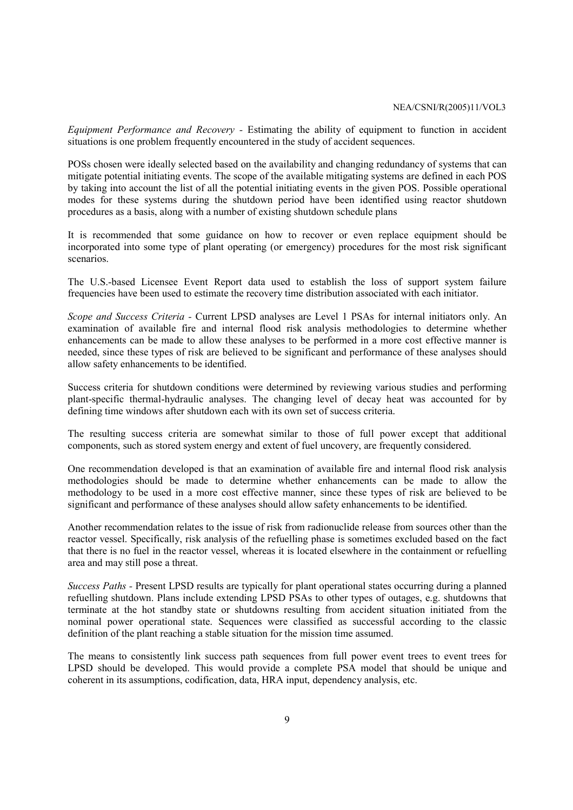*Equipment Performance and Recovery -* Estimating the ability of equipment to function in accident situations is one problem frequently encountered in the study of accident sequences.

POSs chosen were ideally selected based on the availability and changing redundancy of systems that can mitigate potential initiating events. The scope of the available mitigating systems are defined in each POS by taking into account the list of all the potential initiating events in the given POS. Possible operational modes for these systems during the shutdown period have been identified using reactor shutdown procedures as a basis, along with a number of existing shutdown schedule plans

It is recommended that some guidance on how to recover or even replace equipment should be incorporated into some type of plant operating (or emergency) procedures for the most risk significant scenarios.

The U.S.-based Licensee Event Report data used to establish the loss of support system failure frequencies have been used to estimate the recovery time distribution associated with each initiator.

*Scope and Success Criteria -* Current LPSD analyses are Level 1 PSAs for internal initiators only. An examination of available fire and internal flood risk analysis methodologies to determine whether enhancements can be made to allow these analyses to be performed in a more cost effective manner is needed, since these types of risk are believed to be significant and performance of these analyses should allow safety enhancements to be identified.

Success criteria for shutdown conditions were determined by reviewing various studies and performing plant-specific thermal-hydraulic analyses. The changing level of decay heat was accounted for by defining time windows after shutdown each with its own set of success criteria.

The resulting success criteria are somewhat similar to those of full power except that additional components, such as stored system energy and extent of fuel uncovery, are frequently considered.

One recommendation developed is that an examination of available fire and internal flood risk analysis methodologies should be made to determine whether enhancements can be made to allow the methodology to be used in a more cost effective manner, since these types of risk are believed to be significant and performance of these analyses should allow safety enhancements to be identified.

Another recommendation relates to the issue of risk from radionuclide release from sources other than the reactor vessel. Specifically, risk analysis of the refuelling phase is sometimes excluded based on the fact that there is no fuel in the reactor vessel, whereas it is located elsewhere in the containment or refuelling area and may still pose a threat.

*Success Paths -* Present LPSD results are typically for plant operational states occurring during a planned refuelling shutdown. Plans include extending LPSD PSAs to other types of outages, e.g. shutdowns that terminate at the hot standby state or shutdowns resulting from accident situation initiated from the nominal power operational state. Sequences were classified as successful according to the classic definition of the plant reaching a stable situation for the mission time assumed.

The means to consistently link success path sequences from full power event trees to event trees for LPSD should be developed. This would provide a complete PSA model that should be unique and coherent in its assumptions, codification, data, HRA input, dependency analysis, etc.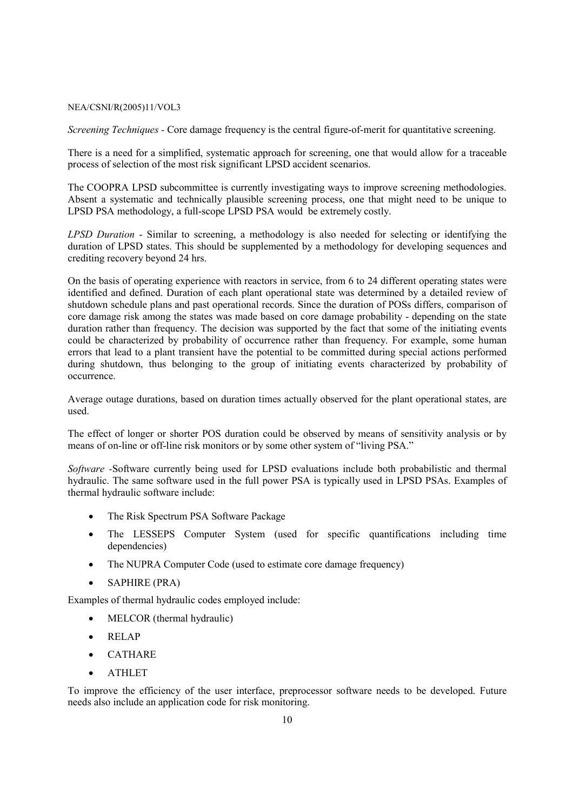*Screening Techniques - Core damage frequency is the central figure-of-merit for quantitative screening.* 

There is a need for a simplified, systematic approach for screening, one that would allow for a traceable process of selection of the most risk significant LPSD accident scenarios.

The COOPRA LPSD subcommittee is currently investigating ways to improve screening methodologies. Absent a systematic and technically plausible screening process, one that might need to be unique to LPSD PSA methodology, a full-scope LPSD PSA would be extremely costly.

*LPSD Duration* - Similar to screening, a methodology is also needed for selecting or identifying the duration of LPSD states. This should be supplemented by a methodology for developing sequences and crediting recovery beyond 24 hrs.

On the basis of operating experience with reactors in service, from 6 to 24 different operating states were identified and defined. Duration of each plant operational state was determined by a detailed review of shutdown schedule plans and past operational records. Since the duration of POSs differs, comparison of core damage risk among the states was made based on core damage probability - depending on the state duration rather than frequency. The decision was supported by the fact that some of the initiating events could be characterized by probability of occurrence rather than frequency. For example, some human errors that lead to a plant transient have the potential to be committed during special actions performed during shutdown, thus belonging to the group of initiating events characterized by probability of occurrence.

Average outage durations, based on duration times actually observed for the plant operational states, are used.

The effect of longer or shorter POS duration could be observed by means of sensitivity analysis or by means of on-line or off-line risk monitors or by some other system of "living PSA."

*Software -*Software currently being used for LPSD evaluations include both probabilistic and thermal hydraulic. The same software used in the full power PSA is typically used in LPSD PSAs. Examples of thermal hydraulic software include:

- The Risk Spectrum PSA Software Package
- The LESSEPS Computer System (used for specific quantifications including time dependencies)
- The NUPRA Computer Code (used to estimate core damage frequency)
- SAPHIRE (PRA)

Examples of thermal hydraulic codes employed include:

- MELCOR (thermal hydraulic)
- RELAP
- CATHARE
- ATHLET

To improve the efficiency of the user interface, preprocessor software needs to be developed. Future needs also include an application code for risk monitoring.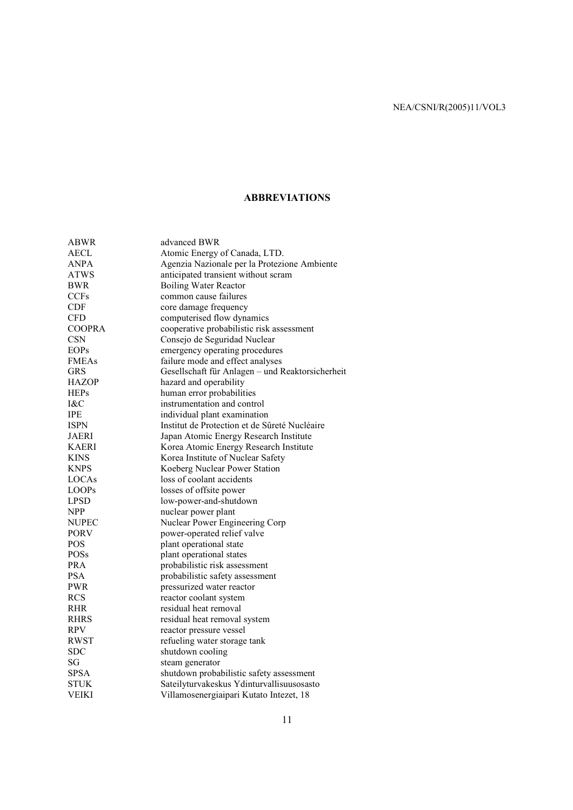# **ABBREVIATIONS**

| ABWR          | advanced BWR                                     |
|---------------|--------------------------------------------------|
| <b>AECL</b>   | Atomic Energy of Canada, LTD.                    |
| ANPA          | Agenzia Nazionale per la Protezione Ambiente     |
| ATWS          | anticipated transient without scram              |
| BWR           | <b>Boiling Water Reactor</b>                     |
| <b>CCFs</b>   | common cause failures                            |
| <b>CDF</b>    | core damage frequency                            |
| <b>CFD</b>    | computerised flow dynamics                       |
| <b>COOPRA</b> | cooperative probabilistic risk assessment        |
| <b>CSN</b>    | Consejo de Seguridad Nuclear                     |
| <b>EOPs</b>   | emergency operating procedures                   |
| <b>FMEAs</b>  | failure mode and effect analyses                 |
| GRS           | Gesellschaft für Anlagen - und Reaktorsicherheit |
| <b>HAZOP</b>  | hazard and operability                           |
| <b>HEPs</b>   | human error probabilities                        |
| I&C           | instrumentation and control                      |
| <b>IPE</b>    | individual plant examination                     |
| <b>ISPN</b>   | Institut de Protection et de Sûreté Nucléaire    |
| <b>JAERI</b>  | Japan Atomic Energy Research Institute           |
| <b>KAERI</b>  | Korea Atomic Energy Research Institute           |
| KINS          | Korea Institute of Nuclear Safety                |
| <b>KNPS</b>   | Koeberg Nuclear Power Station                    |
| LOCAs         | loss of coolant accidents                        |
| <b>LOOPs</b>  | losses of offsite power                          |
| <b>LPSD</b>   | low-power-and-shutdown                           |
| <b>NPP</b>    | nuclear power plant                              |
| NUPEC         | Nuclear Power Engineering Corp                   |
| <b>PORV</b>   | power-operated relief valve                      |
| POS           | plant operational state                          |
| POSs          | plant operational states                         |
| <b>PRA</b>    | probabilistic risk assessment                    |
| PSA           | probabilistic safety assessment                  |
| PWR           | pressurized water reactor                        |
| <b>RCS</b>    | reactor coolant system                           |
| <b>RHR</b>    | residual heat removal                            |
| <b>RHRS</b>   | residual heat removal system                     |
| <b>RPV</b>    | reactor pressure vessel                          |
| <b>RWST</b>   | refueling water storage tank                     |
| <b>SDC</b>    | shutdown cooling                                 |
| SG            | steam generator                                  |
| <b>SPSA</b>   | shutdown probabilistic safety assessment         |
| STUK          | Sateilyturvakeskus Ydinturvallisuusosasto        |
| VEIKI         | Villamosenergiaipari Kutato Intezet, 18          |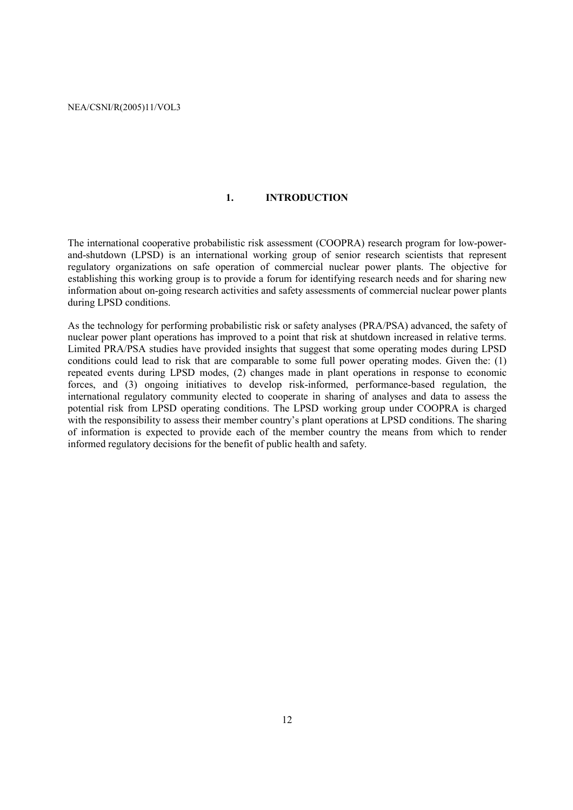# **1. INTRODUCTION**

The international cooperative probabilistic risk assessment (COOPRA) research program for low-powerand-shutdown (LPSD) is an international working group of senior research scientists that represent regulatory organizations on safe operation of commercial nuclear power plants. The objective for establishing this working group is to provide a forum for identifying research needs and for sharing new information about on-going research activities and safety assessments of commercial nuclear power plants during LPSD conditions.

As the technology for performing probabilistic risk or safety analyses (PRA/PSA) advanced, the safety of nuclear power plant operations has improved to a point that risk at shutdown increased in relative terms. Limited PRA/PSA studies have provided insights that suggest that some operating modes during LPSD conditions could lead to risk that are comparable to some full power operating modes. Given the: (1) repeated events during LPSD modes, (2) changes made in plant operations in response to economic forces, and (3) ongoing initiatives to develop risk-informed, performance-based regulation, the international regulatory community elected to cooperate in sharing of analyses and data to assess the potential risk from LPSD operating conditions. The LPSD working group under COOPRA is charged with the responsibility to assess their member country's plant operations at LPSD conditions. The sharing of information is expected to provide each of the member country the means from which to render informed regulatory decisions for the benefit of public health and safety.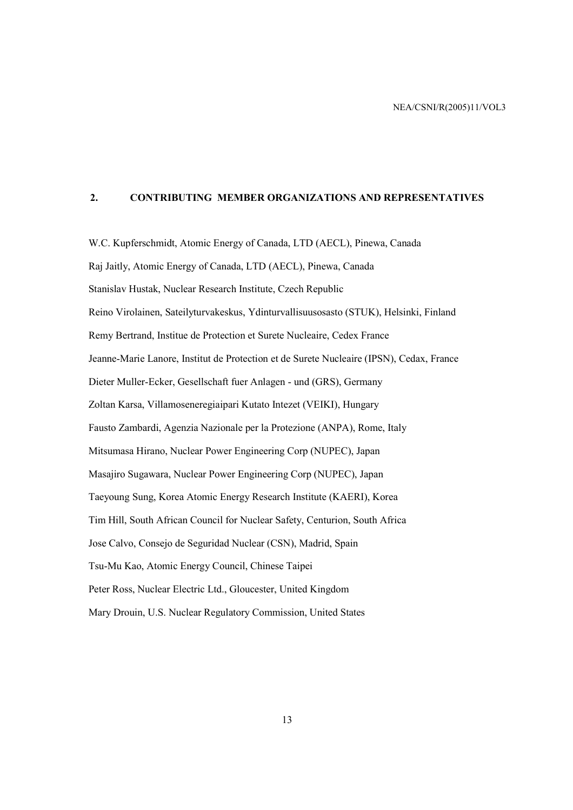#### **2. CONTRIBUTING MEMBER ORGANIZATIONS AND REPRESENTATIVES**

W.C. Kupferschmidt, Atomic Energy of Canada, LTD (AECL), Pinewa, Canada Raj Jaitly, Atomic Energy of Canada, LTD (AECL), Pinewa, Canada Stanislav Hustak, Nuclear Research Institute, Czech Republic Reino Virolainen, Sateilyturvakeskus, Ydinturvallisuusosasto (STUK), Helsinki, Finland Remy Bertrand, Institue de Protection et Surete Nucleaire, Cedex France Jeanne-Marie Lanore, Institut de Protection et de Surete Nucleaire (IPSN), Cedax, France Dieter Muller-Ecker, Gesellschaft fuer Anlagen - und (GRS), Germany Zoltan Karsa, Villamoseneregiaipari Kutato Intezet (VEIKI), Hungary Fausto Zambardi, Agenzia Nazionale per la Protezione (ANPA), Rome, Italy Mitsumasa Hirano, Nuclear Power Engineering Corp (NUPEC), Japan Masajiro Sugawara, Nuclear Power Engineering Corp (NUPEC), Japan Taeyoung Sung, Korea Atomic Energy Research Institute (KAERI), Korea Tim Hill, South African Council for Nuclear Safety, Centurion, South Africa Jose Calvo, Consejo de Seguridad Nuclear (CSN), Madrid, Spain Tsu-Mu Kao, Atomic Energy Council, Chinese Taipei Peter Ross, Nuclear Electric Ltd., Gloucester, United Kingdom Mary Drouin, U.S. Nuclear Regulatory Commission, United States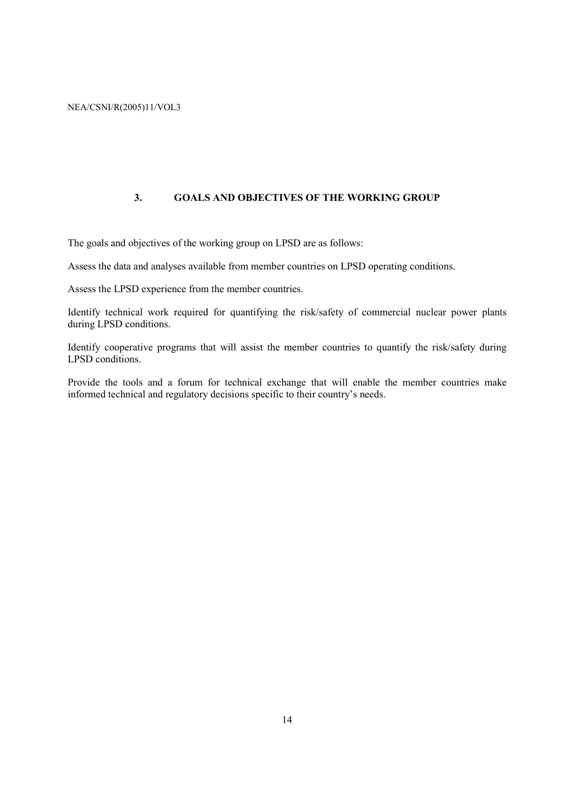### **3. GOALS AND OBJECTIVES OF THE WORKING GROUP**

The goals and objectives of the working group on LPSD are as follows:

Assess the data and analyses available from member countries on LPSD operating conditions.

Assess the LPSD experience from the member countries.

Identify technical work required for quantifying the risk/safety of commercial nuclear power plants during LPSD conditions.

Identify cooperative programs that will assist the member countries to quantify the risk/safety during LPSD conditions.

Provide the tools and a forum for technical exchange that will enable the member countries make informed technical and regulatory decisions specific to their country's needs.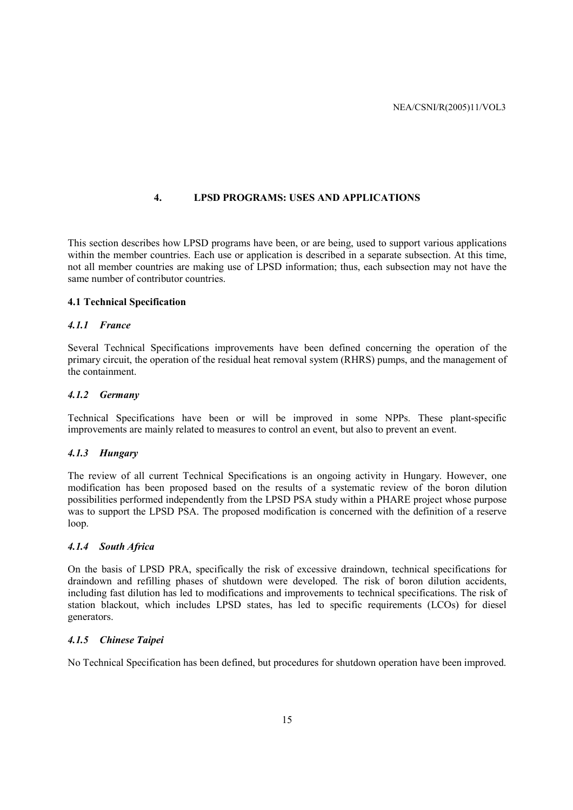#### **4. LPSD PROGRAMS: USES AND APPLICATIONS**

This section describes how LPSD programs have been, or are being, used to support various applications within the member countries. Each use or application is described in a separate subsection. At this time, not all member countries are making use of LPSD information; thus, each subsection may not have the same number of contributor countries.

#### **4.1 Technical Specification**

#### *4.1.1 France*

Several Technical Specifications improvements have been defined concerning the operation of the primary circuit, the operation of the residual heat removal system (RHRS) pumps, and the management of the containment.

#### *4.1.2 Germany*

Technical Specifications have been or will be improved in some NPPs. These plant-specific improvements are mainly related to measures to control an event, but also to prevent an event.

#### *4.1.3 Hungary*

The review of all current Technical Specifications is an ongoing activity in Hungary. However, one modification has been proposed based on the results of a systematic review of the boron dilution possibilities performed independently from the LPSD PSA study within a PHARE project whose purpose was to support the LPSD PSA. The proposed modification is concerned with the definition of a reserve loop.

#### *4.1.4 South Africa*

On the basis of LPSD PRA, specifically the risk of excessive draindown, technical specifications for draindown and refilling phases of shutdown were developed. The risk of boron dilution accidents, including fast dilution has led to modifications and improvements to technical specifications. The risk of station blackout, which includes LPSD states, has led to specific requirements (LCOs) for diesel generators.

#### *4.1.5 Chinese Taipei*

No Technical Specification has been defined, but procedures for shutdown operation have been improved.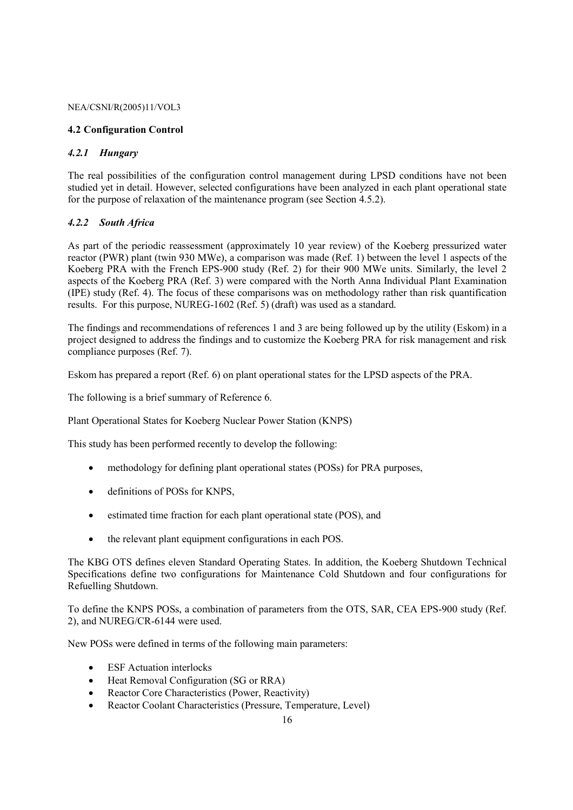#### **4.2 Configuration Control**

#### *4.2.1 Hungary*

The real possibilities of the configuration control management during LPSD conditions have not been studied yet in detail. However, selected configurations have been analyzed in each plant operational state for the purpose of relaxation of the maintenance program (see Section 4.5.2).

#### *4.2.2 South Africa*

As part of the periodic reassessment (approximately 10 year review) of the Koeberg pressurized water reactor (PWR) plant (twin 930 MWe), a comparison was made (Ref. 1) between the level 1 aspects of the Koeberg PRA with the French EPS-900 study (Ref. 2) for their 900 MWe units. Similarly, the level 2 aspects of the Koeberg PRA (Ref. 3) were compared with the North Anna Individual Plant Examination (IPE) study (Ref. 4). The focus of these comparisons was on methodology rather than risk quantification results. For this purpose, NUREG-1602 (Ref. 5) (draft) was used as a standard.

The findings and recommendations of references 1 and 3 are being followed up by the utility (Eskom) in a project designed to address the findings and to customize the Koeberg PRA for risk management and risk compliance purposes (Ref. 7).

Eskom has prepared a report (Ref. 6) on plant operational states for the LPSD aspects of the PRA.

The following is a brief summary of Reference 6.

Plant Operational States for Koeberg Nuclear Power Station (KNPS)

This study has been performed recently to develop the following:

- methodology for defining plant operational states (POSs) for PRA purposes,
- definitions of POSs for KNPS.
- estimated time fraction for each plant operational state (POS), and
- the relevant plant equipment configurations in each POS.

The KBG OTS defines eleven Standard Operating States. In addition, the Koeberg Shutdown Technical Specifications define two configurations for Maintenance Cold Shutdown and four configurations for Refuelling Shutdown.

To define the KNPS POSs, a combination of parameters from the OTS, SAR, CEA EPS-900 study (Ref. 2), and NUREG/CR-6144 were used.

New POSs were defined in terms of the following main parameters:

- **ESF** Actuation interlocks
- Heat Removal Configuration (SG or RRA)
- Reactor Core Characteristics (Power, Reactivity)
- Reactor Coolant Characteristics (Pressure, Temperature, Level)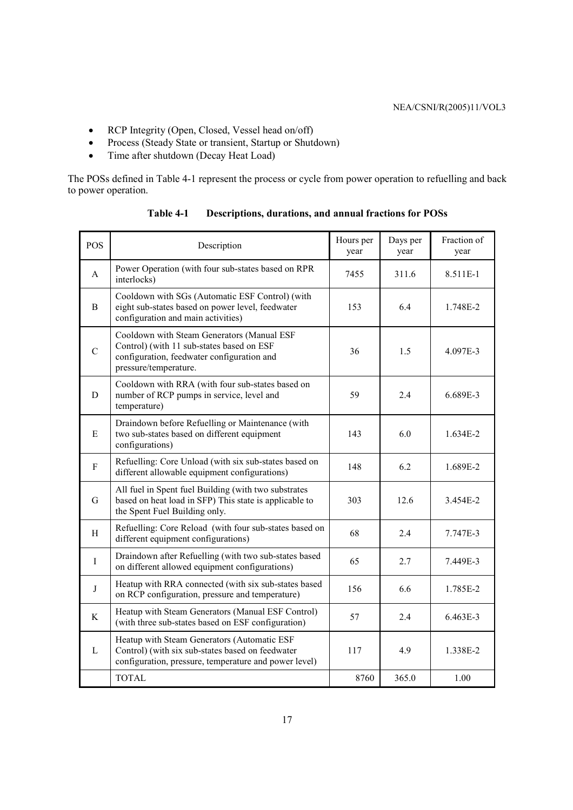- RCP Integrity (Open, Closed, Vessel head on/off)
- Process (Steady State or transient, Startup or Shutdown)
- Time after shutdown (Decay Heat Load)

The POSs defined in Table 4-1 represent the process or cycle from power operation to refuelling and back to power operation.

| POS          | Description                                                                                                                                                    | Hours per<br>year | Days per<br>year | Fraction of<br>year |
|--------------|----------------------------------------------------------------------------------------------------------------------------------------------------------------|-------------------|------------------|---------------------|
| A            | Power Operation (with four sub-states based on RPR<br>interlocks)                                                                                              | 7455              | 311.6            | 8.511E-1            |
| B.           | Cooldown with SGs (Automatic ESF Control) (with<br>eight sub-states based on power level, feedwater<br>configuration and main activities)                      | 153               | 6.4              | 1.748E-2            |
| $\mathbf C$  | Cooldown with Steam Generators (Manual ESF<br>Control) (with 11 sub-states based on ESF<br>configuration, feedwater configuration and<br>pressure/temperature. | 36                | 1.5              | 4.097E-3            |
| D            | Cooldown with RRA (with four sub-states based on<br>number of RCP pumps in service, level and<br>temperature)                                                  | 59                | 2.4              | 6.689E-3            |
| E            | Draindown before Refuelling or Maintenance (with<br>two sub-states based on different equipment<br>configurations)                                             | 143               | 6.0              | 1.634E-2            |
| $\mathbf{F}$ | Refuelling: Core Unload (with six sub-states based on<br>different allowable equipment configurations)                                                         | 148               | 6.2              | 1.689E-2            |
| G            | All fuel in Spent fuel Building (with two substrates<br>based on heat load in SFP) This state is applicable to<br>the Spent Fuel Building only.                | 303               | 12.6             | 3.454E-2            |
| H            | Refuelling: Core Reload (with four sub-states based on<br>different equipment configurations)                                                                  | 68                | 2.4              | 7.747E-3            |
| $\mathbf I$  | Draindown after Refuelling (with two sub-states based<br>on different allowed equipment configurations)                                                        | 65                | 2.7              | 7.449E-3            |
| J            | Heatup with RRA connected (with six sub-states based<br>on RCP configuration, pressure and temperature)                                                        | 156               | 6.6              | 1.785E-2            |
| K            | Heatup with Steam Generators (Manual ESF Control)<br>(with three sub-states based on ESF configuration)                                                        | 57                | 2.4              | 6.463E-3            |
| L            | Heatup with Steam Generators (Automatic ESF<br>Control) (with six sub-states based on feedwater<br>configuration, pressure, temperature and power level)       | 117               | 4.9              | 1.338E-2            |
|              | <b>TOTAL</b>                                                                                                                                                   | 8760              | 365.0            | 1.00                |

**Table 4-1 Descriptions, durations, and annual fractions for POSs**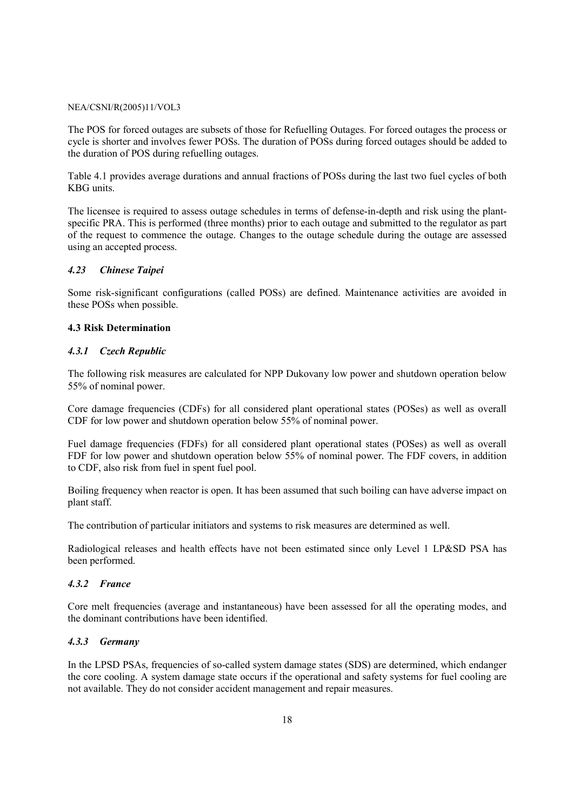The POS for forced outages are subsets of those for Refuelling Outages. For forced outages the process or cycle is shorter and involves fewer POSs. The duration of POSs during forced outages should be added to the duration of POS during refuelling outages.

Table 4.1 provides average durations and annual fractions of POSs during the last two fuel cycles of both KBG units.

The licensee is required to assess outage schedules in terms of defense-in-depth and risk using the plantspecific PRA. This is performed (three months) prior to each outage and submitted to the regulator as part of the request to commence the outage. Changes to the outage schedule during the outage are assessed using an accepted process.

#### *4.23 Chinese Taipei*

Some risk-significant configurations (called POSs) are defined. Maintenance activities are avoided in these POSs when possible.

#### **4.3 Risk Determination**

#### *4.3.1 Czech Republic*

The following risk measures are calculated for NPP Dukovany low power and shutdown operation below 55% of nominal power.

Core damage frequencies (CDFs) for all considered plant operational states (POSes) as well as overall CDF for low power and shutdown operation below 55% of nominal power.

Fuel damage frequencies (FDFs) for all considered plant operational states (POSes) as well as overall FDF for low power and shutdown operation below 55% of nominal power. The FDF covers, in addition to CDF, also risk from fuel in spent fuel pool.

Boiling frequency when reactor is open. It has been assumed that such boiling can have adverse impact on plant staff.

The contribution of particular initiators and systems to risk measures are determined as well.

Radiological releases and health effects have not been estimated since only Level 1 LP&SD PSA has been performed.

#### *4.3.2 France*

Core melt frequencies (average and instantaneous) have been assessed for all the operating modes, and the dominant contributions have been identified.

#### *4.3.3 Germany*

In the LPSD PSAs, frequencies of so-called system damage states (SDS) are determined, which endanger the core cooling. A system damage state occurs if the operational and safety systems for fuel cooling are not available. They do not consider accident management and repair measures.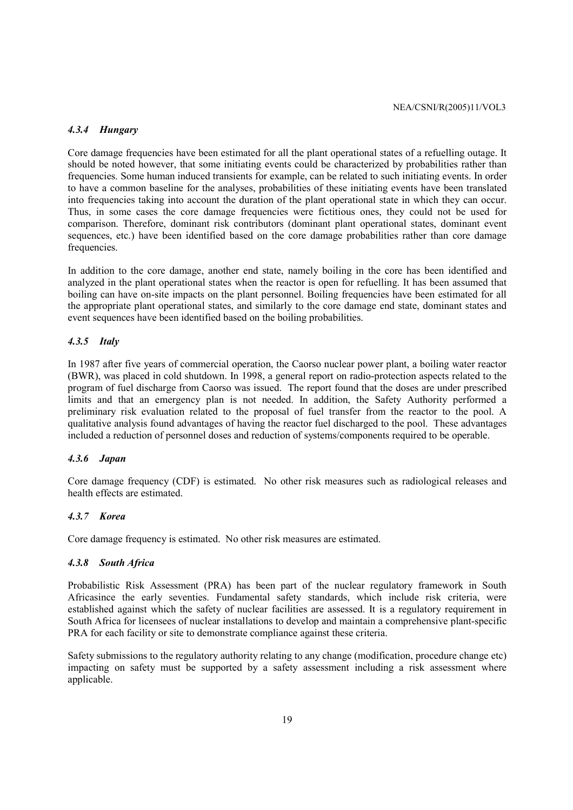#### *4.3.4 Hungary*

Core damage frequencies have been estimated for all the plant operational states of a refuelling outage. It should be noted however, that some initiating events could be characterized by probabilities rather than frequencies. Some human induced transients for example, can be related to such initiating events. In order to have a common baseline for the analyses, probabilities of these initiating events have been translated into frequencies taking into account the duration of the plant operational state in which they can occur. Thus, in some cases the core damage frequencies were fictitious ones, they could not be used for comparison. Therefore, dominant risk contributors (dominant plant operational states, dominant event sequences, etc.) have been identified based on the core damage probabilities rather than core damage frequencies.

In addition to the core damage, another end state, namely boiling in the core has been identified and analyzed in the plant operational states when the reactor is open for refuelling. It has been assumed that boiling can have on-site impacts on the plant personnel. Boiling frequencies have been estimated for all the appropriate plant operational states, and similarly to the core damage end state, dominant states and event sequences have been identified based on the boiling probabilities.

#### *4.3.5 Italy*

In 1987 after five years of commercial operation, the Caorso nuclear power plant, a boiling water reactor (BWR), was placed in cold shutdown. In 1998, a general report on radio-protection aspects related to the program of fuel discharge from Caorso was issued. The report found that the doses are under prescribed limits and that an emergency plan is not needed. In addition, the Safety Authority performed a preliminary risk evaluation related to the proposal of fuel transfer from the reactor to the pool. A qualitative analysis found advantages of having the reactor fuel discharged to the pool. These advantages included a reduction of personnel doses and reduction of systems/components required to be operable.

#### *4.3.6 Japan*

Core damage frequency (CDF) is estimated. No other risk measures such as radiological releases and health effects are estimated.

#### *4.3.7 Korea*

Core damage frequency is estimated. No other risk measures are estimated.

#### *4.3.8 South Africa*

Probabilistic Risk Assessment (PRA) has been part of the nuclear regulatory framework in South Africasince the early seventies. Fundamental safety standards, which include risk criteria, were established against which the safety of nuclear facilities are assessed. It is a regulatory requirement in South Africa for licensees of nuclear installations to develop and maintain a comprehensive plant-specific PRA for each facility or site to demonstrate compliance against these criteria.

Safety submissions to the regulatory authority relating to any change (modification, procedure change etc) impacting on safety must be supported by a safety assessment including a risk assessment where applicable.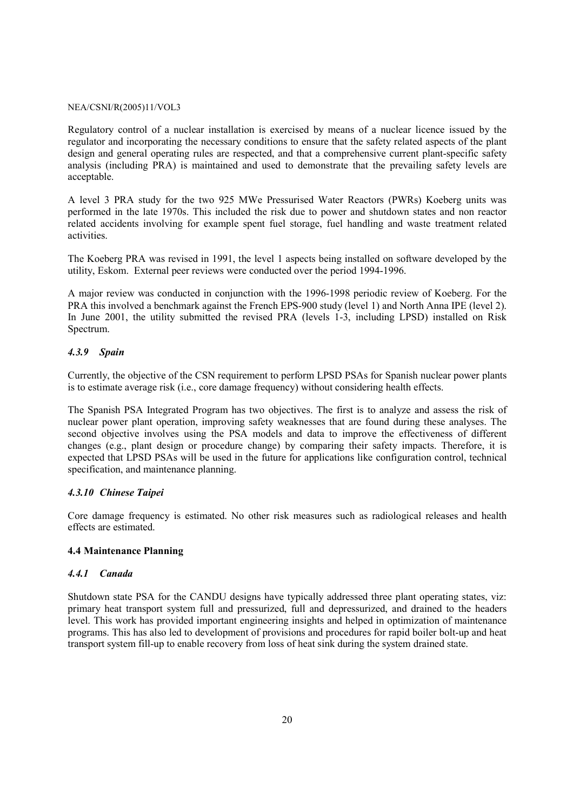Regulatory control of a nuclear installation is exercised by means of a nuclear licence issued by the regulator and incorporating the necessary conditions to ensure that the safety related aspects of the plant design and general operating rules are respected, and that a comprehensive current plant-specific safety analysis (including PRA) is maintained and used to demonstrate that the prevailing safety levels are acceptable.

A level 3 PRA study for the two 925 MWe Pressurised Water Reactors (PWRs) Koeberg units was performed in the late 1970s. This included the risk due to power and shutdown states and non reactor related accidents involving for example spent fuel storage, fuel handling and waste treatment related activities.

The Koeberg PRA was revised in 1991, the level 1 aspects being installed on software developed by the utility, Eskom. External peer reviews were conducted over the period 1994-1996.

A major review was conducted in conjunction with the 1996-1998 periodic review of Koeberg. For the PRA this involved a benchmark against the French EPS-900 study (level 1) and North Anna IPE (level 2). In June 2001, the utility submitted the revised PRA (levels 1-3, including LPSD) installed on Risk Spectrum.

#### *4.3.9 Spain*

Currently, the objective of the CSN requirement to perform LPSD PSAs for Spanish nuclear power plants is to estimate average risk (i.e., core damage frequency) without considering health effects.

The Spanish PSA Integrated Program has two objectives. The first is to analyze and assess the risk of nuclear power plant operation, improving safety weaknesses that are found during these analyses. The second objective involves using the PSA models and data to improve the effectiveness of different changes (e.g., plant design or procedure change) by comparing their safety impacts. Therefore, it is expected that LPSD PSAs will be used in the future for applications like configuration control, technical specification, and maintenance planning.

#### *4.3.10 Chinese Taipei*

Core damage frequency is estimated. No other risk measures such as radiological releases and health effects are estimated.

#### **4.4 Maintenance Planning**

#### *4.4.1 Canada*

Shutdown state PSA for the CANDU designs have typically addressed three plant operating states, viz: primary heat transport system full and pressurized, full and depressurized, and drained to the headers level. This work has provided important engineering insights and helped in optimization of maintenance programs. This has also led to development of provisions and procedures for rapid boiler bolt-up and heat transport system fill-up to enable recovery from loss of heat sink during the system drained state.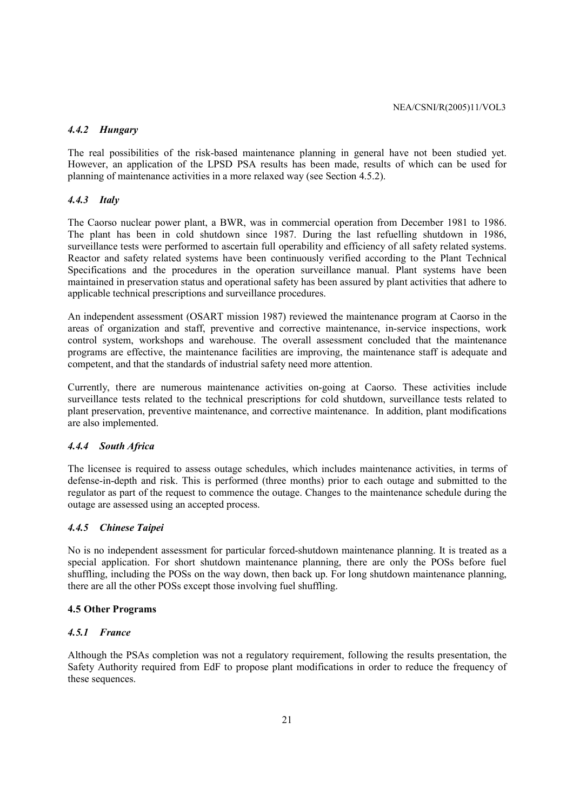# *4.4.2 Hungary*

The real possibilities of the risk-based maintenance planning in general have not been studied yet. However, an application of the LPSD PSA results has been made, results of which can be used for planning of maintenance activities in a more relaxed way (see Section 4.5.2).

#### *4.4.3 Italy*

The Caorso nuclear power plant, a BWR, was in commercial operation from December 1981 to 1986. The plant has been in cold shutdown since 1987. During the last refuelling shutdown in 1986, surveillance tests were performed to ascertain full operability and efficiency of all safety related systems. Reactor and safety related systems have been continuously verified according to the Plant Technical Specifications and the procedures in the operation surveillance manual. Plant systems have been maintained in preservation status and operational safety has been assured by plant activities that adhere to applicable technical prescriptions and surveillance procedures.

An independent assessment (OSART mission 1987) reviewed the maintenance program at Caorso in the areas of organization and staff, preventive and corrective maintenance, in-service inspections, work control system, workshops and warehouse. The overall assessment concluded that the maintenance programs are effective, the maintenance facilities are improving, the maintenance staff is adequate and competent, and that the standards of industrial safety need more attention.

Currently, there are numerous maintenance activities on-going at Caorso. These activities include surveillance tests related to the technical prescriptions for cold shutdown, surveillance tests related to plant preservation, preventive maintenance, and corrective maintenance. In addition, plant modifications are also implemented.

#### *4.4.4 South Africa*

The licensee is required to assess outage schedules, which includes maintenance activities, in terms of defense-in-depth and risk. This is performed (three months) prior to each outage and submitted to the regulator as part of the request to commence the outage. Changes to the maintenance schedule during the outage are assessed using an accepted process.

#### *4.4.5 Chinese Taipei*

No is no independent assessment for particular forced-shutdown maintenance planning. It is treated as a special application. For short shutdown maintenance planning, there are only the POSs before fuel shuffling, including the POSs on the way down, then back up. For long shutdown maintenance planning, there are all the other POSs except those involving fuel shuffling.

#### **4.5 Other Programs**

#### *4.5.1 France*

Although the PSAs completion was not a regulatory requirement, following the results presentation, the Safety Authority required from EdF to propose plant modifications in order to reduce the frequency of these sequences.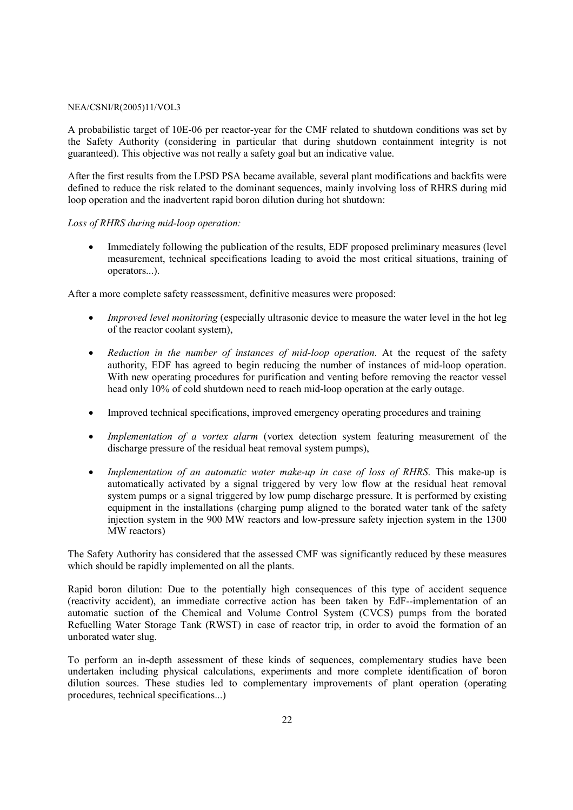A probabilistic target of 10E-06 per reactor-year for the CMF related to shutdown conditions was set by the Safety Authority (considering in particular that during shutdown containment integrity is not guaranteed). This objective was not really a safety goal but an indicative value.

After the first results from the LPSD PSA became available, several plant modifications and backfits were defined to reduce the risk related to the dominant sequences, mainly involving loss of RHRS during mid loop operation and the inadvertent rapid boron dilution during hot shutdown:

#### *Loss of RHRS during mid-loop operation:*

• Immediately following the publication of the results, EDF proposed preliminary measures (level measurement, technical specifications leading to avoid the most critical situations, training of operators...).

After a more complete safety reassessment, definitive measures were proposed:

- *Improved level monitoring* (especially ultrasonic device to measure the water level in the hot leg of the reactor coolant system),
- *Reduction in the number of instances of mid-loop operation*. At the request of the safety authority, EDF has agreed to begin reducing the number of instances of mid-loop operation. With new operating procedures for purification and venting before removing the reactor vessel head only 10% of cold shutdown need to reach mid-loop operation at the early outage.
- Improved technical specifications, improved emergency operating procedures and training
- *Implementation of a vortex alarm* (vortex detection system featuring measurement of the discharge pressure of the residual heat removal system pumps),
- *Implementation of an automatic water make-up in case of loss of RHRS*. This make-up is automatically activated by a signal triggered by very low flow at the residual heat removal system pumps or a signal triggered by low pump discharge pressure. It is performed by existing equipment in the installations (charging pump aligned to the borated water tank of the safety injection system in the 900 MW reactors and low-pressure safety injection system in the 1300 MW reactors)

The Safety Authority has considered that the assessed CMF was significantly reduced by these measures which should be rapidly implemented on all the plants.

Rapid boron dilution: Due to the potentially high consequences of this type of accident sequence (reactivity accident), an immediate corrective action has been taken by EdF--implementation of an automatic suction of the Chemical and Volume Control System (CVCS) pumps from the borated Refuelling Water Storage Tank (RWST) in case of reactor trip, in order to avoid the formation of an unborated water slug.

To perform an in-depth assessment of these kinds of sequences, complementary studies have been undertaken including physical calculations, experiments and more complete identification of boron dilution sources. These studies led to complementary improvements of plant operation (operating procedures, technical specifications...)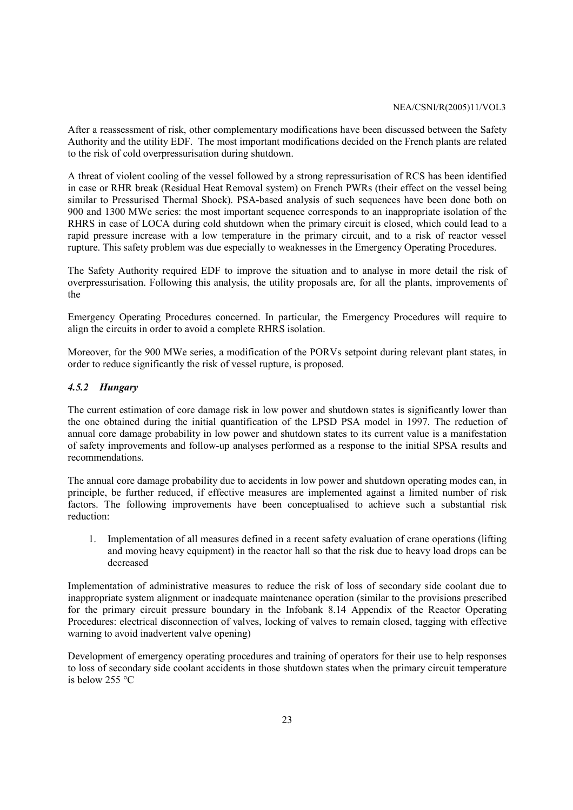After a reassessment of risk, other complementary modifications have been discussed between the Safety Authority and the utility EDF. The most important modifications decided on the French plants are related to the risk of cold overpressurisation during shutdown.

A threat of violent cooling of the vessel followed by a strong repressurisation of RCS has been identified in case or RHR break (Residual Heat Removal system) on French PWRs (their effect on the vessel being similar to Pressurised Thermal Shock). PSA-based analysis of such sequences have been done both on 900 and 1300 MWe series: the most important sequence corresponds to an inappropriate isolation of the RHRS in case of LOCA during cold shutdown when the primary circuit is closed, which could lead to a rapid pressure increase with a low temperature in the primary circuit, and to a risk of reactor vessel rupture. This safety problem was due especially to weaknesses in the Emergency Operating Procedures.

The Safety Authority required EDF to improve the situation and to analyse in more detail the risk of overpressurisation. Following this analysis, the utility proposals are, for all the plants, improvements of the

Emergency Operating Procedures concerned. In particular, the Emergency Procedures will require to align the circuits in order to avoid a complete RHRS isolation.

Moreover, for the 900 MWe series, a modification of the PORVs setpoint during relevant plant states, in order to reduce significantly the risk of vessel rupture, is proposed.

#### *4.5.2 Hungary*

The current estimation of core damage risk in low power and shutdown states is significantly lower than the one obtained during the initial quantification of the LPSD PSA model in 1997. The reduction of annual core damage probability in low power and shutdown states to its current value is a manifestation of safety improvements and follow-up analyses performed as a response to the initial SPSA results and recommendations.

The annual core damage probability due to accidents in low power and shutdown operating modes can, in principle, be further reduced, if effective measures are implemented against a limited number of risk factors. The following improvements have been conceptualised to achieve such a substantial risk reduction:

1. Implementation of all measures defined in a recent safety evaluation of crane operations (lifting and moving heavy equipment) in the reactor hall so that the risk due to heavy load drops can be decreased

Implementation of administrative measures to reduce the risk of loss of secondary side coolant due to inappropriate system alignment or inadequate maintenance operation (similar to the provisions prescribed for the primary circuit pressure boundary in the Infobank 8.14 Appendix of the Reactor Operating Procedures: electrical disconnection of valves, locking of valves to remain closed, tagging with effective warning to avoid inadvertent valve opening)

Development of emergency operating procedures and training of operators for their use to help responses to loss of secondary side coolant accidents in those shutdown states when the primary circuit temperature is below 255 °C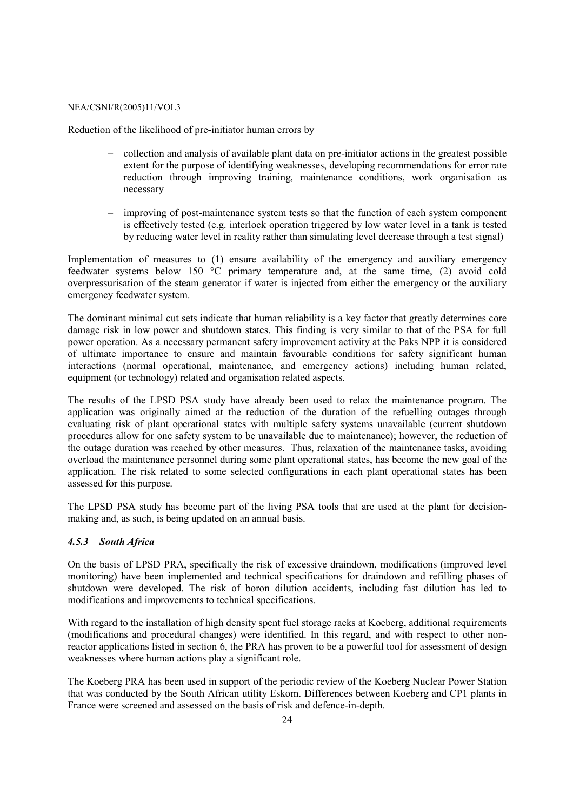Reduction of the likelihood of pre-initiator human errors by

- − collection and analysis of available plant data on pre-initiator actions in the greatest possible extent for the purpose of identifying weaknesses, developing recommendations for error rate reduction through improving training, maintenance conditions, work organisation as necessary
- − improving of post-maintenance system tests so that the function of each system component is effectively tested (e.g. interlock operation triggered by low water level in a tank is tested by reducing water level in reality rather than simulating level decrease through a test signal)

Implementation of measures to (1) ensure availability of the emergency and auxiliary emergency feedwater systems below 150 °C primary temperature and, at the same time, (2) avoid cold overpressurisation of the steam generator if water is injected from either the emergency or the auxiliary emergency feedwater system.

The dominant minimal cut sets indicate that human reliability is a key factor that greatly determines core damage risk in low power and shutdown states. This finding is very similar to that of the PSA for full power operation. As a necessary permanent safety improvement activity at the Paks NPP it is considered of ultimate importance to ensure and maintain favourable conditions for safety significant human interactions (normal operational, maintenance, and emergency actions) including human related, equipment (or technology) related and organisation related aspects.

The results of the LPSD PSA study have already been used to relax the maintenance program. The application was originally aimed at the reduction of the duration of the refuelling outages through evaluating risk of plant operational states with multiple safety systems unavailable (current shutdown procedures allow for one safety system to be unavailable due to maintenance); however, the reduction of the outage duration was reached by other measures. Thus, relaxation of the maintenance tasks, avoiding overload the maintenance personnel during some plant operational states, has become the new goal of the application. The risk related to some selected configurations in each plant operational states has been assessed for this purpose.

The LPSD PSA study has become part of the living PSA tools that are used at the plant for decisionmaking and, as such, is being updated on an annual basis.

#### *4.5.3 South Africa*

On the basis of LPSD PRA, specifically the risk of excessive draindown, modifications (improved level monitoring) have been implemented and technical specifications for draindown and refilling phases of shutdown were developed. The risk of boron dilution accidents, including fast dilution has led to modifications and improvements to technical specifications.

With regard to the installation of high density spent fuel storage racks at Koeberg, additional requirements (modifications and procedural changes) were identified. In this regard, and with respect to other nonreactor applications listed in section 6, the PRA has proven to be a powerful tool for assessment of design weaknesses where human actions play a significant role.

The Koeberg PRA has been used in support of the periodic review of the Koeberg Nuclear Power Station that was conducted by the South African utility Eskom. Differences between Koeberg and CP1 plants in France were screened and assessed on the basis of risk and defence-in-depth.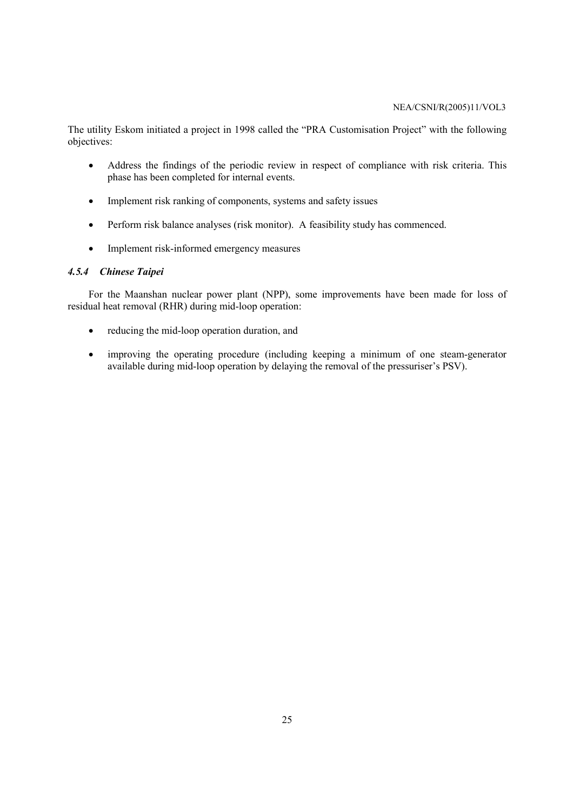The utility Eskom initiated a project in 1998 called the "PRA Customisation Project" with the following objectives:

- Address the findings of the periodic review in respect of compliance with risk criteria. This phase has been completed for internal events.
- Implement risk ranking of components, systems and safety issues
- Perform risk balance analyses (risk monitor). A feasibility study has commenced.
- Implement risk-informed emergency measures

#### *4.5.4 Chinese Taipei*

For the Maanshan nuclear power plant (NPP), some improvements have been made for loss of residual heat removal (RHR) during mid-loop operation:

- reducing the mid-loop operation duration, and
- improving the operating procedure (including keeping a minimum of one steam-generator available during mid-loop operation by delaying the removal of the pressuriser's PSV).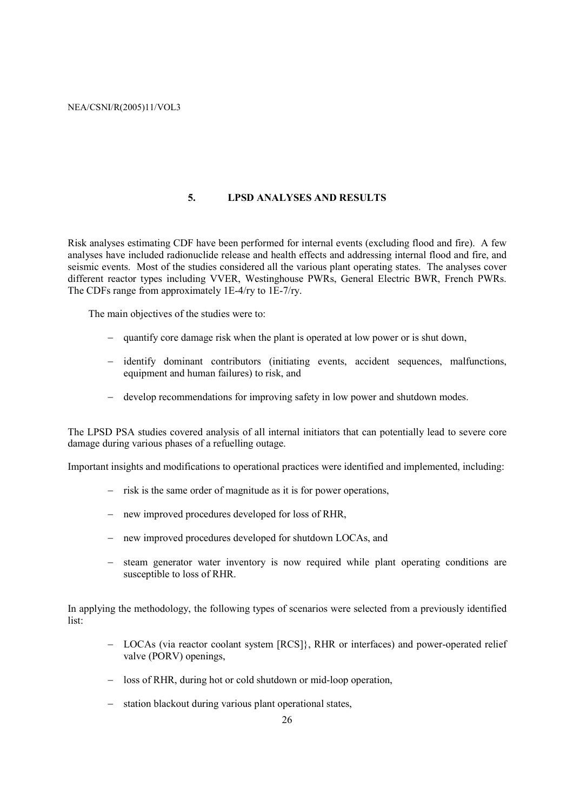#### **5. LPSD ANALYSES AND RESULTS**

Risk analyses estimating CDF have been performed for internal events (excluding flood and fire). A few analyses have included radionuclide release and health effects and addressing internal flood and fire, and seismic events. Most of the studies considered all the various plant operating states. The analyses cover different reactor types including VVER, Westinghouse PWRs, General Electric BWR, French PWRs. The CDFs range from approximately 1E-4/ry to 1E-7/ry.

The main objectives of the studies were to:

- − quantify core damage risk when the plant is operated at low power or is shut down,
- − identify dominant contributors (initiating events, accident sequences, malfunctions, equipment and human failures) to risk, and
- − develop recommendations for improving safety in low power and shutdown modes.

The LPSD PSA studies covered analysis of all internal initiators that can potentially lead to severe core damage during various phases of a refuelling outage.

Important insights and modifications to operational practices were identified and implemented, including:

- − risk is the same order of magnitude as it is for power operations,
- − new improved procedures developed for loss of RHR,
- − new improved procedures developed for shutdown LOCAs, and
- − steam generator water inventory is now required while plant operating conditions are susceptible to loss of RHR.

In applying the methodology, the following types of scenarios were selected from a previously identified list:

- − LOCAs (via reactor coolant system [RCS]}, RHR or interfaces) and power-operated relief valve (PORV) openings,
- − loss of RHR, during hot or cold shutdown or mid-loop operation,
- − station blackout during various plant operational states,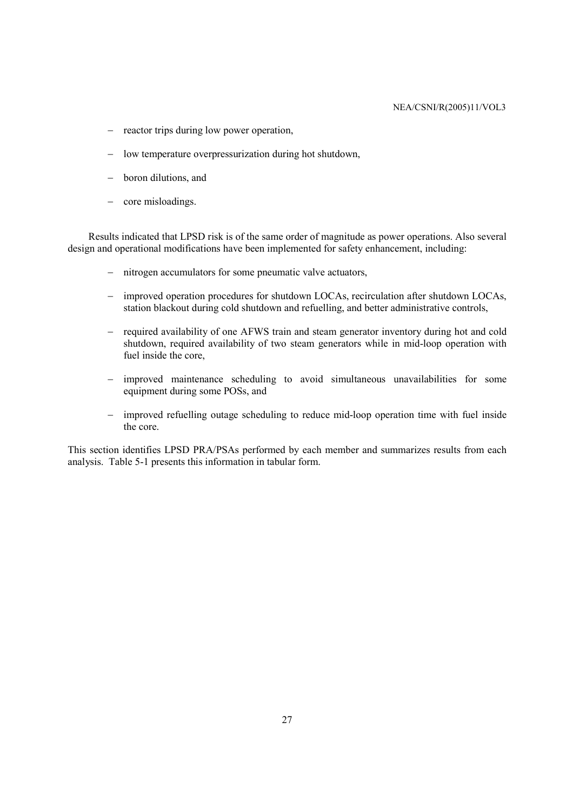- − reactor trips during low power operation,
- − low temperature overpressurization during hot shutdown,
- − boron dilutions, and
- − core misloadings.

Results indicated that LPSD risk is of the same order of magnitude as power operations. Also several design and operational modifications have been implemented for safety enhancement, including:

- − nitrogen accumulators for some pneumatic valve actuators,
- − improved operation procedures for shutdown LOCAs, recirculation after shutdown LOCAs, station blackout during cold shutdown and refuelling, and better administrative controls,
- − required availability of one AFWS train and steam generator inventory during hot and cold shutdown, required availability of two steam generators while in mid-loop operation with fuel inside the core,
- − improved maintenance scheduling to avoid simultaneous unavailabilities for some equipment during some POSs, and
- − improved refuelling outage scheduling to reduce mid-loop operation time with fuel inside the core.

This section identifies LPSD PRA/PSAs performed by each member and summarizes results from each analysis. Table 5-1 presents this information in tabular form.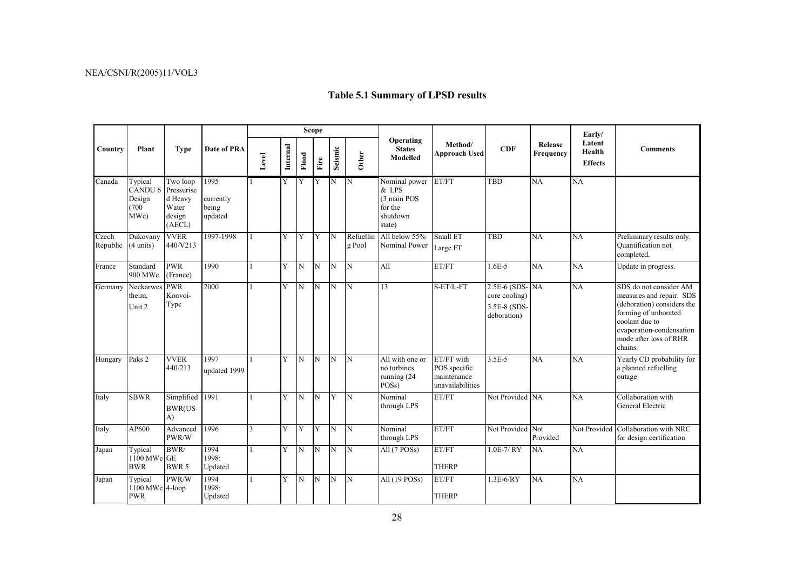|                   | Plant                                                    | <b>Type</b>                                                    | Date of PRA                           | <b>Scope</b> |          |                         |      |                         |                         |                                                                        |                                                               |                                                                |                      | Early/                             |                                                                                                                                                                                             |
|-------------------|----------------------------------------------------------|----------------------------------------------------------------|---------------------------------------|--------------|----------|-------------------------|------|-------------------------|-------------------------|------------------------------------------------------------------------|---------------------------------------------------------------|----------------------------------------------------------------|----------------------|------------------------------------|---------------------------------------------------------------------------------------------------------------------------------------------------------------------------------------------|
| Country           |                                                          |                                                                |                                       | Level        | Internal | Flood                   | Fire | Seismic                 | Other                   | Operating<br><b>States</b><br>Modelled                                 | Method/<br><b>Approach Used</b>                               | <b>CDF</b>                                                     | Release<br>Frequency | Latent<br>Health<br><b>Effects</b> | <b>Comments</b>                                                                                                                                                                             |
| Canada            | Typical<br>CANDU <sub>6</sub><br>Design<br>(700)<br>MWe) | Two loop<br>Pressurise<br>d Heavy<br>Water<br>design<br>(AECL) | 1995<br>currently<br>being<br>updated |              | Y        | Y                       | Y    | <sup>IN</sup>           | $\mathbf N$             | Nominal power<br>& LPS<br>(3 main POS<br>for the<br>shutdown<br>state) | ET/FT                                                         | <b>TBD</b>                                                     | NA                   | NA                                 |                                                                                                                                                                                             |
| Czech<br>Republic | Dukovany<br>$(4 \text{ units})$                          | <b>VVER</b><br>440/V213                                        | 1997-1998                             | $\mathbf{1}$ | Y        | Y                       | Y    | N                       | Refuellin<br>g Pool     | All below 55%<br>Nominal Power                                         | Small ET<br>Large FT                                          | <b>TBD</b>                                                     | NA                   | NA                                 | Preliminary results only.<br>Quantification not<br>completed.                                                                                                                               |
| France            | Standard<br>900 MWe                                      | <b>PWR</b><br>(France)                                         | 1990                                  | $\mathbf{1}$ | Y        | N                       | N    | IN                      | N                       | All                                                                    | ET/FT                                                         | $1.6E - 5$                                                     | NA                   | $\overline{NA}$                    | Update in progress.                                                                                                                                                                         |
| Germany           | Neckarwes PWR<br>theim,<br>Unit 2                        | Konvoi-<br>Type                                                | 2000                                  |              | Y        | N                       | N    | N                       | $\mathbf N$             | 13                                                                     | S-ET/L-FT                                                     | 2.5E-6 (SDS-NA<br>core cooling)<br>3.5E-8 (SDS-<br>deboration) |                      | <b>NA</b>                          | SDS do not consider AM<br>measures and repair. SDS<br>(deboration) considers the<br>forming of unborated<br>coolant due to<br>evaporation-condensation<br>mode after loss of RHR<br>chains. |
| Hungary           | Paks 2                                                   | <b>VVER</b><br>440/213                                         | 1997<br>updated 1999                  |              | Y        | N                       | ĪΝ   | N                       | $\overline{\mathbb{N}}$ | All with one or<br>no turbines<br>running (24<br>POS <sub>s</sub> )    | ET/FT with<br>POS specific<br>maintenance<br>unavailabilities | $3.5E-5$                                                       | $\overline{NA}$      | NA                                 | Yearly CD probability for<br>a planned refuelling<br>outage                                                                                                                                 |
| Italy             | <b>SBWR</b>                                              | Simplified<br><b>BWR(US</b><br>$\mathbf{A}$                    | 1991                                  | $\mathbf{1}$ | Y        | N                       | N    | Y                       | $\mathbf N$             | Nominal<br>through LPS                                                 | ET/FT                                                         | Not Provided NA                                                |                      | NA                                 | Collaboration with<br>General Electric                                                                                                                                                      |
| Italy             | AP600                                                    | Advanced<br>PWR/W                                              | 1996                                  | 3            | Y        | Y                       | Y    | IN.                     | $\mathbf N$             | Nominal<br>through LPS                                                 | ET/FT                                                         | Not Provided Not                                               | Provided             |                                    | Not Provided Collaboration with NRC<br>for design certification                                                                                                                             |
| Japan             | Typical<br>1100 MWe GE<br><b>BWR</b>                     | BWR/<br>BWR 5                                                  | 1994<br>1998:<br>Updated              | $\mathbf{1}$ | Y        | $\overline{\mathbf{N}}$ | N    | $\overline{\mathbb{N}}$ | $\overline{\mathbb{N}}$ | All (7 POSs)                                                           | ET/FT<br><b>THERP</b>                                         | $1.0E-7/RY$                                                    | NA                   | NA                                 |                                                                                                                                                                                             |
| Japan             | Typical<br>1100 MWe 4-loop<br><b>PWR</b>                 | PWR/W                                                          | 1994<br>1998:<br>Updated              |              | Y        | N                       | N    | <sup>IN</sup>           | $\mathbf N$             | All (19 POSs)                                                          | ET/FT<br><b>THERP</b>                                         | $1.3E-6/RY$                                                    | NA                   | NA                                 |                                                                                                                                                                                             |

# **Table 5.1 Summary of LPSD results**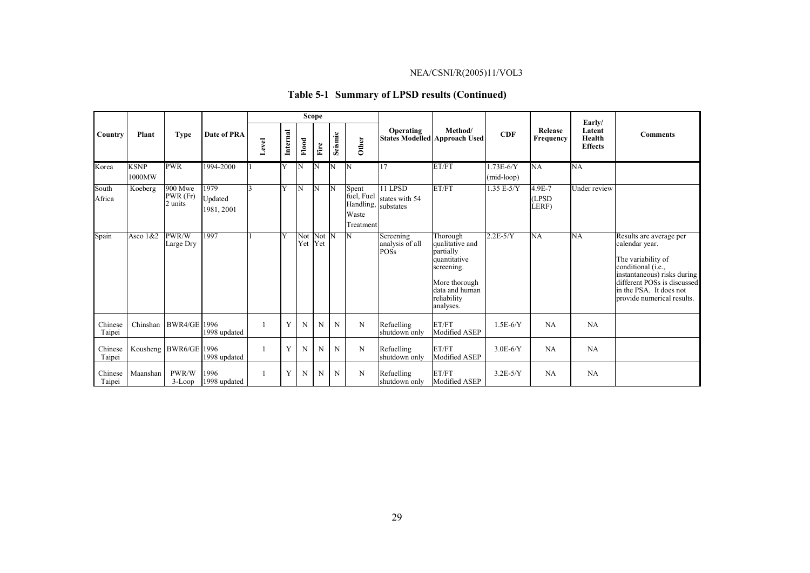|                   | Plant                 | <b>Type</b>                     |                               | <b>Scope</b> |              |       |                      |             |                                                        |                                        |                                                                                                                                       |                             |                              |                                              |                                                                                                                                                                                                              |
|-------------------|-----------------------|---------------------------------|-------------------------------|--------------|--------------|-------|----------------------|-------------|--------------------------------------------------------|----------------------------------------|---------------------------------------------------------------------------------------------------------------------------------------|-----------------------------|------------------------------|----------------------------------------------|--------------------------------------------------------------------------------------------------------------------------------------------------------------------------------------------------------------|
| Country           |                       |                                 | Date of PRA                   | Level        | Internal     | Flood | Fire                 | Seismic     | Other                                                  | Operating                              | Method/<br><b>States Modelled Approach Used</b>                                                                                       | <b>CDF</b>                  | Release<br>Frequency         | Early/<br>Latent<br>Health<br><b>Effects</b> | <b>Comments</b>                                                                                                                                                                                              |
| Korea             | <b>KSNP</b><br>1000MW | <b>PWR</b>                      | 1994-2000                     |              | ΙY           | W     | 'N                   | 'N          | 'N                                                     | 17                                     | ET/FT                                                                                                                                 | $1.73E-6/Y$<br>$(mid-loop)$ | NA                           | <b>NA</b>                                    |                                                                                                                                                                                                              |
| South<br>Africa   | Koeberg               | $900$ Mwe<br>PWR(Fr)<br>2 units | 1979<br>Updated<br>1981, 2001 |              | IY           | IN    | N                    | İΝ          | Spent<br>fuel, Fuel<br>Handling,<br>Waste<br>Treatment | 11 LPSD<br>states with 54<br>substates | ET/FT                                                                                                                                 | $1.35 E-5/Y$                | $4.9E - 7$<br>(LPSD<br>LERF) | Under review                                 |                                                                                                                                                                                                              |
| Spain             | Asco $1&82$           | PWR/W<br>Large Dry              | 1997                          |              | <sup>V</sup> |       | Not Not N<br>Yet Yet |             | N                                                      | Screening<br>analysis of all<br>POSs   | Thorough<br>qualitative and<br>partially<br>quantitative<br>screening.<br>More thorough<br>data and human<br>reliability<br>analyses. | $2.2E-5/Y$                  | NA                           | <b>NA</b>                                    | Results are average per<br>calendar year.<br>The variability of<br>conditional (i.e.,<br>instantaneous) risks during<br>different POSs is discussed<br>in the PSA. It does not<br>provide numerical results. |
| Chinese<br>Taipei | Chinshan              | <b>BWR4/GE 1996</b>             | 1998 updated                  |              | Y            | N     | N                    | N           | N                                                      | Refuelling<br>shutdown only            | ET/FT<br>Modified ASEP                                                                                                                | $1.5E-6/Y$                  | NA                           | NA                                           |                                                                                                                                                                                                              |
| Chinese<br>Taipei |                       | Kousheng BWR6/GE 1996           | 1998 updated                  |              | Y            | N     | N                    | N           | N                                                      | Refuelling<br>shutdown only            | ET/FT<br>Modified ASEP                                                                                                                | $3.0E-6/Y$                  | NA                           | NA                                           |                                                                                                                                                                                                              |
| Chinese<br>Taipei | Maanshan              | PWR/W<br>$3 - Loop$             | 1996<br>1998 updated          |              | Y            | N     | N                    | $\mathbf N$ | N                                                      | Refuelling<br>shutdown only            | ET/FT<br>Modified ASEP                                                                                                                | $3.2E-5/Y$                  | <b>NA</b>                    | <b>NA</b>                                    |                                                                                                                                                                                                              |

# **Table 5-1 Summary of LPSD results (Continued)**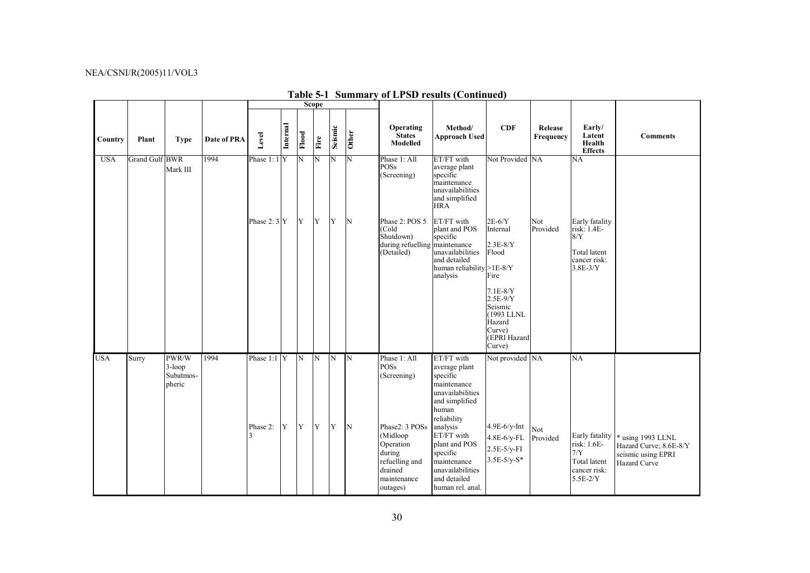|            |                       |                                           |             |               |          |                         | <b>Scope</b>   |                |                         |                                                                                                           |                                                                                                                            |                                                                                                 |                      |                                                                                      |                                                                                   |
|------------|-----------------------|-------------------------------------------|-------------|---------------|----------|-------------------------|----------------|----------------|-------------------------|-----------------------------------------------------------------------------------------------------------|----------------------------------------------------------------------------------------------------------------------------|-------------------------------------------------------------------------------------------------|----------------------|--------------------------------------------------------------------------------------|-----------------------------------------------------------------------------------|
| Country    | Plant                 | <b>Type</b>                               | Date of PRA | Level         | Internal | Flood                   | Fire           | Seismic        | Other                   | Operating<br><b>States</b><br>Modelled                                                                    | Method/<br><b>Approach Used</b>                                                                                            | CDF                                                                                             | Release<br>Frequency | Early/<br>Latent<br>Health<br><b>Effects</b>                                         | <b>Comments</b>                                                                   |
| <b>USA</b> | <b>Grand Gulf BWR</b> | Mark III                                  | 1994        | Phase $1:1$ Y |          | N                       | N              | N              | N                       | Phase 1: All<br>POSs<br>(Screening)                                                                       | ET/FT with<br>average plant<br>specific<br>maintenance<br>unavailabilities<br>and simplified<br><b>HRA</b>                 | Not Provided NA                                                                                 |                      | NA                                                                                   |                                                                                   |
|            |                       |                                           |             | Phase $2:3$ Y |          | Y                       | Y              | Y              | N                       | Phase 2: POS 5<br>(Cold<br>Shutdown)<br>during refuelling maintenance<br>(Detailed)                       | ET/FT with<br>plant and POS<br>specific<br>unavailabilities<br>and detailed<br>human reliability >1E-8/Y<br>analysis       | $2E-6/Y$<br>Internal<br>$2.3E-8/Y$<br>Flood<br>Fire                                             | Not<br>Provided      | Early fatality<br>risk: 1.4E-<br>8/Y<br>Total latent<br>cancer risk:<br>$3.8E-3/Y$   |                                                                                   |
|            |                       |                                           |             |               |          |                         |                |                |                         |                                                                                                           |                                                                                                                            | $7.1E-8/Y$<br>$2.5E-9/Y$<br>Seismic<br>(1993 LLNL<br>Hazard<br>Curve)<br>(EPRI Hazard<br>Curve) |                      |                                                                                      |                                                                                   |
| <b>USA</b> | Surry                 | PWR/W<br>$3$ -loop<br>Subatmos-<br>pheric | 1994        | Phase 1:1 Y   |          | $\overline{\mathbf{z}}$ | $\overline{N}$ | $\overline{N}$ | $\overline{\mathbb{N}}$ | Phase 1: All<br>POSs<br>(Screening)                                                                       | ET/FT with<br>average plant<br>specific<br>maintenance<br>unavailabilities<br>and simplified<br>human<br>reliability       | Not provided NA                                                                                 |                      | NA                                                                                   |                                                                                   |
|            |                       |                                           |             | Phase 2:<br>3 | Y        | Y                       | Y              | Y              | $\mathbf N$             | Phase2: 3 POSs<br>(Midloop<br>Operation<br>during<br>refuelling and<br>drained<br>maintenance<br>outages) | analysis<br>ET/FT with<br>plant and POS<br>specific<br>maintenance<br>unavailabilities<br>and detailed<br>human rel. anal. | $4.9E-6/y-Int$<br>4.8E-6/y-FL<br>$2.5E-5/y-FI$<br>$3.5E-5/y-S*$                                 | Not<br>Provided      | Early fatality<br>risk: 1.6E-<br>$7/Y$<br>Total latent<br>cancer risk:<br>$5.5E-2/Y$ | * using 1993 LLNL<br>Hazard Curve; 8.6E-8/Y<br>seismic using EPRI<br>Hazard Curve |

# **Table 5-1 Summary of LPSD results (Continued)**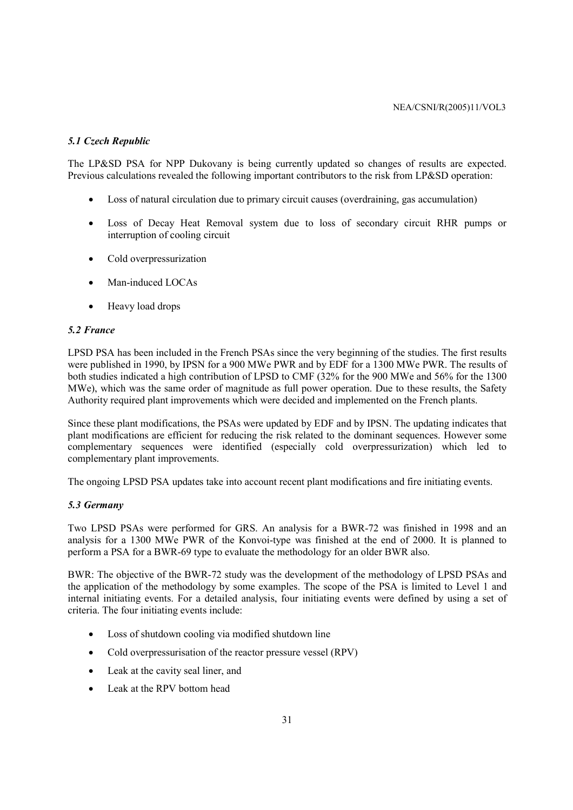#### *5.1 Czech Republic*

The LP&SD PSA for NPP Dukovany is being currently updated so changes of results are expected. Previous calculations revealed the following important contributors to the risk from LP&SD operation:

- Loss of natural circulation due to primary circuit causes (overdraining, gas accumulation)
- Loss of Decay Heat Removal system due to loss of secondary circuit RHR pumps or interruption of cooling circuit
- Cold overpressurization
- Man-induced LOCAs
- Heavy load drops

#### *5.2 France*

LPSD PSA has been included in the French PSAs since the very beginning of the studies. The first results were published in 1990, by IPSN for a 900 MWe PWR and by EDF for a 1300 MWe PWR. The results of both studies indicated a high contribution of LPSD to CMF (32% for the 900 MWe and 56% for the 1300 MWe), which was the same order of magnitude as full power operation. Due to these results, the Safety Authority required plant improvements which were decided and implemented on the French plants.

Since these plant modifications, the PSAs were updated by EDF and by IPSN. The updating indicates that plant modifications are efficient for reducing the risk related to the dominant sequences. However some complementary sequences were identified (especially cold overpressurization) which led to complementary plant improvements.

The ongoing LPSD PSA updates take into account recent plant modifications and fire initiating events.

#### *5.3 Germany*

Two LPSD PSAs were performed for GRS. An analysis for a BWR-72 was finished in 1998 and an analysis for a 1300 MWe PWR of the Konvoi-type was finished at the end of 2000. It is planned to perform a PSA for a BWR-69 type to evaluate the methodology for an older BWR also.

BWR: The objective of the BWR-72 study was the development of the methodology of LPSD PSAs and the application of the methodology by some examples. The scope of the PSA is limited to Level 1 and internal initiating events. For a detailed analysis, four initiating events were defined by using a set of criteria. The four initiating events include:

- Loss of shutdown cooling via modified shutdown line
- Cold overpressurisation of the reactor pressure vessel (RPV)
- Leak at the cavity seal liner, and
- Leak at the RPV bottom head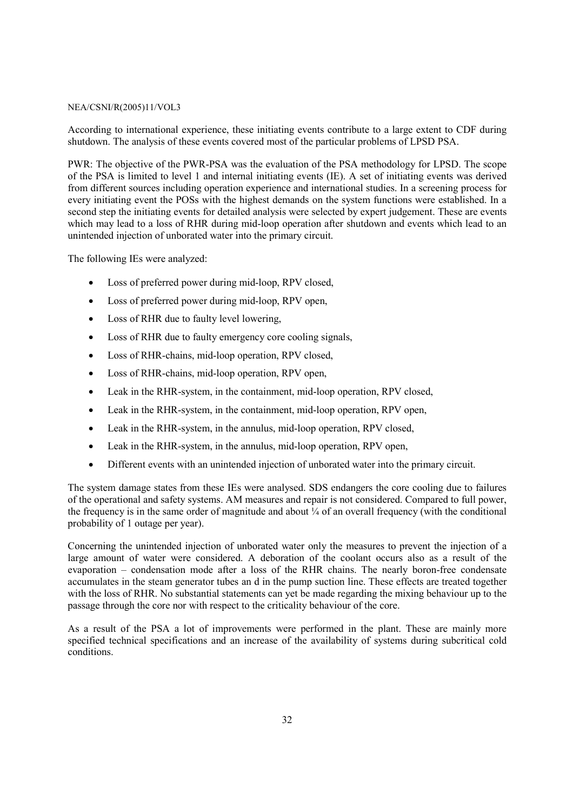According to international experience, these initiating events contribute to a large extent to CDF during shutdown. The analysis of these events covered most of the particular problems of LPSD PSA.

PWR: The objective of the PWR-PSA was the evaluation of the PSA methodology for LPSD. The scope of the PSA is limited to level 1 and internal initiating events (IE). A set of initiating events was derived from different sources including operation experience and international studies. In a screening process for every initiating event the POSs with the highest demands on the system functions were established. In a second step the initiating events for detailed analysis were selected by expert judgement. These are events which may lead to a loss of RHR during mid-loop operation after shutdown and events which lead to an unintended injection of unborated water into the primary circuit.

The following IEs were analyzed:

- Loss of preferred power during mid-loop, RPV closed,
- Loss of preferred power during mid-loop, RPV open,
- Loss of RHR due to faulty level lowering,
- Loss of RHR due to faulty emergency core cooling signals,
- Loss of RHR-chains, mid-loop operation, RPV closed,
- Loss of RHR-chains, mid-loop operation, RPV open,
- Leak in the RHR-system, in the containment, mid-loop operation, RPV closed,
- Leak in the RHR-system, in the containment, mid-loop operation, RPV open,
- Leak in the RHR-system, in the annulus, mid-loop operation, RPV closed,
- Leak in the RHR-system, in the annulus, mid-loop operation, RPV open,
- Different events with an unintended injection of unborated water into the primary circuit.

The system damage states from these IEs were analysed. SDS endangers the core cooling due to failures of the operational and safety systems. AM measures and repair is not considered. Compared to full power, the frequency is in the same order of magnitude and about  $\frac{1}{4}$  of an overall frequency (with the conditional probability of 1 outage per year).

Concerning the unintended injection of unborated water only the measures to prevent the injection of a large amount of water were considered. A deboration of the coolant occurs also as a result of the evaporation – condensation mode after a loss of the RHR chains. The nearly boron-free condensate accumulates in the steam generator tubes an d in the pump suction line. These effects are treated together with the loss of RHR. No substantial statements can yet be made regarding the mixing behaviour up to the passage through the core nor with respect to the criticality behaviour of the core.

As a result of the PSA a lot of improvements were performed in the plant. These are mainly more specified technical specifications and an increase of the availability of systems during subcritical cold conditions.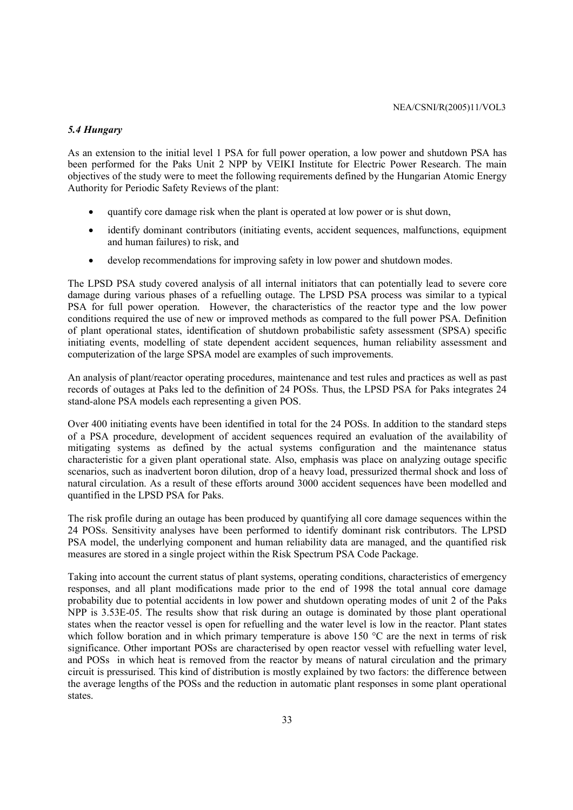#### *5.4 Hungary*

As an extension to the initial level 1 PSA for full power operation, a low power and shutdown PSA has been performed for the Paks Unit 2 NPP by VEIKI Institute for Electric Power Research. The main objectives of the study were to meet the following requirements defined by the Hungarian Atomic Energy Authority for Periodic Safety Reviews of the plant:

- quantify core damage risk when the plant is operated at low power or is shut down,
- identify dominant contributors (initiating events, accident sequences, malfunctions, equipment and human failures) to risk, and
- develop recommendations for improving safety in low power and shutdown modes.

The LPSD PSA study covered analysis of all internal initiators that can potentially lead to severe core damage during various phases of a refuelling outage. The LPSD PSA process was similar to a typical PSA for full power operation. However, the characteristics of the reactor type and the low power conditions required the use of new or improved methods as compared to the full power PSA. Definition of plant operational states, identification of shutdown probabilistic safety assessment (SPSA) specific initiating events, modelling of state dependent accident sequences, human reliability assessment and computerization of the large SPSA model are examples of such improvements.

An analysis of plant/reactor operating procedures, maintenance and test rules and practices as well as past records of outages at Paks led to the definition of 24 POSs. Thus, the LPSD PSA for Paks integrates 24 stand-alone PSA models each representing a given POS.

Over 400 initiating events have been identified in total for the 24 POSs. In addition to the standard steps of a PSA procedure, development of accident sequences required an evaluation of the availability of mitigating systems as defined by the actual systems configuration and the maintenance status characteristic for a given plant operational state. Also, emphasis was place on analyzing outage specific scenarios, such as inadvertent boron dilution, drop of a heavy load, pressurized thermal shock and loss of natural circulation. As a result of these efforts around 3000 accident sequences have been modelled and quantified in the LPSD PSA for Paks.

The risk profile during an outage has been produced by quantifying all core damage sequences within the 24 POSs. Sensitivity analyses have been performed to identify dominant risk contributors. The LPSD PSA model, the underlying component and human reliability data are managed, and the quantified risk measures are stored in a single project within the Risk Spectrum PSA Code Package.

Taking into account the current status of plant systems, operating conditions, characteristics of emergency responses, and all plant modifications made prior to the end of 1998 the total annual core damage probability due to potential accidents in low power and shutdown operating modes of unit 2 of the Paks NPP is 3.53E-05. The results show that risk during an outage is dominated by those plant operational states when the reactor vessel is open for refuelling and the water level is low in the reactor. Plant states which follow boration and in which primary temperature is above 150 °C are the next in terms of risk significance. Other important POSs are characterised by open reactor vessel with refuelling water level, and POSs in which heat is removed from the reactor by means of natural circulation and the primary circuit is pressurised. This kind of distribution is mostly explained by two factors: the difference between the average lengths of the POSs and the reduction in automatic plant responses in some plant operational states.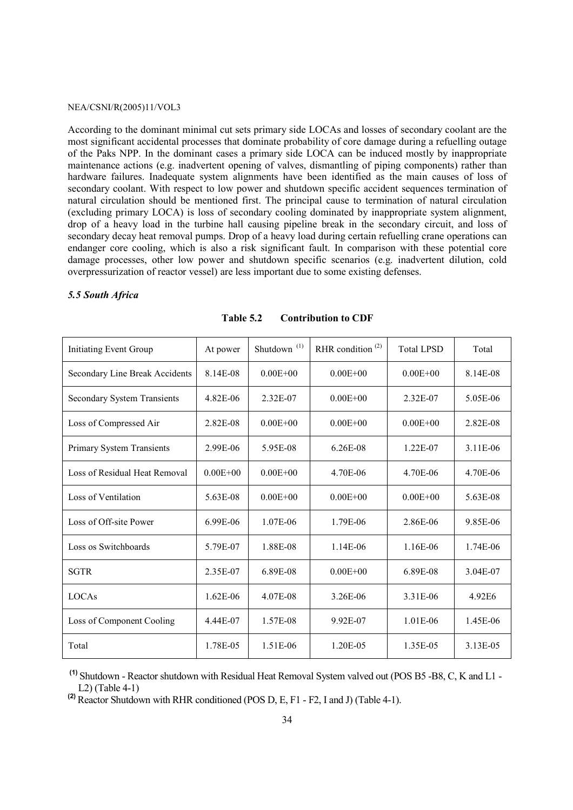According to the dominant minimal cut sets primary side LOCAs and losses of secondary coolant are the most significant accidental processes that dominate probability of core damage during a refuelling outage of the Paks NPP. In the dominant cases a primary side LOCA can be induced mostly by inappropriate maintenance actions (e.g. inadvertent opening of valves, dismantling of piping components) rather than hardware failures. Inadequate system alignments have been identified as the main causes of loss of secondary coolant. With respect to low power and shutdown specific accident sequences termination of natural circulation should be mentioned first. The principal cause to termination of natural circulation (excluding primary LOCA) is loss of secondary cooling dominated by inappropriate system alignment, drop of a heavy load in the turbine hall causing pipeline break in the secondary circuit, and loss of secondary decay heat removal pumps. Drop of a heavy load during certain refuelling crane operations can endanger core cooling, which is also a risk significant fault. In comparison with these potential core damage processes, other low power and shutdown specific scenarios (e.g. inadvertent dilution, cold overpressurization of reactor vessel) are less important due to some existing defenses.

#### *5.5 South Africa*

| <b>Initiating Event Group</b>      | At power     | Shutdown <sup>(1)</sup> | RHR condition <sup><math>(2)</math></sup> | <b>Total LPSD</b> | Total    |
|------------------------------------|--------------|-------------------------|-------------------------------------------|-------------------|----------|
| Secondary Line Break Accidents     | 8.14E-08     | $0.00E + 00$            | $0.00E + 00$                              | $0.00E + 00$      | 8.14E-08 |
| <b>Secondary System Transients</b> | 4.82E-06     | 2.32E-07                | $0.00E + 00$                              | $2.32E-07$        | 5.05E-06 |
| Loss of Compressed Air             | 2.82E-08     | $0.00E + 00$            | $0.00E + 00$                              | $0.00E + 00$      | 2.82E-08 |
| Primary System Transients          | 2.99E-06     | 5.95E-08                | 6.26E-08                                  | 1.22E-07          | 3.11E-06 |
| Loss of Residual Heat Removal      | $0.00E + 00$ | $0.00E + 00$            | 4.70E-06                                  | 4.70E-06          | 4.70E-06 |
| Loss of Ventilation                | 5.63E-08     | $0.00E + 00$            | $0.00E + 00$                              | $0.00E + 00$      | 5.63E-08 |
| Loss of Off-site Power             | 6.99E-06     | 1.07E-06                | 1.79E-06                                  | 2.86E-06          | 9.85E-06 |
| Loss os Switchboards               | 5.79E-07     | 1.88E-08                | $1.14E-06$                                | 1.16E-06          | 1.74E-06 |
| <b>SGTR</b>                        | 2.35E-07     | 6.89E-08                | $0.00E + 00$                              | 6.89E-08          | 3.04E-07 |
| LOCAs                              | $1.62E-06$   | 4.07E-08                | 3.26E-06                                  | 3.31E-06          | 4.92E6   |
| Loss of Component Cooling          | 4.44E-07     | 1.57E-08                | 9.92E-07                                  | $1.01E-06$        | 1.45E-06 |
| Total                              | 1.78E-05     | 1.51E-06                | 1.20E-05                                  | 1.35E-05          | 3.13E-05 |

**Table 5.2 Contribution to CDF** 

 **(1)** Shutdown - Reactor shutdown with Residual Heat Removal System valved out (POS B5 -B8, C, K and L1 - L2) (Table 4-1)

**(2)** Reactor Shutdown with RHR conditioned (POS D, E, F1 - F2, I and J) (Table 4-1).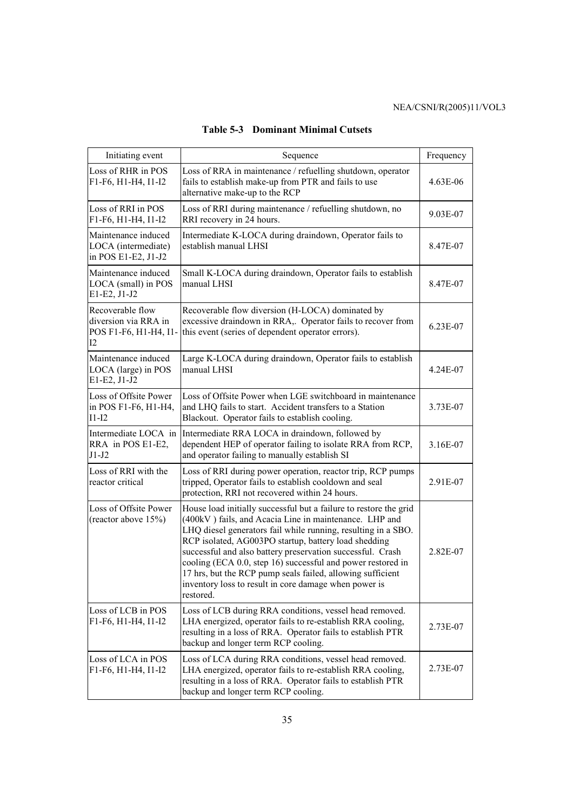| Initiating event                                                        | Sequence                                                                                                                                                                                                                                                                                                                                                                                                                                                                                                              | Frequency  |
|-------------------------------------------------------------------------|-----------------------------------------------------------------------------------------------------------------------------------------------------------------------------------------------------------------------------------------------------------------------------------------------------------------------------------------------------------------------------------------------------------------------------------------------------------------------------------------------------------------------|------------|
| Loss of RHR in POS<br>F1-F6, H1-H4, I1-I2                               | Loss of RRA in maintenance / refuelling shutdown, operator<br>fails to establish make-up from PTR and fails to use<br>alternative make-up to the RCP                                                                                                                                                                                                                                                                                                                                                                  | 4.63E-06   |
| Loss of RRI in POS<br>F1-F6, H1-H4, I1-I2                               | Loss of RRI during maintenance / refuelling shutdown, no<br>RRI recovery in 24 hours.                                                                                                                                                                                                                                                                                                                                                                                                                                 | 9.03E-07   |
| Maintenance induced<br>LOCA (intermediate)<br>in POS E1-E2, J1-J2       | Intermediate K-LOCA during draindown, Operator fails to<br>establish manual LHSI                                                                                                                                                                                                                                                                                                                                                                                                                                      | 8.47E-07   |
| Maintenance induced<br>LOCA (small) in POS<br>E1-E2, J1-J2              | Small K-LOCA during draindown, Operator fails to establish<br>manual LHSI                                                                                                                                                                                                                                                                                                                                                                                                                                             | 8.47E-07   |
| Recoverable flow<br>diversion via RRA in<br>POS F1-F6, H1-H4, I1-<br>12 | Recoverable flow diversion (H-LOCA) dominated by<br>excessive draindown in RRA,. Operator fails to recover from<br>this event (series of dependent operator errors).                                                                                                                                                                                                                                                                                                                                                  | 6.23E-07   |
| Maintenance induced<br>LOCA (large) in POS<br>E1-E2, J1-J2              | Large K-LOCA during draindown, Operator fails to establish<br>manual LHSI                                                                                                                                                                                                                                                                                                                                                                                                                                             | $4.24E-07$ |
| Loss of Offsite Power<br>in POS F1-F6, H1-H4,<br>$I1-I2$                | Loss of Offsite Power when LGE switchboard in maintenance<br>and LHQ fails to start. Accident transfers to a Station<br>Blackout. Operator fails to establish cooling.                                                                                                                                                                                                                                                                                                                                                | 3.73E-07   |
| Intermediate LOCA in<br>RRA in POS E1-E2,<br>$J1-J2$                    | Intermediate RRA LOCA in draindown, followed by<br>dependent HEP of operator failing to isolate RRA from RCP,<br>and operator failing to manually establish SI                                                                                                                                                                                                                                                                                                                                                        | 3.16E-07   |
| Loss of RRI with the<br>reactor critical                                | Loss of RRI during power operation, reactor trip, RCP pumps<br>tripped, Operator fails to establish cooldown and seal<br>protection, RRI not recovered within 24 hours.                                                                                                                                                                                                                                                                                                                                               | 2.91E-07   |
| Loss of Offsite Power<br>(reactor above 15%)                            | House load initially successful but a failure to restore the grid<br>(400kV) fails, and Acacia Line in maintenance. LHP and<br>LHQ diesel generators fail while running, resulting in a SBO.<br>RCP isolated, AG003PO startup, battery load shedding<br>successful and also battery preservation successful. Crash<br>cooling (ECA 0.0, step 16) successful and power restored in<br>17 hrs, but the RCP pump seals failed, allowing sufficient<br>inventory loss to result in core damage when power is<br>restored. | 2.82E-07   |
| Loss of LCB in POS<br>F1-F6, H1-H4, I1-I2                               | Loss of LCB during RRA conditions, vessel head removed.<br>LHA energized, operator fails to re-establish RRA cooling,<br>resulting in a loss of RRA. Operator fails to establish PTR<br>backup and longer term RCP cooling.                                                                                                                                                                                                                                                                                           | 2.73E-07   |
| Loss of LCA in POS<br>F1-F6, H1-H4, I1-I2                               | Loss of LCA during RRA conditions, vessel head removed.<br>LHA energized, operator fails to re-establish RRA cooling,<br>resulting in a loss of RRA. Operator fails to establish PTR<br>backup and longer term RCP cooling.                                                                                                                                                                                                                                                                                           | 2.73E-07   |

**Table 5-3 Dominant Minimal Cutsets**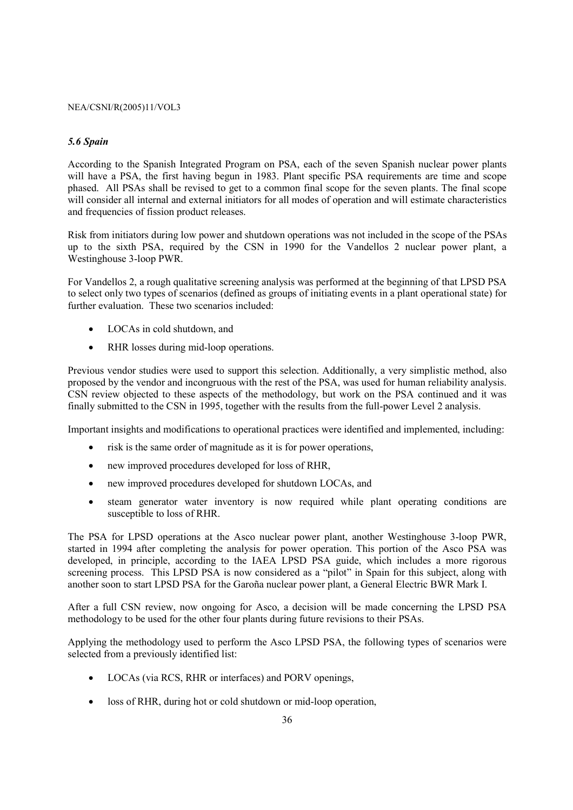#### *5.6 Spain*

According to the Spanish Integrated Program on PSA, each of the seven Spanish nuclear power plants will have a PSA, the first having begun in 1983. Plant specific PSA requirements are time and scope phased. All PSAs shall be revised to get to a common final scope for the seven plants. The final scope will consider all internal and external initiators for all modes of operation and will estimate characteristics and frequencies of fission product releases.

Risk from initiators during low power and shutdown operations was not included in the scope of the PSAs up to the sixth PSA, required by the CSN in 1990 for the Vandellos 2 nuclear power plant, a Westinghouse 3-loop PWR.

For Vandellos 2, a rough qualitative screening analysis was performed at the beginning of that LPSD PSA to select only two types of scenarios (defined as groups of initiating events in a plant operational state) for further evaluation. These two scenarios included:

- LOCAs in cold shutdown, and
- RHR losses during mid-loop operations.

Previous vendor studies were used to support this selection. Additionally, a very simplistic method, also proposed by the vendor and incongruous with the rest of the PSA, was used for human reliability analysis. CSN review objected to these aspects of the methodology, but work on the PSA continued and it was finally submitted to the CSN in 1995, together with the results from the full-power Level 2 analysis.

Important insights and modifications to operational practices were identified and implemented, including:

- risk is the same order of magnitude as it is for power operations,
- new improved procedures developed for loss of RHR,
- new improved procedures developed for shutdown LOCAs, and
- steam generator water inventory is now required while plant operating conditions are susceptible to loss of RHR.

The PSA for LPSD operations at the Asco nuclear power plant, another Westinghouse 3-loop PWR, started in 1994 after completing the analysis for power operation. This portion of the Asco PSA was developed, in principle, according to the IAEA LPSD PSA guide, which includes a more rigorous screening process. This LPSD PSA is now considered as a "pilot" in Spain for this subject, along with another soon to start LPSD PSA for the Garoña nuclear power plant, a General Electric BWR Mark I.

After a full CSN review, now ongoing for Asco, a decision will be made concerning the LPSD PSA methodology to be used for the other four plants during future revisions to their PSAs.

Applying the methodology used to perform the Asco LPSD PSA, the following types of scenarios were selected from a previously identified list:

- LOCAs (via RCS, RHR or interfaces) and PORV openings,
- loss of RHR, during hot or cold shutdown or mid-loop operation,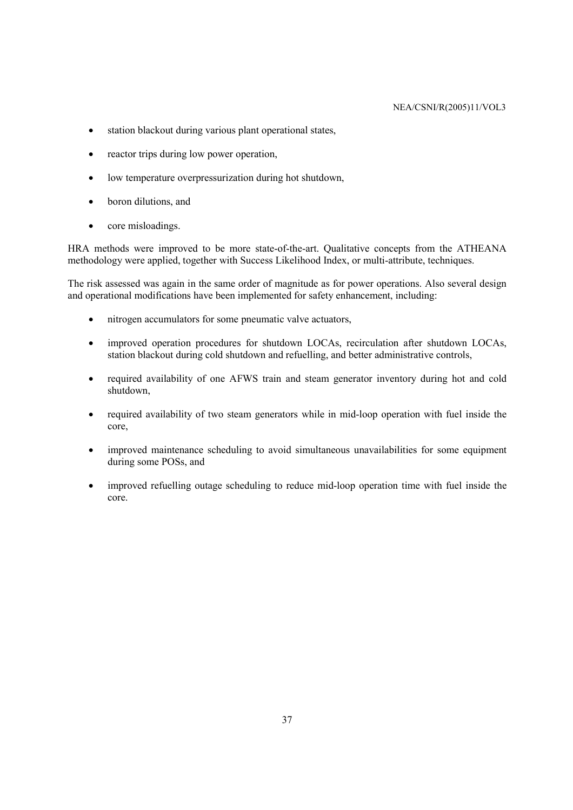- station blackout during various plant operational states,
- reactor trips during low power operation,
- low temperature overpressurization during hot shutdown.
- boron dilutions, and
- core misloadings.

HRA methods were improved to be more state-of-the-art. Qualitative concepts from the ATHEANA methodology were applied, together with Success Likelihood Index, or multi-attribute, techniques.

The risk assessed was again in the same order of magnitude as for power operations. Also several design and operational modifications have been implemented for safety enhancement, including:

- nitrogen accumulators for some pneumatic valve actuators,
- improved operation procedures for shutdown LOCAs, recirculation after shutdown LOCAs, station blackout during cold shutdown and refuelling, and better administrative controls,
- required availability of one AFWS train and steam generator inventory during hot and cold shutdown,
- required availability of two steam generators while in mid-loop operation with fuel inside the core,
- improved maintenance scheduling to avoid simultaneous unavailabilities for some equipment during some POSs, and
- improved refuelling outage scheduling to reduce mid-loop operation time with fuel inside the core.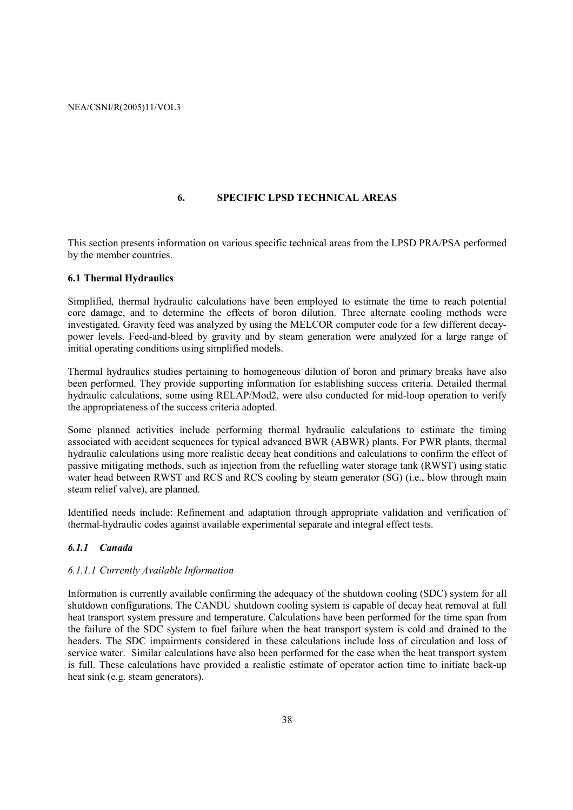## **6. SPECIFIC LPSD TECHNICAL AREAS**

This section presents information on various specific technical areas from the LPSD PRA/PSA performed by the member countries.

### **6.1 Thermal Hydraulics**

Simplified, thermal hydraulic calculations have been employed to estimate the time to reach potential core damage, and to determine the effects of boron dilution. Three alternate cooling methods were investigated. Gravity feed was analyzed by using the MELCOR computer code for a few different decaypower levels. Feed-and-bleed by gravity and by steam generation were analyzed for a large range of initial operating conditions using simplified models.

Thermal hydraulics studies pertaining to homogeneous dilution of boron and primary breaks have also been performed. They provide supporting information for establishing success criteria. Detailed thermal hydraulic calculations, some using RELAP/Mod2, were also conducted for mid-loop operation to verify the appropriateness of the success criteria adopted.

Some planned activities include performing thermal hydraulic calculations to estimate the timing associated with accident sequences for typical advanced BWR (ABWR) plants. For PWR plants, thermal hydraulic calculations using more realistic decay heat conditions and calculations to confirm the effect of passive mitigating methods, such as injection from the refuelling water storage tank (RWST) using static water head between RWST and RCS and RCS cooling by steam generator (SG) (i.e., blow through main steam relief valve), are planned.

Identified needs include: Refinement and adaptation through appropriate validation and verification of thermal-hydraulic codes against available experimental separate and integral effect tests.

#### *6.1.1 Canada*

#### *6.1.1.1 Currently Available Information*

Information is currently available confirming the adequacy of the shutdown cooling (SDC) system for all shutdown configurations. The CANDU shutdown cooling system is capable of decay heat removal at full heat transport system pressure and temperature. Calculations have been performed for the time span from the failure of the SDC system to fuel failure when the heat transport system is cold and drained to the headers. The SDC impairments considered in these calculations include loss of circulation and loss of service water. Similar calculations have also been performed for the case when the heat transport system is full. These calculations have provided a realistic estimate of operator action time to initiate back-up heat sink (e.g. steam generators).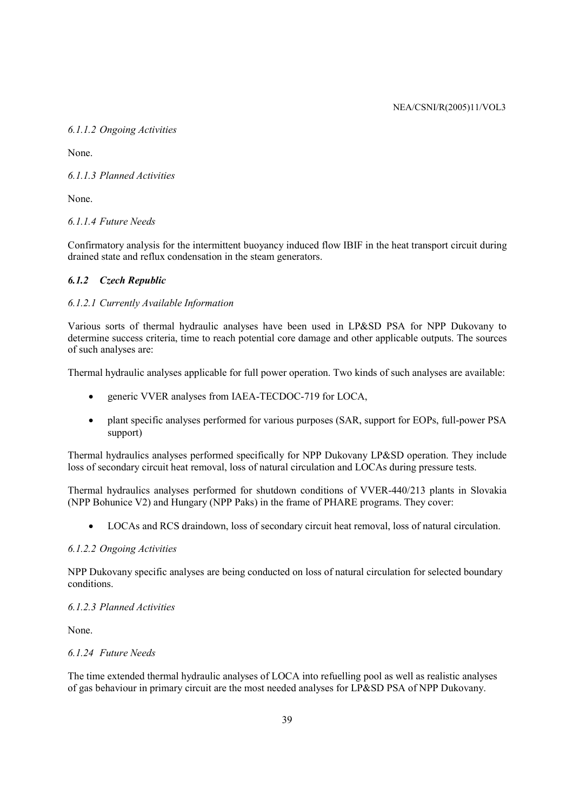# *6.1.1.2 Ongoing Activities*

None.

# *6.1.1.3 Planned Activities*

None.

# *6.1.1.4 Future Needs*

Confirmatory analysis for the intermittent buoyancy induced flow IBIF in the heat transport circuit during drained state and reflux condensation in the steam generators.

# *6.1.2 Czech Republic*

# *6.1.2.1 Currently Available Information*

Various sorts of thermal hydraulic analyses have been used in LP&SD PSA for NPP Dukovany to determine success criteria, time to reach potential core damage and other applicable outputs. The sources of such analyses are:

Thermal hydraulic analyses applicable for full power operation. Two kinds of such analyses are available:

- generic VVER analyses from IAEA-TECDOC-719 for LOCA,
- plant specific analyses performed for various purposes (SAR, support for EOPs, full-power PSA support)

Thermal hydraulics analyses performed specifically for NPP Dukovany LP&SD operation. They include loss of secondary circuit heat removal, loss of natural circulation and LOCAs during pressure tests.

Thermal hydraulics analyses performed for shutdown conditions of VVER-440/213 plants in Slovakia (NPP Bohunice V2) and Hungary (NPP Paks) in the frame of PHARE programs. They cover:

• LOCAs and RCS draindown, loss of secondary circuit heat removal, loss of natural circulation.

## *6.1.2.2 Ongoing Activities*

NPP Dukovany specific analyses are being conducted on loss of natural circulation for selected boundary conditions.

# *6.1.2.3 Planned Activities*

None.

## *6.1.24 Future Needs*

The time extended thermal hydraulic analyses of LOCA into refuelling pool as well as realistic analyses of gas behaviour in primary circuit are the most needed analyses for LP&SD PSA of NPP Dukovany.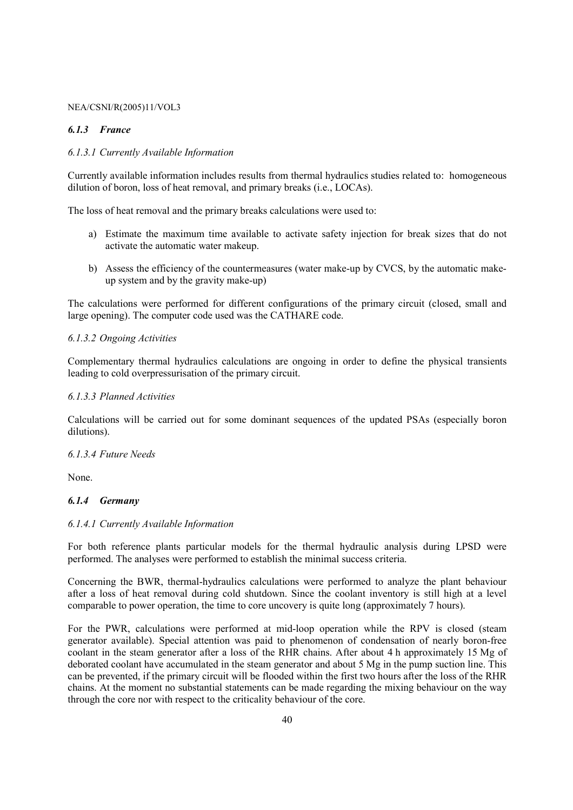### *6.1.3 France*

## *6.1.3.1 Currently Available Information*

Currently available information includes results from thermal hydraulics studies related to: homogeneous dilution of boron, loss of heat removal, and primary breaks (i.e., LOCAs).

The loss of heat removal and the primary breaks calculations were used to:

- a) Estimate the maximum time available to activate safety injection for break sizes that do not activate the automatic water makeup.
- b) Assess the efficiency of the countermeasures (water make-up by CVCS, by the automatic makeup system and by the gravity make-up)

The calculations were performed for different configurations of the primary circuit (closed, small and large opening). The computer code used was the CATHARE code.

#### *6.1.3.2 Ongoing Activities*

Complementary thermal hydraulics calculations are ongoing in order to define the physical transients leading to cold overpressurisation of the primary circuit.

#### *6.1.3.3 Planned Activities*

Calculations will be carried out for some dominant sequences of the updated PSAs (especially boron dilutions).

#### *6.1.3.4 Future Needs*

None.

## *6.1.4 Germany*

#### *6.1.4.1 Currently Available Information*

For both reference plants particular models for the thermal hydraulic analysis during LPSD were performed. The analyses were performed to establish the minimal success criteria.

Concerning the BWR, thermal-hydraulics calculations were performed to analyze the plant behaviour after a loss of heat removal during cold shutdown. Since the coolant inventory is still high at a level comparable to power operation, the time to core uncovery is quite long (approximately 7 hours).

For the PWR, calculations were performed at mid-loop operation while the RPV is closed (steam generator available). Special attention was paid to phenomenon of condensation of nearly boron-free coolant in the steam generator after a loss of the RHR chains. After about 4 h approximately 15 Mg of deborated coolant have accumulated in the steam generator and about 5 Mg in the pump suction line. This can be prevented, if the primary circuit will be flooded within the first two hours after the loss of the RHR chains. At the moment no substantial statements can be made regarding the mixing behaviour on the way through the core nor with respect to the criticality behaviour of the core.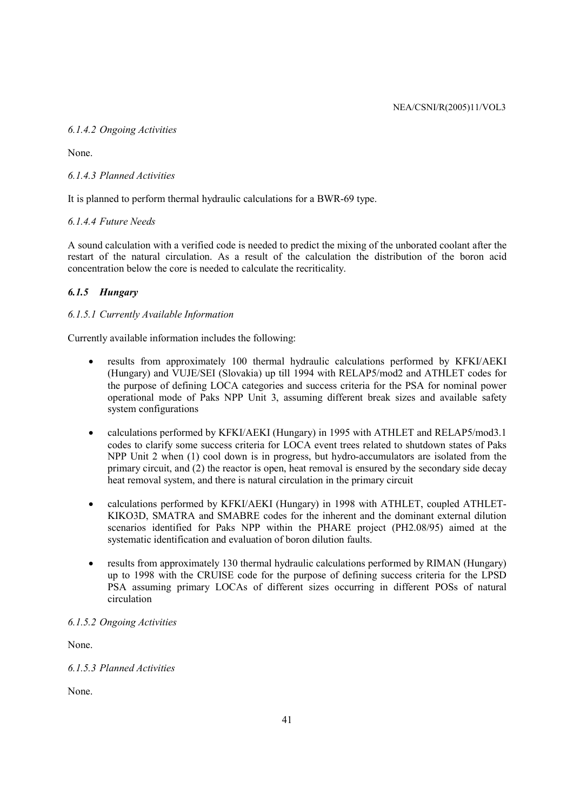## *6.1.4.2 Ongoing Activities*

None.

## *6.1.4.3 Planned Activities*

It is planned to perform thermal hydraulic calculations for a BWR-69 type.

## *6.1.4.4 Future Needs*

A sound calculation with a verified code is needed to predict the mixing of the unborated coolant after the restart of the natural circulation. As a result of the calculation the distribution of the boron acid concentration below the core is needed to calculate the recriticality.

## *6.1.5 Hungary*

## *6.1.5.1 Currently Available Information*

Currently available information includes the following:

- results from approximately 100 thermal hydraulic calculations performed by KFKI/AEKI (Hungary) and VUJE/SEI (Slovakia) up till 1994 with RELAP5/mod2 and ATHLET codes for the purpose of defining LOCA categories and success criteria for the PSA for nominal power operational mode of Paks NPP Unit 3, assuming different break sizes and available safety system configurations
- calculations performed by KFKI/AEKI (Hungary) in 1995 with ATHLET and RELAP5/mod3.1 codes to clarify some success criteria for LOCA event trees related to shutdown states of Paks NPP Unit 2 when (1) cool down is in progress, but hydro-accumulators are isolated from the primary circuit, and (2) the reactor is open, heat removal is ensured by the secondary side decay heat removal system, and there is natural circulation in the primary circuit
- calculations performed by KFKI/AEKI (Hungary) in 1998 with ATHLET, coupled ATHLET-KIKO3D, SMATRA and SMABRE codes for the inherent and the dominant external dilution scenarios identified for Paks NPP within the PHARE project (PH2.08/95) aimed at the systematic identification and evaluation of boron dilution faults.
- results from approximately 130 thermal hydraulic calculations performed by RIMAN (Hungary) up to 1998 with the CRUISE code for the purpose of defining success criteria for the LPSD PSA assuming primary LOCAs of different sizes occurring in different POSs of natural circulation

## *6.1.5.2 Ongoing Activities*

None.

# *6.1.5.3 Planned Activities*

None.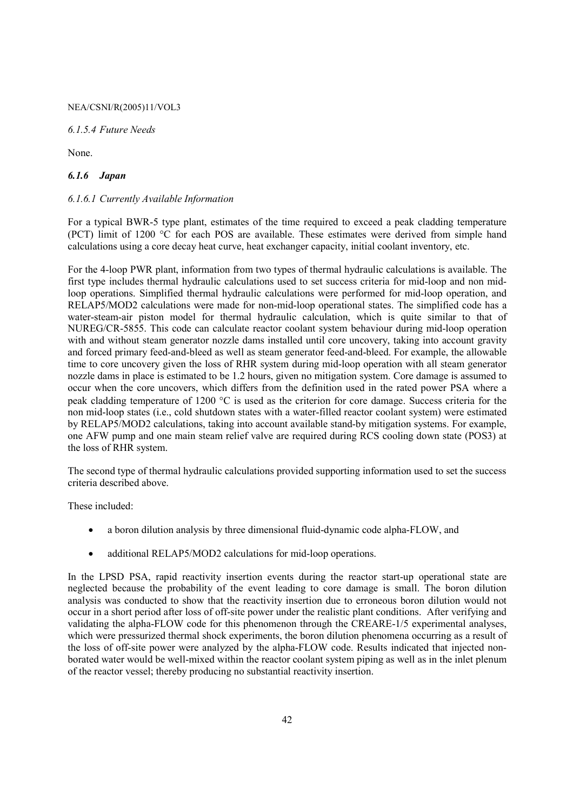*6.1.5.4 Future Needs* 

None.

## *6.1.6 Japan*

## *6.1.6.1 Currently Available Information*

For a typical BWR-5 type plant, estimates of the time required to exceed a peak cladding temperature (PCT) limit of 1200 °C for each POS are available. These estimates were derived from simple hand calculations using a core decay heat curve, heat exchanger capacity, initial coolant inventory, etc.

For the 4-loop PWR plant, information from two types of thermal hydraulic calculations is available. The first type includes thermal hydraulic calculations used to set success criteria for mid-loop and non midloop operations. Simplified thermal hydraulic calculations were performed for mid-loop operation, and RELAP5/MOD2 calculations were made for non-mid-loop operational states. The simplified code has a water-steam-air piston model for thermal hydraulic calculation, which is quite similar to that of NUREG/CR-5855. This code can calculate reactor coolant system behaviour during mid-loop operation with and without steam generator nozzle dams installed until core uncovery, taking into account gravity and forced primary feed-and-bleed as well as steam generator feed-and-bleed. For example, the allowable time to core uncovery given the loss of RHR system during mid-loop operation with all steam generator nozzle dams in place is estimated to be 1.2 hours, given no mitigation system. Core damage is assumed to occur when the core uncovers, which differs from the definition used in the rated power PSA where a peak cladding temperature of 1200 °C is used as the criterion for core damage. Success criteria for the non mid-loop states (i.e., cold shutdown states with a water-filled reactor coolant system) were estimated by RELAP5/MOD2 calculations, taking into account available stand-by mitigation systems. For example, one AFW pump and one main steam relief valve are required during RCS cooling down state (POS3) at the loss of RHR system.

The second type of thermal hydraulic calculations provided supporting information used to set the success criteria described above.

These included:

- a boron dilution analysis by three dimensional fluid-dynamic code alpha-FLOW, and
- additional RELAP5/MOD2 calculations for mid-loop operations.

In the LPSD PSA, rapid reactivity insertion events during the reactor start-up operational state are neglected because the probability of the event leading to core damage is small. The boron dilution analysis was conducted to show that the reactivity insertion due to erroneous boron dilution would not occur in a short period after loss of off-site power under the realistic plant conditions. After verifying and validating the alpha-FLOW code for this phenomenon through the CREARE-1/5 experimental analyses, which were pressurized thermal shock experiments, the boron dilution phenomena occurring as a result of the loss of off-site power were analyzed by the alpha-FLOW code. Results indicated that injected nonborated water would be well-mixed within the reactor coolant system piping as well as in the inlet plenum of the reactor vessel; thereby producing no substantial reactivity insertion.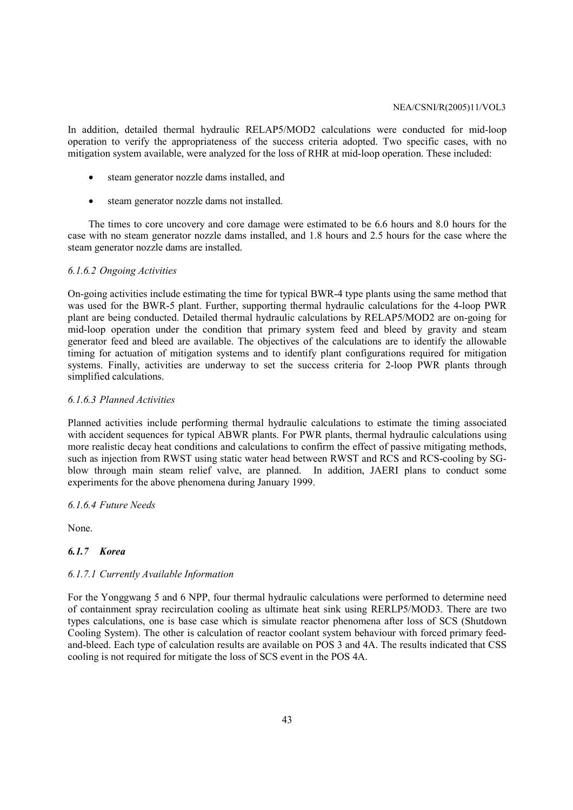In addition, detailed thermal hydraulic RELAP5/MOD2 calculations were conducted for mid-loop operation to verify the appropriateness of the success criteria adopted. Two specific cases, with no mitigation system available, were analyzed for the loss of RHR at mid-loop operation. These included:

- steam generator nozzle dams installed, and
- steam generator nozzle dams not installed.

The times to core uncovery and core damage were estimated to be 6.6 hours and 8.0 hours for the case with no steam generator nozzle dams installed, and 1.8 hours and 2.5 hours for the case where the steam generator nozzle dams are installed.

#### *6.1.6.2 Ongoing Activities*

On-going activities include estimating the time for typical BWR-4 type plants using the same method that was used for the BWR-5 plant. Further, supporting thermal hydraulic calculations for the 4-loop PWR plant are being conducted. Detailed thermal hydraulic calculations by RELAP5/MOD2 are on-going for mid-loop operation under the condition that primary system feed and bleed by gravity and steam generator feed and bleed are available. The objectives of the calculations are to identify the allowable timing for actuation of mitigation systems and to identify plant configurations required for mitigation systems. Finally, activities are underway to set the success criteria for 2-loop PWR plants through simplified calculations.

#### *6.1.6.3 Planned Activities*

Planned activities include performing thermal hydraulic calculations to estimate the timing associated with accident sequences for typical ABWR plants. For PWR plants, thermal hydraulic calculations using more realistic decay heat conditions and calculations to confirm the effect of passive mitigating methods, such as injection from RWST using static water head between RWST and RCS and RCS-cooling by SGblow through main steam relief valve, are planned. In addition, JAERI plans to conduct some experiments for the above phenomena during January 1999.

#### *6.1.6.4 Future Needs*

None.

#### *6.1.7 Korea*

#### *6.1.7.1 Currently Available Information*

For the Yonggwang 5 and 6 NPP, four thermal hydraulic calculations were performed to determine need of containment spray recirculation cooling as ultimate heat sink using RERLP5/MOD3. There are two types calculations, one is base case which is simulate reactor phenomena after loss of SCS (Shutdown Cooling System). The other is calculation of reactor coolant system behaviour with forced primary feedand-bleed. Each type of calculation results are available on POS 3 and 4A. The results indicated that CSS cooling is not required for mitigate the loss of SCS event in the POS 4A.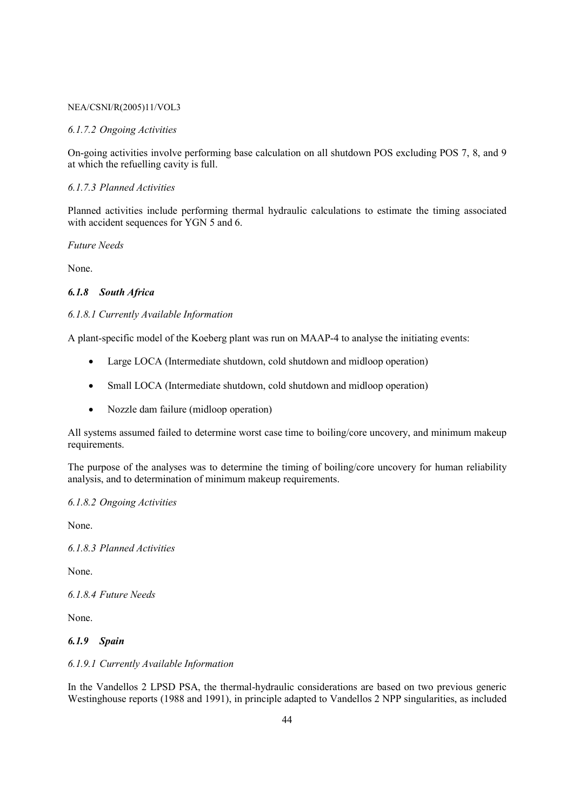#### *6.1.7.2 Ongoing Activities*

On-going activities involve performing base calculation on all shutdown POS excluding POS 7, 8, and 9 at which the refuelling cavity is full.

## *6.1.7.3 Planned Activities*

Planned activities include performing thermal hydraulic calculations to estimate the timing associated with accident sequences for YGN 5 and 6.

*Future Needs* 

None.

## *6.1.8 South Africa*

## *6.1.8.1 Currently Available Information*

A plant-specific model of the Koeberg plant was run on MAAP-4 to analyse the initiating events:

- Large LOCA (Intermediate shutdown, cold shutdown and midloop operation)
- Small LOCA (Intermediate shutdown, cold shutdown and midloop operation)
- Nozzle dam failure (midloop operation)

All systems assumed failed to determine worst case time to boiling/core uncovery, and minimum makeup requirements.

The purpose of the analyses was to determine the timing of boiling/core uncovery for human reliability analysis, and to determination of minimum makeup requirements.

*6.1.8.2 Ongoing Activities* 

None.

*6.1.8.3 Planned Activities* 

None.

*6.1.8.4 Future Needs* 

None.

#### *6.1.9 Spain*

#### *6.1.9.1 Currently Available Information*

In the Vandellos 2 LPSD PSA, the thermal-hydraulic considerations are based on two previous generic Westinghouse reports (1988 and 1991), in principle adapted to Vandellos 2 NPP singularities, as included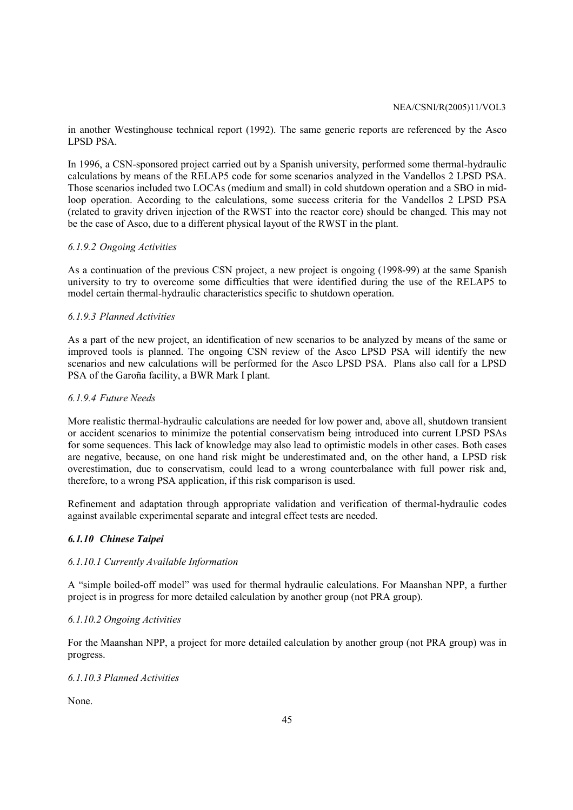in another Westinghouse technical report (1992). The same generic reports are referenced by the Asco LPSD PSA.

In 1996, a CSN-sponsored project carried out by a Spanish university, performed some thermal-hydraulic calculations by means of the RELAP5 code for some scenarios analyzed in the Vandellos 2 LPSD PSA. Those scenarios included two LOCAs (medium and small) in cold shutdown operation and a SBO in midloop operation. According to the calculations, some success criteria for the Vandellos 2 LPSD PSA (related to gravity driven injection of the RWST into the reactor core) should be changed. This may not be the case of Asco, due to a different physical layout of the RWST in the plant.

## *6.1.9.2 Ongoing Activities*

As a continuation of the previous CSN project, a new project is ongoing (1998-99) at the same Spanish university to try to overcome some difficulties that were identified during the use of the RELAP5 to model certain thermal-hydraulic characteristics specific to shutdown operation.

## *6.1.9.3 Planned Activities*

As a part of the new project, an identification of new scenarios to be analyzed by means of the same or improved tools is planned. The ongoing CSN review of the Asco LPSD PSA will identify the new scenarios and new calculations will be performed for the Asco LPSD PSA. Plans also call for a LPSD PSA of the Garoña facility, a BWR Mark I plant.

## *6.1.9.4 Future Needs*

More realistic thermal-hydraulic calculations are needed for low power and, above all, shutdown transient or accident scenarios to minimize the potential conservatism being introduced into current LPSD PSAs for some sequences. This lack of knowledge may also lead to optimistic models in other cases. Both cases are negative, because, on one hand risk might be underestimated and, on the other hand, a LPSD risk overestimation, due to conservatism, could lead to a wrong counterbalance with full power risk and, therefore, to a wrong PSA application, if this risk comparison is used.

Refinement and adaptation through appropriate validation and verification of thermal-hydraulic codes against available experimental separate and integral effect tests are needed.

## *6.1.10 Chinese Taipei*

#### *6.1.10.1 Currently Available Information*

A "simple boiled-off model" was used for thermal hydraulic calculations. For Maanshan NPP, a further project is in progress for more detailed calculation by another group (not PRA group).

#### *6.1.10.2 Ongoing Activities*

For the Maanshan NPP, a project for more detailed calculation by another group (not PRA group) was in progress.

## *6.1.10.3 Planned Activities*

None.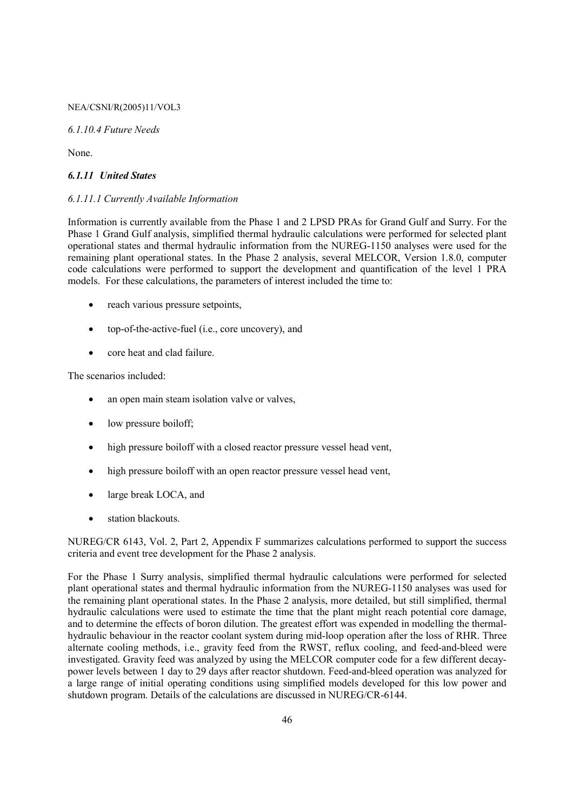*6.1.10.4 Future Needs* 

None.

## *6.1.11 United States*

## *6.1.11.1 Currently Available Information*

Information is currently available from the Phase 1 and 2 LPSD PRAs for Grand Gulf and Surry. For the Phase 1 Grand Gulf analysis, simplified thermal hydraulic calculations were performed for selected plant operational states and thermal hydraulic information from the NUREG-1150 analyses were used for the remaining plant operational states. In the Phase 2 analysis, several MELCOR, Version 1.8.0, computer code calculations were performed to support the development and quantification of the level 1 PRA models. For these calculations, the parameters of interest included the time to:

- reach various pressure setpoints.
- top-of-the-active-fuel (i.e., core uncovery), and
- core heat and clad failure.

The scenarios included:

- an open main steam isolation valve or valves.
- low pressure boiloff;
- high pressure boiloff with a closed reactor pressure vessel head vent,
- high pressure boiloff with an open reactor pressure vessel head vent.
- large break LOCA, and
- station blackouts.

NUREG/CR 6143, Vol. 2, Part 2, Appendix F summarizes calculations performed to support the success criteria and event tree development for the Phase 2 analysis.

For the Phase 1 Surry analysis, simplified thermal hydraulic calculations were performed for selected plant operational states and thermal hydraulic information from the NUREG-1150 analyses was used for the remaining plant operational states. In the Phase 2 analysis, more detailed, but still simplified, thermal hydraulic calculations were used to estimate the time that the plant might reach potential core damage, and to determine the effects of boron dilution. The greatest effort was expended in modelling the thermalhydraulic behaviour in the reactor coolant system during mid-loop operation after the loss of RHR. Three alternate cooling methods, i.e., gravity feed from the RWST, reflux cooling, and feed-and-bleed were investigated. Gravity feed was analyzed by using the MELCOR computer code for a few different decaypower levels between 1 day to 29 days after reactor shutdown. Feed-and-bleed operation was analyzed for a large range of initial operating conditions using simplified models developed for this low power and shutdown program. Details of the calculations are discussed in NUREG/CR-6144.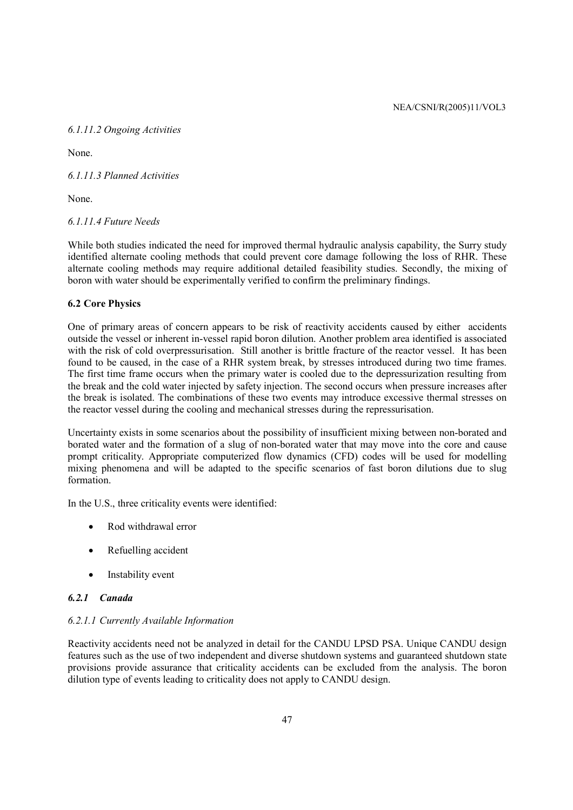## *6.1.11.2 Ongoing Activities*

None.

*6.1.11.3 Planned Activities* 

None.

*6.1.11.4 Future Needs* 

While both studies indicated the need for improved thermal hydraulic analysis capability, the Surry study identified alternate cooling methods that could prevent core damage following the loss of RHR. These alternate cooling methods may require additional detailed feasibility studies. Secondly, the mixing of boron with water should be experimentally verified to confirm the preliminary findings.

## **6.2 Core Physics**

One of primary areas of concern appears to be risk of reactivity accidents caused by either accidents outside the vessel or inherent in-vessel rapid boron dilution. Another problem area identified is associated with the risk of cold overpressurisation. Still another is brittle fracture of the reactor vessel. It has been found to be caused, in the case of a RHR system break, by stresses introduced during two time frames. The first time frame occurs when the primary water is cooled due to the depressurization resulting from the break and the cold water injected by safety injection. The second occurs when pressure increases after the break is isolated. The combinations of these two events may introduce excessive thermal stresses on the reactor vessel during the cooling and mechanical stresses during the repressurisation.

Uncertainty exists in some scenarios about the possibility of insufficient mixing between non-borated and borated water and the formation of a slug of non-borated water that may move into the core and cause prompt criticality. Appropriate computerized flow dynamics (CFD) codes will be used for modelling mixing phenomena and will be adapted to the specific scenarios of fast boron dilutions due to slug formation.

In the U.S., three criticality events were identified:

- Rod withdrawal error
- Refuelling accident
- Instability event

# *6.2.1 Canada*

## *6.2.1.1 Currently Available Information*

Reactivity accidents need not be analyzed in detail for the CANDU LPSD PSA. Unique CANDU design features such as the use of two independent and diverse shutdown systems and guaranteed shutdown state provisions provide assurance that criticality accidents can be excluded from the analysis. The boron dilution type of events leading to criticality does not apply to CANDU design.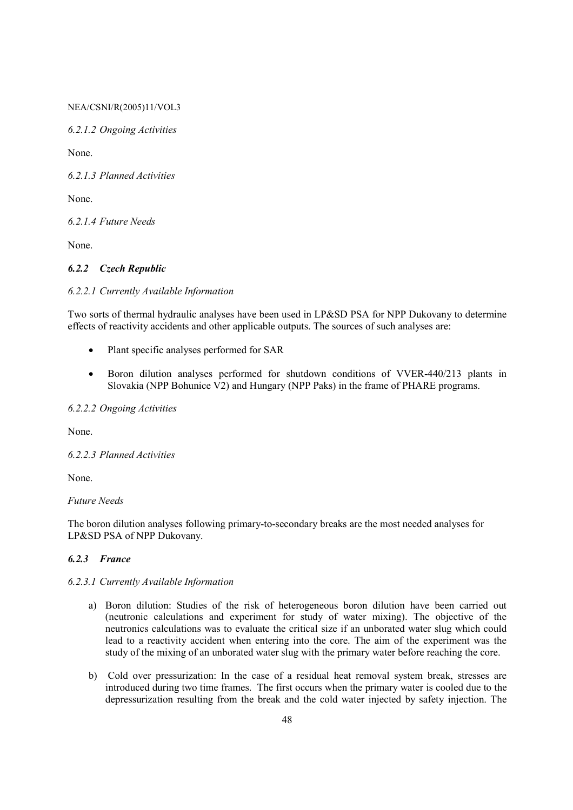*6.2.1.2 Ongoing Activities* 

None.

*6.2.1.3 Planned Activities* 

None.

*6.2.1.4 Future Needs* 

None.

## *6.2.2 Czech Republic*

#### *6.2.2.1 Currently Available Information*

Two sorts of thermal hydraulic analyses have been used in LP&SD PSA for NPP Dukovany to determine effects of reactivity accidents and other applicable outputs. The sources of such analyses are:

- Plant specific analyses performed for SAR
- Boron dilution analyses performed for shutdown conditions of VVER-440/213 plants in Slovakia (NPP Bohunice  $\hat{V}$ 2) and Hungary (NPP Paks) in the frame of PHARE programs.

# *6.2.2.2 Ongoing Activities*

None.

*6.2.2.3 Planned Activities* 

None.

## *Future Needs*

The boron dilution analyses following primary-to-secondary breaks are the most needed analyses for LP&SD PSA of NPP Dukovany.

## *6.2.3 France*

#### *6.2.3.1 Currently Available Information*

- a) Boron dilution: Studies of the risk of heterogeneous boron dilution have been carried out (neutronic calculations and experiment for study of water mixing). The objective of the neutronics calculations was to evaluate the critical size if an unborated water slug which could lead to a reactivity accident when entering into the core. The aim of the experiment was the study of the mixing of an unborated water slug with the primary water before reaching the core.
- b) Cold over pressurization: In the case of a residual heat removal system break, stresses are introduced during two time frames. The first occurs when the primary water is cooled due to the depressurization resulting from the break and the cold water injected by safety injection. The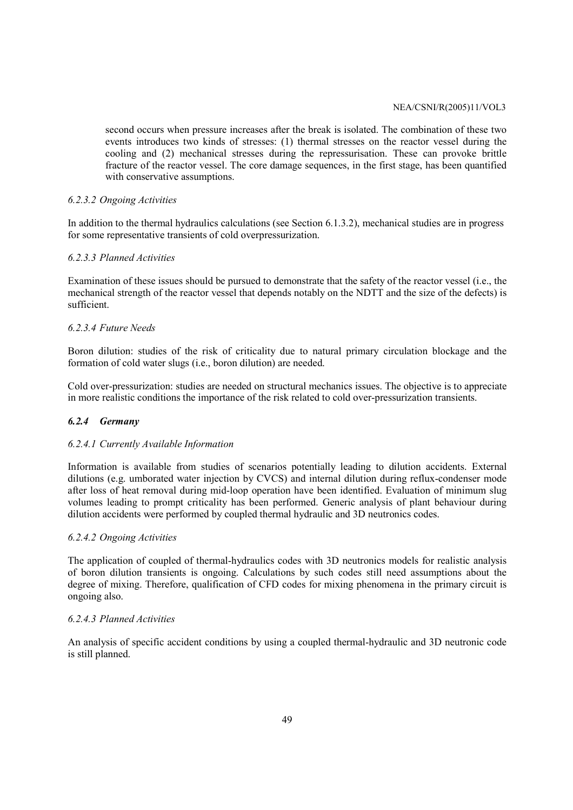second occurs when pressure increases after the break is isolated. The combination of these two events introduces two kinds of stresses: (1) thermal stresses on the reactor vessel during the cooling and (2) mechanical stresses during the repressurisation. These can provoke brittle fracture of the reactor vessel. The core damage sequences, in the first stage, has been quantified with conservative assumptions.

#### *6.2.3.2 Ongoing Activities*

In addition to the thermal hydraulics calculations (see Section 6.1.3.2), mechanical studies are in progress for some representative transients of cold overpressurization.

## *6.2.3.3 Planned Activities*

Examination of these issues should be pursued to demonstrate that the safety of the reactor vessel (i.e., the mechanical strength of the reactor vessel that depends notably on the NDTT and the size of the defects) is sufficient.

## *6.2.3.4 Future Needs*

Boron dilution: studies of the risk of criticality due to natural primary circulation blockage and the formation of cold water slugs (i.e., boron dilution) are needed.

Cold over-pressurization: studies are needed on structural mechanics issues. The objective is to appreciate in more realistic conditions the importance of the risk related to cold over-pressurization transients.

#### *6.2.4 Germany*

#### *6.2.4.1 Currently Available Information*

Information is available from studies of scenarios potentially leading to dilution accidents. External dilutions (e.g. umborated water injection by CVCS) and internal dilution during reflux-condenser mode after loss of heat removal during mid-loop operation have been identified. Evaluation of minimum slug volumes leading to prompt criticality has been performed. Generic analysis of plant behaviour during dilution accidents were performed by coupled thermal hydraulic and 3D neutronics codes.

#### *6.2.4.2 Ongoing Activities*

The application of coupled of thermal-hydraulics codes with 3D neutronics models for realistic analysis of boron dilution transients is ongoing. Calculations by such codes still need assumptions about the degree of mixing. Therefore, qualification of CFD codes for mixing phenomena in the primary circuit is ongoing also.

#### *6.2.4.3 Planned Activities*

An analysis of specific accident conditions by using a coupled thermal-hydraulic and 3D neutronic code is still planned.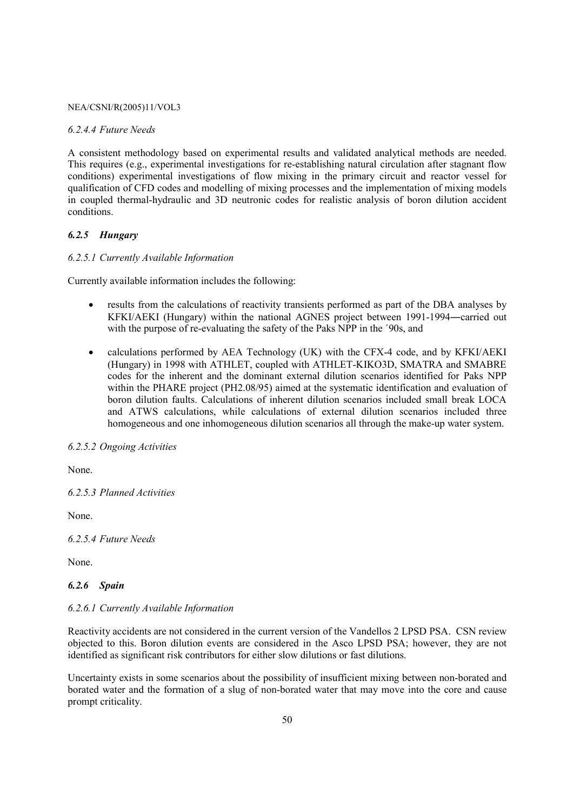#### *6.2.4.4 Future Needs*

A consistent methodology based on experimental results and validated analytical methods are needed. This requires (e.g., experimental investigations for re-establishing natural circulation after stagnant flow conditions) experimental investigations of flow mixing in the primary circuit and reactor vessel for qualification of CFD codes and modelling of mixing processes and the implementation of mixing models in coupled thermal-hydraulic and 3D neutronic codes for realistic analysis of boron dilution accident conditions.

#### *6.2.5 Hungary*

## *6.2.5.1 Currently Available Information*

Currently available information includes the following:

- results from the calculations of reactivity transients performed as part of the DBA analyses by KFKI/AEKI (Hungary) within the national AGNES project between 1991-1994—carried out with the purpose of re-evaluating the safety of the Paks NPP in the ´90s, and
- calculations performed by AEA Technology (UK) with the CFX-4 code, and by KFKI/AEKI (Hungary) in 1998 with ATHLET, coupled with ATHLET-KIKO3D, SMATRA and SMABRE codes for the inherent and the dominant external dilution scenarios identified for Paks NPP within the PHARE project (PH2.08/95) aimed at the systematic identification and evaluation of boron dilution faults. Calculations of inherent dilution scenarios included small break LOCA and ATWS calculations, while calculations of external dilution scenarios included three homogeneous and one inhomogeneous dilution scenarios all through the make-up water system.

## *6.2.5.2 Ongoing Activities*

None.

*6.2.5.3 Planned Activities* 

None.

*6.2.5.4 Future Needs* 

None.

## *6.2.6 Spain*

#### *6.2.6.1 Currently Available Information*

Reactivity accidents are not considered in the current version of the Vandellos 2 LPSD PSA. CSN review objected to this. Boron dilution events are considered in the Asco LPSD PSA; however, they are not identified as significant risk contributors for either slow dilutions or fast dilutions.

Uncertainty exists in some scenarios about the possibility of insufficient mixing between non-borated and borated water and the formation of a slug of non-borated water that may move into the core and cause prompt criticality.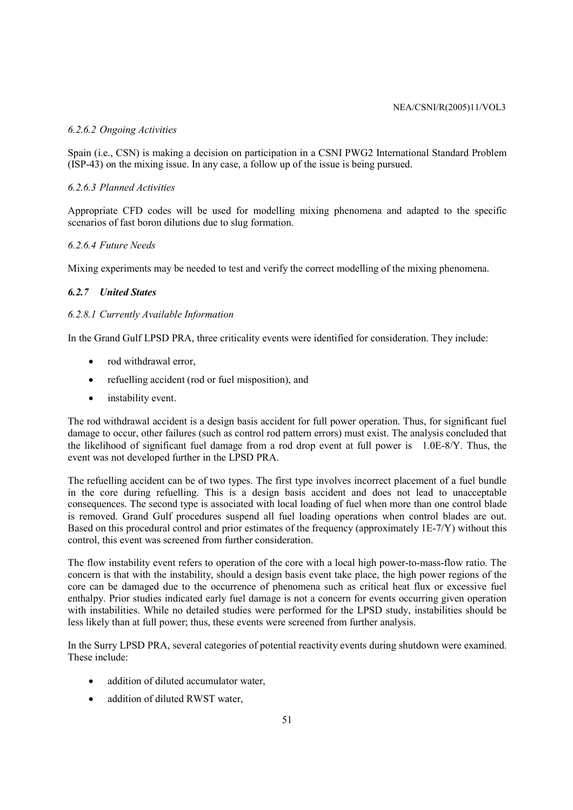## *6.2.6.2 Ongoing Activities*

Spain (i.e., CSN) is making a decision on participation in a CSNI PWG2 International Standard Problem (ISP-43) on the mixing issue. In any case, a follow up of the issue is being pursued.

## *6.2.6.3 Planned Activities*

Appropriate CFD codes will be used for modelling mixing phenomena and adapted to the specific scenarios of fast boron dilutions due to slug formation.

## *6.2.6.4 Future Needs*

Mixing experiments may be needed to test and verify the correct modelling of the mixing phenomena.

# *6.2.7 United States*

## *6.2.8.1 Currently Available Information*

In the Grand Gulf LPSD PRA, three criticality events were identified for consideration. They include:

- rod withdrawal error,
- refuelling accident (rod or fuel misposition), and
- instability event.

The rod withdrawal accident is a design basis accident for full power operation. Thus, for significant fuel damage to occur, other failures (such as control rod pattern errors) must exist. The analysis concluded that the likelihood of significant fuel damage from a rod drop event at full power is 1.0E-8/Y. Thus, the event was not developed further in the LPSD PRA.

The refuelling accident can be of two types. The first type involves incorrect placement of a fuel bundle in the core during refuelling. This is a design basis accident and does not lead to unacceptable consequences. The second type is associated with local loading of fuel when more than one control blade is removed. Grand Gulf procedures suspend all fuel loading operations when control blades are out. Based on this procedural control and prior estimates of the frequency (approximately 1E-7/Y) without this control, this event was screened from further consideration.

The flow instability event refers to operation of the core with a local high power-to-mass-flow ratio. The concern is that with the instability, should a design basis event take place, the high power regions of the core can be damaged due to the occurrence of phenomena such as critical heat flux or excessive fuel enthalpy. Prior studies indicated early fuel damage is not a concern for events occurring given operation with instabilities. While no detailed studies were performed for the LPSD study, instabilities should be less likely than at full power; thus, these events were screened from further analysis.

In the Surry LPSD PRA, several categories of potential reactivity events during shutdown were examined. These include:

- addition of diluted accumulator water.
- addition of diluted RWST water,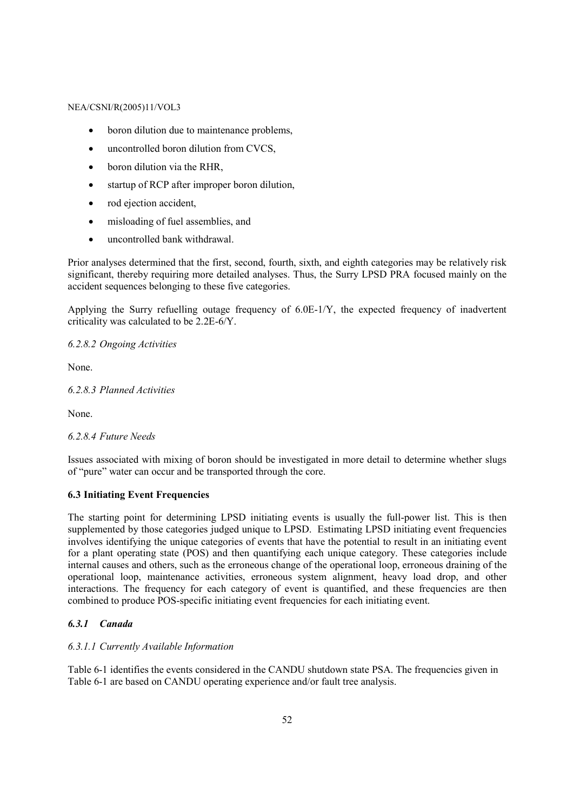- boron dilution due to maintenance problems,
- uncontrolled boron dilution from CVCS,
- boron dilution via the RHR,
- startup of RCP after improper boron dilution,
- rod ejection accident,
- misloading of fuel assemblies, and
- uncontrolled bank withdrawal.

Prior analyses determined that the first, second, fourth, sixth, and eighth categories may be relatively risk significant, thereby requiring more detailed analyses. Thus, the Surry LPSD PRA focused mainly on the accident sequences belonging to these five categories.

Applying the Surry refuelling outage frequency of 6.0E-1/Y, the expected frequency of inadvertent criticality was calculated to be 2.2E-6/Y.

*6.2.8.2 Ongoing Activities* 

None.

*6.2.8.3 Planned Activities* 

None.

## *6.2.8.4 Future Needs*

Issues associated with mixing of boron should be investigated in more detail to determine whether slugs of "pure" water can occur and be transported through the core.

## **6.3 Initiating Event Frequencies**

The starting point for determining LPSD initiating events is usually the full-power list. This is then supplemented by those categories judged unique to LPSD. Estimating LPSD initiating event frequencies involves identifying the unique categories of events that have the potential to result in an initiating event for a plant operating state (POS) and then quantifying each unique category. These categories include internal causes and others, such as the erroneous change of the operational loop, erroneous draining of the operational loop, maintenance activities, erroneous system alignment, heavy load drop, and other interactions. The frequency for each category of event is quantified, and these frequencies are then combined to produce POS-specific initiating event frequencies for each initiating event.

#### *6.3.1 Canada*

### *6.3.1.1 Currently Available Information*

Table 6-1 identifies the events considered in the CANDU shutdown state PSA. The frequencies given in Table 6-1 are based on CANDU operating experience and/or fault tree analysis.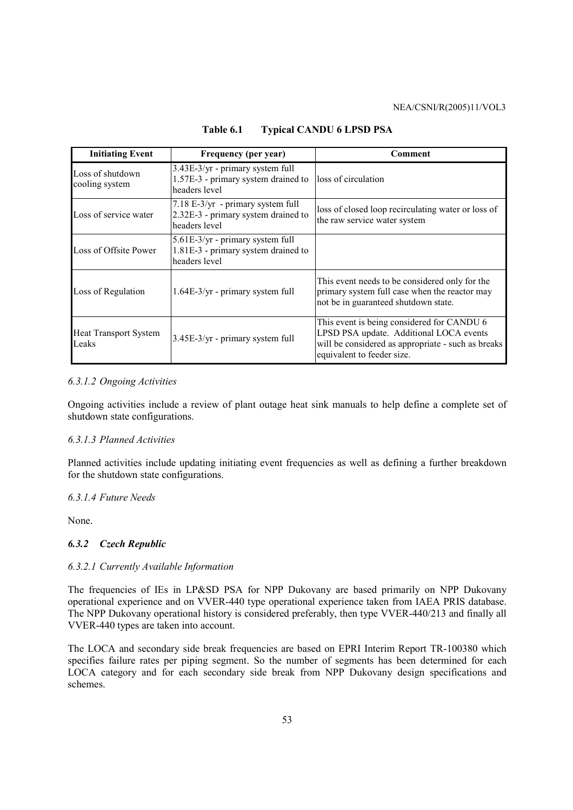| <b>Initiating Event</b>               | Frequency (per year)                                                                        | Comment                                                                                                                                                                   |
|---------------------------------------|---------------------------------------------------------------------------------------------|---------------------------------------------------------------------------------------------------------------------------------------------------------------------------|
| Loss of shutdown<br>cooling system    | $3.43E-3/yr$ - primary system full<br>1.57E-3 - primary system drained to<br>headers level  | loss of circulation                                                                                                                                                       |
| Loss of service water                 | $7.18$ E-3/yr - primary system full<br>2.32E-3 - primary system drained to<br>headers level | loss of closed loop recirculating water or loss of<br>the raw service water system                                                                                        |
| Loss of Offsite Power                 | 5.61E-3/yr - primary system full<br>1.81E-3 - primary system drained to<br>headers level    |                                                                                                                                                                           |
| Loss of Regulation                    | $1.64E-3/yr$ - primary system full                                                          | This event needs to be considered only for the<br>primary system full case when the reactor may<br>not be in guaranteed shutdown state.                                   |
| <b>Heat Transport System</b><br>Leaks | $3.45E-3/yr$ - primary system full                                                          | This event is being considered for CANDU 6<br>LPSD PSA update. Additional LOCA events<br>will be considered as appropriate - such as breaks<br>equivalent to feeder size. |

**Table 6.1 Typical CANDU 6 LPSD PSA** 

#### *6.3.1.2 Ongoing Activities*

Ongoing activities include a review of plant outage heat sink manuals to help define a complete set of shutdown state configurations.

#### *6.3.1.3 Planned Activities*

Planned activities include updating initiating event frequencies as well as defining a further breakdown for the shutdown state configurations.

#### *6.3.1.4 Future Needs*

None.

## *6.3.2 Czech Republic*

#### *6.3.2.1 Currently Available Information*

The frequencies of IEs in LP&SD PSA for NPP Dukovany are based primarily on NPP Dukovany operational experience and on VVER-440 type operational experience taken from IAEA PRIS database. The NPP Dukovany operational history is considered preferably, then type VVER-440/213 and finally all VVER-440 types are taken into account.

The LOCA and secondary side break frequencies are based on EPRI Interim Report TR-100380 which specifies failure rates per piping segment. So the number of segments has been determined for each LOCA category and for each secondary side break from NPP Dukovany design specifications and schemes.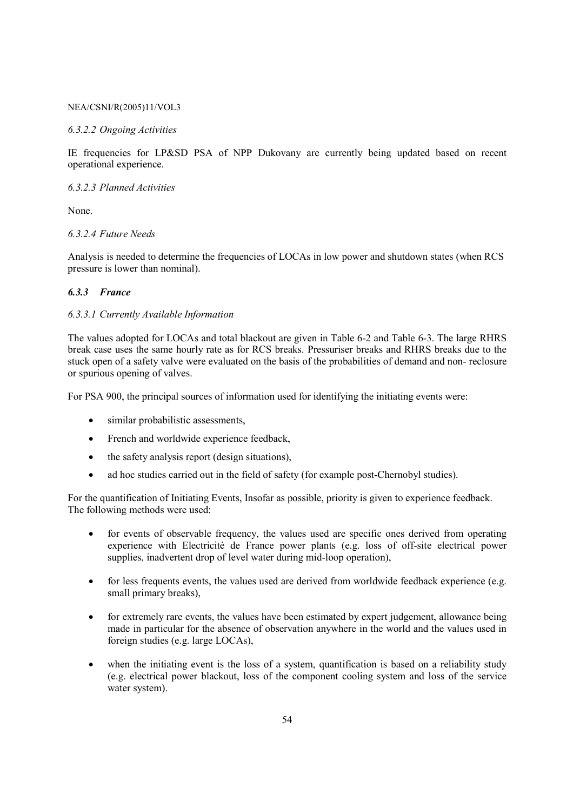#### *6.3.2.2 Ongoing Activities*

IE frequencies for LP&SD PSA of NPP Dukovany are currently being updated based on recent operational experience.

### *6.3.2.3 Planned Activities*

None.

## *6.3.2.4 Future Needs*

Analysis is needed to determine the frequencies of LOCAs in low power and shutdown states (when RCS pressure is lower than nominal).

## *6.3.3 France*

## *6.3.3.1 Currently Available Information*

The values adopted for LOCAs and total blackout are given in Table 6-2 and Table 6-3. The large RHRS break case uses the same hourly rate as for RCS breaks. Pressuriser breaks and RHRS breaks due to the stuck open of a safety valve were evaluated on the basis of the probabilities of demand and non- reclosure or spurious opening of valves.

For PSA 900, the principal sources of information used for identifying the initiating events were:

- similar probabilistic assessments.
- French and worldwide experience feedback,
- the safety analysis report (design situations),
- ad hoc studies carried out in the field of safety (for example post-Chernobyl studies).

For the quantification of Initiating Events, Insofar as possible, priority is given to experience feedback. The following methods were used:

- for events of observable frequency, the values used are specific ones derived from operating experience with Electricité de France power plants (e.g. loss of off-site electrical power supplies, inadvertent drop of level water during mid-loop operation),
- for less frequents events, the values used are derived from worldwide feedback experience (e.g. small primary breaks),
- for extremely rare events, the values have been estimated by expert judgement, allowance being made in particular for the absence of observation anywhere in the world and the values used in foreign studies (e.g. large LOCAs),
- when the initiating event is the loss of a system, quantification is based on a reliability study (e.g. electrical power blackout, loss of the component cooling system and loss of the service water system).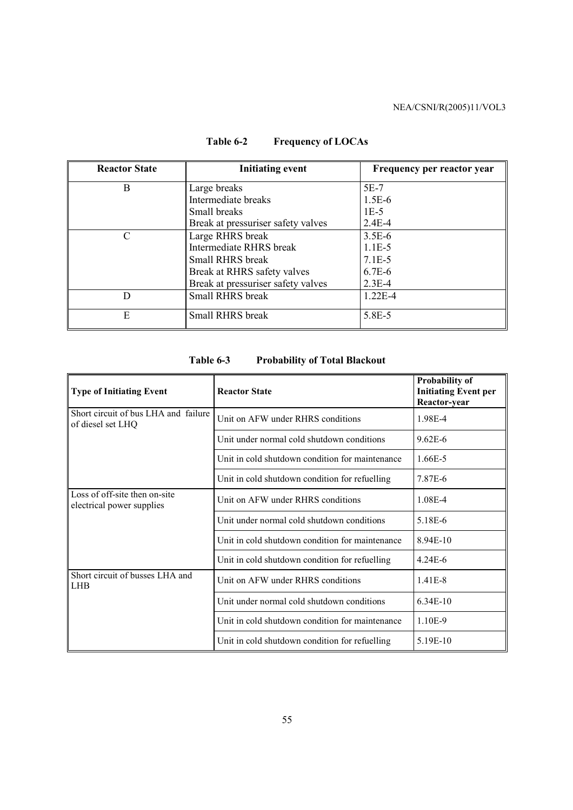| <b>Reactor State</b> | <b>Initiating event</b>            | Frequency per reactor year |
|----------------------|------------------------------------|----------------------------|
| B                    | Large breaks                       | 5E-7                       |
|                      | Intermediate breaks                | $1.5E-6$                   |
|                      | Small breaks                       | $1E-5$                     |
|                      | Break at pressuriser safety valves | $2.4E - 4$                 |
| C                    | Large RHRS break                   | $3.5E-6$                   |
|                      | <b>Intermediate RHRS</b> break     | $1.1E-5$                   |
|                      | <b>Small RHRS break</b>            | $7.1E-5$                   |
|                      | Break at RHRS safety valves        | $6.7E-6$                   |
|                      | Break at pressuriser safety valves | $2.3E-4$                   |
| D                    | Small RHRS break                   | $1.22E - 4$                |
| E                    | Small RHRS break                   | 5.8E-5                     |

# **Table 6-2 Frequency of LOCAs**

| <b>Type of Initiating Event</b>                            | <b>Reactor State</b>                            | <b>Probability of</b><br><b>Initiating Event per</b><br>Reactor-year |
|------------------------------------------------------------|-------------------------------------------------|----------------------------------------------------------------------|
| Short circuit of bus LHA and failure<br>of diesel set LHQ  | Unit on AFW under RHRS conditions               | 1.98E-4                                                              |
|                                                            | Unit under normal cold shutdown conditions      | $9.62E - 6$                                                          |
|                                                            | Unit in cold shutdown condition for maintenance | 1.66E-5                                                              |
|                                                            | Unit in cold shutdown condition for refuelling  | 7.87E-6                                                              |
| Loss of off-site then on-site<br>electrical power supplies | Unit on AFW under RHRS conditions               | 1.08E-4                                                              |
|                                                            | Unit under normal cold shutdown conditions      | 5.18E-6                                                              |
|                                                            | Unit in cold shutdown condition for maintenance | 8.94E-10                                                             |
|                                                            | Unit in cold shutdown condition for refuelling  | $4.24E - 6$                                                          |
| Short circuit of busses LHA and<br><b>LHB</b>              | Unit on AFW under RHRS conditions               | $1.41E - 8$                                                          |
|                                                            | Unit under normal cold shutdown conditions      | $6.34E-10$                                                           |
|                                                            | Unit in cold shutdown condition for maintenance | 1.10E-9                                                              |
|                                                            | Unit in cold shutdown condition for refuelling  | 5.19E-10                                                             |

# **Table 6-3 Probability of Total Blackout**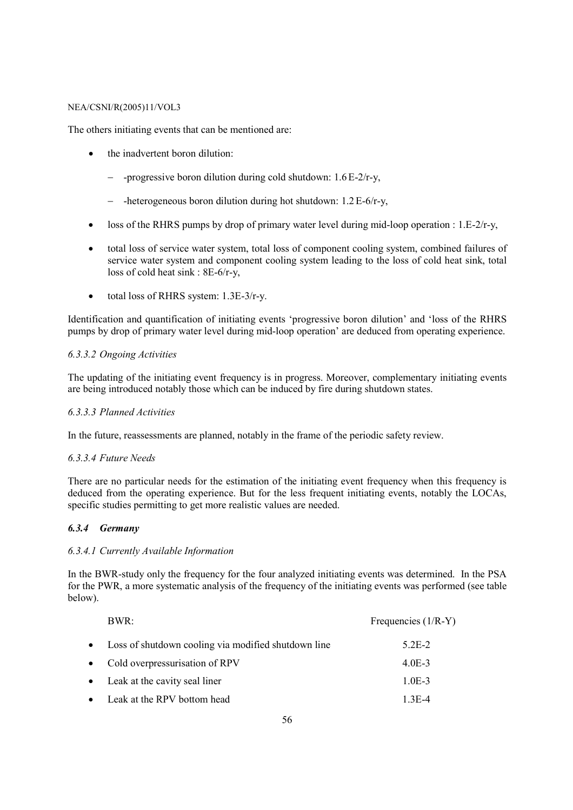The others initiating events that can be mentioned are:

- the inadvertent boron dilution:
	- − -progressive boron dilution during cold shutdown: 1.6E-2/r-y,
	- − -heterogeneous boron dilution during hot shutdown: 1.2E-6/r-y,
- loss of the RHRS pumps by drop of primary water level during mid-loop operation :  $1.E-2/r-y$ ,
- total loss of service water system, total loss of component cooling system, combined failures of service water system and component cooling system leading to the loss of cold heat sink, total loss of cold heat sink : 8E-6/r-y,
- total loss of RHRS system: 1.3E-3/r-y.

Identification and quantification of initiating events 'progressive boron dilution' and 'loss of the RHRS pumps by drop of primary water level during mid-loop operation' are deduced from operating experience.

## *6.3.3.2 Ongoing Activities*

The updating of the initiating event frequency is in progress. Moreover, complementary initiating events are being introduced notably those which can be induced by fire during shutdown states.

## *6.3.3.3 Planned Activities*

In the future, reassessments are planned, notably in the frame of the periodic safety review.

## *6.3.3.4 Future Needs*

There are no particular needs for the estimation of the initiating event frequency when this frequency is deduced from the operating experience. But for the less frequent initiating events, notably the LOCAs, specific studies permitting to get more realistic values are needed.

## *6.3.4 Germany*

## *6.3.4.1 Currently Available Information*

In the BWR-study only the frequency for the four analyzed initiating events was determined. In the PSA for the PWR, a more systematic analysis of the frequency of the initiating events was performed (see table below).

|           | BWR:                                                | Frequencies $(1/R-Y)$ |
|-----------|-----------------------------------------------------|-----------------------|
| $\bullet$ | Loss of shutdown cooling via modified shutdown line | 5 2 E - 2             |
|           | • Cold overpressurisation of RPV                    | $4.0E-3$              |
|           | • Leak at the cavity seal liner                     | $1.0E-3$              |
|           | • Leak at the RPV bottom head                       | $1.3E - 4$            |
|           |                                                     |                       |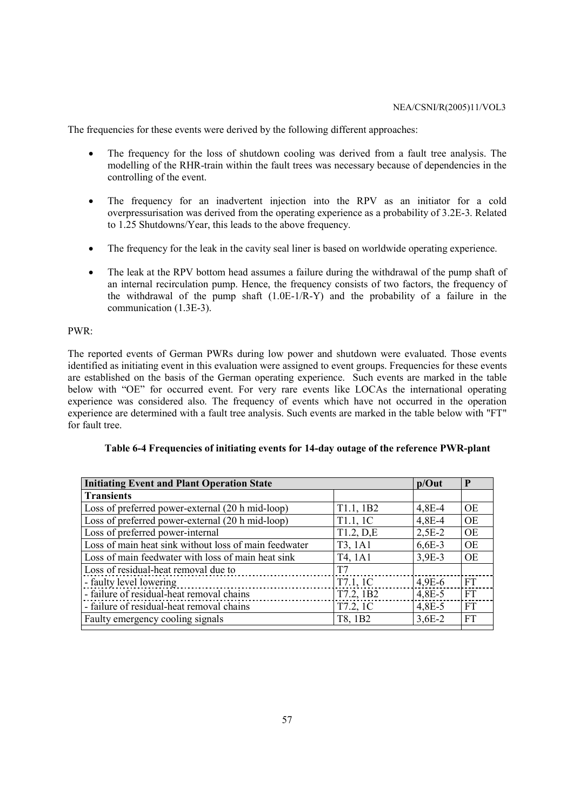The frequencies for these events were derived by the following different approaches:

- The frequency for the loss of shutdown cooling was derived from a fault tree analysis. The modelling of the RHR-train within the fault trees was necessary because of dependencies in the controlling of the event.
- The frequency for an inadvertent injection into the RPV as an initiator for a cold overpressurisation was derived from the operating experience as a probability of 3.2E-3. Related to 1.25 Shutdowns/Year, this leads to the above frequency.
- The frequency for the leak in the cavity seal liner is based on worldwide operating experience.
- The leak at the RPV bottom head assumes a failure during the withdrawal of the pump shaft of an internal recirculation pump. Hence, the frequency consists of two factors, the frequency of the withdrawal of the pump shaft (1.0E-1/R-Y) and the probability of a failure in the communication (1.3E-3).

#### PWR:

The reported events of German PWRs during low power and shutdown were evaluated. Those events identified as initiating event in this evaluation were assigned to event groups. Frequencies for these events are established on the basis of the German operating experience. Such events are marked in the table below with "OE" for occurred event. For very rare events like LOCAs the international operating experience was considered also. The frequency of events which have not occurred in the operation experience are determined with a fault tree analysis. Such events are marked in the table below with "FT" for fault tree.

| <b>Initiating Event and Plant Operation State</b><br>P<br>$p/O$ ut |           |          |           |  |  |  |  |  |  |  |
|--------------------------------------------------------------------|-----------|----------|-----------|--|--|--|--|--|--|--|
| <b>Transients</b>                                                  |           |          |           |  |  |  |  |  |  |  |
| Loss of preferred power-external (20 h mid-loop)                   | T1.1, 1B2 | $4,8E-4$ | <b>OE</b> |  |  |  |  |  |  |  |
| Loss of preferred power-external (20 h mid-loop)                   | T1.1, 1C  | $4,8E-4$ | <b>OE</b> |  |  |  |  |  |  |  |
| Loss of preferred power-internal                                   | T1.2, D.E | $2,5E-2$ | <b>OE</b> |  |  |  |  |  |  |  |
| Loss of main heat sink without loss of main feedwater              | T3, 1A1   | $6,6E-3$ | <b>OE</b> |  |  |  |  |  |  |  |
| Loss of main feedwater with loss of main heat sink                 | T4, 1A1   | $3,9E-3$ | <b>OE</b> |  |  |  |  |  |  |  |
| Loss of residual-heat removal due to                               | T7        |          |           |  |  |  |  |  |  |  |
| - faulty level lowering                                            | T7.1, 1C  | $4,9E-6$ | FT        |  |  |  |  |  |  |  |
| - failure of residual-heat removal chains                          | T7.2, 1B2 | $4,8E-5$ | <b>FT</b> |  |  |  |  |  |  |  |
| - failure of residual-heat removal chains                          | T7.2, 1C  | $4,8E-5$ | FT        |  |  |  |  |  |  |  |
| Faulty emergency cooling signals                                   | T8, 1B2   | $3,6E-2$ | FT        |  |  |  |  |  |  |  |

|  |  | Table 6-4 Frequencies of initiating events for 14-day outage of the reference PWR-plant |
|--|--|-----------------------------------------------------------------------------------------|
|  |  |                                                                                         |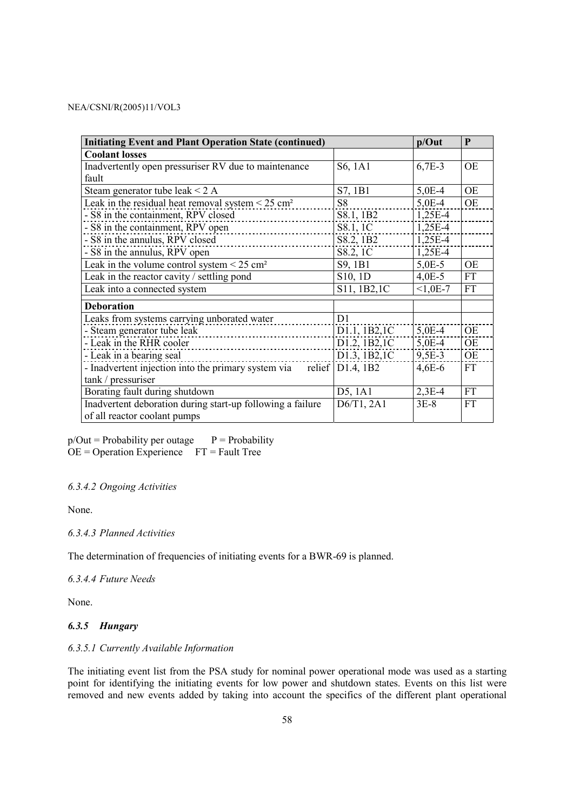| <b>Initiating Event and Plant Operation State (continued)</b>      |                     | p/Out     | P         |
|--------------------------------------------------------------------|---------------------|-----------|-----------|
| <b>Coolant losses</b>                                              |                     |           |           |
| Inadvertently open pressuriser RV due to maintenance               | S6, 1A1             | $6,7E-3$  | <b>OE</b> |
| fault                                                              |                     |           |           |
| Steam generator tube leak $\leq$ 2 A                               | S7, 1B1             | $5,0E-4$  | <b>OE</b> |
| Leak in the residual heat removal system $\leq 25$ cm <sup>2</sup> | S <sub>8</sub>      | 5,0E-4    | <b>OE</b> |
| - S8 in the containment, RPV closed                                | S8.1, 1B2           | 1,25E-4   |           |
| - S8 in the containment, RPV open                                  | S8.1, 1C            | 1,25E-4   |           |
| - S8 in the annulus, RPV closed                                    | S8.2, 1B2           | 1,25E-4   |           |
| - S8 in the annulus, RPV open                                      | S8.2, 1C            | 1,25E-4   |           |
| Leak in the volume control system $\leq$ 25 cm <sup>2</sup>        | S9, 1B1             | 5,0E-5    | <b>OE</b> |
| Leak in the reactor cavity / settling pond                         | S10, 1D             | $4,0E-5$  | <b>FT</b> |
| Leak into a connected system                                       | S11, 1B2, 1C        | $<1,0E-7$ | <b>FT</b> |
| <b>Deboration</b>                                                  |                     |           |           |
| Leaks from systems carrying unborated water                        | D <sub>1</sub>      |           |           |
| - Steam generator tube leak                                        | D1.1, 1B2,1C        | 5,0E-4    | <b>OE</b> |
| - Leak in the RHR cooler                                           | D1.2, 1B2,1C        | 5,0E-4    | <b>OE</b> |
| - Leak in a bearing seal                                           | D1.3, 1B2, 1C       | 9,5E-3    | <b>OE</b> |
| - Inadvertent injection into the primary system via                | relief $D1.4$ , 1B2 | $4,6E-6$  | <b>FT</b> |
| tank / pressuriser                                                 |                     |           |           |
| Borating fault during shutdown                                     | D5, 1A1             | $2,3E-4$  | <b>FT</b> |
| Inadvertent deboration during start-up following a failure         | D6/T1, 2A1          | $3E-8$    | <b>FT</b> |
| of all reactor coolant pumps                                       |                     |           |           |

 $p/Out = Probability$  per outage  $P = Probability$  $OE = Operation$  Experience  $FT =$  FT = Fault Tree

## *6.3.4.2 Ongoing Activities*

None.

## *6.3.4.3 Planned Activities*

The determination of frequencies of initiating events for a BWR-69 is planned.

*6.3.4.4 Future Needs* 

None.

## *6.3.5 Hungary*

## *6.3.5.1 Currently Available Information*

The initiating event list from the PSA study for nominal power operational mode was used as a starting point for identifying the initiating events for low power and shutdown states. Events on this list were removed and new events added by taking into account the specifics of the different plant operational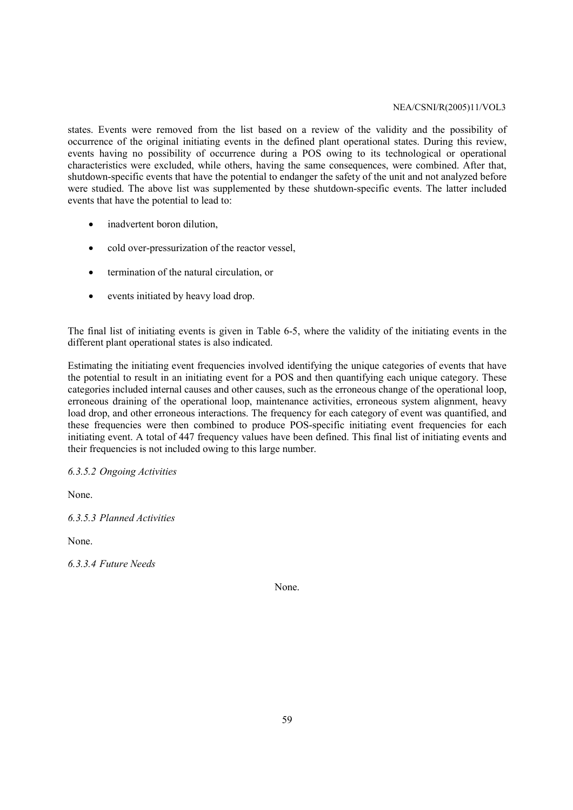states. Events were removed from the list based on a review of the validity and the possibility of occurrence of the original initiating events in the defined plant operational states. During this review, events having no possibility of occurrence during a POS owing to its technological or operational characteristics were excluded, while others, having the same consequences, were combined. After that, shutdown-specific events that have the potential to endanger the safety of the unit and not analyzed before were studied. The above list was supplemented by these shutdown-specific events. The latter included events that have the potential to lead to:

- inadvertent boron dilution,
- cold over-pressurization of the reactor vessel,
- termination of the natural circulation, or
- events initiated by heavy load drop.

The final list of initiating events is given in Table 6-5, where the validity of the initiating events in the different plant operational states is also indicated.

Estimating the initiating event frequencies involved identifying the unique categories of events that have the potential to result in an initiating event for a POS and then quantifying each unique category. These categories included internal causes and other causes, such as the erroneous change of the operational loop, erroneous draining of the operational loop, maintenance activities, erroneous system alignment, heavy load drop, and other erroneous interactions. The frequency for each category of event was quantified, and these frequencies were then combined to produce POS-specific initiating event frequencies for each initiating event. A total of 447 frequency values have been defined. This final list of initiating events and their frequencies is not included owing to this large number.

*6.3.5.2 Ongoing Activities* 

None.

*6.3.5.3 Planned Activities* 

None.

*6.3.3.4 Future Needs* 

None.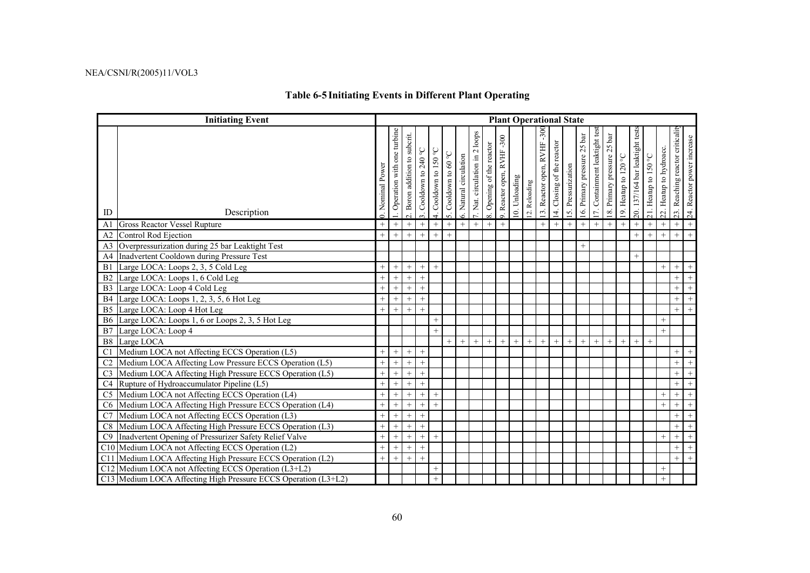# **Table 6-5 Initiating Events in Different Plant Operating**

|                | <b>Initiating Event</b>                                        | <b>Plant Operational State</b> |                              |                                  |                                                     |                       |                      |                        |                                           |                           |                            |               |               |                            |                               |                    |                             |                                |                             |                      |                                |                      |                         |                                 |                            |
|----------------|----------------------------------------------------------------|--------------------------------|------------------------------|----------------------------------|-----------------------------------------------------|-----------------------|----------------------|------------------------|-------------------------------------------|---------------------------|----------------------------|---------------|---------------|----------------------------|-------------------------------|--------------------|-----------------------------|--------------------------------|-----------------------------|----------------------|--------------------------------|----------------------|-------------------------|---------------------------------|----------------------------|
| ID             | Description                                                    | 0. Nominal Power               | . Operation with one turbine | subcrit.<br>2. Boron addition to | Cooldown to 240 $^{\circ} \mathrm{C}$<br>$\ddot{ }$ | 4. Cooldown to 150 °C | 5. Cooldown to 60 °C | 6. Natural circulation | loops<br>$\sim$<br>7. Nat. circulation in | 8. Opening of the reactor | 9. Reactor open, RVHF -300 | 10. Unloading | 12. Reloading | 13. Reactor open, RVHF-300 | reactor<br>14. Closing of the | 15. Pressurization | 16. Primary pressure 25 bar | 17. Containment leaktight test | 18. Primary pressure 25 bar | 19. Heatup to 120 °C | 20. 137/164 bar leaktight test | 21. Heatup to 150 °C | 22. Heatup to hydroacc. | 23. Reaching reactor criticalit | 24. Reactor power increase |
| A1             | <b>Gross Reactor Vessel Rupture</b>                            | $+$                            | $+$                          | $^{+}$                           | $^{+}$                                              | $^{+}$                | $+$                  | $^{+}$                 | $+$                                       | $+$                       | $+$                        |               |               | $^{+}$                     | $+$                           | $^{+}$             | $+$                         | $+$                            | $+$                         | $+$                  | $+$                            | $^{+}$               | $^{+}$                  | $^{+}$                          | $+$                        |
| A <sub>2</sub> | Control Rod Ejection                                           | $+$                            | $+$                          | $^{+}$                           | $\ddot{}$                                           | $+$                   | $^{+}$               |                        |                                           |                           |                            |               |               |                            |                               |                    |                             |                                |                             |                      | $^{+}$                         | $^{+}$               | $\ddot{}$               | $+$                             | $+$                        |
| A <sub>3</sub> | Overpressurization during 25 bar Leaktight Test                |                                |                              |                                  |                                                     |                       |                      |                        |                                           |                           |                            |               |               |                            |                               |                    | $^{+}$                      |                                |                             |                      |                                |                      |                         |                                 |                            |
| A <sub>4</sub> | Inadvertent Cooldown during Pressure Test                      |                                |                              |                                  |                                                     |                       |                      |                        |                                           |                           |                            |               |               |                            |                               |                    |                             |                                |                             |                      | $^{+}$                         |                      |                         |                                 |                            |
| B1             | Large LOCA: Loops 2, 3, 5 Cold Leg                             | $^{+}$                         | $^{+}$                       | $^{+}$                           | $^{+}$                                              | $^{+}$                |                      |                        |                                           |                           |                            |               |               |                            |                               |                    |                             |                                |                             |                      |                                |                      | $^{+}$                  | $+$                             |                            |
| B <sub>2</sub> | Large LOCA: Loops 1, 6 Cold Leg                                | $^{+}$                         | $+$                          | $^{+}$                           | $^{+}$                                              |                       |                      |                        |                                           |                           |                            |               |               |                            |                               |                    |                             |                                |                             |                      |                                |                      |                         | $+$                             | $+$                        |
| B <sub>3</sub> | Large LOCA: Loop 4 Cold Leg                                    | $^{+}$                         | $^{+}$                       | $^{+}$                           | $^{+}$                                              |                       |                      |                        |                                           |                           |                            |               |               |                            |                               |                    |                             |                                |                             |                      |                                |                      |                         | $^{+}$                          | $+$                        |
| <b>B4</b>      | Large LOCA: Loops 1, 2, 3, 5, 6 Hot Leg                        | $^{+}$                         | $^{+}$                       |                                  | $^{+}$                                              |                       |                      |                        |                                           |                           |                            |               |               |                            |                               |                    |                             |                                |                             |                      |                                |                      |                         | $^{+}$                          | $+$                        |
| B <sub>5</sub> | Large LOCA: Loop 4 Hot Leg                                     | $^{+}$                         | $+$                          | $\overline{+}$                   | $\ddot{}$                                           |                       |                      |                        |                                           |                           |                            |               |               |                            |                               |                    |                             |                                |                             |                      |                                |                      |                         | $+$                             | $+$                        |
|                | B6 Large LOCA: Loops 1, 6 or Loops 2, 3, 5 Hot Leg             |                                |                              |                                  |                                                     | $+$                   |                      |                        |                                           |                           |                            |               |               |                            |                               |                    |                             |                                |                             |                      |                                |                      | $^{+}$                  |                                 |                            |
| B7             | Large LOCA: Loop 4                                             |                                |                              |                                  |                                                     | $^{+}$                |                      |                        |                                           |                           |                            |               |               |                            |                               |                    |                             |                                |                             |                      |                                |                      | $+$                     |                                 |                            |
| B8             | Large LOCA                                                     |                                |                              |                                  |                                                     |                       |                      | $+$                    | $+$                                       | $^{+}$                    | $^{+}$                     | $^{+}$        | $^{+}$        | $^{+}$                     | $^{+}$                        | $+$                | $^{+}$                      | $+$                            | $^{+}$                      | $^{+}$               | $^{+}$                         | $^{+}$               |                         |                                 |                            |
| C <sub>1</sub> | Medium LOCA not Affecting ECCS Operation (L5)                  | $^{+}$                         | $^{+}$                       | $^{+}$                           | $^{+}$                                              |                       |                      |                        |                                           |                           |                            |               |               |                            |                               |                    |                             |                                |                             |                      |                                |                      |                         | $^{+}$                          | $^{+}$                     |
|                | Medium LOCA Affecting Low Pressure ECCS Operation (L5)         | $^{+}$                         | $^{+}$                       | $^{+}$                           | $^{+}$                                              |                       |                      |                        |                                           |                           |                            |               |               |                            |                               |                    |                             |                                |                             |                      |                                |                      |                         | $^{+}$                          | $+$                        |
| C <sub>3</sub> | Medium LOCA Affecting High Pressure ECCS Operation (L5)        | $^{+}$                         | $^{+}$                       |                                  | $^{+}$                                              |                       |                      |                        |                                           |                           |                            |               |               |                            |                               |                    |                             |                                |                             |                      |                                |                      |                         | $^{+}$                          | $+$                        |
| C <sub>4</sub> | Rupture of Hydroaccumulator Pipeline (L5)                      | $^{+}$                         | $+$                          | $\overline{+}$                   | $^{+}$                                              |                       |                      |                        |                                           |                           |                            |               |               |                            |                               |                    |                             |                                |                             |                      |                                |                      |                         | $^{+}$                          | $+$                        |
| C <sub>5</sub> | Medium LOCA not Affecting ECCS Operation (L4)                  | $^{+}$                         | $+$                          |                                  | $^{+}$                                              | $^{+}$                |                      |                        |                                           |                           |                            |               |               |                            |                               |                    |                             |                                |                             |                      |                                |                      | $^{+}$                  | $+$                             | $+$                        |
| C <sub>6</sub> | Medium LOCA Affecting High Pressure ECCS Operation (L4)        | $^{+}$                         | $+$                          | $^{+}$                           | $^{+}$                                              | $^{+}$                |                      |                        |                                           |                           |                            |               |               |                            |                               |                    |                             |                                |                             |                      |                                |                      | $^{+}$                  | $^{+}$                          | $+$                        |
| C7             | Medium LOCA not Affecting ECCS Operation (L3)                  | $^{+}$                         | $^{+}$                       | $^{+}$                           | $^{+}$                                              |                       |                      |                        |                                           |                           |                            |               |               |                            |                               |                    |                             |                                |                             |                      |                                |                      |                         | $+$                             | $+$                        |
| C8             | Medium LOCA Affecting High Pressure ECCS Operation (L3)        | $^{+}$                         | $+$                          | $^{+}$                           | $^{+}$                                              |                       |                      |                        |                                           |                           |                            |               |               |                            |                               |                    |                             |                                |                             |                      |                                |                      |                         | $^{+}$                          | $+$                        |
| C9             | Inadvertent Opening of Pressurizer Safety Relief Valve         | $^{+}$                         | $+$                          | $^{+}$                           | $^{+}$                                              | $+$                   |                      |                        |                                           |                           |                            |               |               |                            |                               |                    |                             |                                |                             |                      |                                |                      | $^{+}$                  | $^{+}$                          | $+$                        |
|                | C10 Medium LOCA not Affecting ECCS Operation (L2)              | $^{+}$                         | $^{+}$                       | $^{+}$                           | $^{+}$                                              |                       |                      |                        |                                           |                           |                            |               |               |                            |                               |                    |                             |                                |                             |                      |                                |                      |                         | $+$                             | $+$                        |
|                | C11 Medium LOCA Affecting High Pressure ECCS Operation (L2)    | $^{+}$                         | $+$                          | $\overline{+}$                   | $^{+}$                                              |                       |                      |                        |                                           |                           |                            |               |               |                            |                               |                    |                             |                                |                             |                      |                                |                      |                         | $+$                             | $+$                        |
|                | C12 Medium LOCA not Affecting ECCS Operation (L3+L2)           |                                |                              |                                  |                                                     | $^{+}$                |                      |                        |                                           |                           |                            |               |               |                            |                               |                    |                             |                                |                             |                      |                                |                      | $^{+}$                  |                                 |                            |
|                | C13 Medium LOCA Affecting High Pressure ECCS Operation (L3+L2) |                                |                              |                                  |                                                     | $+$                   |                      |                        |                                           |                           |                            |               |               |                            |                               |                    |                             |                                |                             |                      |                                |                      |                         |                                 |                            |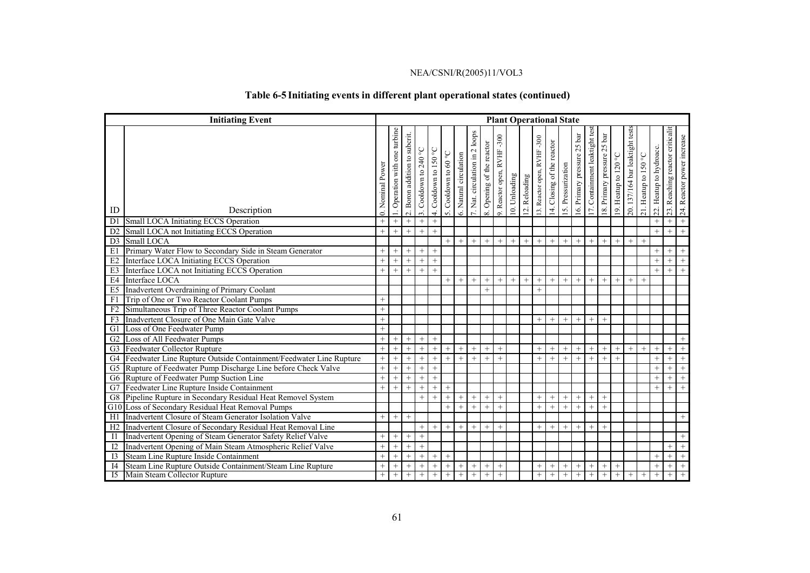# **Table 6-5 Initiating events in different plant operational states (continued)**

|                 | <b>Initiating Event</b>                                           | <b>Plant Operational State</b> |                              |                                  |                    |                       |                      |                        |                                     |                           |                           |               |               |                            |                            |                    |                             |                                |                             |                      |                                 |                      |                            |                                 |                              |
|-----------------|-------------------------------------------------------------------|--------------------------------|------------------------------|----------------------------------|--------------------|-----------------------|----------------------|------------------------|-------------------------------------|---------------------------|---------------------------|---------------|---------------|----------------------------|----------------------------|--------------------|-----------------------------|--------------------------------|-----------------------------|----------------------|---------------------------------|----------------------|----------------------------|---------------------------------|------------------------------|
| ID              | Description                                                       | 0. Nominal Power               | . Operation with one turbine | subcrit.<br>2. Boron addition to | Cooldown to 240 °C | 4. Cooldown to 150 °C | 5. Cooldown to 60 °C | 6. Natural circulation | $2$ loops<br>7. Nat. circulation in | 8. Opening of the reactor | 9. Reactor open, RVHF-300 | 10. Unloading | 12. Reloading | 13. Reactor open, RVHF-300 | 14. Closing of the reactor | 15. Pressurization | 16. Primary pressure 25 bar | 17. Containment leaktight test | 18. Primary pressure 25 bar | 19. Heatup to 120 °C | 20. 137/164 bar leaktight tests | 21. Heatup to 150 °C | Heatup to hydroacc.<br>22. | 23. Reaching reactor criticalit | Reactor power increase<br>24 |
| D <sub>1</sub>  | Small LOCA Initiating ECCS Operation                              | $^{+}$                         | $+$                          | $^{+}$                           | $^{+}$             | $+$                   |                      |                        |                                     |                           |                           |               |               |                            |                            |                    |                             |                                |                             |                      |                                 |                      | $^{+}$                     | $^{+}$                          | $+$                          |
| D2              | Small LOCA not Initiating ECCS Operation                          | $^{+}$                         | $+$                          | $^{+}$                           | $+$                | $^{+}$                |                      |                        |                                     |                           |                           |               |               |                            |                            |                    |                             |                                |                             |                      |                                 |                      | $^{+}$                     | $^{+}$                          | $+$                          |
| D <sub>3</sub>  | Small LOCA                                                        |                                |                              |                                  |                    |                       | $+$                  | $^{+}$                 | $^{+}$                              | $+$                       | $+$                       | $^{+}$        | $+$           | $^{+}$                     | $^{+}$                     | $+$                | $+$                         | $\overline{+}$                 | $+$                         | $+$                  | $+$                             | $+$                  |                            |                                 |                              |
| E1              | Primary Water Flow to Secondary Side in Steam Generator           | $^{+}$                         | $^{+}$                       | $+$                              | $+$                | $+$                   |                      |                        |                                     |                           |                           |               |               |                            |                            |                    |                             |                                |                             |                      |                                 |                      | $^{+}$                     | $^{+}$                          | $+$                          |
| E2              | Interface LOCA Initiating ECCS Operation                          | $\ddot{}$                      | $^{+}$                       | $^{+}$                           | $+$                | $^{+}$                |                      |                        |                                     |                           |                           |               |               |                            |                            |                    |                             |                                |                             |                      |                                 |                      | $^{+}$                     | $^{+}$                          | $+$                          |
| E3              | Interface LOCA not Initiating ECCS Operation                      | $^{+}$                         | $+$                          | $^{+}$                           | $^{+}$             | $^{+}$                |                      |                        |                                     |                           |                           |               |               |                            |                            |                    |                             |                                |                             |                      |                                 |                      | $^{+}$                     | $+$                             | $+$                          |
| E4              | Interface LOCA                                                    |                                |                              |                                  |                    |                       | $+$                  |                        | $^{+}$                              | $^{+}$                    | $^{+}$                    |               | $^{+}$        | $^{+}$                     | $^{+}$                     | $+$                | $^{+}$                      | $^{+}$                         | $+$                         | $^{+}$               | $^{+}$                          | $+$                  |                            |                                 |                              |
| E <sub>5</sub>  | Inadvertent Overdraining of Primary Coolant                       |                                |                              |                                  |                    |                       |                      |                        |                                     | $^{+}$                    |                           |               |               | $^{+}$                     |                            |                    |                             |                                |                             |                      |                                 |                      |                            |                                 |                              |
| F1              | Trip of One or Two Reactor Coolant Pumps                          |                                |                              |                                  |                    |                       |                      |                        |                                     |                           |                           |               |               |                            |                            |                    |                             |                                |                             |                      |                                 |                      |                            |                                 |                              |
| F <sub>2</sub>  | Simultaneous Trip of Three Reactor Coolant Pumps                  | $\ddot{}$                      |                              |                                  |                    |                       |                      |                        |                                     |                           |                           |               |               |                            |                            |                    |                             |                                |                             |                      |                                 |                      |                            |                                 |                              |
| F <sub>3</sub>  | Inadvertent Closure of One Main Gate Valve                        | $^{+}$                         |                              |                                  |                    |                       |                      |                        |                                     |                           |                           |               |               | $+$                        | $+$                        | $+$                | $+$                         | $+$                            | $+$                         |                      |                                 |                      |                            |                                 |                              |
| G1              | Loss of One Feedwater Pump                                        | $+$                            |                              |                                  |                    |                       |                      |                        |                                     |                           |                           |               |               |                            |                            |                    |                             |                                |                             |                      |                                 |                      |                            |                                 |                              |
| G2              | Loss of All Feedwater Pumps                                       | $^{+}$                         | $+$                          | $^{+}$                           | $^{+}$             | $^{+}$                |                      |                        |                                     |                           |                           |               |               |                            |                            |                    |                             |                                |                             |                      |                                 |                      |                            |                                 |                              |
| G <sub>3</sub>  | Feedwater Collector Rupture                                       | $+$                            | $+$                          | $+$                              | $^{+}$             | $+$                   | $^{+}$               | $^{+}$                 | $^{+}$                              | $^{+}$                    | $^{+}$                    |               |               | $^{+}$                     | $+$                        | $^{+}$             | $^{+}$                      | $^{+}$                         | $+$                         | $^{+}$               | $+$                             | $+$                  | $+$                        | $^{+}$                          | $+$                          |
| G4              | Feedwater Line Rupture Outside Containment/Feedwater Line Rupture | $+$                            | $+$                          | $+$                              | $+$                | $+$                   | $^{+}$               | $^{+}$                 | $+$                                 | $+$                       | $+$                       |               |               | $+$                        | $^{+}$                     | $+$                | $+$                         | $^{+}$                         | $+$                         | $+$                  |                                 |                      | $+$                        | $+$                             | $+$                          |
| G5              | Rupture of Feedwater Pump Discharge Line before Check Valve       | $^{+}$                         | $+$                          | $^{+}$                           | $^{+}$             | $^{+}$                |                      |                        |                                     |                           |                           |               |               |                            |                            |                    |                             |                                |                             |                      |                                 |                      | $^{+}$                     | $^{+}$                          | $+$                          |
| G6              | Rupture of Feedwater Pump Suction Line                            | $^{+}$                         | $+$                          | $+$                              | $^{+}$             | $+$                   |                      |                        |                                     |                           |                           |               |               |                            |                            |                    |                             |                                |                             |                      |                                 |                      | $^{+}$                     | $^{+}$                          | $+$                          |
| G7              | Feedwater Line Rupture Inside Containment                         | $+$                            | $^{+}$                       | $^{+}$                           | $+$                | $^{+}$                | $^{+}$               |                        |                                     |                           |                           |               |               |                            |                            |                    |                             |                                |                             |                      |                                 |                      | $^{+}$                     | $+$                             | $+$                          |
| G8              | Pipeline Rupture in Secondary Residual Heat Removel System        |                                |                              |                                  | $+$                | $^{+}$                |                      | $^{+}$                 | $+$                                 | $^{+}$                    | $^{+}$                    |               |               | $^{+}$                     | $^{+}$                     | $^{+}$             | $+$                         | $^{+}$                         | $^{+}$                      |                      |                                 |                      |                            |                                 |                              |
| G10             | Loss of Secondary Residual Heat Removal Pumps                     |                                |                              |                                  |                    |                       | $\pm$                | $^{+}$                 | $^{+}$                              | $+$                       | $^{+}$                    |               |               | $+$                        | $^{+}$                     | $^{+}$             | $+$                         | $+$                            | $^{+}$                      |                      |                                 |                      |                            |                                 |                              |
| H1              | Inadvertent Closure of Steam Generator Isolation Valve            | $+$                            | $+$                          | $^{+}$                           |                    |                       |                      |                        |                                     |                           |                           |               |               |                            |                            |                    |                             |                                |                             |                      |                                 |                      |                            |                                 |                              |
| H <sub>2</sub>  | Inadvertent Closure of Secondary Residual Heat Removal Line       |                                |                              |                                  | $+$                | $^{+}$                | $^{+}$               | $+$                    | $+$                                 | $^{+}$                    | $+$                       |               |               | $^{+}$                     | $+$                        | $^{+}$             | $^{+}$                      | $+$                            | $^{+}$                      |                      |                                 |                      |                            |                                 |                              |
| $_{\text{II}}$  | Inadvertent Opening of Steam Generator Safety Relief Valve        | $^{+}$                         | $^{+}$                       | $^{+}$                           | $+$                |                       |                      |                        |                                     |                           |                           |               |               |                            |                            |                    |                             |                                |                             |                      |                                 |                      |                            |                                 |                              |
| I2              | Inadvertent Opening of Main Steam Atmospheric Relief Valve        | $^{+}$                         | $+$                          | $^{+}$                           | $+$                |                       |                      |                        |                                     |                           |                           |               |               |                            |                            |                    |                             |                                |                             |                      |                                 |                      |                            | $^{+}$                          | $+$                          |
| 13              | Steam Line Rupture Inside Containment                             | $+$                            | $+$                          | $^{+}$                           | $^{+}$             | $^{+}$                | $^{+}$               |                        |                                     |                           |                           |               |               |                            |                            |                    |                             |                                |                             |                      |                                 |                      | $^{+}$                     | $^{+}$                          | $+$                          |
| I4              | Steam Line Rupture Outside Containment/Steam Line Rupture         | $^{+}$                         | $+$                          | $+$                              | $^{+}$             | $+$                   | $+$                  | $^{+}$                 | $^{+}$                              | $^{+}$                    | $\! + \!\!\!\!$           |               |               | $\! + \!\!\!\!$            | $^{+}$                     | $^{+}$             | $+$                         | $+$                            | $^{+}$                      | $^{+}$               |                                 |                      | $^{+}$                     | $+$                             |                              |
| $\overline{15}$ | Main Steam Collector Rupture                                      | $^{+}$                         | $^{+}$                       | $^{+}$                           | $\! + \!\!\!\!$    | $^{+}$                | $^{+}$               | $\! + \!\!\!\!$        | $\! + \!\!\!\!$                     | $^{+}$                    | $\! + \!\!\!\!$           |               |               | $\! + \!\!\!\!$            | $^{+}$                     | $^{+}$             | $\! + \!\!\!\!$             | $\! + \!\!\!\!$                | $+$                         | $^{+}$               | $^{+}$                          | $+$                  | $^{+}$                     | $+$                             | $+$                          |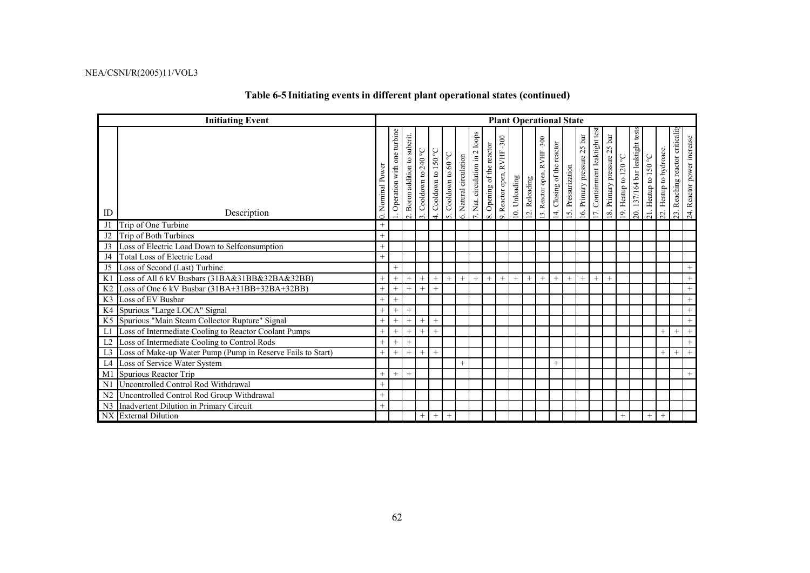# **Table 6-5 Initiating events in different plant operational states (continued)**

|                | <b>Initiating Event</b>                                     | <b>Plant Operational State</b> |                            |                               |                    |                                       |                   |                     |                                        |                           |                                 |               |               |                             |                            |                   |                             |                               |                             |                      |                                |                      |                            |                                 |                               |
|----------------|-------------------------------------------------------------|--------------------------------|----------------------------|-------------------------------|--------------------|---------------------------------------|-------------------|---------------------|----------------------------------------|---------------------------|---------------------------------|---------------|---------------|-----------------------------|----------------------------|-------------------|-----------------------------|-------------------------------|-----------------------------|----------------------|--------------------------------|----------------------|----------------------------|---------------------------------|-------------------------------|
| ID             | Description                                                 | Nominal Power                  | Operation with one turbine | subcrit.<br>Boron addition to | Cooldown to 240 °C | Cooldown to 150 $^{\circ} \mathrm{C}$ | Cooldown to 60 °C | Natural circulation | loops<br>$\sim$<br>Nat. circulation in | 3. Opening of the reactor | $-300$<br>9. Reactor open, RVHF | 10. Unloading | 12. Reloading | 13. Reactor open, RVHF -300 | 14. Closing of the reactor | 5. Pressurization | 16. Primary pressure 25 bar | 17. Containment leaktight tes | 18. Primary pressure 25 bar | 19. Heatup to 120 °C | 20. 137/164 bar leaktight test | 21. Heatup to 150 °C | Heatup to hydroacc.<br>22. | 23. Reaching reactor criticalit | Reactor power increase<br>24. |
| J1             | Trip of One Turbine                                         | $+$                            |                            |                               |                    |                                       |                   |                     |                                        |                           |                                 |               |               |                             |                            |                   |                             |                               |                             |                      |                                |                      |                            |                                 |                               |
| J2             | Trip of Both Turbines                                       | $^{+}$                         |                            |                               |                    |                                       |                   |                     |                                        |                           |                                 |               |               |                             |                            |                   |                             |                               |                             |                      |                                |                      |                            |                                 |                               |
| J3             | Loss of Electric Load Down to Selfconsumption               | $^{+}$                         |                            |                               |                    |                                       |                   |                     |                                        |                           |                                 |               |               |                             |                            |                   |                             |                               |                             |                      |                                |                      |                            |                                 |                               |
| J4             | Total Loss of Electric Load                                 | $^{+}$                         |                            |                               |                    |                                       |                   |                     |                                        |                           |                                 |               |               |                             |                            |                   |                             |                               |                             |                      |                                |                      |                            |                                 |                               |
| J5             | Loss of Second (Last) Turbine                               |                                | $^{+}$                     |                               |                    |                                       |                   |                     |                                        |                           |                                 |               |               |                             |                            |                   |                             |                               |                             |                      |                                |                      |                            |                                 |                               |
| K1             | Loss of All 6 kV Busbars (31BA&31BB&32BA&32BB)              | $^{+}$                         | $+$                        | $^{+}$                        | $^{+}$             | $^{+}$                                | $^{+}$            | $+$                 | $^{+}$                                 | $+$                       | $^{+}$                          | $+$           | $^{+}$        | $+$                         | $^{+}$                     | $+$               | $+$                         | $^{+}$                        | $^{+}$                      |                      |                                |                      |                            |                                 |                               |
| K <sub>2</sub> | Loss of One 6 kV Busbar (31BA+31BB+32BA+32BB)               | $^{+}$                         | $^{+}$                     | $^{+}$                        | $^{+}$             | $^{+}$                                |                   |                     |                                        |                           |                                 |               |               |                             |                            |                   |                             |                               |                             |                      |                                |                      |                            |                                 | $+$                           |
| K <sub>3</sub> | Loss of EV Busbar                                           | $^{+}$                         | $^{+}$                     |                               |                    |                                       |                   |                     |                                        |                           |                                 |               |               |                             |                            |                   |                             |                               |                             |                      |                                |                      |                            |                                 |                               |
| K4             | Spurious "Large LOCA" Signal                                | $^{+}$                         | $^{+}$                     | $^{+}$                        |                    |                                       |                   |                     |                                        |                           |                                 |               |               |                             |                            |                   |                             |                               |                             |                      |                                |                      |                            |                                 | $+$                           |
| K <sub>5</sub> | Spurious "Main Steam Collector Rupture" Signal              | $\ddot{}$                      | $+$                        |                               | $^{+}$             | $^{+}$                                |                   |                     |                                        |                           |                                 |               |               |                             |                            |                   |                             |                               |                             |                      |                                |                      |                            |                                 | $+$                           |
| L1             | Loss of Intermediate Cooling to Reactor Coolant Pumps       | $\ddot{}$                      | $+$                        | $^{+}$                        | $^{+}$             | $^{+}$                                |                   |                     |                                        |                           |                                 |               |               |                             |                            |                   |                             |                               |                             |                      |                                |                      | $^{+}$                     | $\ddot{}$                       | $+$                           |
| L <sub>2</sub> | Loss of Intermediate Cooling to Control Rods                | $^{+}$                         | $+$                        |                               |                    |                                       |                   |                     |                                        |                           |                                 |               |               |                             |                            |                   |                             |                               |                             |                      |                                |                      |                            |                                 | $+$                           |
| L <sub>3</sub> | Loss of Make-up Water Pump (Pump in Reserve Fails to Start) | $^{+}$                         | $+$                        | $^{+}$                        | $^{+}$             | $^{+}$                                |                   |                     |                                        |                           |                                 |               |               |                             |                            |                   |                             |                               |                             |                      |                                |                      | $^{+}$                     | $^{+}$                          |                               |
| L4             | Loss of Service Water System                                |                                |                            |                               |                    |                                       |                   | $^{+}$              |                                        |                           |                                 |               |               |                             | $^{+}$                     |                   |                             |                               |                             |                      |                                |                      |                            |                                 |                               |
| M1             | Spurious Reactor Trip                                       | $^{+}$                         | $^{+}$                     | $^{+}$                        |                    |                                       |                   |                     |                                        |                           |                                 |               |               |                             |                            |                   |                             |                               |                             |                      |                                |                      |                            |                                 |                               |
| N1             | Uncontrolled Control Rod Withdrawal                         | $+$                            |                            |                               |                    |                                       |                   |                     |                                        |                           |                                 |               |               |                             |                            |                   |                             |                               |                             |                      |                                |                      |                            |                                 |                               |
| N <sub>2</sub> | Uncontrolled Control Rod Group Withdrawal                   | $^{+}$                         |                            |                               |                    |                                       |                   |                     |                                        |                           |                                 |               |               |                             |                            |                   |                             |                               |                             |                      |                                |                      |                            |                                 |                               |
| N <sub>3</sub> | Inadvertent Dilution in Primary Circuit                     | $^{+}$                         |                            |                               |                    |                                       |                   |                     |                                        |                           |                                 |               |               |                             |                            |                   |                             |                               |                             |                      |                                |                      |                            |                                 |                               |
|                | NX External Dilution                                        |                                |                            |                               | $^{+}$             | $^{+}$                                | $^{+}$            |                     |                                        |                           |                                 |               |               |                             |                            |                   |                             |                               |                             | $^{+}$               |                                | $^{+}$               | $+$                        |                                 |                               |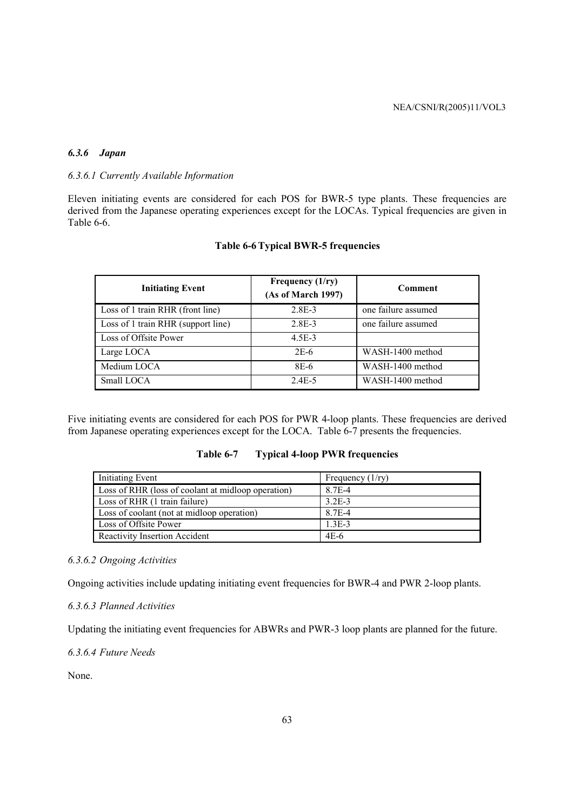## *6.3.6 Japan*

## *6.3.6.1 Currently Available Information*

Eleven initiating events are considered for each POS for BWR-5 type plants. These frequencies are derived from the Japanese operating experiences except for the LOCAs. Typical frequencies are given in Table 6-6.

| <b>Initiating Event</b>            | Frequency $(1/ry)$<br>(As of March 1997) | Comment             |
|------------------------------------|------------------------------------------|---------------------|
| Loss of 1 train RHR (front line)   | $2.8E-3$                                 | one failure assumed |
| Loss of 1 train RHR (support line) | $2.8E-3$                                 | one failure assumed |
| Loss of Offsite Power              | 4.5E-3                                   |                     |
| Large LOCA                         | $2E-6$                                   | WASH-1400 method    |
| Medium LOCA                        | 8E-6                                     | WASH-1400 method    |
| Small LOCA                         | $2.4E-5$                                 | WASH-1400 method    |

#### **Table 6-6 Typical BWR-5 frequencies**

Five initiating events are considered for each POS for PWR 4-loop plants. These frequencies are derived from Japanese operating experiences except for the LOCA. Table 6-7 presents the frequencies.

| <b>Initiating Event</b>                            | Frequency $(1/ry)$ |
|----------------------------------------------------|--------------------|
| Loss of RHR (loss of coolant at midloop operation) | 8.7E-4             |
| Loss of RHR (1 train failure)                      | $3.2E-3$           |
| Loss of coolant (not at midloop operation)         | 8.7E-4             |
| Loss of Offsite Power                              | $1.3E-3$           |
| Reactivity Insertion Accident                      | $4E-6$             |

#### *6.3.6.2 Ongoing Activities*

Ongoing activities include updating initiating event frequencies for BWR-4 and PWR 2-loop plants.

# *6.3.6.3 Planned Activities*

Updating the initiating event frequencies for ABWRs and PWR-3 loop plants are planned for the future.

*6.3.6.4 Future Needs* 

None.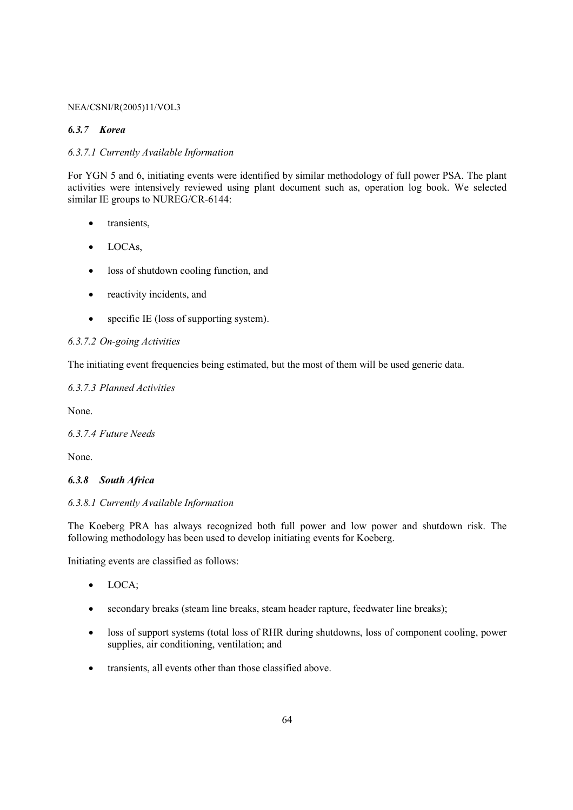### *6.3.7 Korea*

## *6.3.7.1 Currently Available Information*

For YGN 5 and 6, initiating events were identified by similar methodology of full power PSA. The plant activities were intensively reviewed using plant document such as, operation log book. We selected similar IE groups to NUREG/CR-6144:

- transients,
- LOCAs,
- loss of shutdown cooling function, and
- reactivity incidents, and
- specific IE (loss of supporting system).

## *6.3.7.2 On-going Activities*

The initiating event frequencies being estimated, but the most of them will be used generic data.

# *6.3.7.3 Planned Activities*

None.

*6.3.7.4 Future Needs* 

None.

#### *6.3.8 South Africa*

## *6.3.8.1 Currently Available Information*

The Koeberg PRA has always recognized both full power and low power and shutdown risk. The following methodology has been used to develop initiating events for Koeberg.

Initiating events are classified as follows:

- LOCA;
- secondary breaks (steam line breaks, steam header rapture, feedwater line breaks);
- loss of support systems (total loss of RHR during shutdowns, loss of component cooling, power supplies, air conditioning, ventilation; and
- transients, all events other than those classified above.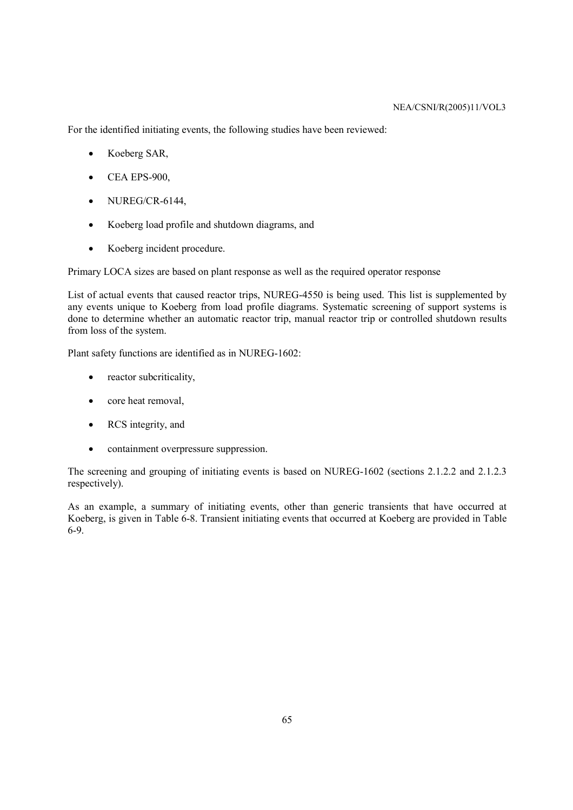For the identified initiating events, the following studies have been reviewed:

- Koeberg SAR,
- CEA EPS-900,
- NUREG/CR-6144,
- Koeberg load profile and shutdown diagrams, and
- Koeberg incident procedure.

Primary LOCA sizes are based on plant response as well as the required operator response

List of actual events that caused reactor trips, NUREG-4550 is being used. This list is supplemented by any events unique to Koeberg from load profile diagrams. Systematic screening of support systems is done to determine whether an automatic reactor trip, manual reactor trip or controlled shutdown results from loss of the system.

Plant safety functions are identified as in NUREG-1602:

- reactor subcriticality,
- core heat removal,
- RCS integrity, and
- containment overpressure suppression.

The screening and grouping of initiating events is based on NUREG-1602 (sections 2.1.2.2 and 2.1.2.3 respectively).

As an example, a summary of initiating events, other than generic transients that have occurred at Koeberg, is given in Table 6-8. Transient initiating events that occurred at Koeberg are provided in Table 6-9.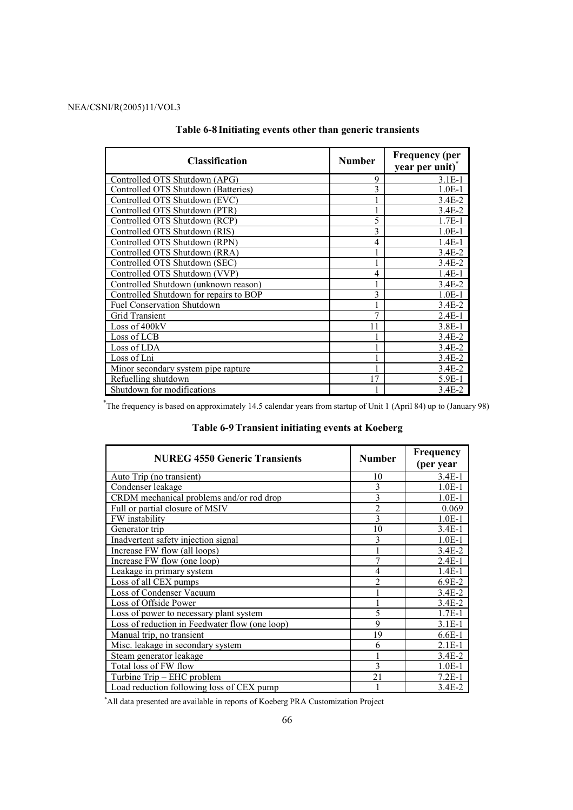| <b>Classification</b>                  | <b>Number</b> | <b>Frequency (per</b><br>year per unit) <sup>*</sup> |
|----------------------------------------|---------------|------------------------------------------------------|
| Controlled OTS Shutdown (APG)          | 9             | $3.1E-1$                                             |
| Controlled OTS Shutdown (Batteries)    | 3             | $1.0E-1$                                             |
| Controlled OTS Shutdown (EVC)          |               | 3.4E-2                                               |
| Controlled OTS Shutdown (PTR)          |               | $3.4E - 2$                                           |
| Controlled OTS Shutdown (RCP)          | 5             | $1.7E-1$                                             |
| Controlled OTS Shutdown (RIS)          | 3             | $1.0E-1$                                             |
| Controlled OTS Shutdown (RPN)          | 4             | $1.4E-1$                                             |
| Controlled OTS Shutdown (RRA)          |               | $3.4E - 2$                                           |
| Controlled OTS Shutdown (SEC)          |               | $3.4E-2$                                             |
| Controlled OTS Shutdown (VVP)          | 4             | $1.4E-1$                                             |
| Controlled Shutdown (unknown reason)   |               | $3.4E-2$                                             |
| Controlled Shutdown for repairs to BOP | 3             | $1.0E-1$                                             |
| <b>Fuel Conservation Shutdown</b>      |               | $3.4E - 2$                                           |
| <b>Grid Transient</b>                  | 7             | $2.4E-1$                                             |
| Loss of 400kV                          | 11            | $3.8E-1$                                             |
| Loss of LCB                            |               | $3.4E-2$                                             |
| Loss of LDA                            |               | $3.4E-2$                                             |
| Loss of Lni                            |               | $3.4E - 2$                                           |
| Minor secondary system pipe rapture.   |               | $3.4E-2$                                             |
| Refuelling shutdown                    | 17            | 5.9E-1                                               |
| Shutdown for modifications             |               | $3.4E - 2$                                           |

# **Table 6-8 Initiating events other than generic transients**

\*The frequency is based on approximately 14.5 calendar years from startup of Unit 1 (April 84) up to (January 98)

# **Table 6-9 Transient initiating events at Koeberg**

| <b>NUREG 4550 Generic Transients</b>           | <b>Number</b>  | Frequency<br>(per year |
|------------------------------------------------|----------------|------------------------|
| Auto Trip (no transient)                       | 10             | $3.4E-1$               |
| Condenser leakage                              | 3              | $1.0E-1$               |
| CRDM mechanical problems and/or rod drop       | $\overline{3}$ | $1.0E-1$               |
| Full or partial closure of MSIV                | $\overline{c}$ | 0.069                  |
| FW instability                                 | 3              | $1.0E-1$               |
| Generator trip                                 | 10             | $3.4E-1$               |
| Inadvertent safety injection signal            | 3              | $1.0E-1$               |
| Increase FW flow (all loops)                   |                | $3.4E-2$               |
| Increase FW flow (one loop)                    | $\overline{7}$ | $2.4E-1$               |
| Leakage in primary system                      | 4              | $1.4E-1$               |
| Loss of all CEX pumps                          | $\overline{c}$ | $6.9E-2$               |
| Loss of Condenser Vacuum                       |                | $3.4E - 2$             |
| Loss of Offside Power                          |                | $3.4E - 2$             |
| Loss of power to necessary plant system        | 5              | $1.7E-1$               |
| Loss of reduction in Feedwater flow (one loop) | 9              | $3.1E-1$               |
| Manual trip, no transient                      | 19             | $6.6E-1$               |
| Misc. leakage in secondary system.             | 6              | $2.1E-1$               |
| Steam generator leakage                        |                | $3.4E - 2$             |
| Total loss of FW flow                          | 3              | $1.0E-1$               |
| Turbine Trip - EHC problem                     | 21             | $7.2E-1$               |
| Load reduction following loss of CEX pump      |                | 3.4E-2                 |

\*All data presented are available in reports of Koeberg PRA Customization Project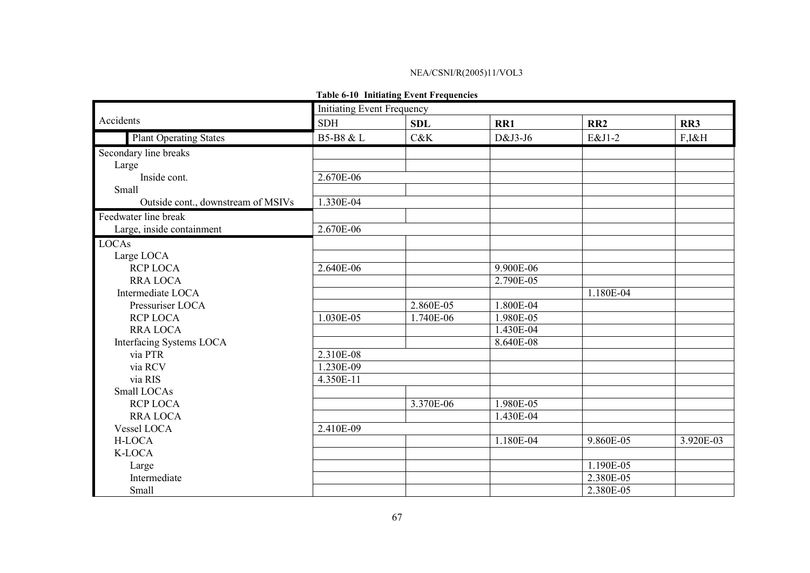### **Table 6-10 Initiating Event Frequencies**

|                                    | <b>Initiating Event Frequency</b> |            |           |                 |           |
|------------------------------------|-----------------------------------|------------|-----------|-----------------|-----------|
| Accidents                          | <b>SDH</b>                        | <b>SDL</b> | RR1       | RR <sub>2</sub> | RR3       |
| <b>Plant Operating States</b>      | B5-B8 & L                         | C&K        | D&J3-J6   | E&J1-2          | F,I&H     |
| Secondary line breaks              |                                   |            |           |                 |           |
| Large                              |                                   |            |           |                 |           |
| Inside cont.                       | 2.670E-06                         |            |           |                 |           |
| Small                              |                                   |            |           |                 |           |
| Outside cont., downstream of MSIVs | 1.330E-04                         |            |           |                 |           |
| Feedwater line break               |                                   |            |           |                 |           |
| Large, inside containment          | 2.670E-06                         |            |           |                 |           |
| LOCAs                              |                                   |            |           |                 |           |
| Large LOCA                         |                                   |            |           |                 |           |
| <b>RCP LOCA</b>                    | 2.640E-06                         |            | 9.900E-06 |                 |           |
| <b>RRA LOCA</b>                    |                                   |            | 2.790E-05 |                 |           |
| Intermediate LOCA                  |                                   |            |           | 1.180E-04       |           |
| Pressuriser LOCA                   |                                   | 2.860E-05  | 1.800E-04 |                 |           |
| <b>RCP LOCA</b>                    | 1.030E-05                         | 1.740E-06  | 1.980E-05 |                 |           |
| <b>RRA LOCA</b>                    |                                   |            | 1.430E-04 |                 |           |
| Interfacing Systems LOCA           |                                   |            | 8.640E-08 |                 |           |
| via PTR                            | 2.310E-08                         |            |           |                 |           |
| via RCV                            | 1.230E-09                         |            |           |                 |           |
| via RIS                            | 4.350E-11                         |            |           |                 |           |
| Small LOCAs                        |                                   |            |           |                 |           |
| <b>RCP LOCA</b>                    |                                   | 3.370E-06  | 1.980E-05 |                 |           |
| <b>RRA LOCA</b>                    |                                   |            | 1.430E-04 |                 |           |
| Vessel LOCA                        | 2.410E-09                         |            |           |                 |           |
| H-LOCA                             |                                   |            | 1.180E-04 | 9.860E-05       | 3.920E-03 |
| K-LOCA                             |                                   |            |           |                 |           |
| Large                              |                                   |            |           | 1.190E-05       |           |
| Intermediate                       |                                   |            |           | 2.380E-05       |           |
| Small                              |                                   |            |           | 2.380E-05       |           |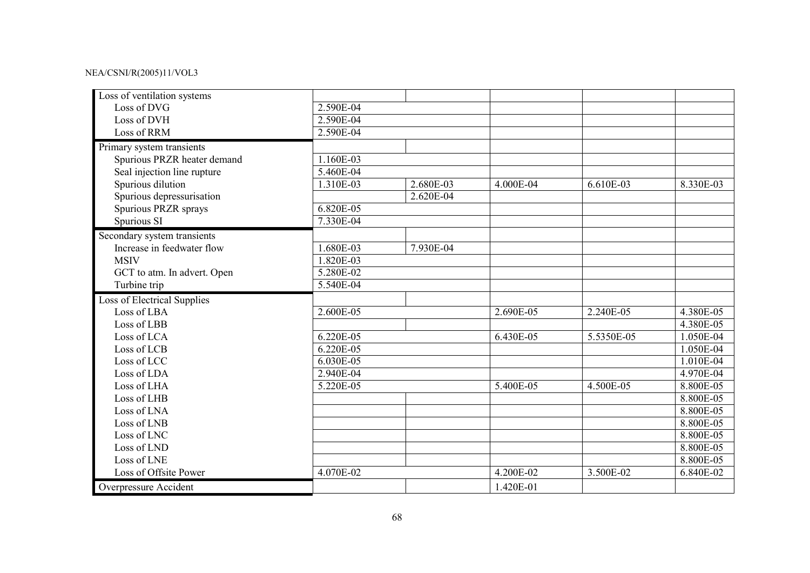| Loss of ventilation systems        |             |           |           |            |           |
|------------------------------------|-------------|-----------|-----------|------------|-----------|
| Loss of DVG                        | 2.590E-04   |           |           |            |           |
| Loss of DVH                        | 2.590E-04   |           |           |            |           |
| Loss of RRM                        | 2.590E-04   |           |           |            |           |
| Primary system transients          |             |           |           |            |           |
| Spurious PRZR heater demand        | 1.160E-03   |           |           |            |           |
| Seal injection line rupture        | 5.460E-04   |           |           |            |           |
| Spurious dilution                  | 1.310E-03   | 2.680E-03 | 4.000E-04 | 6.610E-03  | 8.330E-03 |
| Spurious depressurisation          |             | 2.620E-04 |           |            |           |
| Spurious PRZR sprays               | 6.820E-05   |           |           |            |           |
| Spurious SI                        | 7.330E-04   |           |           |            |           |
| Secondary system transients        |             |           |           |            |           |
| Increase in feedwater flow         | 1.680E-03   | 7.930E-04 |           |            |           |
| <b>MSIV</b>                        | 1.820E-03   |           |           |            |           |
| GCT to atm. In advert. Open        | 5.280E-02   |           |           |            |           |
| Turbine trip                       | 5.540E-04   |           |           |            |           |
| <b>Loss of Electrical Supplies</b> |             |           |           |            |           |
| Loss of LBA                        | 2.600E-05   |           | 2.690E-05 | 2.240E-05  | 4.380E-05 |
| Loss of LBB                        |             |           |           |            | 4.380E-05 |
| Loss of LCA                        | $6.220E-05$ |           | 6.430E-05 | 5.5350E-05 | 1.050E-04 |
| Loss of LCB                        | 6.220E-05   |           |           |            | 1.050E-04 |
| Loss of LCC                        | 6.030E-05   |           |           |            | 1.010E-04 |
| Loss of LDA                        | 2.940E-04   |           |           |            | 4.970E-04 |
| Loss of LHA                        | 5.220E-05   |           | 5.400E-05 | 4.500E-05  | 8.800E-05 |
| Loss of LHB                        |             |           |           |            | 8.800E-05 |
| Loss of LNA                        |             |           |           |            | 8.800E-05 |
| Loss of LNB                        |             |           |           |            | 8.800E-05 |
| Loss of LNC                        |             |           |           |            | 8.800E-05 |
| Loss of LND                        |             |           |           |            | 8.800E-05 |
| Loss of LNE                        |             |           |           |            | 8.800E-05 |
| Loss of Offsite Power              | 4.070E-02   |           | 4.200E-02 | 3.500E-02  | 6.840E-02 |
| Overpressure Accident              |             |           | 1.420E-01 |            |           |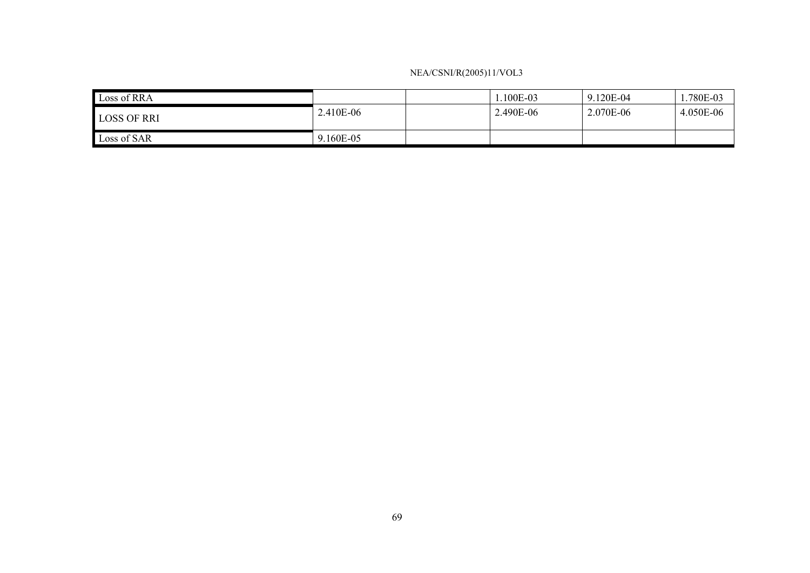| Loss of RRA        |           | 100E-03   | 9.120E-04 | 1.780E-03 |
|--------------------|-----------|-----------|-----------|-----------|
| <b>LOSS OF RRI</b> | 2.410E-06 | 2.490E-06 | 2.070E-06 | 4.050E-06 |
| Loss of SAR        | 9.160E-05 |           |           |           |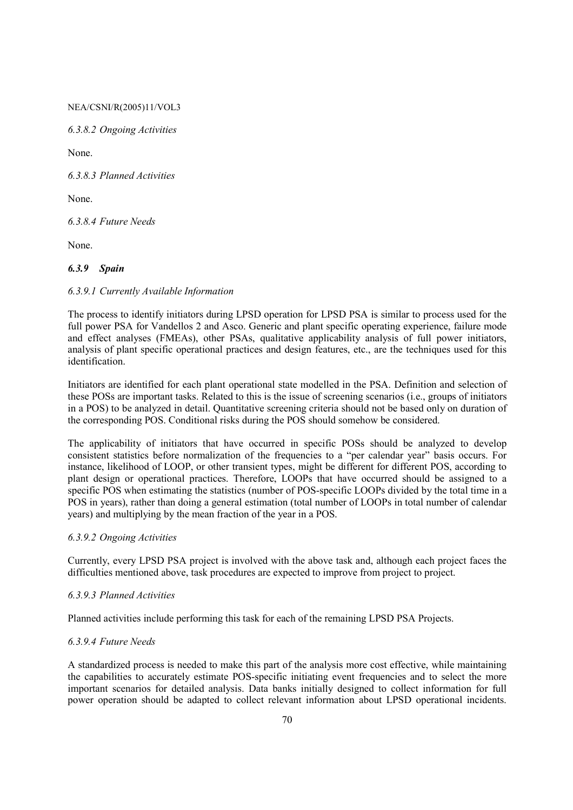*6.3.8.2 Ongoing Activities* 

None.

*6.3.8.3 Planned Activities* 

None.

*6.3.8.4 Future Needs* 

None.

## *6.3.9 Spain*

## *6.3.9.1 Currently Available Information*

The process to identify initiators during LPSD operation for LPSD PSA is similar to process used for the full power PSA for Vandellos 2 and Asco. Generic and plant specific operating experience, failure mode and effect analyses (FMEAs), other PSAs, qualitative applicability analysis of full power initiators, analysis of plant specific operational practices and design features, etc., are the techniques used for this identification.

Initiators are identified for each plant operational state modelled in the PSA. Definition and selection of these POSs are important tasks. Related to this is the issue of screening scenarios (i.e., groups of initiators in a POS) to be analyzed in detail. Quantitative screening criteria should not be based only on duration of the corresponding POS. Conditional risks during the POS should somehow be considered.

The applicability of initiators that have occurred in specific POSs should be analyzed to develop consistent statistics before normalization of the frequencies to a "per calendar year" basis occurs. For instance, likelihood of LOOP, or other transient types, might be different for different POS, according to plant design or operational practices. Therefore, LOOPs that have occurred should be assigned to a specific POS when estimating the statistics (number of POS-specific LOOPs divided by the total time in a POS in years), rather than doing a general estimation (total number of LOOPs in total number of calendar years) and multiplying by the mean fraction of the year in a POS.

#### *6.3.9.2 Ongoing Activities*

Currently, every LPSD PSA project is involved with the above task and, although each project faces the difficulties mentioned above, task procedures are expected to improve from project to project.

#### *6.3.9.3 Planned Activities*

Planned activities include performing this task for each of the remaining LPSD PSA Projects.

#### *6.3.9.4 Future Needs*

A standardized process is needed to make this part of the analysis more cost effective, while maintaining the capabilities to accurately estimate POS-specific initiating event frequencies and to select the more important scenarios for detailed analysis. Data banks initially designed to collect information for full power operation should be adapted to collect relevant information about LPSD operational incidents.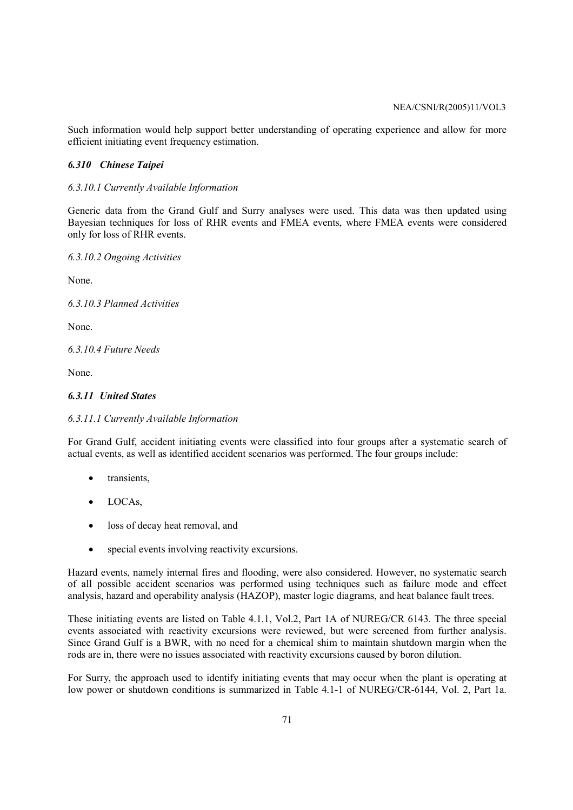Such information would help support better understanding of operating experience and allow for more efficient initiating event frequency estimation.

### *6.310 Chinese Taipei*

### *6.3.10.1 Currently Available Information*

Generic data from the Grand Gulf and Surry analyses were used. This data was then updated using Bayesian techniques for loss of RHR events and FMEA events, where FMEA events were considered only for loss of RHR events.

*6.3.10.2 Ongoing Activities* 

None.

*6.3.10.3 Planned Activities* 

None.

*6.3.10.4 Future Needs* 

None.

# *6.3.11 United States*

#### *6.3.11.1 Currently Available Information*

For Grand Gulf, accident initiating events were classified into four groups after a systematic search of actual events, as well as identified accident scenarios was performed. The four groups include:

- transients,
- LOCAs.
- loss of decay heat removal, and
- special events involving reactivity excursions.

Hazard events, namely internal fires and flooding, were also considered. However, no systematic search of all possible accident scenarios was performed using techniques such as failure mode and effect analysis, hazard and operability analysis (HAZOP), master logic diagrams, and heat balance fault trees.

These initiating events are listed on Table 4.1.1, Vol.2, Part 1A of NUREG/CR 6143. The three special events associated with reactivity excursions were reviewed, but were screened from further analysis. Since Grand Gulf is a BWR, with no need for a chemical shim to maintain shutdown margin when the rods are in, there were no issues associated with reactivity excursions caused by boron dilution.

For Surry, the approach used to identify initiating events that may occur when the plant is operating at low power or shutdown conditions is summarized in Table 4.1-1 of NUREG/CR-6144, Vol. 2, Part 1a.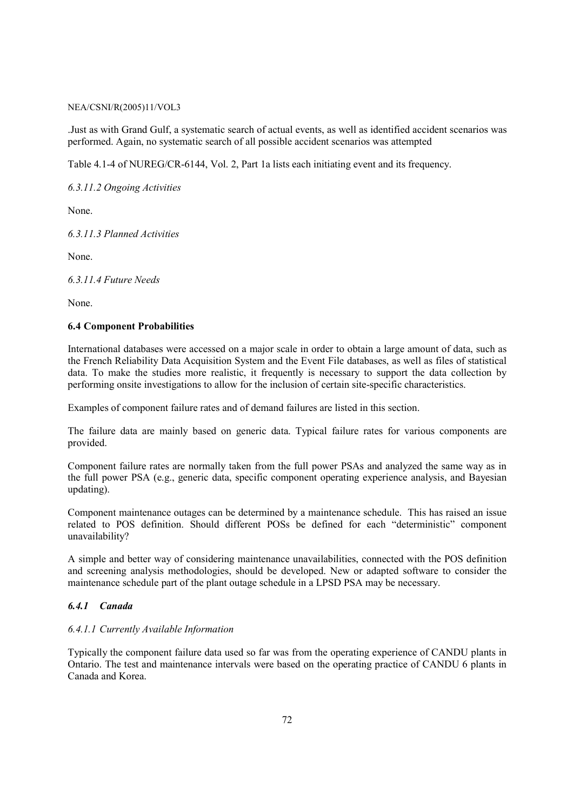.Just as with Grand Gulf, a systematic search of actual events, as well as identified accident scenarios was performed. Again, no systematic search of all possible accident scenarios was attempted

Table 4.1-4 of NUREG/CR-6144, Vol. 2, Part 1a lists each initiating event and its frequency.

*6.3.11.2 Ongoing Activities* 

None.

*6.3.11.3 Planned Activities* 

None.

*6.3.11.4 Future Needs* 

None.

## **6.4 Component Probabilities**

International databases were accessed on a major scale in order to obtain a large amount of data, such as the French Reliability Data Acquisition System and the Event File databases, as well as files of statistical data. To make the studies more realistic, it frequently is necessary to support the data collection by performing onsite investigations to allow for the inclusion of certain site-specific characteristics.

Examples of component failure rates and of demand failures are listed in this section.

The failure data are mainly based on generic data. Typical failure rates for various components are provided.

Component failure rates are normally taken from the full power PSAs and analyzed the same way as in the full power PSA (e.g., generic data, specific component operating experience analysis, and Bayesian updating).

Component maintenance outages can be determined by a maintenance schedule. This has raised an issue related to POS definition. Should different POSs be defined for each "deterministic" component unavailability?

A simple and better way of considering maintenance unavailabilities, connected with the POS definition and screening analysis methodologies, should be developed. New or adapted software to consider the maintenance schedule part of the plant outage schedule in a LPSD PSA may be necessary.

# *6.4.1 Canada*

#### *6.4.1.1 Currently Available Information*

Typically the component failure data used so far was from the operating experience of CANDU plants in Ontario. The test and maintenance intervals were based on the operating practice of CANDU 6 plants in Canada and Korea.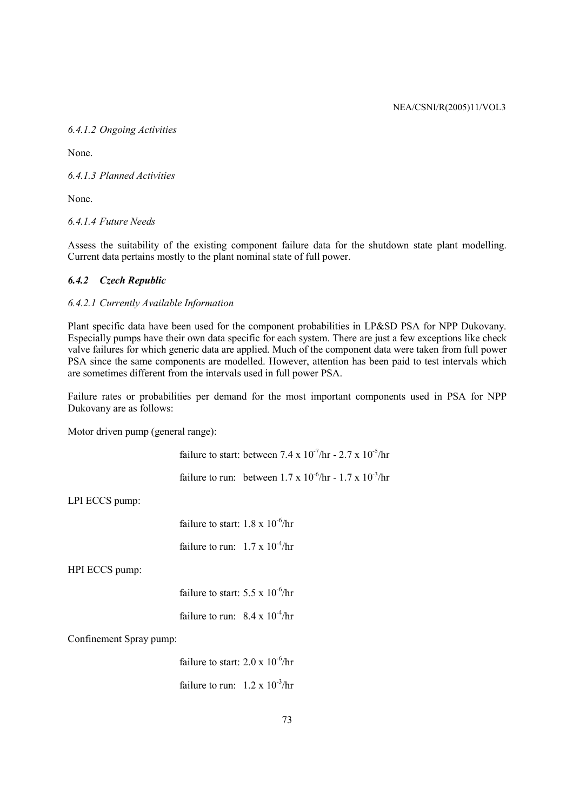# *6.4.1.2 Ongoing Activities*

None.

*6.4.1.3 Planned Activities* 

None.

*6.4.1.4 Future Needs* 

Assess the suitability of the existing component failure data for the shutdown state plant modelling. Current data pertains mostly to the plant nominal state of full power.

# *6.4.2 Czech Republic*

# *6.4.2.1 Currently Available Information*

Plant specific data have been used for the component probabilities in LP&SD PSA for NPP Dukovany. Especially pumps have their own data specific for each system. There are just a few exceptions like check valve failures for which generic data are applied. Much of the component data were taken from full power PSA since the same components are modelled. However, attention has been paid to test intervals which are sometimes different from the intervals used in full power PSA.

Failure rates or probabilities per demand for the most important components used in PSA for NPP Dukovany are as follows:

Motor driven pump (general range):

failure to start: between  $7.4 \times 10^{-7}$ /hr -  $2.7 \times 10^{-5}$ /hr

failure to run: between  $1.7 \times 10^{-6}$ /hr -  $1.7 \times 10^{-3}$ /hr

LPI ECCS pump:

failure to start:  $1.8 \times 10^{-6}$ /hr

failure to run:  $1.7 \times 10^{-4}$ /hr

HPI ECCS pump:

failure to start:  $5.5 \times 10^{-6}$ /hr failure to run:  $8.4 \times 10^{-4}$ /hr

Confinement Spray pump:

failure to start:  $2.0 \times 10^{-6}$ /hr failure to run:  $1.2 \times 10^{-3}$ /hr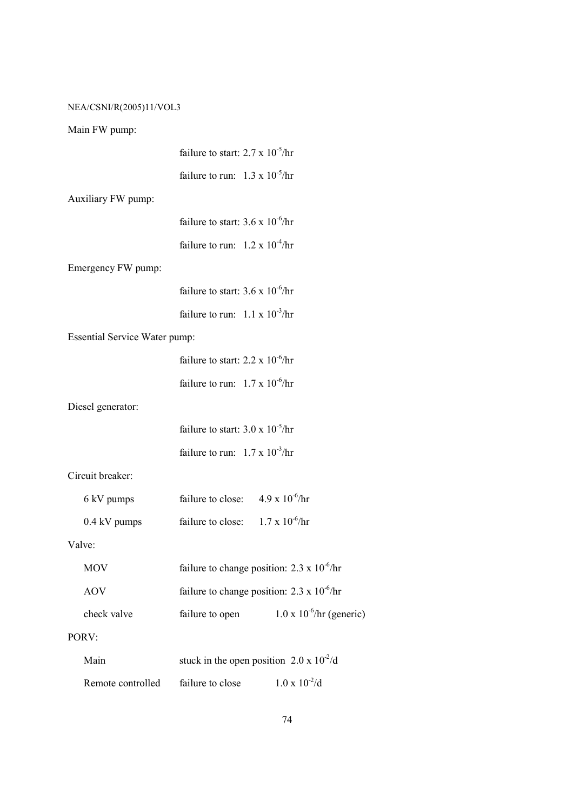# Main FW pump:

|                                      | failure to start: $2.7 \times 10^{-5}$ /hr           |                                    |
|--------------------------------------|------------------------------------------------------|------------------------------------|
|                                      | failure to run: $1.3 \times 10^{-5}/hr$              |                                    |
| Auxiliary FW pump:                   |                                                      |                                    |
|                                      | failure to start: $3.6 \times 10^{-6}$ /hr           |                                    |
|                                      | failure to run: $1.2 \times 10^{-4}$ /hr             |                                    |
| Emergency FW pump:                   |                                                      |                                    |
|                                      | failure to start: $3.6 \times 10^{-6}$ /hr           |                                    |
|                                      | failure to run: $1.1 \times 10^{-3}$ /hr             |                                    |
| <b>Essential Service Water pump:</b> |                                                      |                                    |
|                                      | failure to start: $2.2 \times 10^{-6}$ /hr           |                                    |
|                                      | failure to run: $1.7 \times 10^{-6}$ /hr             |                                    |
| Diesel generator:                    |                                                      |                                    |
|                                      | failure to start: $3.0 \times 10^{-5}$ /hr           |                                    |
|                                      | failure to run: $1.7 \times 10^{-3}$ /hr             |                                    |
| Circuit breaker:                     |                                                      |                                    |
| 6 kV pumps                           | failure to close: $4.9 \times 10^{-6}$ /hr           |                                    |
| 0.4 kV pumps                         | failure to close: $1.7 \times 10^{-6}$ /hr           |                                    |
| Valve:                               |                                                      |                                    |
| <b>MOV</b>                           | failure to change position: $2.3 \times 10^{-6}$ /hr |                                    |
| <b>AOV</b>                           | failure to change position: $2.3 \times 10^{-6}$ /hr |                                    |
| check valve                          | failure to open                                      | $1.0 \times 10^{-6}$ /hr (generic) |
| PORV:                                |                                                      |                                    |
| Main                                 | stuck in the open position $2.0 \times 10^{-2}/d$    |                                    |
| Remote controlled                    | failure to close                                     | $1.0 \times 10^{-2}$ /d            |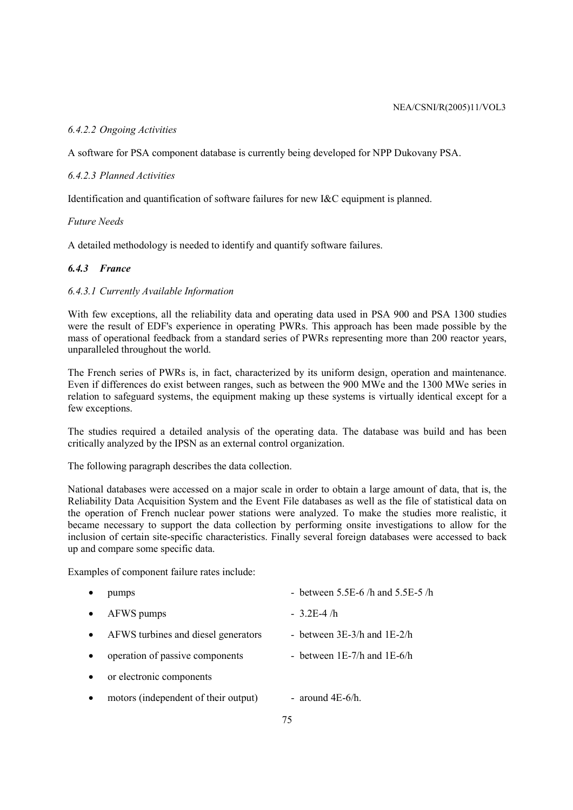# *6.4.2.2 Ongoing Activities*

A software for PSA component database is currently being developed for NPP Dukovany PSA.

# *6.4.2.3 Planned Activities*

Identification and quantification of software failures for new I&C equipment is planned.

# *Future Needs*

A detailed methodology is needed to identify and quantify software failures.

# *6.4.3 France*

# *6.4.3.1 Currently Available Information*

With few exceptions, all the reliability data and operating data used in PSA 900 and PSA 1300 studies were the result of EDF's experience in operating PWRs. This approach has been made possible by the mass of operational feedback from a standard series of PWRs representing more than 200 reactor years, unparalleled throughout the world.

The French series of PWRs is, in fact, characterized by its uniform design, operation and maintenance. Even if differences do exist between ranges, such as between the 900 MWe and the 1300 MWe series in relation to safeguard systems, the equipment making up these systems is virtually identical except for a few exceptions.

The studies required a detailed analysis of the operating data. The database was build and has been critically analyzed by the IPSN as an external control organization.

The following paragraph describes the data collection.

National databases were accessed on a major scale in order to obtain a large amount of data, that is, the Reliability Data Acquisition System and the Event File databases as well as the file of statistical data on the operation of French nuclear power stations were analyzed. To make the studies more realistic, it became necessary to support the data collection by performing onsite investigations to allow for the inclusion of certain site-specific characteristics. Finally several foreign databases were accessed to back up and compare some specific data.

Examples of component failure rates include:

| pumps                                | - between $5.5E-6$ /h and $5.5E-5$ /h |
|--------------------------------------|---------------------------------------|
| AFWS pumps                           | $-3.2E-4/h$                           |
| AFWS turbines and diesel generators  | - between $3E-3/h$ and $1E-2/h$       |
| operation of passive components      | - between $1E-7/h$ and $1E-6/h$       |
| or electronic components             |                                       |
| motors (independent of their output) | - around $4E-6/h$ .                   |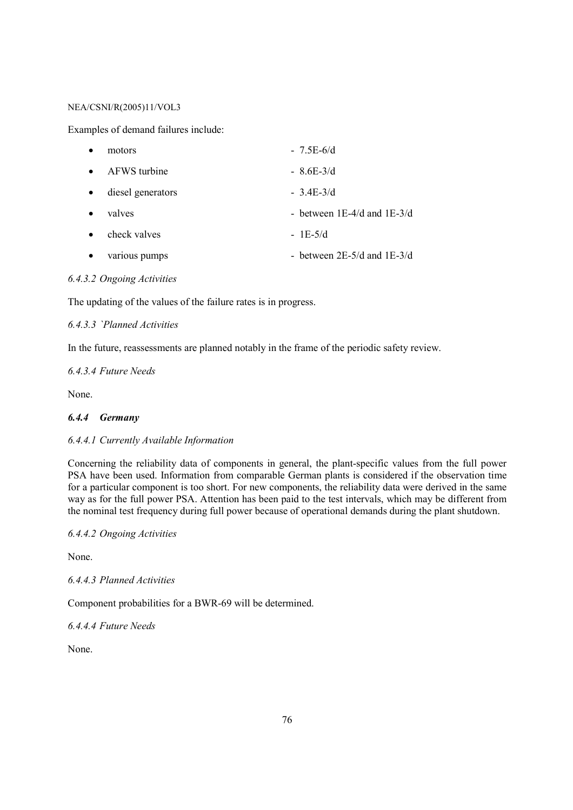Examples of demand failures include:

| $\bullet$ | motors            | $-7.5E-6/d$                     |
|-----------|-------------------|---------------------------------|
| $\bullet$ | AFWS turbine      | $-8.6E-3/d$                     |
| $\bullet$ | diesel generators | $-3.4E-3/d$                     |
| $\bullet$ | valves            | - between $1E-4/d$ and $1E-3/d$ |
| $\bullet$ | check valves      | $-1E-5/d$                       |
| $\bullet$ | various pumps     | - between $2E-5/d$ and $1E-3/d$ |

# *6.4.3.2 Ongoing Activities*

The updating of the values of the failure rates is in progress.

# *6.4.3.3 `Planned Activities*

In the future, reassessments are planned notably in the frame of the periodic safety review.

# *6.4.3.4 Future Needs*

None.

# *6.4.4 Germany*

# *6.4.4.1 Currently Available Information*

Concerning the reliability data of components in general, the plant-specific values from the full power PSA have been used. Information from comparable German plants is considered if the observation time for a particular component is too short. For new components, the reliability data were derived in the same way as for the full power PSA. Attention has been paid to the test intervals, which may be different from the nominal test frequency during full power because of operational demands during the plant shutdown.

# *6.4.4.2 Ongoing Activities*

None.

# *6.4.4.3 Planned Activities*

Component probabilities for a BWR-69 will be determined.

*6.4.4.4 Future Needs* 

None.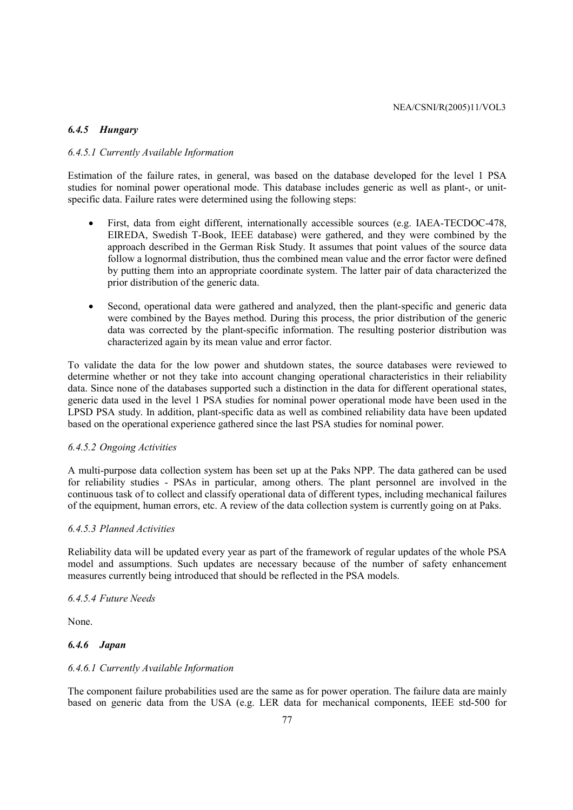### *6.4.5 Hungary*

# *6.4.5.1 Currently Available Information*

Estimation of the failure rates, in general, was based on the database developed for the level 1 PSA studies for nominal power operational mode. This database includes generic as well as plant-, or unitspecific data. Failure rates were determined using the following steps:

- First, data from eight different, internationally accessible sources (e.g. IAEA-TECDOC-478, EIREDA, Swedish T-Book, IEEE database) were gathered, and they were combined by the approach described in the German Risk Study. It assumes that point values of the source data follow a lognormal distribution, thus the combined mean value and the error factor were defined by putting them into an appropriate coordinate system. The latter pair of data characterized the prior distribution of the generic data.
- Second, operational data were gathered and analyzed, then the plant-specific and generic data were combined by the Bayes method. During this process, the prior distribution of the generic data was corrected by the plant-specific information. The resulting posterior distribution was characterized again by its mean value and error factor.

To validate the data for the low power and shutdown states, the source databases were reviewed to determine whether or not they take into account changing operational characteristics in their reliability data. Since none of the databases supported such a distinction in the data for different operational states, generic data used in the level 1 PSA studies for nominal power operational mode have been used in the LPSD PSA study. In addition, plant-specific data as well as combined reliability data have been updated based on the operational experience gathered since the last PSA studies for nominal power.

#### *6.4.5.2 Ongoing Activities*

A multi-purpose data collection system has been set up at the Paks NPP. The data gathered can be used for reliability studies - PSAs in particular, among others. The plant personnel are involved in the continuous task of to collect and classify operational data of different types, including mechanical failures of the equipment, human errors, etc. A review of the data collection system is currently going on at Paks.

### *6.4.5.3 Planned Activities*

Reliability data will be updated every year as part of the framework of regular updates of the whole PSA model and assumptions. Such updates are necessary because of the number of safety enhancement measures currently being introduced that should be reflected in the PSA models.

#### *6.4.5.4 Future Needs*

None.

### *6.4.6 Japan*

### *6.4.6.1 Currently Available Information*

The component failure probabilities used are the same as for power operation. The failure data are mainly based on generic data from the USA (e.g. LER data for mechanical components, IEEE std-500 for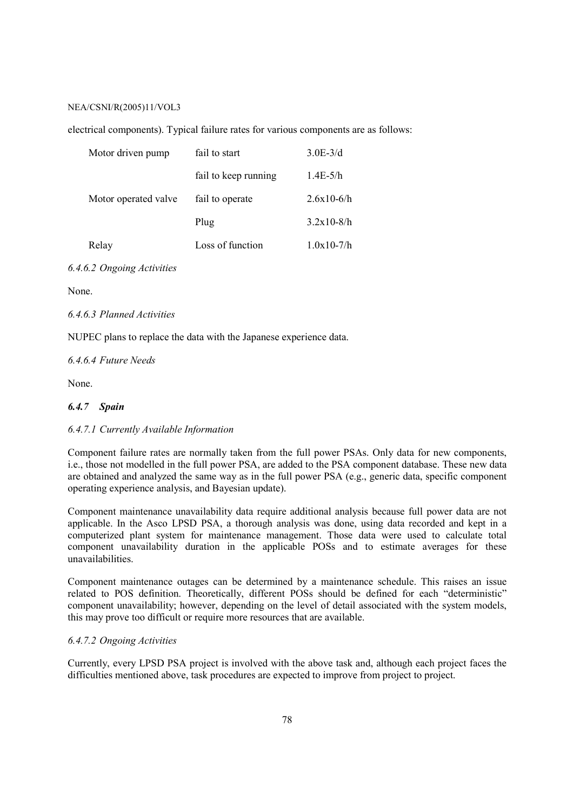electrical components). Typical failure rates for various components are as follows:

| Motor driven pump    | fail to start        | $3.0E-3/d$   |
|----------------------|----------------------|--------------|
|                      | fail to keep running | $1.4E-5/h$   |
| Motor operated valve | fail to operate      | $2.6x10-6/h$ |
|                      | Plug                 | $3.2x10-8/h$ |
| Relay                | Loss of function     | $1.0x10-7/h$ |

### *6.4.6.2 Ongoing Activities*

None.

### *6.4.6.3 Planned Activities*

NUPEC plans to replace the data with the Japanese experience data.

*6.4.6.4 Future Needs* 

None.

#### *6.4.7 Spain*

### *6.4.7.1 Currently Available Information*

Component failure rates are normally taken from the full power PSAs. Only data for new components, i.e., those not modelled in the full power PSA, are added to the PSA component database. These new data are obtained and analyzed the same way as in the full power PSA (e.g., generic data, specific component operating experience analysis, and Bayesian update).

Component maintenance unavailability data require additional analysis because full power data are not applicable. In the Asco LPSD PSA, a thorough analysis was done, using data recorded and kept in a computerized plant system for maintenance management. Those data were used to calculate total component unavailability duration in the applicable POSs and to estimate averages for these unavailabilities.

Component maintenance outages can be determined by a maintenance schedule. This raises an issue related to POS definition. Theoretically, different POSs should be defined for each "deterministic" component unavailability; however, depending on the level of detail associated with the system models, this may prove too difficult or require more resources that are available.

### *6.4.7.2 Ongoing Activities*

Currently, every LPSD PSA project is involved with the above task and, although each project faces the difficulties mentioned above, task procedures are expected to improve from project to project.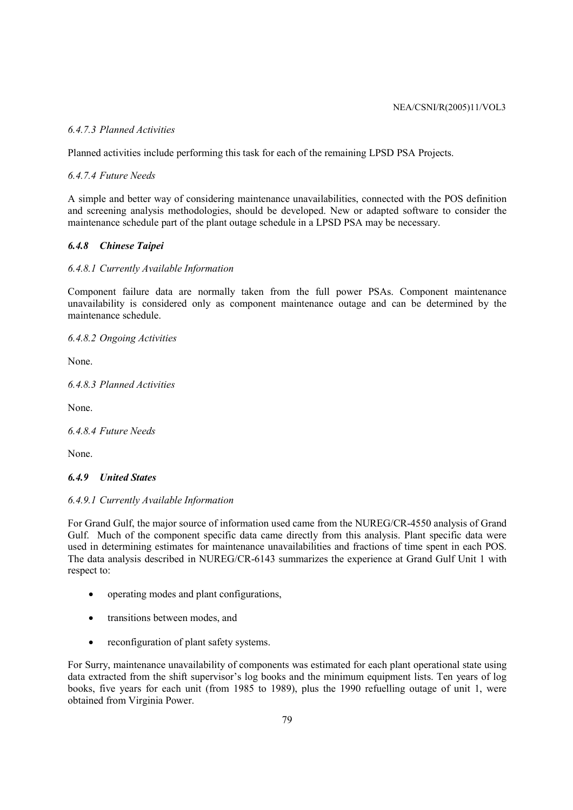# *6.4.7.3 Planned Activities*

Planned activities include performing this task for each of the remaining LPSD PSA Projects.

*6.4.7.4 Future Needs* 

A simple and better way of considering maintenance unavailabilities, connected with the POS definition and screening analysis methodologies, should be developed. New or adapted software to consider the maintenance schedule part of the plant outage schedule in a LPSD PSA may be necessary.

# *6.4.8 Chinese Taipei*

# *6.4.8.1 Currently Available Information*

Component failure data are normally taken from the full power PSAs. Component maintenance unavailability is considered only as component maintenance outage and can be determined by the maintenance schedule.

*6.4.8.2 Ongoing Activities* 

None.

*6.4.8.3 Planned Activities* 

None.

*6.4.8.4 Future Needs* 

None.

# *6.4.9 United States*

# *6.4.9.1 Currently Available Information*

For Grand Gulf, the major source of information used came from the NUREG/CR-4550 analysis of Grand Gulf. Much of the component specific data came directly from this analysis. Plant specific data were used in determining estimates for maintenance unavailabilities and fractions of time spent in each POS. The data analysis described in NUREG/CR-6143 summarizes the experience at Grand Gulf Unit 1 with respect to:

- operating modes and plant configurations,
- transitions between modes, and
- reconfiguration of plant safety systems.

For Surry, maintenance unavailability of components was estimated for each plant operational state using data extracted from the shift supervisor's log books and the minimum equipment lists. Ten years of log books, five years for each unit (from 1985 to 1989), plus the 1990 refuelling outage of unit 1, were obtained from Virginia Power.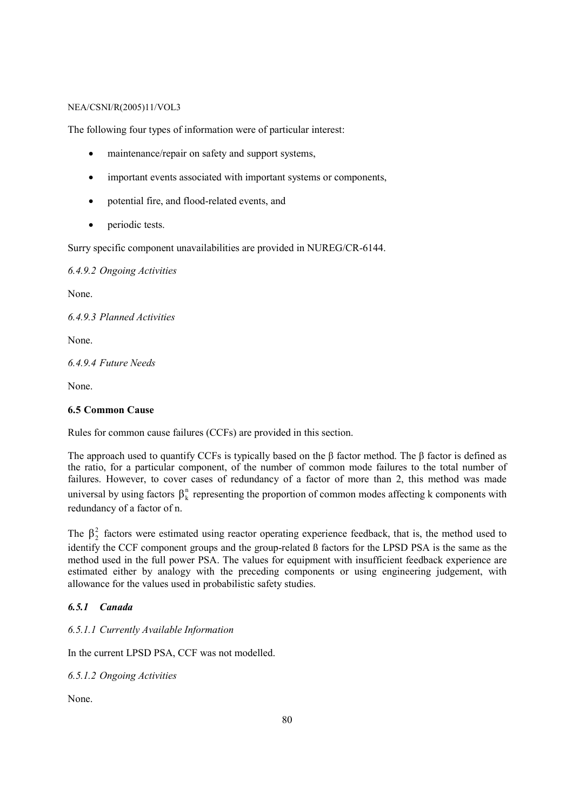The following four types of information were of particular interest:

- maintenance/repair on safety and support systems,
- important events associated with important systems or components,
- potential fire, and flood-related events, and
- periodic tests.

Surry specific component unavailabilities are provided in NUREG/CR-6144.

*6.4.9.2 Ongoing Activities* 

None.

*6.4.9.3 Planned Activities* 

None.

*6.4.9.4 Future Needs* 

None.

# **6.5 Common Cause**

Rules for common cause failures (CCFs) are provided in this section.

The approach used to quantify CCFs is typically based on the  $\beta$  factor method. The  $\beta$  factor is defined as the ratio, for a particular component, of the number of common mode failures to the total number of failures. However, to cover cases of redundancy of a factor of more than 2, this method was made universal by using factors  $\beta_k^n$  representing the proportion of common modes affecting k components with redundancy of a factor of n.

The  $\beta_2^2$  factors were estimated using reactor operating experience feedback, that is, the method used to identify the CCF component groups and the group-related ß factors for the LPSD PSA is the same as the method used in the full power PSA. The values for equipment with insufficient feedback experience are estimated either by analogy with the preceding components or using engineering judgement, with allowance for the values used in probabilistic safety studies.

# *6.5.1 Canada*

*6.5.1.1 Currently Available Information* 

In the current LPSD PSA, CCF was not modelled.

*6.5.1.2 Ongoing Activities* 

None.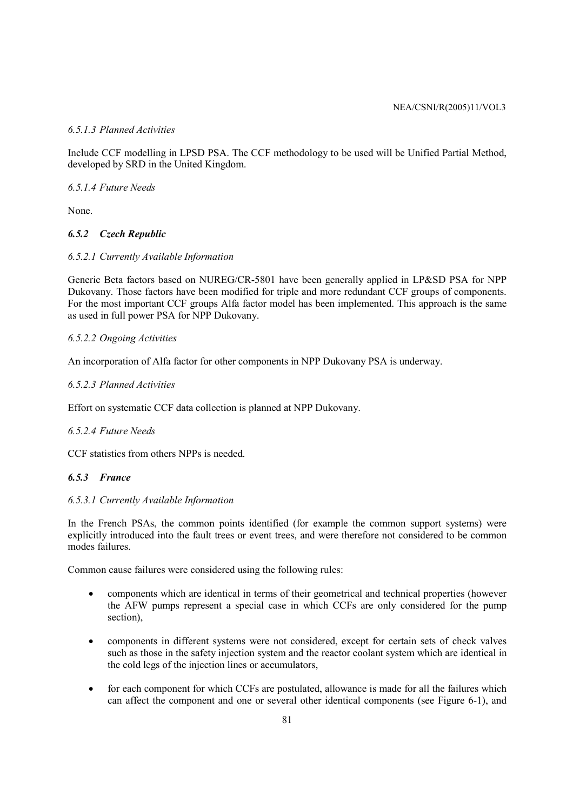# *6.5.1.3 Planned Activities*

Include CCF modelling in LPSD PSA. The CCF methodology to be used will be Unified Partial Method, developed by SRD in the United Kingdom.

*6.5.1.4 Future Needs* 

None.

# *6.5.2 Czech Republic*

# *6.5.2.1 Currently Available Information*

Generic Beta factors based on NUREG/CR-5801 have been generally applied in LP&SD PSA for NPP Dukovany. Those factors have been modified for triple and more redundant CCF groups of components. For the most important CCF groups Alfa factor model has been implemented. This approach is the same as used in full power PSA for NPP Dukovany.

# *6.5.2.2 Ongoing Activities*

An incorporation of Alfa factor for other components in NPP Dukovany PSA is underway.

# *6.5.2.3 Planned Activities*

Effort on systematic CCF data collection is planned at NPP Dukovany.

### *6.5.2.4 Future Needs*

CCF statistics from others NPPs is needed.

### *6.5.3 France*

# *6.5.3.1 Currently Available Information*

In the French PSAs, the common points identified (for example the common support systems) were explicitly introduced into the fault trees or event trees, and were therefore not considered to be common modes failures.

Common cause failures were considered using the following rules:

- components which are identical in terms of their geometrical and technical properties (however the AFW pumps represent a special case in which CCFs are only considered for the pump section),
- components in different systems were not considered, except for certain sets of check valves such as those in the safety injection system and the reactor coolant system which are identical in the cold legs of the injection lines or accumulators,
- for each component for which CCFs are postulated, allowance is made for all the failures which can affect the component and one or several other identical components (see Figure 6-1), and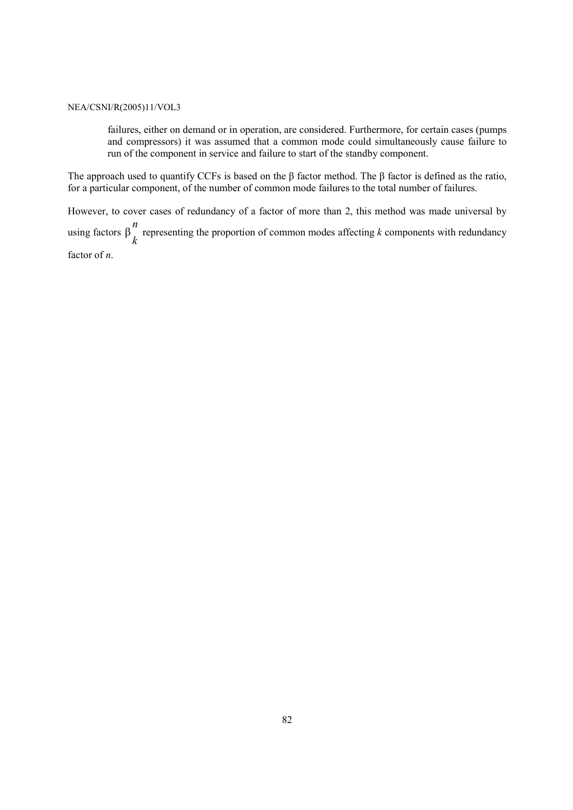failures, either on demand or in operation, are considered. Furthermore, for certain cases (pumps and compressors) it was assumed that a common mode could simultaneously cause failure to run of the component in service and failure to start of the standby component.

The approach used to quantify CCFs is based on the β factor method. The β factor is defined as the ratio, for a particular component, of the number of common mode failures to the total number of failures.

However, to cover cases of redundancy of a factor of more than 2, this method was made universal by using factors  $\beta \over k$ *n*  $β''$  representing the proportion of common modes affecting *k* components with redundancy factor of *n*.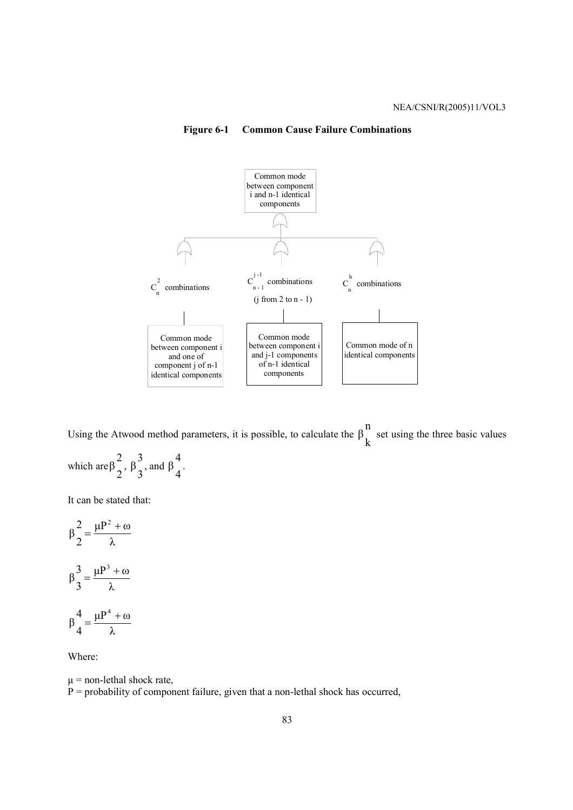# **Figure 6-1 Common Cause Failure Combinations**



Using the Atwood method parameters, it is possible, to calculate the  $\beta \over k$ n  $β<sub>1</sub><sup>π</sup>$  set using the three basic values

which are 
$$
\beta \frac{2}{2}
$$
,  $\beta \frac{3}{3}$ , and  $\beta \frac{4}{4}$ .

It can be stated that:

$$
\beta \frac{2}{2} = \frac{\mu P^2 + \omega}{\lambda}
$$

$$
\beta \frac{3}{3} = \frac{\mu P^3 + \omega}{\lambda}
$$

$$
\beta \frac{4}{4} = \frac{\mu P^4 + \omega}{\lambda}
$$

Where:

 $\mu$  = non-lethal shock rate,  $P =$  probability of component failure, given that a non-lethal shock has occurred,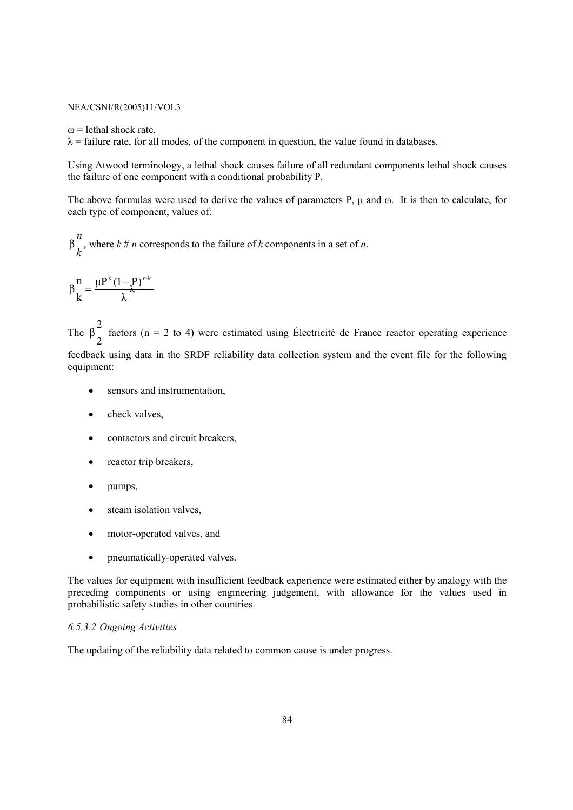$\omega$  = lethal shock rate.

 $\lambda$  = failure rate, for all modes, of the component in question, the value found in databases.

Using Atwood terminology, a lethal shock causes failure of all redundant components lethal shock causes the failure of one component with a conditional probability P.

The above formulas were used to derive the values of parameters P,  $\mu$  and  $\omega$ . It is then to calculate, for each type of component, values of:

*k n*  $β''$ , where  $k \neq n$  corresponds to the failure of  $k$  components in a set of  $n$ .

$$
\beta\frac{n}{k}=\frac{\mu P^k\left(1-P\right)^{n\cdot k}}{\lambda}
$$

The 2 2  $β_$  factors (n = 2 to 4) were estimated using Électricité de France reactor operating experience

feedback using data in the SRDF reliability data collection system and the event file for the following equipment:

- sensors and instrumentation,
- check valves,
- contactors and circuit breakers,
- reactor trip breakers.
- pumps,
- steam isolation valves,
- motor-operated valves, and
- pneumatically-operated valves.

The values for equipment with insufficient feedback experience were estimated either by analogy with the preceding components or using engineering judgement, with allowance for the values used in probabilistic safety studies in other countries.

# *6.5.3.2 Ongoing Activities*

The updating of the reliability data related to common cause is under progress.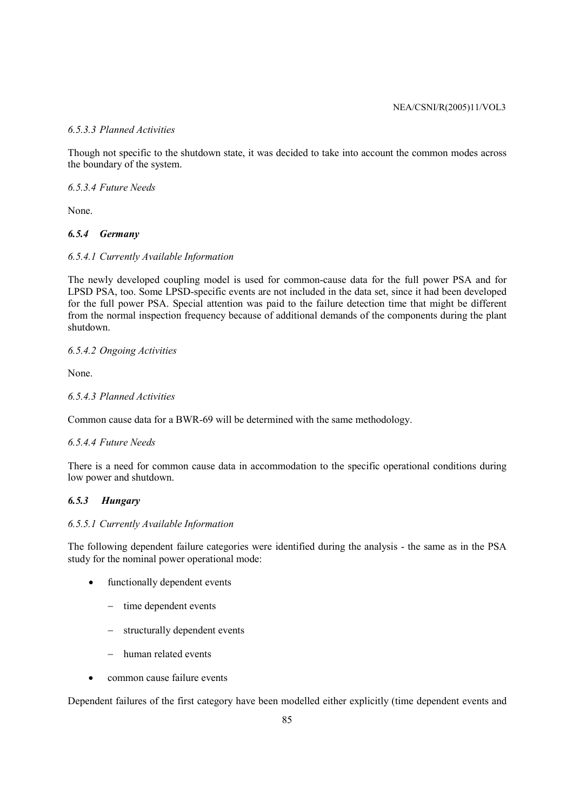# *6.5.3.3 Planned Activities*

Though not specific to the shutdown state, it was decided to take into account the common modes across the boundary of the system.

*6.5.3.4 Future Needs* 

None.

# *6.5.4 Germany*

# *6.5.4.1 Currently Available Information*

The newly developed coupling model is used for common-cause data for the full power PSA and for LPSD PSA, too. Some LPSD-specific events are not included in the data set, since it had been developed for the full power PSA. Special attention was paid to the failure detection time that might be different from the normal inspection frequency because of additional demands of the components during the plant shutdown.

# *6.5.4.2 Ongoing Activities*

None.

# *6.5.4.3 Planned Activities*

Common cause data for a BWR-69 will be determined with the same methodology.

### *6.5.4.4 Future Needs*

There is a need for common cause data in accommodation to the specific operational conditions during low power and shutdown.

# *6.5.3 Hungary*

### *6.5.5.1 Currently Available Information*

The following dependent failure categories were identified during the analysis - the same as in the PSA study for the nominal power operational mode:

- functionally dependent events
	- − time dependent events
	- − structurally dependent events
	- − human related events
- common cause failure events

Dependent failures of the first category have been modelled either explicitly (time dependent events and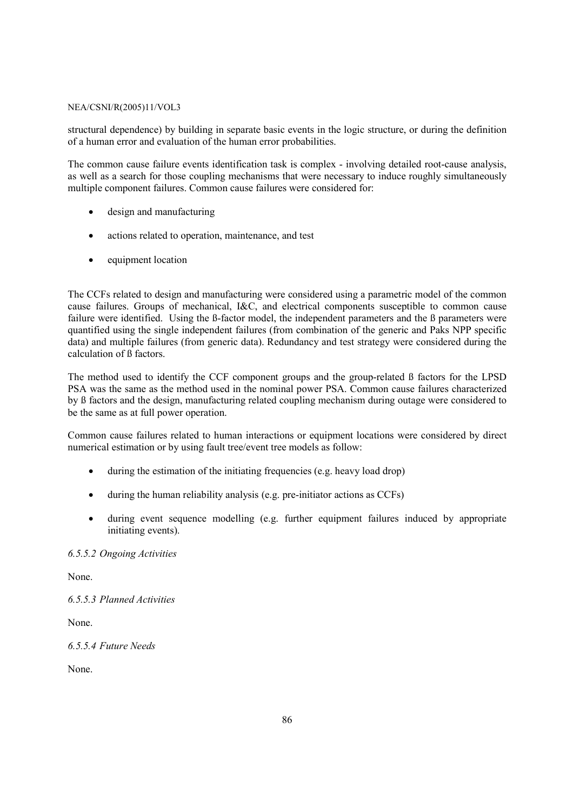structural dependence) by building in separate basic events in the logic structure, or during the definition of a human error and evaluation of the human error probabilities.

The common cause failure events identification task is complex - involving detailed root-cause analysis, as well as a search for those coupling mechanisms that were necessary to induce roughly simultaneously multiple component failures. Common cause failures were considered for:

- design and manufacturing
- actions related to operation, maintenance, and test
- equipment location

The CCFs related to design and manufacturing were considered using a parametric model of the common cause failures. Groups of mechanical, I&C, and electrical components susceptible to common cause failure were identified. Using the ß-factor model, the independent parameters and the ß parameters were quantified using the single independent failures (from combination of the generic and Paks NPP specific data) and multiple failures (from generic data). Redundancy and test strategy were considered during the calculation of ß factors.

The method used to identify the CCF component groups and the group-related ß factors for the LPSD PSA was the same as the method used in the nominal power PSA. Common cause failures characterized by ß factors and the design, manufacturing related coupling mechanism during outage were considered to be the same as at full power operation.

Common cause failures related to human interactions or equipment locations were considered by direct numerical estimation or by using fault tree/event tree models as follow:

- during the estimation of the initiating frequencies (e.g. heavy load drop)
- during the human reliability analysis (e.g. pre-initiator actions as CCFs)
- during event sequence modelling (e.g. further equipment failures induced by appropriate initiating events).

### *6.5.5.2 Ongoing Activities*

None.

*6.5.5.3 Planned Activities* 

None.

*6.5.5.4 Future Needs* 

None.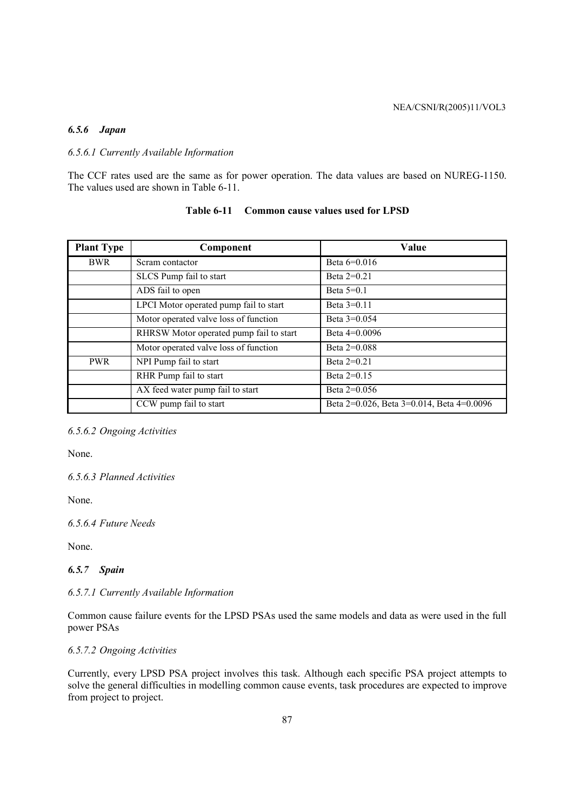### *6.5.6 Japan*

# *6.5.6.1 Currently Available Information*

The CCF rates used are the same as for power operation. The data values are based on NUREG-1150. The values used are shown in Table 6-11.

| <b>Plant Type</b> | Component                               | Value                                     |
|-------------------|-----------------------------------------|-------------------------------------------|
| <b>BWR</b>        | Scram contactor                         | Beta $6=0.016$                            |
|                   | SLCS Pump fail to start                 | Beta $2=0.21$                             |
|                   | ADS fail to open                        | Beta $5=0.1$                              |
|                   | LPCI Motor operated pump fail to start  | Beta $3=0.11$                             |
|                   | Motor operated valve loss of function   | Beta $3=0.054$                            |
|                   | RHRSW Motor operated pump fail to start | Beta $4=0.0096$                           |
|                   | Motor operated valve loss of function   | Beta $2=0.088$                            |
| <b>PWR</b>        | NPI Pump fail to start                  | Beta $2=0.21$                             |
|                   | RHR Pump fail to start                  | Beta $2=0.15$                             |
|                   | AX feed water pump fail to start        | Beta $2=0.056$                            |
|                   | CCW pump fail to start                  | Beta 2=0.026, Beta 3=0.014, Beta 4=0.0096 |

# **Table 6-11 Common cause values used for LPSD**

# *6.5.6.2 Ongoing Activities*

None.

*6.5.6.3 Planned Activities* 

None.

# *6.5.6.4 Future Needs*

None.

### *6.5.7 Spain*

### *6.5.7.1 Currently Available Information*

Common cause failure events for the LPSD PSAs used the same models and data as were used in the full power PSAs

# *6.5.7.2 Ongoing Activities*

Currently, every LPSD PSA project involves this task. Although each specific PSA project attempts to solve the general difficulties in modelling common cause events, task procedures are expected to improve from project to project.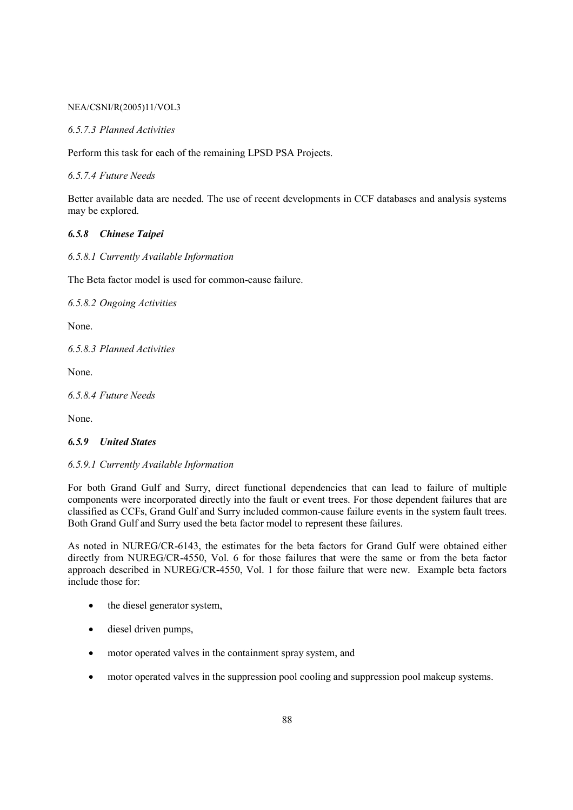### *6.5.7.3 Planned Activities*

Perform this task for each of the remaining LPSD PSA Projects.

*6.5.7.4 Future Needs* 

Better available data are needed. The use of recent developments in CCF databases and analysis systems may be explored.

# *6.5.8 Chinese Taipei*

*6.5.8.1 Currently Available Information* 

The Beta factor model is used for common-cause failure.

*6.5.8.2 Ongoing Activities* 

None.

*6.5.8.3 Planned Activities* 

None.

*6.5.8.4 Future Needs* 

None.

# *6.5.9 United States*

### *6.5.9.1 Currently Available Information*

For both Grand Gulf and Surry, direct functional dependencies that can lead to failure of multiple components were incorporated directly into the fault or event trees. For those dependent failures that are classified as CCFs, Grand Gulf and Surry included common-cause failure events in the system fault trees. Both Grand Gulf and Surry used the beta factor model to represent these failures.

As noted in NUREG/CR-6143, the estimates for the beta factors for Grand Gulf were obtained either directly from NUREG/CR-4550, Vol. 6 for those failures that were the same or from the beta factor approach described in NUREG/CR-4550, Vol. 1 for those failure that were new. Example beta factors include those for:

- the diesel generator system,
- diesel driven pumps,
- motor operated valves in the containment spray system, and
- motor operated valves in the suppression pool cooling and suppression pool makeup systems.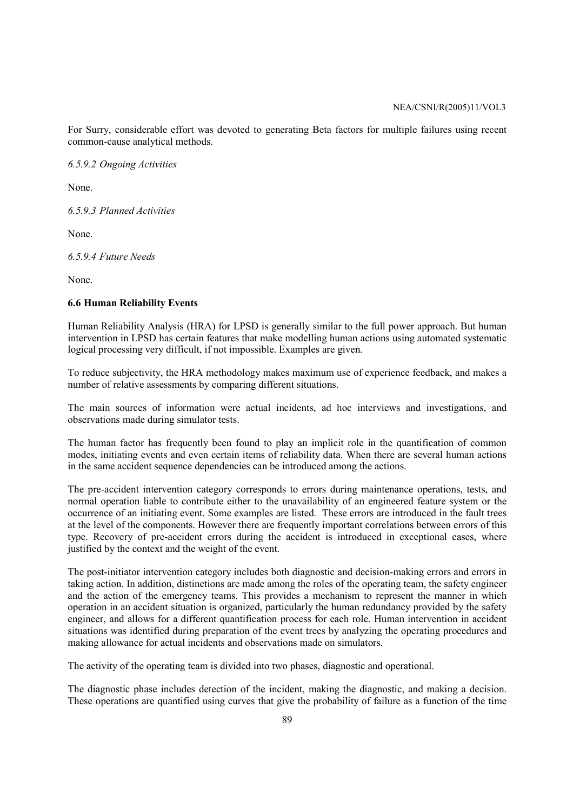For Surry, considerable effort was devoted to generating Beta factors for multiple failures using recent common-cause analytical methods.

*6.5.9.2 Ongoing Activities* 

None.

*6.5.9.3 Planned Activities* 

None.

*6.5.9.4 Future Needs* 

None.

# **6.6 Human Reliability Events**

Human Reliability Analysis (HRA) for LPSD is generally similar to the full power approach. But human intervention in LPSD has certain features that make modelling human actions using automated systematic logical processing very difficult, if not impossible. Examples are given.

To reduce subjectivity, the HRA methodology makes maximum use of experience feedback, and makes a number of relative assessments by comparing different situations.

The main sources of information were actual incidents, ad hoc interviews and investigations, and observations made during simulator tests.

The human factor has frequently been found to play an implicit role in the quantification of common modes, initiating events and even certain items of reliability data. When there are several human actions in the same accident sequence dependencies can be introduced among the actions.

The pre-accident intervention category corresponds to errors during maintenance operations, tests, and normal operation liable to contribute either to the unavailability of an engineered feature system or the occurrence of an initiating event. Some examples are listed. These errors are introduced in the fault trees at the level of the components. However there are frequently important correlations between errors of this type. Recovery of pre-accident errors during the accident is introduced in exceptional cases, where justified by the context and the weight of the event.

The post-initiator intervention category includes both diagnostic and decision-making errors and errors in taking action. In addition, distinctions are made among the roles of the operating team, the safety engineer and the action of the emergency teams. This provides a mechanism to represent the manner in which operation in an accident situation is organized, particularly the human redundancy provided by the safety engineer, and allows for a different quantification process for each role. Human intervention in accident situations was identified during preparation of the event trees by analyzing the operating procedures and making allowance for actual incidents and observations made on simulators.

The activity of the operating team is divided into two phases, diagnostic and operational.

The diagnostic phase includes detection of the incident, making the diagnostic, and making a decision. These operations are quantified using curves that give the probability of failure as a function of the time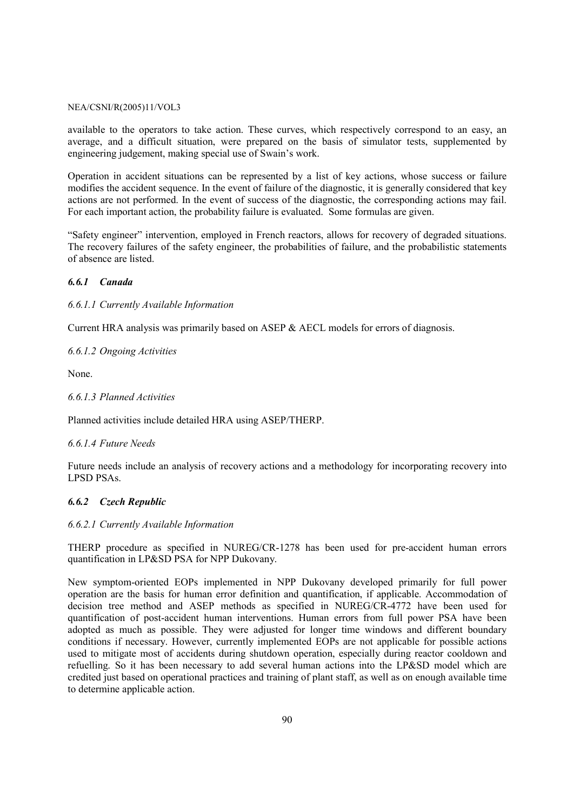available to the operators to take action. These curves, which respectively correspond to an easy, an average, and a difficult situation, were prepared on the basis of simulator tests, supplemented by engineering judgement, making special use of Swain's work.

Operation in accident situations can be represented by a list of key actions, whose success or failure modifies the accident sequence. In the event of failure of the diagnostic, it is generally considered that key actions are not performed. In the event of success of the diagnostic, the corresponding actions may fail. For each important action, the probability failure is evaluated. Some formulas are given.

"Safety engineer" intervention, employed in French reactors, allows for recovery of degraded situations. The recovery failures of the safety engineer, the probabilities of failure, and the probabilistic statements of absence are listed.

# *6.6.1 Canada*

*6.6.1.1 Currently Available Information* 

Current HRA analysis was primarily based on ASEP & AECL models for errors of diagnosis.

*6.6.1.2 Ongoing Activities* 

None.

# *6.6.1.3 Planned Activities*

Planned activities include detailed HRA using ASEP/THERP.

### *6.6.1.4 Future Needs*

Future needs include an analysis of recovery actions and a methodology for incorporating recovery into LPSD PSAs.

# *6.6.2 Czech Republic*

### *6.6.2.1 Currently Available Information*

THERP procedure as specified in NUREG/CR-1278 has been used for pre-accident human errors quantification in LP&SD PSA for NPP Dukovany.

New symptom-oriented EOPs implemented in NPP Dukovany developed primarily for full power operation are the basis for human error definition and quantification, if applicable. Accommodation of decision tree method and ASEP methods as specified in NUREG/CR-4772 have been used for quantification of post-accident human interventions. Human errors from full power PSA have been adopted as much as possible. They were adjusted for longer time windows and different boundary conditions if necessary. However, currently implemented EOPs are not applicable for possible actions used to mitigate most of accidents during shutdown operation, especially during reactor cooldown and refuelling. So it has been necessary to add several human actions into the LP&SD model which are credited just based on operational practices and training of plant staff, as well as on enough available time to determine applicable action.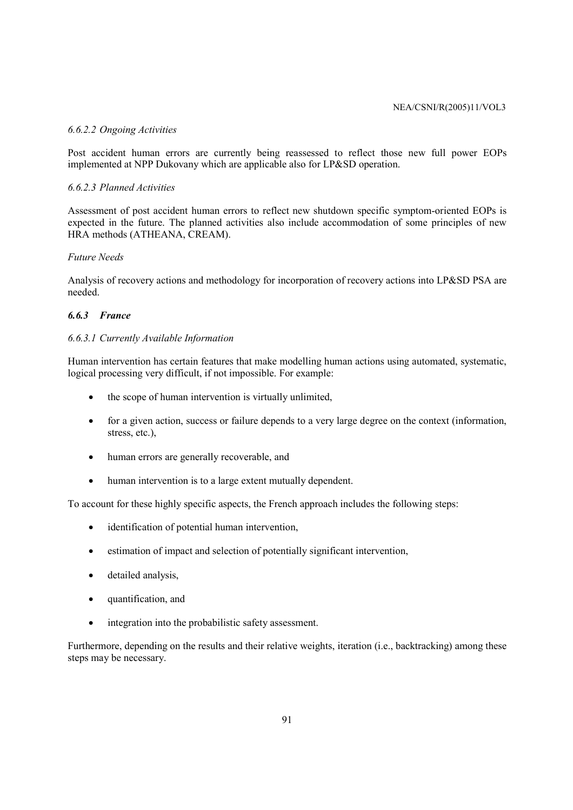### *6.6.2.2 Ongoing Activities*

Post accident human errors are currently being reassessed to reflect those new full power EOPs implemented at NPP Dukovany which are applicable also for LP&SD operation.

# *6.6.2.3 Planned Activities*

Assessment of post accident human errors to reflect new shutdown specific symptom-oriented EOPs is expected in the future. The planned activities also include accommodation of some principles of new HRA methods (ATHEANA, CREAM).

# *Future Needs*

Analysis of recovery actions and methodology for incorporation of recovery actions into LP&SD PSA are needed.

# *6.6.3 France*

# *6.6.3.1 Currently Available Information*

Human intervention has certain features that make modelling human actions using automated, systematic, logical processing very difficult, if not impossible. For example:

- the scope of human intervention is virtually unlimited.
- for a given action, success or failure depends to a very large degree on the context (information, stress, etc.),
- human errors are generally recoverable, and
- human intervention is to a large extent mutually dependent.

To account for these highly specific aspects, the French approach includes the following steps:

- identification of potential human intervention,
- estimation of impact and selection of potentially significant intervention,
- detailed analysis,
- quantification, and
- integration into the probabilistic safety assessment.

Furthermore, depending on the results and their relative weights, iteration (i.e., backtracking) among these steps may be necessary.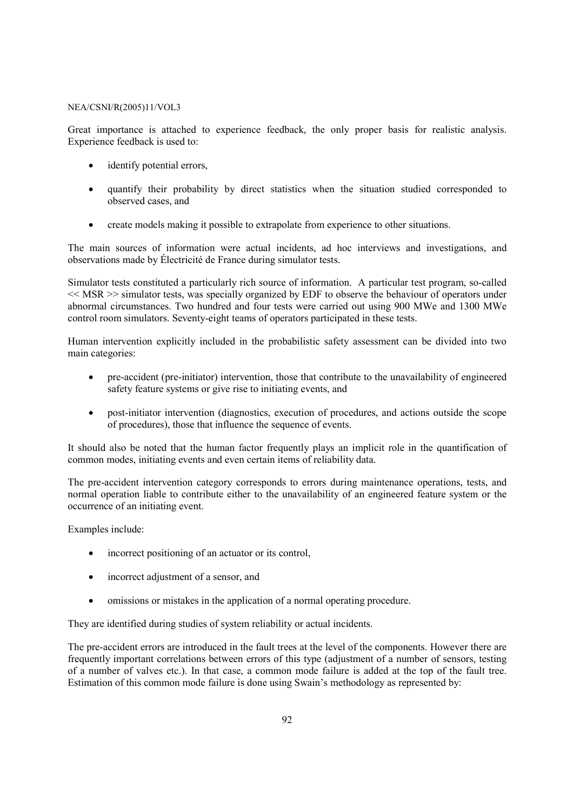Great importance is attached to experience feedback, the only proper basis for realistic analysis. Experience feedback is used to:

- identify potential errors,
- quantify their probability by direct statistics when the situation studied corresponded to observed cases, and
- create models making it possible to extrapolate from experience to other situations.

The main sources of information were actual incidents, ad hoc interviews and investigations, and observations made by Électricité de France during simulator tests.

Simulator tests constituted a particularly rich source of information. A particular test program, so-called  $<<$  MSR  $>>$  simulator tests, was specially organized by EDF to observe the behaviour of operators under abnormal circumstances. Two hundred and four tests were carried out using 900 MWe and 1300 MWe control room simulators. Seventy-eight teams of operators participated in these tests.

Human intervention explicitly included in the probabilistic safety assessment can be divided into two main categories:

- pre-accident (pre-initiator) intervention, those that contribute to the unavailability of engineered safety feature systems or give rise to initiating events, and
- post-initiator intervention (diagnostics, execution of procedures, and actions outside the scope of procedures), those that influence the sequence of events.

It should also be noted that the human factor frequently plays an implicit role in the quantification of common modes, initiating events and even certain items of reliability data.

The pre-accident intervention category corresponds to errors during maintenance operations, tests, and normal operation liable to contribute either to the unavailability of an engineered feature system or the occurrence of an initiating event.

Examples include:

- incorrect positioning of an actuator or its control,
- incorrect adjustment of a sensor, and
- omissions or mistakes in the application of a normal operating procedure.

They are identified during studies of system reliability or actual incidents.

The pre-accident errors are introduced in the fault trees at the level of the components. However there are frequently important correlations between errors of this type (adjustment of a number of sensors, testing of a number of valves etc.). In that case, a common mode failure is added at the top of the fault tree. Estimation of this common mode failure is done using Swain's methodology as represented by: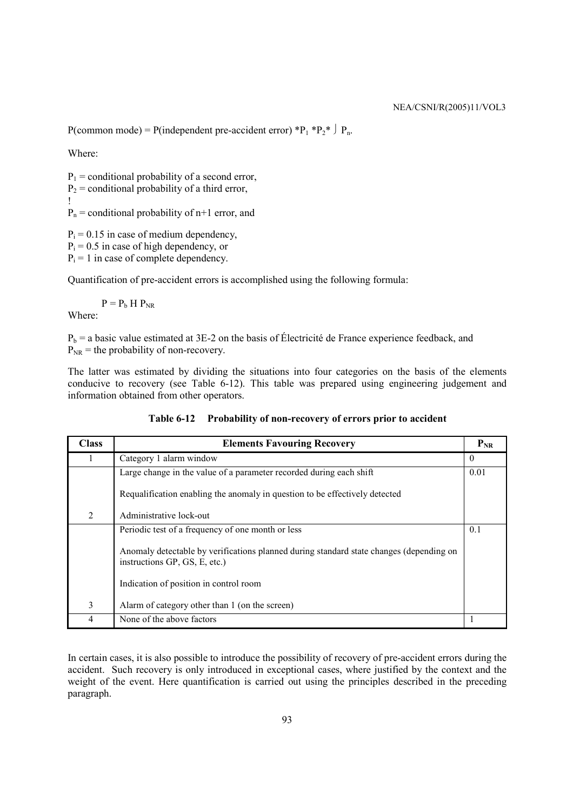P(common mode) = P(independent pre-accident error) \*P<sub>1</sub> \*P<sub>2</sub>\*  $\downarrow$  P<sub>n</sub>.

Where:

 $P_1$  = conditional probability of a second error,  $P_2$  = conditional probability of a third error, !  $P_n$  = conditional probability of  $n+1$  error, and

 $P_i = 0.15$  in case of medium dependency,

 $P_i = 0.5$  in case of high dependency, or

 $P_i = 1$  in case of complete dependency.

Quantification of pre-accident errors is accomplished using the following formula:

 $P = P<sub>b</sub> H P<sub>NR</sub>$ Where:

 $P_b$  = a basic value estimated at 3E-2 on the basis of Électricité de France experience feedback, and  $P_{NR}$  = the probability of non-recovery.

The latter was estimated by dividing the situations into four categories on the basis of the elements conducive to recovery (see Table 6-12). This table was prepared using engineering judgement and information obtained from other operators.

| <b>Class</b> | <b>Elements Favouring Recovery</b>                                                                                       |          |  |  |
|--------------|--------------------------------------------------------------------------------------------------------------------------|----------|--|--|
|              | Category 1 alarm window                                                                                                  | $\theta$ |  |  |
|              | Large change in the value of a parameter recorded during each shift                                                      | 0.01     |  |  |
|              | Requalification enabling the anomaly in question to be effectively detected                                              |          |  |  |
| 2            | Administrative lock-out                                                                                                  |          |  |  |
|              | Periodic test of a frequency of one month or less                                                                        | 0.1      |  |  |
|              | Anomaly detectable by verifications planned during standard state changes (depending on<br>instructions GP, GS, E, etc.) |          |  |  |
|              | Indication of position in control room                                                                                   |          |  |  |
| 3            | Alarm of category other than 1 (on the screen)                                                                           |          |  |  |
|              | None of the above factors                                                                                                |          |  |  |

In certain cases, it is also possible to introduce the possibility of recovery of pre-accident errors during the accident. Such recovery is only introduced in exceptional cases, where justified by the context and the weight of the event. Here quantification is carried out using the principles described in the preceding paragraph.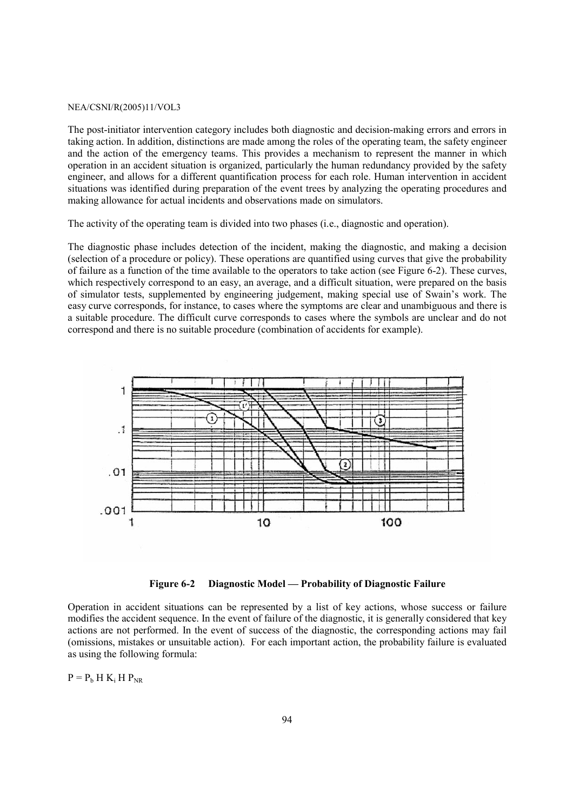The post-initiator intervention category includes both diagnostic and decision-making errors and errors in taking action. In addition, distinctions are made among the roles of the operating team, the safety engineer and the action of the emergency teams. This provides a mechanism to represent the manner in which operation in an accident situation is organized, particularly the human redundancy provided by the safety engineer, and allows for a different quantification process for each role. Human intervention in accident situations was identified during preparation of the event trees by analyzing the operating procedures and making allowance for actual incidents and observations made on simulators.

The activity of the operating team is divided into two phases (i.e., diagnostic and operation).

The diagnostic phase includes detection of the incident, making the diagnostic, and making a decision (selection of a procedure or policy). These operations are quantified using curves that give the probability of failure as a function of the time available to the operators to take action (see Figure 6-2). These curves, which respectively correspond to an easy, an average, and a difficult situation, were prepared on the basis of simulator tests, supplemented by engineering judgement, making special use of Swain's work. The easy curve corresponds, for instance, to cases where the symptoms are clear and unambiguous and there is a suitable procedure. The difficult curve corresponds to cases where the symbols are unclear and do not correspond and there is no suitable procedure (combination of accidents for example).



**Figure 6-2 Diagnostic Model — Probability of Diagnostic Failure** 

Operation in accident situations can be represented by a list of key actions, whose success or failure modifies the accident sequence. In the event of failure of the diagnostic, it is generally considered that key actions are not performed. In the event of success of the diagnostic, the corresponding actions may fail (omissions, mistakes or unsuitable action). For each important action, the probability failure is evaluated as using the following formula:

 $P = P_b H K_i H P_{NR}$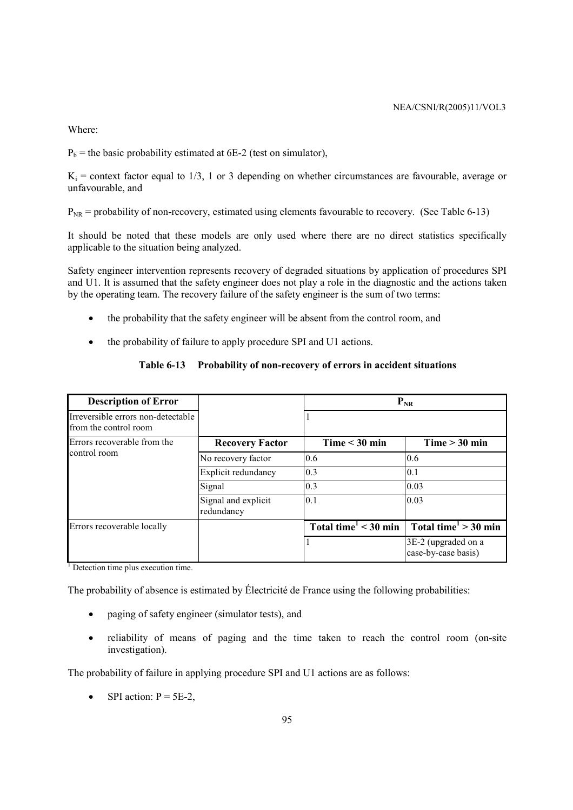Where:

 $P_b$  = the basic probability estimated at 6E-2 (test on simulator),

 $K_i$  = context factor equal to 1/3, 1 or 3 depending on whether circumstances are favourable, average or unfavourable, and

 $P_{NR}$  = probability of non-recovery, estimated using elements favourable to recovery. (See Table 6-13)

It should be noted that these models are only used where there are no direct statistics specifically applicable to the situation being analyzed.

Safety engineer intervention represents recovery of degraded situations by application of procedures SPI and U1. It is assumed that the safety engineer does not play a role in the diagnostic and the actions taken by the operating team. The recovery failure of the safety engineer is the sum of two terms:

- the probability that the safety engineer will be absent from the control room, and
- the probability of failure to apply procedure SPI and U1 actions.

# **Table 6-13 Probability of non-recovery of errors in accident situations**

| <b>Description of Error</b>                                 |                                   | $P_{NR}$                                         |                                               |  |  |  |  |  |  |
|-------------------------------------------------------------|-----------------------------------|--------------------------------------------------|-----------------------------------------------|--|--|--|--|--|--|
| Irreversible errors non-detectable<br>from the control room |                                   |                                                  |                                               |  |  |  |  |  |  |
| Errors recoverable from the                                 | <b>Recovery Factor</b>            | $Time < 30$ min                                  | $Time > 30$ min                               |  |  |  |  |  |  |
| control room                                                | No recovery factor                | 0.6                                              | 0.6                                           |  |  |  |  |  |  |
|                                                             | Explicit redundancy               | 0.3                                              | 0.1                                           |  |  |  |  |  |  |
|                                                             | Signal                            | 0.3                                              | 0.03                                          |  |  |  |  |  |  |
|                                                             | Signal and explicit<br>redundancy | 0.1                                              | 0.03                                          |  |  |  |  |  |  |
| Errors recoverable locally                                  |                                   | Total time <sup><math>1 &lt; 30</math></sup> min | Total time <sup><math>1</math></sup> > 30 min |  |  |  |  |  |  |
|                                                             |                                   |                                                  | 3E-2 (upgraded on a<br>case-by-case basis)    |  |  |  |  |  |  |

<sup>1</sup> Detection time plus execution time.

The probability of absence is estimated by Électricité de France using the following probabilities:

- paging of safety engineer (simulator tests), and
- reliability of means of paging and the time taken to reach the control room (on-site investigation).

The probability of failure in applying procedure SPI and U1 actions are as follows:

SPI action:  $P = 5E-2$ ,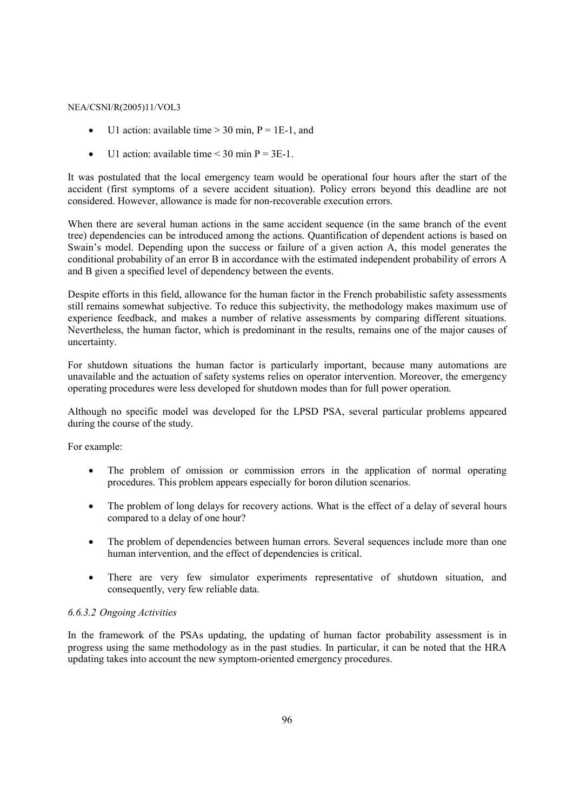- U1 action: available time  $> 30$  min,  $P = 1E-1$ , and
- U1 action: available time  $\leq$  30 min P = 3E-1.

It was postulated that the local emergency team would be operational four hours after the start of the accident (first symptoms of a severe accident situation). Policy errors beyond this deadline are not considered. However, allowance is made for non-recoverable execution errors.

When there are several human actions in the same accident sequence (in the same branch of the event tree) dependencies can be introduced among the actions. Quantification of dependent actions is based on Swain's model. Depending upon the success or failure of a given action A, this model generates the conditional probability of an error B in accordance with the estimated independent probability of errors A and B given a specified level of dependency between the events.

Despite efforts in this field, allowance for the human factor in the French probabilistic safety assessments still remains somewhat subjective. To reduce this subjectivity, the methodology makes maximum use of experience feedback, and makes a number of relative assessments by comparing different situations. Nevertheless, the human factor, which is predominant in the results, remains one of the major causes of uncertainty.

For shutdown situations the human factor is particularly important, because many automations are unavailable and the actuation of safety systems relies on operator intervention. Moreover, the emergency operating procedures were less developed for shutdown modes than for full power operation.

Although no specific model was developed for the LPSD PSA, several particular problems appeared during the course of the study.

For example:

- The problem of omission or commission errors in the application of normal operating procedures. This problem appears especially for boron dilution scenarios.
- The problem of long delays for recovery actions. What is the effect of a delay of several hours compared to a delay of one hour?
- The problem of dependencies between human errors. Several sequences include more than one human intervention, and the effect of dependencies is critical.
- There are very few simulator experiments representative of shutdown situation, and consequently, very few reliable data.

### *6.6.3.2 Ongoing Activities*

In the framework of the PSAs updating, the updating of human factor probability assessment is in progress using the same methodology as in the past studies. In particular, it can be noted that the HRA updating takes into account the new symptom-oriented emergency procedures.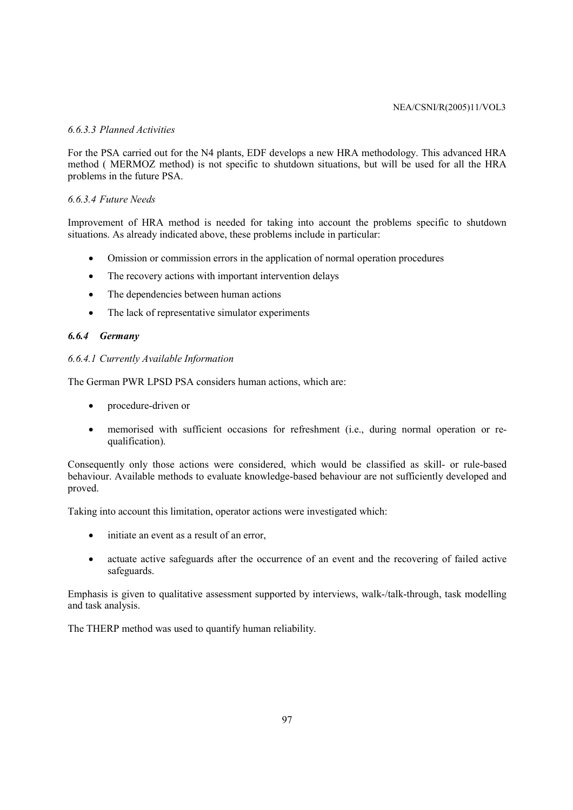# *6.6.3.3 Planned Activities*

For the PSA carried out for the N4 plants, EDF develops a new HRA methodology. This advanced HRA method ( MERMOZ method) is not specific to shutdown situations, but will be used for all the HRA problems in the future PSA.

# *6.6.3.4 Future Needs*

Improvement of HRA method is needed for taking into account the problems specific to shutdown situations. As already indicated above, these problems include in particular:

- Omission or commission errors in the application of normal operation procedures
- The recovery actions with important intervention delays
- The dependencies between human actions
- The lack of representative simulator experiments

# *6.6.4 Germany*

# *6.6.4.1 Currently Available Information*

The German PWR LPSD PSA considers human actions, which are:

- procedure-driven or
- memorised with sufficient occasions for refreshment (i.e., during normal operation or requalification).

Consequently only those actions were considered, which would be classified as skill- or rule-based behaviour. Available methods to evaluate knowledge-based behaviour are not sufficiently developed and proved.

Taking into account this limitation, operator actions were investigated which:

- initiate an event as a result of an error,
- actuate active safeguards after the occurrence of an event and the recovering of failed active safeguards.

Emphasis is given to qualitative assessment supported by interviews, walk-/talk-through, task modelling and task analysis.

The THERP method was used to quantify human reliability.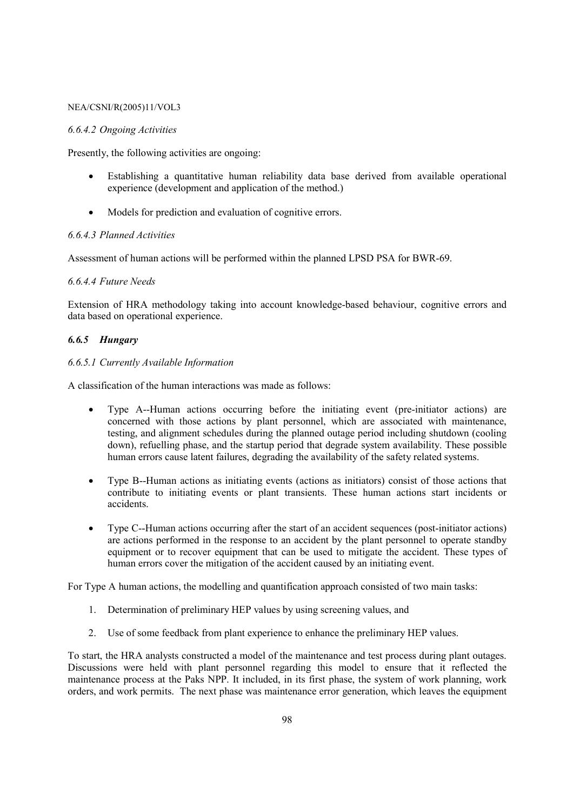### *6.6.4.2 Ongoing Activities*

Presently, the following activities are ongoing:

- Establishing a quantitative human reliability data base derived from available operational experience (development and application of the method.)
- Models for prediction and evaluation of cognitive errors.

### *6.6.4.3 Planned Activities*

Assessment of human actions will be performed within the planned LPSD PSA for BWR-69.

### *6.6.4.4 Future Needs*

Extension of HRA methodology taking into account knowledge-based behaviour, cognitive errors and data based on operational experience.

# *6.6.5 Hungary*

### *6.6.5.1 Currently Available Information*

A classification of the human interactions was made as follows:

- Type A--Human actions occurring before the initiating event (pre-initiator actions) are concerned with those actions by plant personnel, which are associated with maintenance, testing, and alignment schedules during the planned outage period including shutdown (cooling down), refuelling phase, and the startup period that degrade system availability. These possible human errors cause latent failures, degrading the availability of the safety related systems.
- Type B--Human actions as initiating events (actions as initiators) consist of those actions that contribute to initiating events or plant transients. These human actions start incidents or accidents.
- Type C--Human actions occurring after the start of an accident sequences (post-initiator actions) are actions performed in the response to an accident by the plant personnel to operate standby equipment or to recover equipment that can be used to mitigate the accident. These types of human errors cover the mitigation of the accident caused by an initiating event.

For Type A human actions, the modelling and quantification approach consisted of two main tasks:

- 1. Determination of preliminary HEP values by using screening values, and
- 2. Use of some feedback from plant experience to enhance the preliminary HEP values.

To start, the HRA analysts constructed a model of the maintenance and test process during plant outages. Discussions were held with plant personnel regarding this model to ensure that it reflected the maintenance process at the Paks NPP. It included, in its first phase, the system of work planning, work orders, and work permits. The next phase was maintenance error generation, which leaves the equipment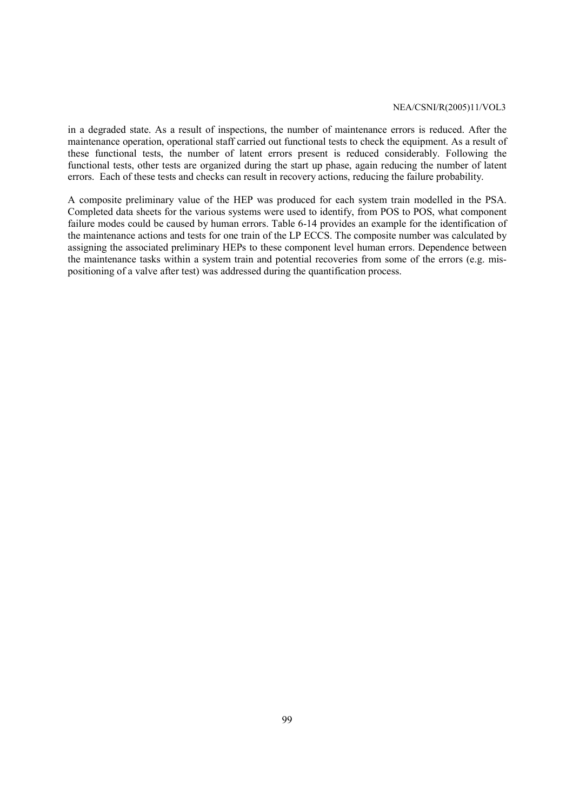in a degraded state. As a result of inspections, the number of maintenance errors is reduced. After the maintenance operation, operational staff carried out functional tests to check the equipment. As a result of these functional tests, the number of latent errors present is reduced considerably. Following the functional tests, other tests are organized during the start up phase, again reducing the number of latent errors. Each of these tests and checks can result in recovery actions, reducing the failure probability.

A composite preliminary value of the HEP was produced for each system train modelled in the PSA. Completed data sheets for the various systems were used to identify, from POS to POS, what component failure modes could be caused by human errors. Table 6-14 provides an example for the identification of the maintenance actions and tests for one train of the LP ECCS. The composite number was calculated by assigning the associated preliminary HEPs to these component level human errors. Dependence between the maintenance tasks within a system train and potential recoveries from some of the errors (e.g. mispositioning of a valve after test) was addressed during the quantification process.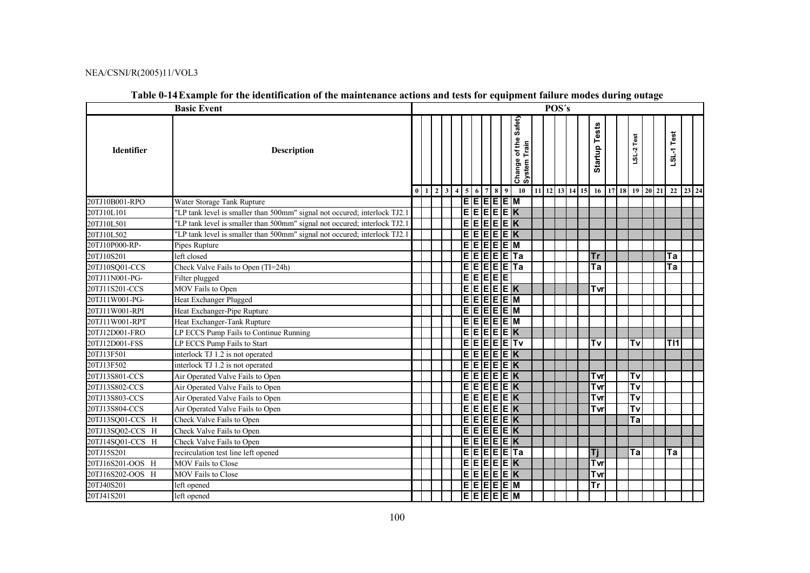|                   | <b>Basic Event</b>                                                        | POS's |                                                                    |  |  |                                                                        |  |                                                             |  |  |                                   |  |                                   |                                  |            |          |
|-------------------|---------------------------------------------------------------------------|-------|--------------------------------------------------------------------|--|--|------------------------------------------------------------------------|--|-------------------------------------------------------------|--|--|-----------------------------------|--|-----------------------------------|----------------------------------|------------|----------|
| <b>Identifier</b> | <b>Description</b>                                                        |       |                                                                    |  |  |                                                                        |  | Safet <sub>)</sub><br>of the<br>Train<br>Change<br>System 1 |  |  | <b>Startup Tests</b>              |  | LSL-2 Test                        |                                  | LSL-1 Test |          |
|                   |                                                                           |       | $0 \mid 1 \mid 2 \mid 3 \mid 4 \mid 5 \mid 6 \mid 7 \mid 8 \mid 9$ |  |  |                                                                        |  | 10                                                          |  |  |                                   |  |                                   | 11 12 13 14 15 16 17 18 19 20 21 |            | 22 23 24 |
| 20TJ10B001-RPO    | Water Storage Tank Rupture                                                |       |                                                                    |  |  | $\mathsf{E} \mathsf{E} \mathsf{E} \mathsf{E} \mathsf{E}$ $\mathsf{M}$  |  |                                                             |  |  |                                   |  |                                   |                                  |            |          |
| 20TJ10L101        | "LP tank level is smaller than 500mm" signal not occured; interlock TJ2.1 |       |                                                                    |  |  | <u>eeeeek</u>                                                          |  |                                                             |  |  |                                   |  |                                   |                                  |            |          |
| 20TJ10L501        | "LP tank level is smaller than 500mm" signal not occured; interlock TJ2.1 |       |                                                                    |  |  | <u>EEEEEK</u>                                                          |  |                                                             |  |  |                                   |  |                                   |                                  |            |          |
| 20TJ10L502        | "LP tank level is smaller than 500mm" signal not occured; interlock TJ2.1 |       |                                                                    |  |  | <u>EEEEEK</u>                                                          |  |                                                             |  |  |                                   |  |                                   |                                  |            |          |
| 20TJ10P000-RP-    | Pipes Rupture                                                             |       |                                                                    |  |  | $E$ $E$ $E$ $E$ $E$ $E$ $M$                                            |  |                                                             |  |  |                                   |  |                                   |                                  |            |          |
| 20TJ10S201        | left closed                                                               |       |                                                                    |  |  |                                                                        |  | $E$ E $E$ E $E$ E $T$ a                                     |  |  | <b>Tr</b>                         |  |                                   |                                  | Ta         |          |
| 20TJ10SQ01-CCS    | Check Valve Fails to Open (TI=24h)                                        |       |                                                                    |  |  |                                                                        |  | $E$ $E$ $E$ $E$ $E$ $E$ $T$ a                               |  |  | $\overline{\mathsf{Ta}}$          |  |                                   |                                  | Ta         |          |
| 20TJ11N001-PG-    | Filter plugged                                                            |       |                                                                    |  |  | <u> बांगबांग</u>                                                       |  |                                                             |  |  |                                   |  |                                   |                                  |            |          |
| 20TJ11S201-CCS    | MOV Fails to Open                                                         |       |                                                                    |  |  | $E$ $E$ $E$ $E$ $E$ $K$                                                |  |                                                             |  |  | Tvr                               |  |                                   |                                  |            |          |
| 20TJ11W001-PG-    | Heat Exchanger Plugged                                                    |       |                                                                    |  |  | E E E E E M                                                            |  |                                                             |  |  |                                   |  |                                   |                                  |            |          |
| 20TJ11W001-RPI    | Heat Exchanger-Pipe Rupture                                               |       |                                                                    |  |  | $E$ e $E$ e $E$ e $M$                                                  |  |                                                             |  |  |                                   |  |                                   |                                  |            |          |
| 20TJ11W001-RPT    | Heat Exchanger-Tank Rupture                                               |       |                                                                    |  |  | <u>ejejejejn</u>                                                       |  |                                                             |  |  |                                   |  |                                   |                                  |            |          |
| 20TJ12D001-FRO    | LP ECCS Pump Fails to Continue Running                                    |       |                                                                    |  |  | <u>EEEEEK</u>                                                          |  |                                                             |  |  |                                   |  |                                   |                                  |            |          |
| 20TJ12D001-FSS    | LP ECCS Pump Fails to Start                                               |       |                                                                    |  |  |                                                                        |  | E[E]E[E]Tv                                                  |  |  | $\overline{\mathsf{T}\mathsf{v}}$ |  | $\overline{\mathsf{T}\mathsf{v}}$ |                                  | T11        |          |
| 20TJ13F501        | interlock TJ 1.2 is not operated                                          |       |                                                                    |  |  | $E$ $E$ $E$ $E$ $E$ $E$ $K$                                            |  |                                                             |  |  |                                   |  |                                   |                                  |            |          |
| 20TJ13F502        | interlock TJ 1.2 is not operated                                          |       |                                                                    |  |  | E[E]E[E]K                                                              |  |                                                             |  |  |                                   |  |                                   |                                  |            |          |
| 20TJ13S801-CCS    | Air Operated Valve Fails to Open                                          |       |                                                                    |  |  | $\overline{\mathsf{E} \mathsf{E} \mathsf{E} \mathsf{E} \mathsf{E} }$ K |  |                                                             |  |  | Tvrl                              |  | T٧                                |                                  |            |          |
| 20TJ13S802-CCS    | Air Operated Valve Fails to Open                                          |       |                                                                    |  |  | $E$ E $E$ E $E$ $E$                                                    |  |                                                             |  |  | Tvr                               |  | $\overline{\mathsf{T}\mathsf{v}}$ |                                  |            |          |
| 20TJ13S803-CCS    | Air Operated Valve Fails to Open                                          |       |                                                                    |  |  | $E$ $E$ $E$ $E$ $E$ $E$ $K$                                            |  |                                                             |  |  | Tvr                               |  | $\overline{\mathsf{T}\mathsf{v}}$ |                                  |            |          |
| 20TJ13S804-CCS    | Air Operated Valve Fails to Open                                          |       |                                                                    |  |  | $E$ $E$ $E$ $E$ $E$ $K$                                                |  |                                                             |  |  | Tvr                               |  | $\overline{\mathsf{rv}}$          |                                  |            |          |
| 20TJ13SQ01-CCS H  | Check Valve Fails to Open                                                 |       |                                                                    |  |  | $E$ $E$ $E$ $E$ $E$ $K$                                                |  |                                                             |  |  |                                   |  | Ta                                |                                  |            |          |
| 20TJ13SQ02-CCS H  | Check Valve Fails to Open                                                 |       |                                                                    |  |  | $E$ E $E$ E $E$ E $K$                                                  |  |                                                             |  |  |                                   |  |                                   |                                  |            |          |
| 20TJ14SQ01-CCS H  | Check Valve Fails to Open                                                 |       |                                                                    |  |  | $E$ $E$ $E$ $E$ $E$ $K$                                                |  |                                                             |  |  |                                   |  |                                   |                                  |            |          |
| 20TJ15S201        | recirculation test line left opened                                       |       |                                                                    |  |  |                                                                        |  | $E$ $E$ $E$ $E$ $E$ $E$ $T$ a                               |  |  | Ti                                |  | $\overline{a}$                    |                                  | Ta         |          |
| 20TJ16S201-OOS H  | <b>MOV</b> Fails to Close                                                 |       |                                                                    |  |  | $E$ $E$ $E$ $E$ $E$ $K$                                                |  |                                                             |  |  | Tvr                               |  |                                   |                                  |            |          |
| 20TJ16S202-OOS H  | MOV Fails to Close                                                        |       |                                                                    |  |  | $E$ E $E$ E $E$                                                        |  |                                                             |  |  | Tvr                               |  |                                   |                                  |            |          |
| 20TJ40S201        | left opened                                                               |       |                                                                    |  |  | $E$ E $E$ E $E$ $E$ $M$                                                |  |                                                             |  |  | $\overline{\mathsf{Tr}}$          |  |                                   |                                  |            |          |
| 20TJ41S201        | left opened                                                               |       |                                                                    |  |  | $E$ E $E$ E $E$ E $ E $ M                                              |  |                                                             |  |  |                                   |  |                                   |                                  |            |          |

# **Table 0-14 Example for the identification of the maintenance actions and tests for equipment failure modes during outage**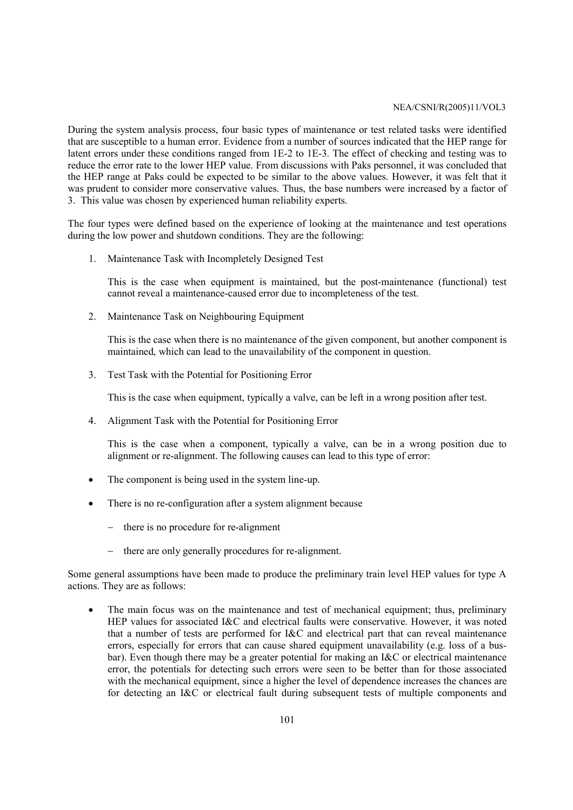During the system analysis process, four basic types of maintenance or test related tasks were identified that are susceptible to a human error. Evidence from a number of sources indicated that the HEP range for latent errors under these conditions ranged from 1E-2 to 1E-3. The effect of checking and testing was to reduce the error rate to the lower HEP value. From discussions with Paks personnel, it was concluded that the HEP range at Paks could be expected to be similar to the above values. However, it was felt that it was prudent to consider more conservative values. Thus, the base numbers were increased by a factor of 3. This value was chosen by experienced human reliability experts.

The four types were defined based on the experience of looking at the maintenance and test operations during the low power and shutdown conditions. They are the following:

1. Maintenance Task with Incompletely Designed Test

This is the case when equipment is maintained, but the post-maintenance (functional) test cannot reveal a maintenance-caused error due to incompleteness of the test.

2. Maintenance Task on Neighbouring Equipment

This is the case when there is no maintenance of the given component, but another component is maintained, which can lead to the unavailability of the component in question.

3. Test Task with the Potential for Positioning Error

This is the case when equipment, typically a valve, can be left in a wrong position after test.

4. Alignment Task with the Potential for Positioning Error

This is the case when a component, typically a valve, can be in a wrong position due to alignment or re-alignment. The following causes can lead to this type of error:

- The component is being used in the system line-up.
- There is no re-configuration after a system alignment because
	- − there is no procedure for re-alignment
	- − there are only generally procedures for re-alignment.

Some general assumptions have been made to produce the preliminary train level HEP values for type A actions. They are as follows:

The main focus was on the maintenance and test of mechanical equipment; thus, preliminary HEP values for associated I&C and electrical faults were conservative. However, it was noted that a number of tests are performed for I&C and electrical part that can reveal maintenance errors, especially for errors that can cause shared equipment unavailability (e.g. loss of a busbar). Even though there may be a greater potential for making an I&C or electrical maintenance error, the potentials for detecting such errors were seen to be better than for those associated with the mechanical equipment, since a higher the level of dependence increases the chances are for detecting an I&C or electrical fault during subsequent tests of multiple components and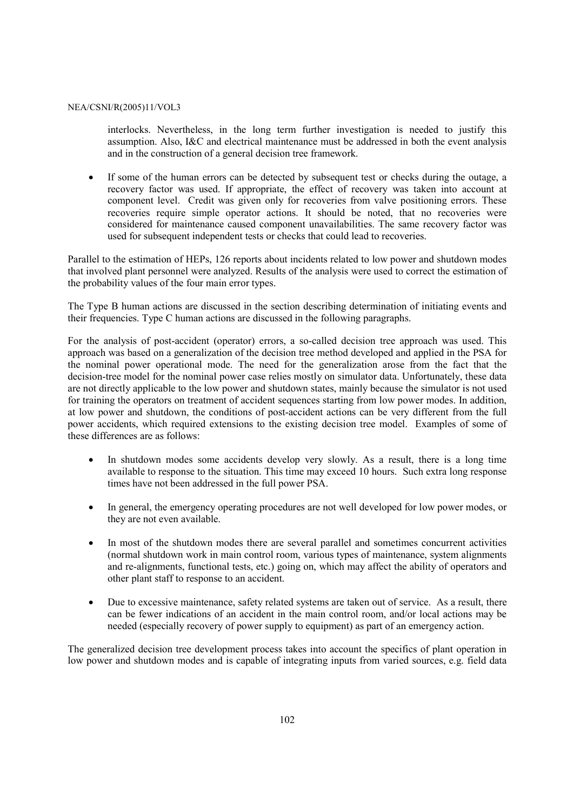interlocks. Nevertheless, in the long term further investigation is needed to justify this assumption. Also, I&C and electrical maintenance must be addressed in both the event analysis and in the construction of a general decision tree framework.

• If some of the human errors can be detected by subsequent test or checks during the outage, a recovery factor was used. If appropriate, the effect of recovery was taken into account at component level. Credit was given only for recoveries from valve positioning errors. These recoveries require simple operator actions. It should be noted, that no recoveries were considered for maintenance caused component unavailabilities. The same recovery factor was used for subsequent independent tests or checks that could lead to recoveries.

Parallel to the estimation of HEPs, 126 reports about incidents related to low power and shutdown modes that involved plant personnel were analyzed. Results of the analysis were used to correct the estimation of the probability values of the four main error types.

The Type B human actions are discussed in the section describing determination of initiating events and their frequencies. Type C human actions are discussed in the following paragraphs.

For the analysis of post-accident (operator) errors, a so-called decision tree approach was used. This approach was based on a generalization of the decision tree method developed and applied in the PSA for the nominal power operational mode. The need for the generalization arose from the fact that the decision-tree model for the nominal power case relies mostly on simulator data. Unfortunately, these data are not directly applicable to the low power and shutdown states, mainly because the simulator is not used for training the operators on treatment of accident sequences starting from low power modes. In addition, at low power and shutdown, the conditions of post-accident actions can be very different from the full power accidents, which required extensions to the existing decision tree model. Examples of some of these differences are as follows:

- In shutdown modes some accidents develop very slowly. As a result, there is a long time available to response to the situation. This time may exceed 10 hours. Such extra long response times have not been addressed in the full power PSA.
- In general, the emergency operating procedures are not well developed for low power modes, or they are not even available.
- In most of the shutdown modes there are several parallel and sometimes concurrent activities (normal shutdown work in main control room, various types of maintenance, system alignments and re-alignments, functional tests, etc.) going on, which may affect the ability of operators and other plant staff to response to an accident.
- Due to excessive maintenance, safety related systems are taken out of service. As a result, there can be fewer indications of an accident in the main control room, and/or local actions may be needed (especially recovery of power supply to equipment) as part of an emergency action.

The generalized decision tree development process takes into account the specifics of plant operation in low power and shutdown modes and is capable of integrating inputs from varied sources, e.g. field data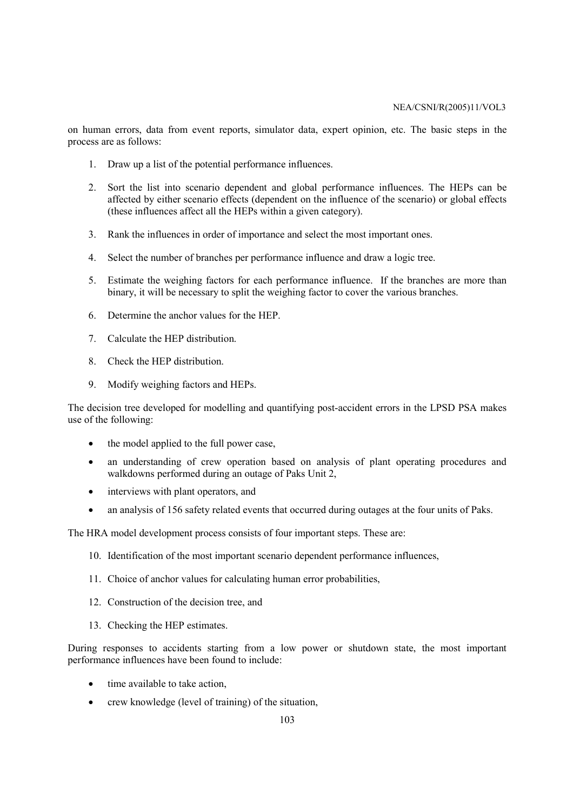on human errors, data from event reports, simulator data, expert opinion, etc. The basic steps in the process are as follows:

- 1. Draw up a list of the potential performance influences.
- 2. Sort the list into scenario dependent and global performance influences. The HEPs can be affected by either scenario effects (dependent on the influence of the scenario) or global effects (these influences affect all the HEPs within a given category).
- 3. Rank the influences in order of importance and select the most important ones.
- 4. Select the number of branches per performance influence and draw a logic tree.
- 5. Estimate the weighing factors for each performance influence. If the branches are more than binary, it will be necessary to split the weighing factor to cover the various branches.
- 6. Determine the anchor values for the HEP.
- 7. Calculate the HEP distribution.
- 8. Check the HEP distribution.
- 9. Modify weighing factors and HEPs.

The decision tree developed for modelling and quantifying post-accident errors in the LPSD PSA makes use of the following:

- the model applied to the full power case,
- an understanding of crew operation based on analysis of plant operating procedures and walkdowns performed during an outage of Paks Unit 2,
- interviews with plant operators, and
- an analysis of 156 safety related events that occurred during outages at the four units of Paks.

The HRA model development process consists of four important steps. These are:

- 10. Identification of the most important scenario dependent performance influences,
- 11. Choice of anchor values for calculating human error probabilities,
- 12. Construction of the decision tree, and
- 13. Checking the HEP estimates.

During responses to accidents starting from a low power or shutdown state, the most important performance influences have been found to include:

- time available to take action,
- crew knowledge (level of training) of the situation,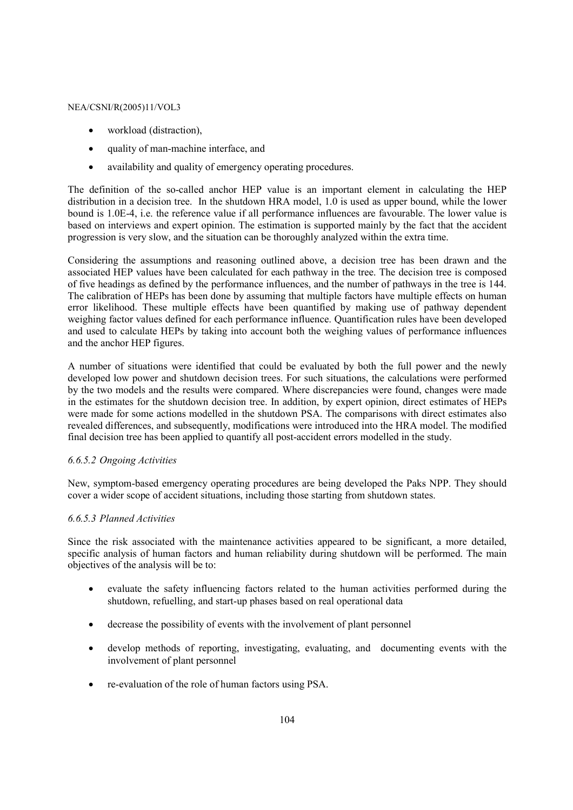- workload (distraction),
- quality of man-machine interface, and
- availability and quality of emergency operating procedures.

The definition of the so-called anchor HEP value is an important element in calculating the HEP distribution in a decision tree. In the shutdown HRA model, 1.0 is used as upper bound, while the lower bound is 1.0E-4, i.e. the reference value if all performance influences are favourable. The lower value is based on interviews and expert opinion. The estimation is supported mainly by the fact that the accident progression is very slow, and the situation can be thoroughly analyzed within the extra time.

Considering the assumptions and reasoning outlined above, a decision tree has been drawn and the associated HEP values have been calculated for each pathway in the tree. The decision tree is composed of five headings as defined by the performance influences, and the number of pathways in the tree is 144. The calibration of HEPs has been done by assuming that multiple factors have multiple effects on human error likelihood. These multiple effects have been quantified by making use of pathway dependent weighing factor values defined for each performance influence. Quantification rules have been developed and used to calculate HEPs by taking into account both the weighing values of performance influences and the anchor HEP figures.

A number of situations were identified that could be evaluated by both the full power and the newly developed low power and shutdown decision trees. For such situations, the calculations were performed by the two models and the results were compared. Where discrepancies were found, changes were made in the estimates for the shutdown decision tree. In addition, by expert opinion, direct estimates of HEPs were made for some actions modelled in the shutdown PSA. The comparisons with direct estimates also revealed differences, and subsequently, modifications were introduced into the HRA model. The modified final decision tree has been applied to quantify all post-accident errors modelled in the study.

# *6.6.5.2 Ongoing Activities*

New, symptom-based emergency operating procedures are being developed the Paks NPP. They should cover a wider scope of accident situations, including those starting from shutdown states.

# *6.6.5.3 Planned Activities*

Since the risk associated with the maintenance activities appeared to be significant, a more detailed, specific analysis of human factors and human reliability during shutdown will be performed. The main objectives of the analysis will be to:

- evaluate the safety influencing factors related to the human activities performed during the shutdown, refuelling, and start-up phases based on real operational data
- decrease the possibility of events with the involvement of plant personnel
- develop methods of reporting, investigating, evaluating, and documenting events with the involvement of plant personnel
- re-evaluation of the role of human factors using PSA.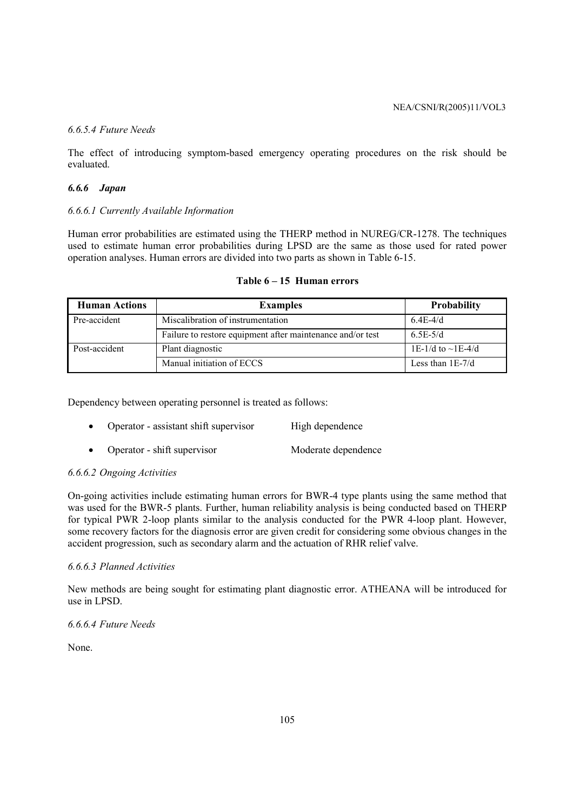# *6.6.5.4 Future Needs*

The effect of introducing symptom-based emergency operating procedures on the risk should be evaluated.

# *6.6.6 Japan*

# *6.6.6.1 Currently Available Information*

Human error probabilities are estimated using the THERP method in NUREG/CR-1278. The techniques used to estimate human error probabilities during LPSD are the same as those used for rated power operation analyses. Human errors are divided into two parts as shown in Table 6-15.

| <b>Human Actions</b> | <b>Examples</b>                                            | <b>Probability</b>      |
|----------------------|------------------------------------------------------------|-------------------------|
| Pre-accident         | Miscalibration of instrumentation                          | $6.4E-4/d$              |
|                      | Failure to restore equipment after maintenance and/or test | $6.5E-5/d$              |
| Post-accident        | Plant diagnostic                                           | 1E-1/d to $\sim$ 1E-4/d |
|                      | Manual initiation of ECCS                                  | Less than $1E-7/d$      |

# **Table 6 – 15 Human errors**

Dependency between operating personnel is treated as follows:

- Operator assistant shift supervisor High dependence
- Operator shift supervisor<br>
Moderate dependence

# *6.6.6.2 Ongoing Activities*

On-going activities include estimating human errors for BWR-4 type plants using the same method that was used for the BWR-5 plants. Further, human reliability analysis is being conducted based on THERP for typical PWR 2-loop plants similar to the analysis conducted for the PWR 4-loop plant. However, some recovery factors for the diagnosis error are given credit for considering some obvious changes in the accident progression, such as secondary alarm and the actuation of RHR relief valve.

# *6.6.6.3 Planned Activities*

New methods are being sought for estimating plant diagnostic error. ATHEANA will be introduced for use in LPSD.

*6.6.6.4 Future Needs* 

None.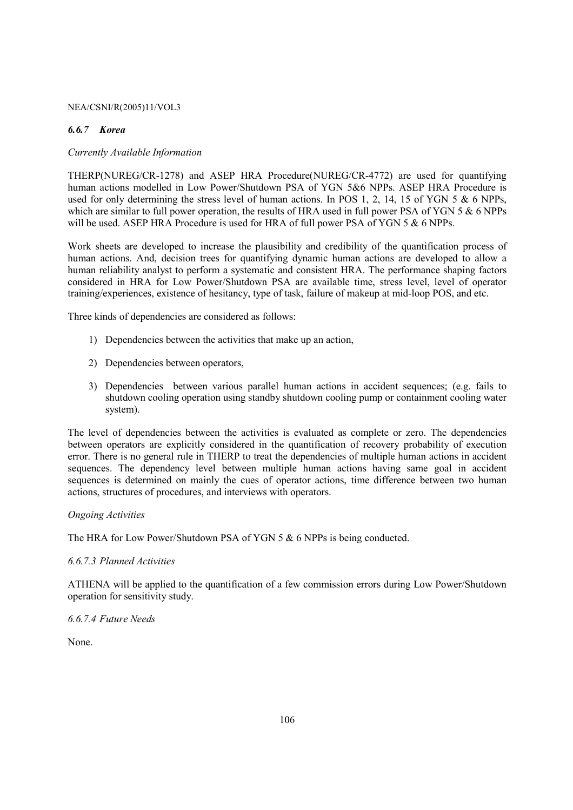# *6.6.7 Korea*

# *Currently Available Information*

THERP(NUREG/CR-1278) and ASEP HRA Procedure(NUREG/CR-4772) are used for quantifying human actions modelled in Low Power/Shutdown PSA of YGN 5&6 NPPs. ASEP HRA Procedure is used for only determining the stress level of human actions. In POS 1, 2, 14, 15 of YGN 5 & 6 NPPs, which are similar to full power operation, the results of HRA used in full power PSA of YGN 5 & 6 NPPs will be used. ASEP HRA Procedure is used for HRA of full power PSA of YGN 5 & 6 NPPs.

Work sheets are developed to increase the plausibility and credibility of the quantification process of human actions. And, decision trees for quantifying dynamic human actions are developed to allow a human reliability analyst to perform a systematic and consistent HRA. The performance shaping factors considered in HRA for Low Power/Shutdown PSA are available time, stress level, level of operator training/experiences, existence of hesitancy, type of task, failure of makeup at mid-loop POS, and etc.

Three kinds of dependencies are considered as follows:

- 1) Dependencies between the activities that make up an action,
- 2) Dependencies between operators,
- 3) Dependencies between various parallel human actions in accident sequences; (e.g. fails to shutdown cooling operation using standby shutdown cooling pump or containment cooling water system).

The level of dependencies between the activities is evaluated as complete or zero. The dependencies between operators are explicitly considered in the quantification of recovery probability of execution error. There is no general rule in THERP to treat the dependencies of multiple human actions in accident sequences. The dependency level between multiple human actions having same goal in accident sequences is determined on mainly the cues of operator actions, time difference between two human actions, structures of procedures, and interviews with operators.

### *Ongoing Activities*

The HRA for Low Power/Shutdown PSA of YGN 5 & 6 NPPs is being conducted.

### *6.6.7.3 Planned Activities*

ATHENA will be applied to the quantification of a few commission errors during Low Power/Shutdown operation for sensitivity study.

### *6.6.7.4 Future Needs*

None.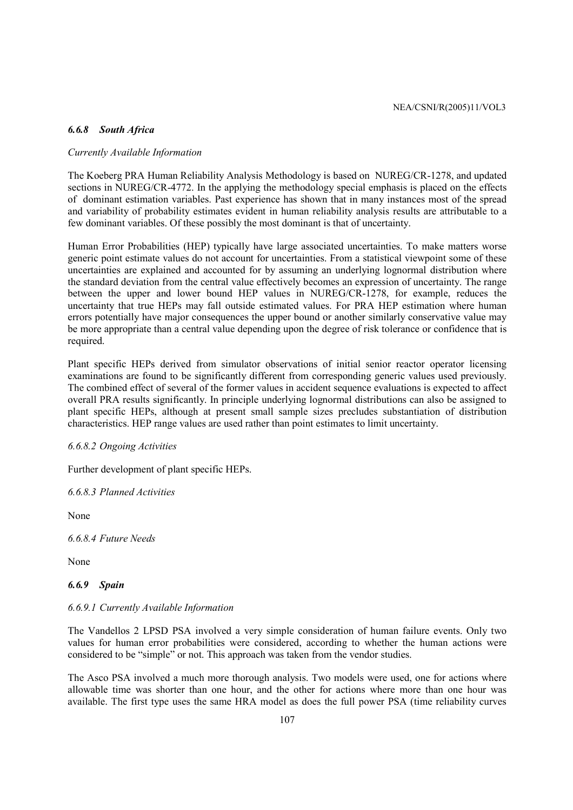### *6.6.8 South Africa*

# *Currently Available Information*

The Koeberg PRA Human Reliability Analysis Methodology is based on NUREG/CR-1278, and updated sections in NUREG/CR-4772. In the applying the methodology special emphasis is placed on the effects of dominant estimation variables. Past experience has shown that in many instances most of the spread and variability of probability estimates evident in human reliability analysis results are attributable to a few dominant variables. Of these possibly the most dominant is that of uncertainty.

Human Error Probabilities (HEP) typically have large associated uncertainties. To make matters worse generic point estimate values do not account for uncertainties. From a statistical viewpoint some of these uncertainties are explained and accounted for by assuming an underlying lognormal distribution where the standard deviation from the central value effectively becomes an expression of uncertainty. The range between the upper and lower bound HEP values in NUREG/CR-1278, for example, reduces the uncertainty that true HEPs may fall outside estimated values. For PRA HEP estimation where human errors potentially have major consequences the upper bound or another similarly conservative value may be more appropriate than a central value depending upon the degree of risk tolerance or confidence that is required.

Plant specific HEPs derived from simulator observations of initial senior reactor operator licensing examinations are found to be significantly different from corresponding generic values used previously. The combined effect of several of the former values in accident sequence evaluations is expected to affect overall PRA results significantly. In principle underlying lognormal distributions can also be assigned to plant specific HEPs, although at present small sample sizes precludes substantiation of distribution characteristics. HEP range values are used rather than point estimates to limit uncertainty.

### *6.6.8.2 Ongoing Activities*

Further development of plant specific HEPs.

*6.6.8.3 Planned Activities* 

None

*6.6.8.4 Future Needs* 

None

# *6.6.9 Spain*

#### *6.6.9.1 Currently Available Information*

The Vandellos 2 LPSD PSA involved a very simple consideration of human failure events. Only two values for human error probabilities were considered, according to whether the human actions were considered to be "simple" or not. This approach was taken from the vendor studies.

The Asco PSA involved a much more thorough analysis. Two models were used, one for actions where allowable time was shorter than one hour, and the other for actions where more than one hour was available. The first type uses the same HRA model as does the full power PSA (time reliability curves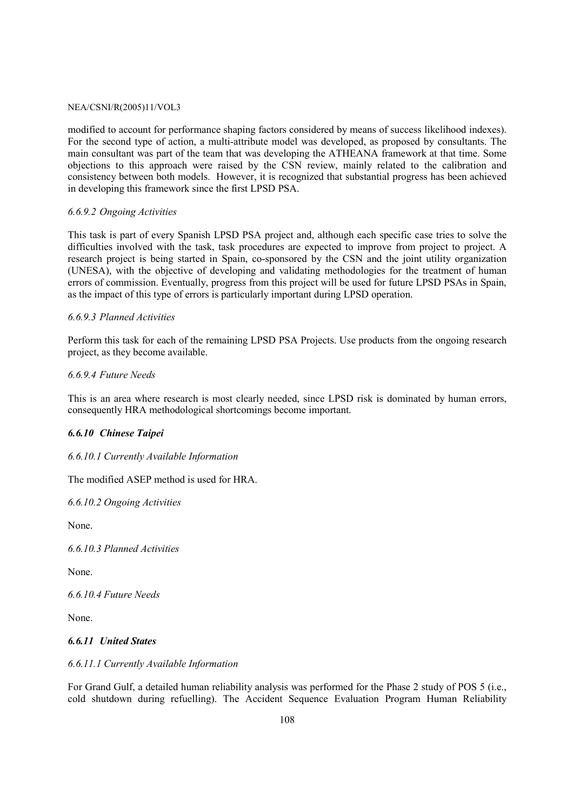modified to account for performance shaping factors considered by means of success likelihood indexes). For the second type of action, a multi-attribute model was developed, as proposed by consultants. The main consultant was part of the team that was developing the ATHEANA framework at that time. Some objections to this approach were raised by the CSN review, mainly related to the calibration and consistency between both models. However, it is recognized that substantial progress has been achieved in developing this framework since the first LPSD PSA.

### *6.6.9.2 Ongoing Activities*

This task is part of every Spanish LPSD PSA project and, although each specific case tries to solve the difficulties involved with the task, task procedures are expected to improve from project to project. A research project is being started in Spain, co-sponsored by the CSN and the joint utility organization (UNESA), with the objective of developing and validating methodologies for the treatment of human errors of commission. Eventually, progress from this project will be used for future LPSD PSAs in Spain, as the impact of this type of errors is particularly important during LPSD operation.

### *6.6.9.3 Planned Activities*

Perform this task for each of the remaining LPSD PSA Projects. Use products from the ongoing research project, as they become available.

### *6.6.9.4 Future Needs*

This is an area where research is most clearly needed, since LPSD risk is dominated by human errors, consequently HRA methodological shortcomings become important.

### *6.6.10 Chinese Taipei*

### *6.6.10.1 Currently Available Information*

The modified ASEP method is used for HRA.

*6.6.10.2 Ongoing Activities* 

None.

*6.6.10.3 Planned Activities* 

None.

*6.6.10.4 Future Needs* 

None.

### *6.6.11 United States*

#### *6.6.11.1 Currently Available Information*

For Grand Gulf, a detailed human reliability analysis was performed for the Phase 2 study of POS 5 (i.e., cold shutdown during refuelling). The Accident Sequence Evaluation Program Human Reliability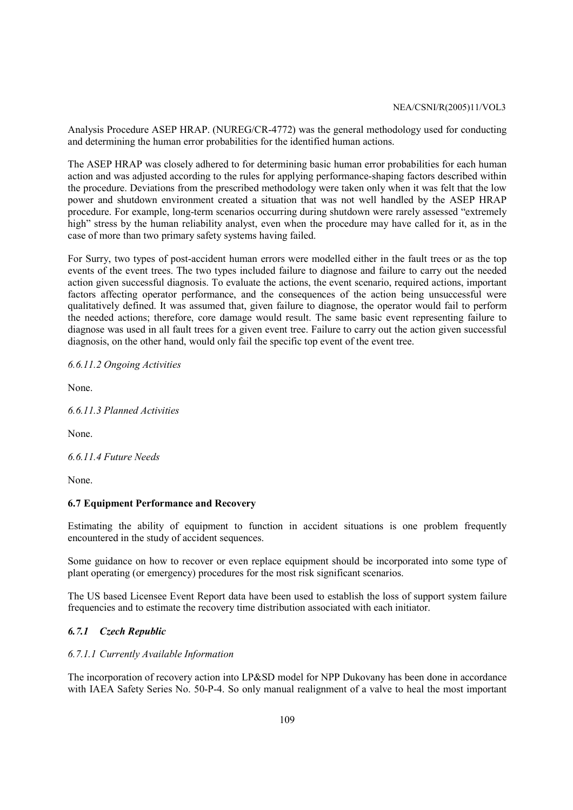Analysis Procedure ASEP HRAP. (NUREG/CR-4772) was the general methodology used for conducting and determining the human error probabilities for the identified human actions.

The ASEP HRAP was closely adhered to for determining basic human error probabilities for each human action and was adjusted according to the rules for applying performance-shaping factors described within the procedure. Deviations from the prescribed methodology were taken only when it was felt that the low power and shutdown environment created a situation that was not well handled by the ASEP HRAP procedure. For example, long-term scenarios occurring during shutdown were rarely assessed "extremely high" stress by the human reliability analyst, even when the procedure may have called for it, as in the case of more than two primary safety systems having failed.

For Surry, two types of post-accident human errors were modelled either in the fault trees or as the top events of the event trees. The two types included failure to diagnose and failure to carry out the needed action given successful diagnosis. To evaluate the actions, the event scenario, required actions, important factors affecting operator performance, and the consequences of the action being unsuccessful were qualitatively defined. It was assumed that, given failure to diagnose, the operator would fail to perform the needed actions; therefore, core damage would result. The same basic event representing failure to diagnose was used in all fault trees for a given event tree. Failure to carry out the action given successful diagnosis, on the other hand, would only fail the specific top event of the event tree.

*6.6.11.2 Ongoing Activities* 

None.

*6.6.11.3 Planned Activities* 

None.

*6.6.11.4 Future Needs* 

None.

#### **6.7 Equipment Performance and Recovery**

Estimating the ability of equipment to function in accident situations is one problem frequently encountered in the study of accident sequences.

Some guidance on how to recover or even replace equipment should be incorporated into some type of plant operating (or emergency) procedures for the most risk significant scenarios.

The US based Licensee Event Report data have been used to establish the loss of support system failure frequencies and to estimate the recovery time distribution associated with each initiator.

### *6.7.1 Czech Republic*

#### *6.7.1.1 Currently Available Information*

The incorporation of recovery action into LP&SD model for NPP Dukovany has been done in accordance with IAEA Safety Series No. 50-P-4. So only manual realignment of a valve to heal the most important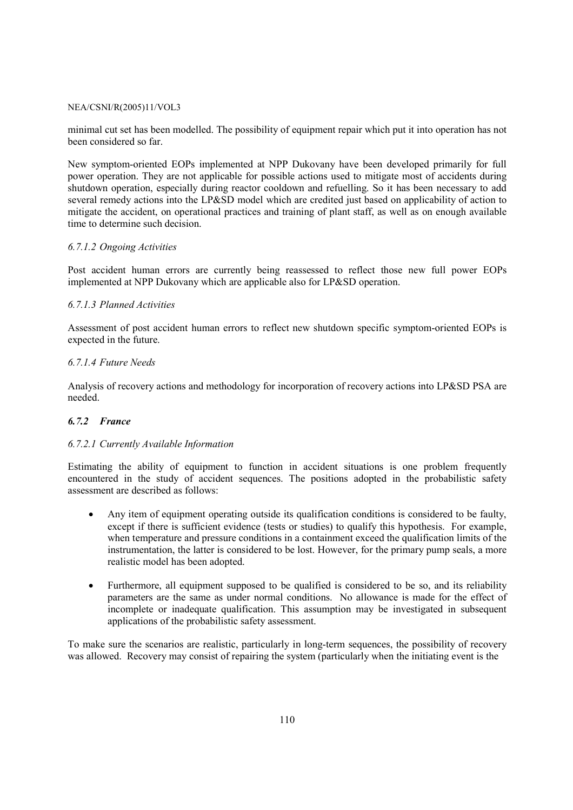minimal cut set has been modelled. The possibility of equipment repair which put it into operation has not been considered so far.

New symptom-oriented EOPs implemented at NPP Dukovany have been developed primarily for full power operation. They are not applicable for possible actions used to mitigate most of accidents during shutdown operation, especially during reactor cooldown and refuelling. So it has been necessary to add several remedy actions into the LP&SD model which are credited just based on applicability of action to mitigate the accident, on operational practices and training of plant staff, as well as on enough available time to determine such decision.

#### *6.7.1.2 Ongoing Activities*

Post accident human errors are currently being reassessed to reflect those new full power EOPs implemented at NPP Dukovany which are applicable also for LP&SD operation.

#### *6.7.1.3 Planned Activities*

Assessment of post accident human errors to reflect new shutdown specific symptom-oriented EOPs is expected in the future.

#### *6.7.1.4 Future Needs*

Analysis of recovery actions and methodology for incorporation of recovery actions into LP&SD PSA are needed.

#### *6.7.2 France*

#### *6.7.2.1 Currently Available Information*

Estimating the ability of equipment to function in accident situations is one problem frequently encountered in the study of accident sequences. The positions adopted in the probabilistic safety assessment are described as follows:

- Any item of equipment operating outside its qualification conditions is considered to be faulty, except if there is sufficient evidence (tests or studies) to qualify this hypothesis. For example, when temperature and pressure conditions in a containment exceed the qualification limits of the instrumentation, the latter is considered to be lost. However, for the primary pump seals, a more realistic model has been adopted.
- Furthermore, all equipment supposed to be qualified is considered to be so, and its reliability parameters are the same as under normal conditions. No allowance is made for the effect of incomplete or inadequate qualification. This assumption may be investigated in subsequent applications of the probabilistic safety assessment.

To make sure the scenarios are realistic, particularly in long-term sequences, the possibility of recovery was allowed. Recovery may consist of repairing the system (particularly when the initiating event is the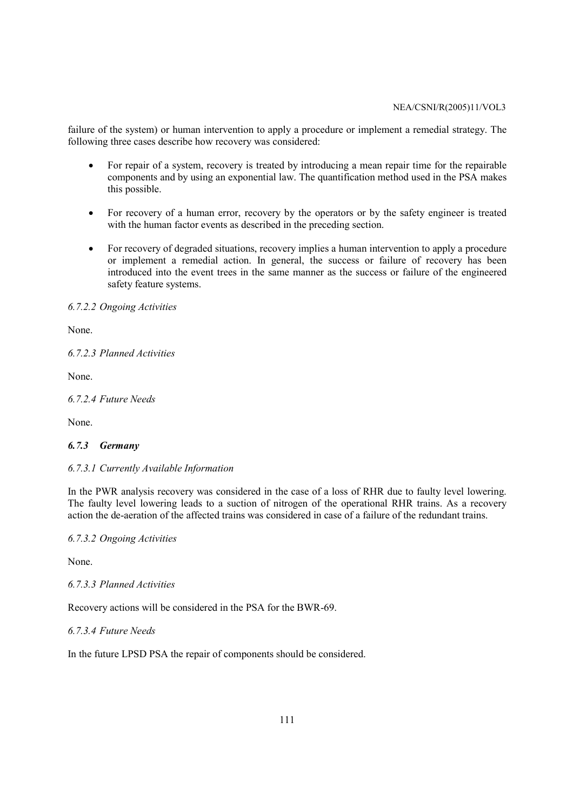failure of the system) or human intervention to apply a procedure or implement a remedial strategy. The following three cases describe how recovery was considered:

- For repair of a system, recovery is treated by introducing a mean repair time for the repairable components and by using an exponential law. The quantification method used in the PSA makes this possible.
- For recovery of a human error, recovery by the operators or by the safety engineer is treated with the human factor events as described in the preceding section.
- For recovery of degraded situations, recovery implies a human intervention to apply a procedure or implement a remedial action. In general, the success or failure of recovery has been introduced into the event trees in the same manner as the success or failure of the engineered safety feature systems.

#### *6.7.2.2 Ongoing Activities*

None.

*6.7.2.3 Planned Activities* 

None.

*6.7.2.4 Future Needs* 

None.

#### *6.7.3 Germany*

#### *6.7.3.1 Currently Available Information*

In the PWR analysis recovery was considered in the case of a loss of RHR due to faulty level lowering. The faulty level lowering leads to a suction of nitrogen of the operational RHR trains. As a recovery action the de-aeration of the affected trains was considered in case of a failure of the redundant trains.

*6.7.3.2 Ongoing Activities* 

None.

*6.7.3.3 Planned Activities* 

Recovery actions will be considered in the PSA for the BWR-69.

*6.7.3.4 Future Needs* 

In the future LPSD PSA the repair of components should be considered.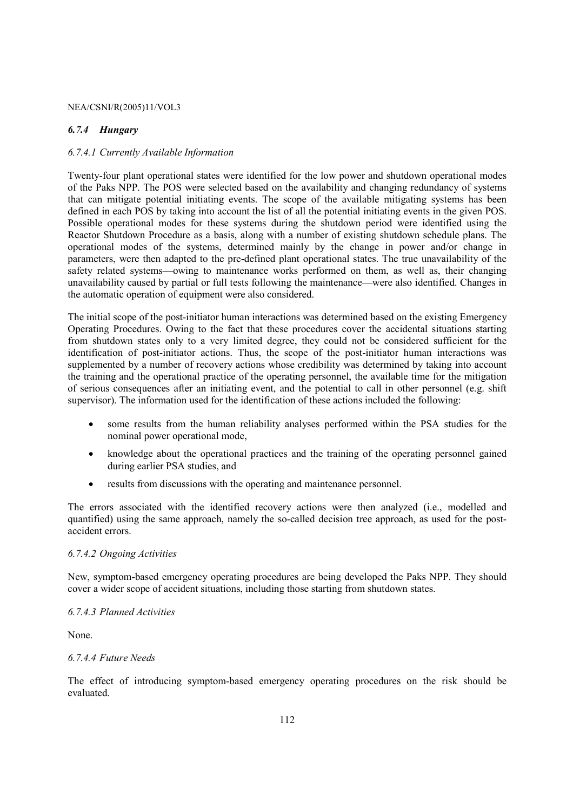#### *6.7.4 Hungary*

### *6.7.4.1 Currently Available Information*

Twenty-four plant operational states were identified for the low power and shutdown operational modes of the Paks NPP. The POS were selected based on the availability and changing redundancy of systems that can mitigate potential initiating events. The scope of the available mitigating systems has been defined in each POS by taking into account the list of all the potential initiating events in the given POS. Possible operational modes for these systems during the shutdown period were identified using the Reactor Shutdown Procedure as a basis, along with a number of existing shutdown schedule plans. The operational modes of the systems, determined mainly by the change in power and/or change in parameters, were then adapted to the pre-defined plant operational states. The true unavailability of the safety related systems—owing to maintenance works performed on them, as well as, their changing unavailability caused by partial or full tests following the maintenance—were also identified. Changes in the automatic operation of equipment were also considered.

The initial scope of the post-initiator human interactions was determined based on the existing Emergency Operating Procedures. Owing to the fact that these procedures cover the accidental situations starting from shutdown states only to a very limited degree, they could not be considered sufficient for the identification of post-initiator actions. Thus, the scope of the post-initiator human interactions was supplemented by a number of recovery actions whose credibility was determined by taking into account the training and the operational practice of the operating personnel, the available time for the mitigation of serious consequences after an initiating event, and the potential to call in other personnel (e.g. shift supervisor). The information used for the identification of these actions included the following:

- some results from the human reliability analyses performed within the PSA studies for the nominal power operational mode,
- knowledge about the operational practices and the training of the operating personnel gained during earlier PSA studies, and
- results from discussions with the operating and maintenance personnel.

The errors associated with the identified recovery actions were then analyzed (i.e., modelled and quantified) using the same approach, namely the so-called decision tree approach, as used for the postaccident errors.

#### *6.7.4.2 Ongoing Activities*

New, symptom-based emergency operating procedures are being developed the Paks NPP. They should cover a wider scope of accident situations, including those starting from shutdown states.

#### *6.7.4.3 Planned Activities*

None.

#### *6.7.4.4 Future Needs*

The effect of introducing symptom-based emergency operating procedures on the risk should be evaluated.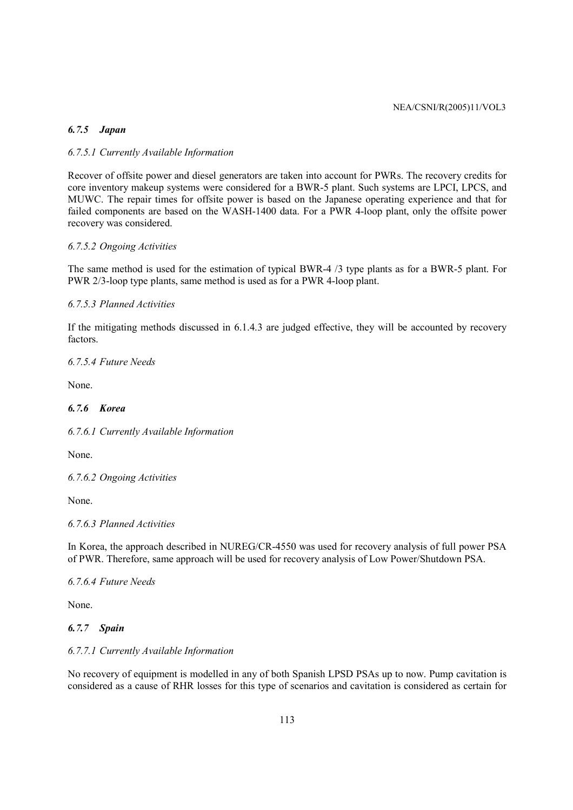### *6.7.5 Japan*

### *6.7.5.1 Currently Available Information*

Recover of offsite power and diesel generators are taken into account for PWRs. The recovery credits for core inventory makeup systems were considered for a BWR-5 plant. Such systems are LPCI, LPCS, and MUWC. The repair times for offsite power is based on the Japanese operating experience and that for failed components are based on the WASH-1400 data. For a PWR 4-loop plant, only the offsite power recovery was considered.

### *6.7.5.2 Ongoing Activities*

The same method is used for the estimation of typical BWR-4 /3 type plants as for a BWR-5 plant. For PWR 2/3-loop type plants, same method is used as for a PWR 4-loop plant.

#### *6.7.5.3 Planned Activities*

If the mitigating methods discussed in 6.1.4.3 are judged effective, they will be accounted by recovery factors.

*6.7.5.4 Future Needs* 

None.

# *6.7.6 Korea*

*6.7.6.1 Currently Available Information* 

None.

*6.7.6.2 Ongoing Activities* 

None.

#### *6.7.6.3 Planned Activities*

In Korea, the approach described in NUREG/CR-4550 was used for recovery analysis of full power PSA of PWR. Therefore, same approach will be used for recovery analysis of Low Power/Shutdown PSA.

*6.7.6.4 Future Needs* 

None.

### *6.7.7 Spain*

### *6.7.7.1 Currently Available Information*

No recovery of equipment is modelled in any of both Spanish LPSD PSAs up to now. Pump cavitation is considered as a cause of RHR losses for this type of scenarios and cavitation is considered as certain for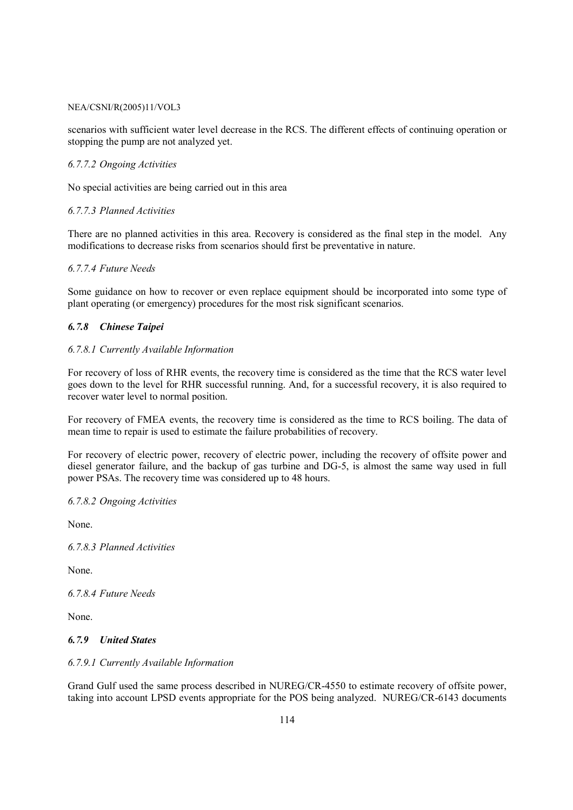scenarios with sufficient water level decrease in the RCS. The different effects of continuing operation or stopping the pump are not analyzed yet.

#### *6.7.7.2 Ongoing Activities*

No special activities are being carried out in this area

#### *6.7.7.3 Planned Activities*

There are no planned activities in this area. Recovery is considered as the final step in the model. Any modifications to decrease risks from scenarios should first be preventative in nature.

#### *6.7.7.4 Future Needs*

Some guidance on how to recover or even replace equipment should be incorporated into some type of plant operating (or emergency) procedures for the most risk significant scenarios.

### *6.7.8 Chinese Taipei*

#### *6.7.8.1 Currently Available Information*

For recovery of loss of RHR events, the recovery time is considered as the time that the RCS water level goes down to the level for RHR successful running. And, for a successful recovery, it is also required to recover water level to normal position.

For recovery of FMEA events, the recovery time is considered as the time to RCS boiling. The data of mean time to repair is used to estimate the failure probabilities of recovery.

For recovery of electric power, recovery of electric power, including the recovery of offsite power and diesel generator failure, and the backup of gas turbine and DG-5, is almost the same way used in full power PSAs. The recovery time was considered up to 48 hours.

#### *6.7.8.2 Ongoing Activities*

None.

*6.7.8.3 Planned Activities* 

None.

*6.7.8.4 Future Needs* 

None.

#### *6.7.9 United States*

#### *6.7.9.1 Currently Available Information*

Grand Gulf used the same process described in NUREG/CR-4550 to estimate recovery of offsite power, taking into account LPSD events appropriate for the POS being analyzed. NUREG/CR-6143 documents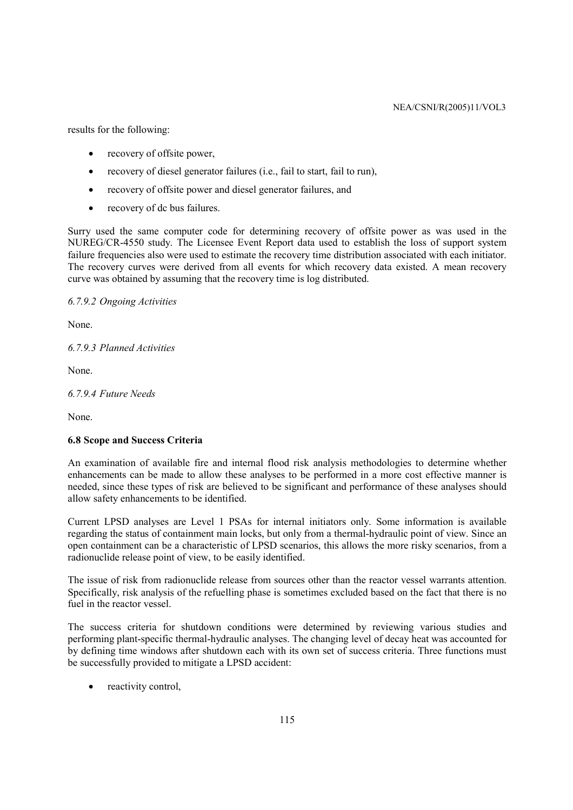results for the following:

- recovery of offsite power,
- recovery of diesel generator failures (i.e., fail to start, fail to run),
- recovery of offsite power and diesel generator failures, and
- recovery of dc bus failures.

Surry used the same computer code for determining recovery of offsite power as was used in the NUREG/CR-4550 study. The Licensee Event Report data used to establish the loss of support system failure frequencies also were used to estimate the recovery time distribution associated with each initiator. The recovery curves were derived from all events for which recovery data existed. A mean recovery curve was obtained by assuming that the recovery time is log distributed.

*6.7.9.2 Ongoing Activities* 

None.

*6.7.9.3 Planned Activities* 

None.

*6.7.9.4 Future Needs* 

None.

### **6.8 Scope and Success Criteria**

An examination of available fire and internal flood risk analysis methodologies to determine whether enhancements can be made to allow these analyses to be performed in a more cost effective manner is needed, since these types of risk are believed to be significant and performance of these analyses should allow safety enhancements to be identified.

Current LPSD analyses are Level 1 PSAs for internal initiators only. Some information is available regarding the status of containment main locks, but only from a thermal-hydraulic point of view. Since an open containment can be a characteristic of LPSD scenarios, this allows the more risky scenarios, from a radionuclide release point of view, to be easily identified.

The issue of risk from radionuclide release from sources other than the reactor vessel warrants attention. Specifically, risk analysis of the refuelling phase is sometimes excluded based on the fact that there is no fuel in the reactor vessel.

The success criteria for shutdown conditions were determined by reviewing various studies and performing plant-specific thermal-hydraulic analyses. The changing level of decay heat was accounted for by defining time windows after shutdown each with its own set of success criteria. Three functions must be successfully provided to mitigate a LPSD accident:

reactivity control,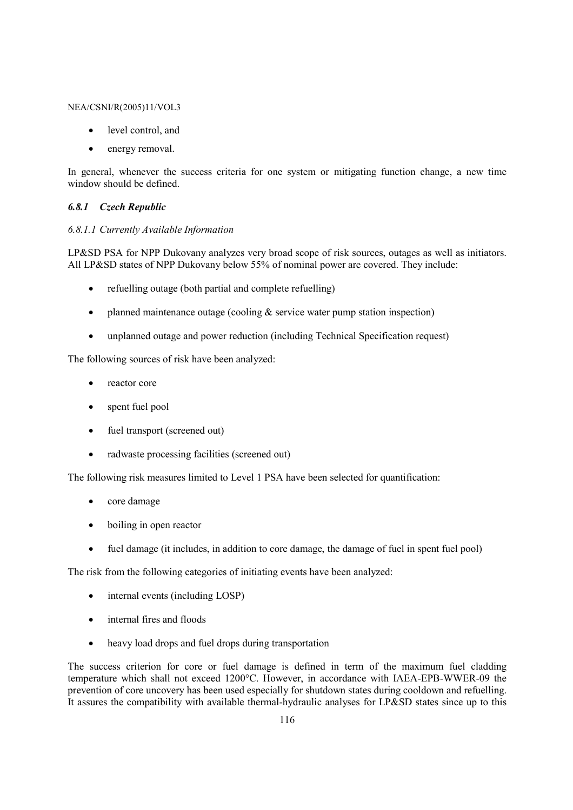- level control, and
- energy removal.

In general, whenever the success criteria for one system or mitigating function change, a new time window should be defined.

#### *6.8.1 Czech Republic*

#### *6.8.1.1 Currently Available Information*

LP&SD PSA for NPP Dukovany analyzes very broad scope of risk sources, outages as well as initiators. All LP&SD states of NPP Dukovany below 55% of nominal power are covered. They include:

- refuelling outage (both partial and complete refuelling)
- planned maintenance outage (cooling  $&$  service water pump station inspection)
- unplanned outage and power reduction (including Technical Specification request)

The following sources of risk have been analyzed:

- reactor core
- spent fuel pool
- fuel transport (screened out)
- radwaste processing facilities (screened out)

The following risk measures limited to Level 1 PSA have been selected for quantification:

- core damage
- boiling in open reactor
- fuel damage (it includes, in addition to core damage, the damage of fuel in spent fuel pool)

The risk from the following categories of initiating events have been analyzed:

- internal events (including LOSP)
- internal fires and floods
- heavy load drops and fuel drops during transportation

The success criterion for core or fuel damage is defined in term of the maximum fuel cladding temperature which shall not exceed 1200°C. However, in accordance with IAEA-EPB-WWER-09 the prevention of core uncovery has been used especially for shutdown states during cooldown and refuelling. It assures the compatibility with available thermal-hydraulic analyses for LP&SD states since up to this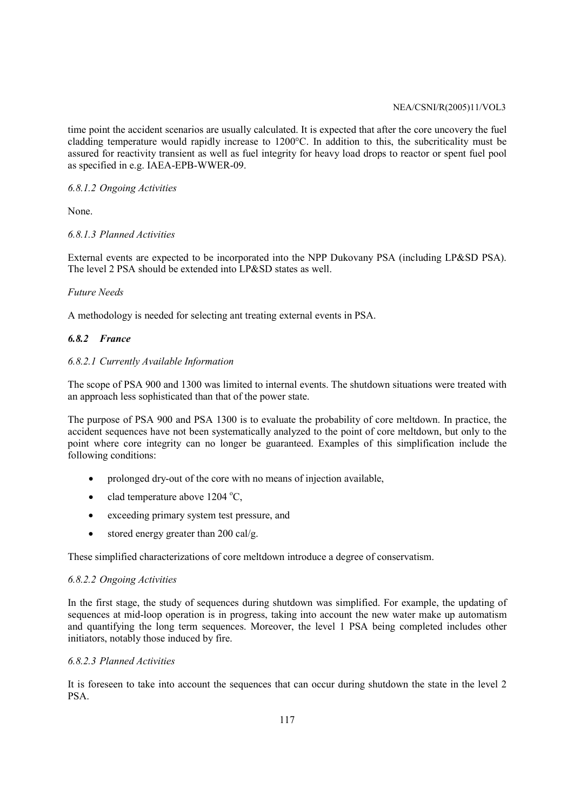time point the accident scenarios are usually calculated. It is expected that after the core uncovery the fuel cladding temperature would rapidly increase to 1200°C. In addition to this, the subcriticality must be assured for reactivity transient as well as fuel integrity for heavy load drops to reactor or spent fuel pool as specified in e.g. IAEA-EPB-WWER-09.

### *6.8.1.2 Ongoing Activities*

None.

### *6.8.1.3 Planned Activities*

External events are expected to be incorporated into the NPP Dukovany PSA (including LP&SD PSA). The level 2 PSA should be extended into LP&SD states as well.

### *Future Needs*

A methodology is needed for selecting ant treating external events in PSA.

# *6.8.2 France*

### *6.8.2.1 Currently Available Information*

The scope of PSA 900 and 1300 was limited to internal events. The shutdown situations were treated with an approach less sophisticated than that of the power state.

The purpose of PSA 900 and PSA 1300 is to evaluate the probability of core meltdown. In practice, the accident sequences have not been systematically analyzed to the point of core meltdown, but only to the point where core integrity can no longer be guaranteed. Examples of this simplification include the following conditions:

- prolonged dry-out of the core with no means of injection available,
- clad temperature above  $1204 \degree C$ ,
- exceeding primary system test pressure, and
- stored energy greater than 200 cal/g.

These simplified characterizations of core meltdown introduce a degree of conservatism.

### *6.8.2.2 Ongoing Activities*

In the first stage, the study of sequences during shutdown was simplified. For example, the updating of sequences at mid-loop operation is in progress, taking into account the new water make up automatism and quantifying the long term sequences. Moreover, the level 1 PSA being completed includes other initiators, notably those induced by fire.

### *6.8.2.3 Planned Activities*

It is foreseen to take into account the sequences that can occur during shutdown the state in the level 2 PSA.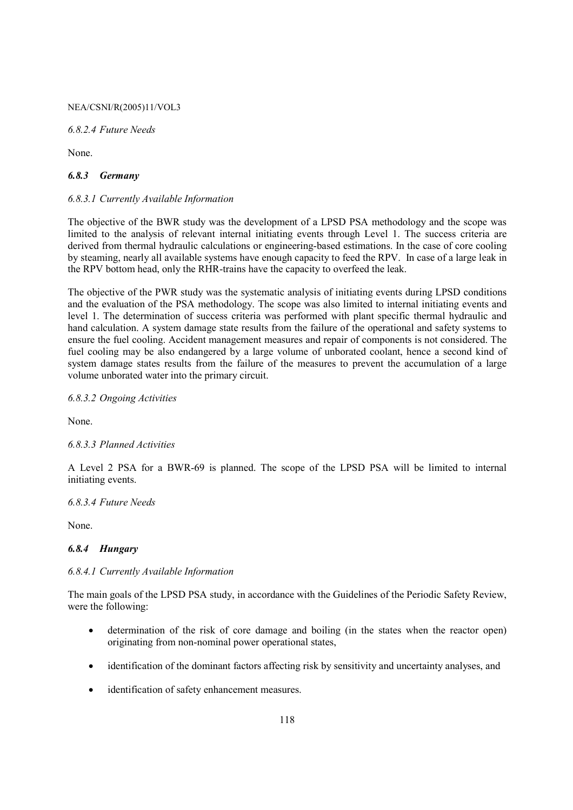*6.8.2.4 Future Needs* 

None.

#### *6.8.3 Germany*

#### *6.8.3.1 Currently Available Information*

The objective of the BWR study was the development of a LPSD PSA methodology and the scope was limited to the analysis of relevant internal initiating events through Level 1. The success criteria are derived from thermal hydraulic calculations or engineering-based estimations. In the case of core cooling by steaming, nearly all available systems have enough capacity to feed the RPV. In case of a large leak in the RPV bottom head, only the RHR-trains have the capacity to overfeed the leak.

The objective of the PWR study was the systematic analysis of initiating events during LPSD conditions and the evaluation of the PSA methodology. The scope was also limited to internal initiating events and level 1. The determination of success criteria was performed with plant specific thermal hydraulic and hand calculation. A system damage state results from the failure of the operational and safety systems to ensure the fuel cooling. Accident management measures and repair of components is not considered. The fuel cooling may be also endangered by a large volume of unborated coolant, hence a second kind of system damage states results from the failure of the measures to prevent the accumulation of a large volume unborated water into the primary circuit.

#### *6.8.3.2 Ongoing Activities*

None.

### *6.8.3.3 Planned Activities*

A Level 2 PSA for a BWR-69 is planned. The scope of the LPSD PSA will be limited to internal initiating events.

#### *6.8.3.4 Future Needs*

None.

### *6.8.4 Hungary*

#### *6.8.4.1 Currently Available Information*

The main goals of the LPSD PSA study, in accordance with the Guidelines of the Periodic Safety Review, were the following:

- determination of the risk of core damage and boiling (in the states when the reactor open) originating from non-nominal power operational states,
- identification of the dominant factors affecting risk by sensitivity and uncertainty analyses, and
- identification of safety enhancement measures.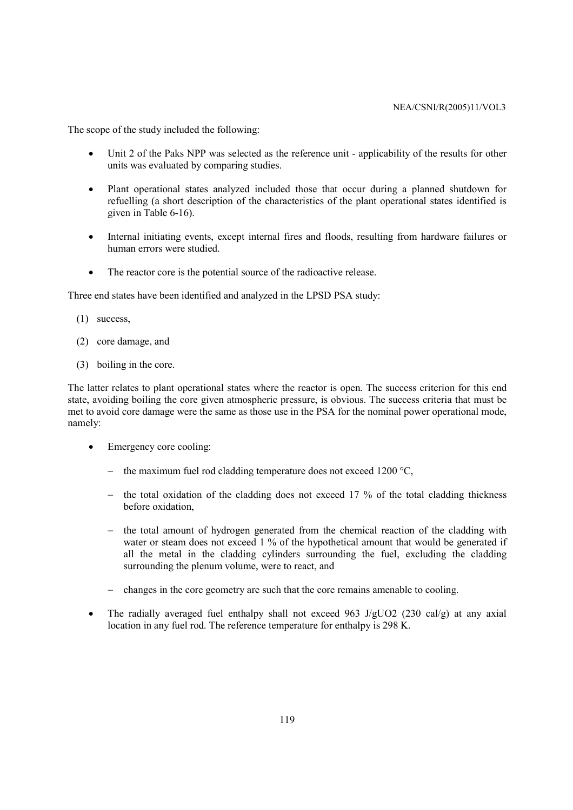The scope of the study included the following:

- Unit 2 of the Paks NPP was selected as the reference unit applicability of the results for other units was evaluated by comparing studies.
- Plant operational states analyzed included those that occur during a planned shutdown for refuelling (a short description of the characteristics of the plant operational states identified is given in Table 6-16).
- Internal initiating events, except internal fires and floods, resulting from hardware failures or human errors were studied.
- The reactor core is the potential source of the radioactive release.

Three end states have been identified and analyzed in the LPSD PSA study:

- (1) success,
- (2) core damage, and
- (3) boiling in the core.

The latter relates to plant operational states where the reactor is open. The success criterion for this end state, avoiding boiling the core given atmospheric pressure, is obvious. The success criteria that must be met to avoid core damage were the same as those use in the PSA for the nominal power operational mode, namely:

- Emergency core cooling:
	- − the maximum fuel rod cladding temperature does not exceed 1200 °C,
	- − the total oxidation of the cladding does not exceed 17 % of the total cladding thickness before oxidation,
	- − the total amount of hydrogen generated from the chemical reaction of the cladding with water or steam does not exceed 1 % of the hypothetical amount that would be generated if all the metal in the cladding cylinders surrounding the fuel, excluding the cladding surrounding the plenum volume, were to react, and
	- − changes in the core geometry are such that the core remains amenable to cooling.
- The radially averaged fuel enthalpy shall not exceed 963 J/gUO2 (230 cal/g) at any axial location in any fuel rod. The reference temperature for enthalpy is 298 K.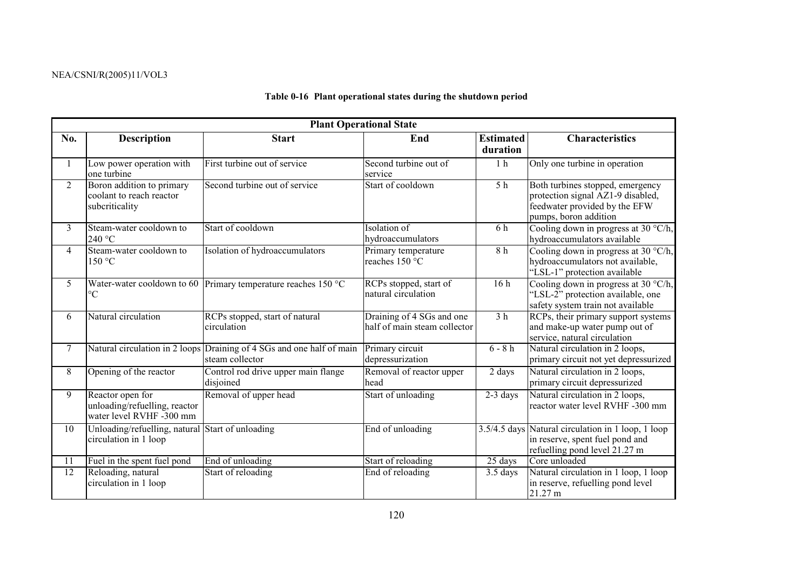#### **Table 0-16 Plant operational states during the shutdown period**

|                | <b>Plant Operational State</b>                                                |                                                                                          |                                                           |                              |                                                                                                                                 |  |  |  |
|----------------|-------------------------------------------------------------------------------|------------------------------------------------------------------------------------------|-----------------------------------------------------------|------------------------------|---------------------------------------------------------------------------------------------------------------------------------|--|--|--|
| No.            | <b>Description</b>                                                            | <b>Start</b>                                                                             | End                                                       | <b>Estimated</b><br>duration | <b>Characteristics</b>                                                                                                          |  |  |  |
|                | Low power operation with<br>one turbine                                       | First turbine out of service                                                             | Second turbine out of<br>service                          | 1 <sub>h</sub>               | Only one turbine in operation                                                                                                   |  |  |  |
| $\overline{2}$ | Boron addition to primary<br>coolant to reach reactor<br>subcriticality       | Second turbine out of service                                                            | Start of cooldown                                         | $\overline{5h}$              | Both turbines stopped, emergency<br>protection signal AZ1-9 disabled,<br>feedwater provided by the EFW<br>pumps, boron addition |  |  |  |
| 3              | Steam-water cooldown to<br>240 °C                                             | Start of cooldown                                                                        | Isolation of<br>hydroaccumulators                         | 6h                           | Cooling down in progress at 30 °C/h,<br>hydroaccumulators available                                                             |  |  |  |
| $\overline{4}$ | Steam-water cooldown to<br>150 °C                                             | Isolation of hydroaccumulators                                                           | Primary temperature<br>reaches 150 °C                     | 8h                           | Cooling down in progress at 30 $\degree$ C/h,<br>hydroaccumulators not available,<br>"LSL-1" protection available               |  |  |  |
| 5              | $\rm ^{\circ}C$                                                               | Water-water cooldown to 60 Primary temperature reaches 150 $^{\circ}$ C                  | RCPs stopped, start of<br>natural circulation             | 16h                          | Cooling down in progress at 30 °C/h,<br>"LSL-2" protection available, one<br>safety system train not available                  |  |  |  |
| 6              | Natural circulation                                                           | RCPs stopped, start of natural<br>circulation                                            | Draining of 4 SGs and one<br>half of main steam collector | 3 <sub>h</sub>               | RCPs, their primary support systems<br>and make-up water pump out of<br>service, natural circulation                            |  |  |  |
| $\tau$         |                                                                               | Natural circulation in 2 loops Draining of 4 SGs and one half of main<br>steam collector | Primary circuit<br>depressurization                       | $6 - 8h$                     | Natural circulation in 2 loops,<br>primary circuit not yet depressurized                                                        |  |  |  |
| 8              | Opening of the reactor                                                        | Control rod drive upper main flange<br>disjoined                                         | Removal of reactor upper<br>head                          | 2 days                       | Natural circulation in 2 loops,<br>primary circuit depressurized                                                                |  |  |  |
| 9              | Reactor open for<br>unloading/refuelling, reactor<br>water level RVHF -300 mm | Removal of upper head                                                                    | Start of unloading                                        | $2-3$ days                   | Natural circulation in 2 loops,<br>reactor water level RVHF -300 mm                                                             |  |  |  |
| 10             | Unloading/refuelling, natural Start of unloading<br>circulation in 1 loop     |                                                                                          | End of unloading                                          |                              | 3.5/4.5 days Natural circulation in 1 loop, 1 loop<br>in reserve, spent fuel pond and<br>refuelling pond level 21.27 m          |  |  |  |
| 11             | Fuel in the spent fuel pond                                                   | End of unloading                                                                         | Start of reloading                                        | 25 days                      | Core unloaded                                                                                                                   |  |  |  |
| 12             | Reloading, natural<br>circulation in 1 loop                                   | Start of reloading                                                                       | End of reloading                                          | 3.5 days                     | Natural circulation in 1 loop, 1 loop<br>in reserve, refuelling pond level<br>21.27 m                                           |  |  |  |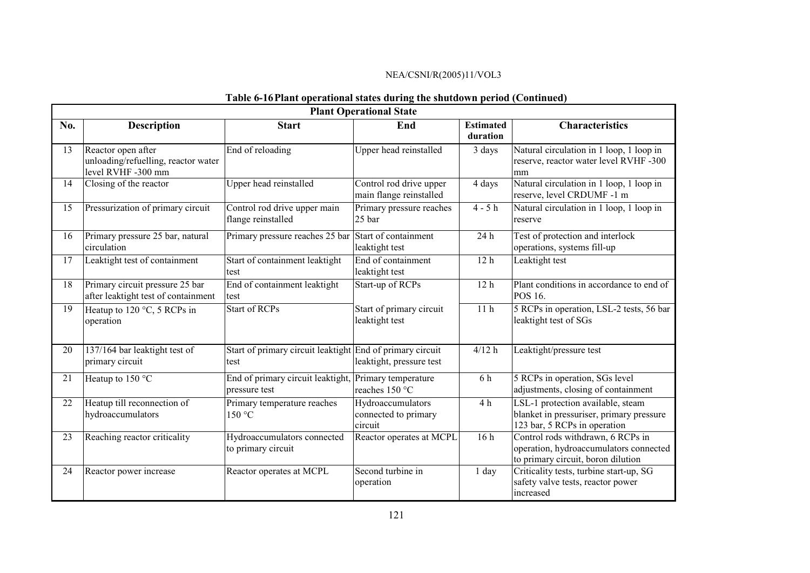# **Table 6-16 Plant operational states during the shutdown period (Continued)**

|     | <b>Plant Operational State</b>                                                  |                                                                        |                                                      |                              |                                                                                                                   |  |  |
|-----|---------------------------------------------------------------------------------|------------------------------------------------------------------------|------------------------------------------------------|------------------------------|-------------------------------------------------------------------------------------------------------------------|--|--|
| No. | <b>Description</b>                                                              | <b>Start</b>                                                           | End                                                  | <b>Estimated</b><br>duration | <b>Characteristics</b>                                                                                            |  |  |
| 13  | Reactor open after<br>unloading/refuelling, reactor water<br>level RVHF -300 mm | End of reloading                                                       | Upper head reinstalled                               | 3 days                       | Natural circulation in 1 loop, 1 loop in<br>reserve, reactor water level RVHF -300<br>mm                          |  |  |
| 14  | Closing of the reactor                                                          | Upper head reinstalled                                                 | Control rod drive upper<br>main flange reinstalled   | 4 days                       | Natural circulation in 1 loop, 1 loop in<br>reserve, level CRDUMF -1 m                                            |  |  |
| 15  | Pressurization of primary circuit                                               | Control rod drive upper main<br>flange reinstalled                     | Primary pressure reaches<br>25 bar                   | $4 - 5h$                     | Natural circulation in 1 loop, 1 loop in<br>reserve                                                               |  |  |
| 16  | Primary pressure 25 bar, natural<br>circulation                                 | Primary pressure reaches 25 bar Start of containment                   | leaktight test                                       | 24 h                         | Test of protection and interlock<br>operations, systems fill-up                                                   |  |  |
| 17  | Leaktight test of containment                                                   | Start of containment leaktight<br>test                                 | End of containment<br>leaktight test                 | 12 <sub>h</sub>              | Leaktight test                                                                                                    |  |  |
| 18  | Primary circuit pressure 25 bar<br>after leaktight test of containment          | End of containment leaktight<br>test                                   | Start-up of RCPs                                     | 12 <sub>h</sub>              | Plant conditions in accordance to end of<br>POS 16.                                                               |  |  |
| 19  | Heatup to 120 °C, 5 RCPs in<br>operation                                        | <b>Start of RCPs</b>                                                   | Start of primary circuit<br>leaktight test           | 11 <sub>h</sub>              | 5 RCPs in operation, LSL-2 tests, 56 bar<br>leaktight test of SGs                                                 |  |  |
| 20  | 137/164 bar leaktight test of<br>primary circuit                                | Start of primary circuit leaktight End of primary circuit<br>test      | leaktight, pressure test                             | 4/12 h                       | Leaktight/pressure test                                                                                           |  |  |
| 21  | Heatup to 150 °C                                                                | End of primary circuit leaktight, Primary temperature<br>pressure test | reaches 150 °C                                       | 6 h                          | 5 RCPs in operation, SGs level<br>adjustments, closing of containment                                             |  |  |
| 22  | Heatup till reconnection of<br>hydroaccumulators                                | Primary temperature reaches<br>150 °C                                  | Hydroaccumulators<br>connected to primary<br>circuit | 4 <sub>h</sub>               | LSL-1 protection available, steam<br>blanket in pressuriser, primary pressure<br>123 bar, 5 RCPs in operation     |  |  |
| 23  | Reaching reactor criticality                                                    | Hydroaccumulators connected<br>to primary circuit                      | Reactor operates at MCPL                             | 16 <sub>h</sub>              | Control rods withdrawn, 6 RCPs in<br>operation, hydroaccumulators connected<br>to primary circuit, boron dilution |  |  |
| 24  | Reactor power increase                                                          | Reactor operates at MCPL                                               | Second turbine in<br>operation                       | 1 day                        | Criticality tests, turbine start-up, SG<br>safety valve tests, reactor power<br>increased                         |  |  |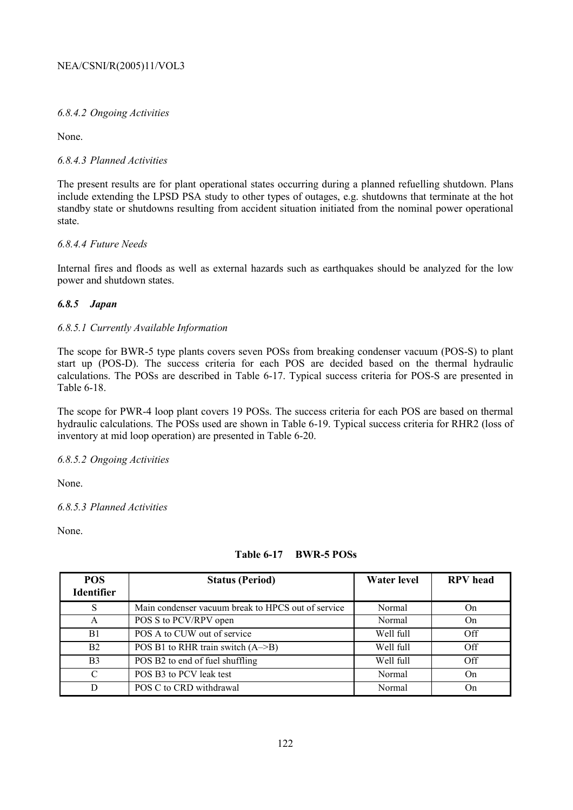# *6.8.4.2 Ongoing Activities*

None.

# *6.8.4.3 Planned Activities*

The present results are for plant operational states occurring during a planned refuelling shutdown. Plans include extending the LPSD PSA study to other types of outages, e.g. shutdowns that terminate at the hot standby state or shutdowns resulting from accident situation initiated from the nominal power operational state.

# *6.8.4.4 Future Needs*

Internal fires and floods as well as external hazards such as earthquakes should be analyzed for the low power and shutdown states.

### *6.8.5 Japan*

### *6.8.5.1 Currently Available Information*

The scope for BWR-5 type plants covers seven POSs from breaking condenser vacuum (POS-S) to plant start up (POS-D). The success criteria for each POS are decided based on the thermal hydraulic calculations. The POSs are described in Table 6-17. Typical success criteria for POS-S are presented in Table 6-18.

The scope for PWR-4 loop plant covers 19 POSs. The success criteria for each POS are based on thermal hydraulic calculations. The POSs used are shown in Table 6-19. Typical success criteria for RHR2 (loss of inventory at mid loop operation) are presented in Table 6-20.

### *6.8.5.2 Ongoing Activities*

None.

### *6.8.5.3 Planned Activities*

None.

# **Table 6-17 BWR-5 POSs**

| <b>POS</b><br><b>Identifier</b> | <b>Status (Period)</b>                             | <b>Water level</b> | <b>RPV</b> head |
|---------------------------------|----------------------------------------------------|--------------------|-----------------|
| S                               | Main condenser vacuum break to HPCS out of service | Normal             | On              |
| A                               | POS S to PCV/RPV open                              | Normal             | On              |
| B1                              | POS A to CUW out of service                        | Well full          | Off             |
| B2                              | POS B1 to RHR train switch $(A \rightarrow B)$     | Well full          | Off             |
| B <sub>3</sub>                  | POS B2 to end of fuel shuffling                    | Well full          | Off             |
| $\mathcal{C}$                   | POS B3 to PCV leak test                            | Normal             | On              |
| D                               | POS C to CRD withdrawal                            | Normal             | On              |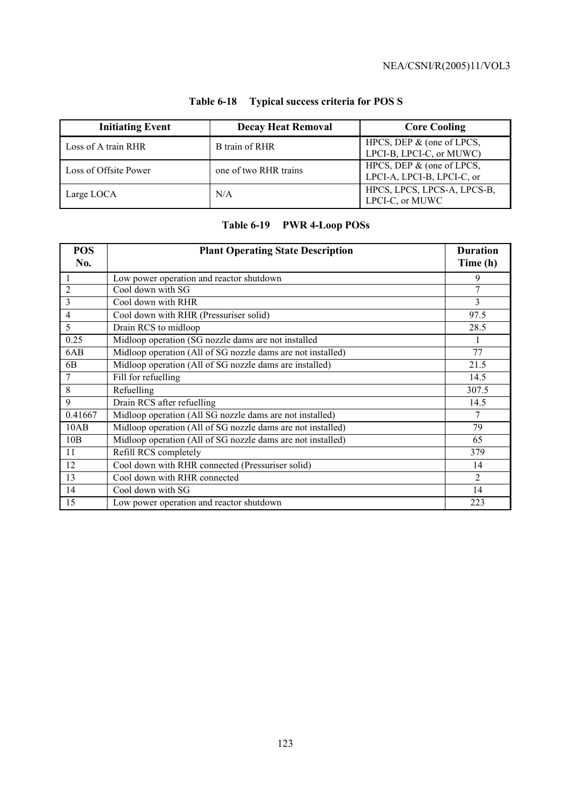| <b>Initiating Event</b> | <b>Decay Heat Removal</b> | <b>Core Cooling</b>                                        |
|-------------------------|---------------------------|------------------------------------------------------------|
| Loss of A train RHR     | B train of RHR            | HPCS, DEP $\&$ (one of LPCS,<br>LPCI-B, LPCI-C, or MUWC)   |
| Loss of Offsite Power   | one of two RHR trains     | HPCS, DEP $\&$ (one of LPCS,<br>LPCI-A, LPCI-B, LPCI-C, or |
| Large LOCA              | N/A                       | HPCS, LPCS, LPCS-A, LPCS-B,<br>LPCI-C, or MUWC             |

# **Table 6-18 Typical success criteria for POS S**

# **Table 6-19 PWR 4-Loop POSs**

| <b>POS</b><br>No. | <b>Plant Operating State Description</b>                    | <b>Duration</b><br>Time (h) |
|-------------------|-------------------------------------------------------------|-----------------------------|
| $\overline{1}$    | Low power operation and reactor shutdown                    | 9                           |
| $\overline{2}$    | Cool down with SG                                           | 7                           |
| 3                 | Cool down with RHR                                          | 3                           |
| 4                 | Cool down with RHR (Pressuriser solid)                      | 97.5                        |
| 5                 | Drain RCS to midloop                                        | 28.5                        |
| 0.25              | Midloop operation (SG nozzle dams are not installed         |                             |
| 6AB               | Midloop operation (All of SG nozzle dams are not installed) | 77                          |
| 6 <sub>B</sub>    | Midloop operation (All of SG nozzle dams are installed)     | 21.5                        |
| 7                 | Fill for refuelling                                         | 14.5                        |
| 8                 | Refuelling                                                  | 307.5                       |
| 9                 | Drain RCS after refuelling                                  | 14.5                        |
| 0.41667           | Midloop operation (All SG nozzle dams are not installed)    | 7                           |
| 10AB              | Midloop operation (All of SG nozzle dams are not installed) | 79                          |
| 10B               | Midloop operation (All of SG nozzle dams are not installed) | 65                          |
| 11                | Refill RCS completely                                       | 379                         |
| 12                | Cool down with RHR connected (Pressuriser solid)            | 14                          |
| 13                | Cool down with RHR connected                                | 2                           |
| 14                | Cool down with SG                                           | 14                          |
| 15                | Low power operation and reactor shutdown                    | 223                         |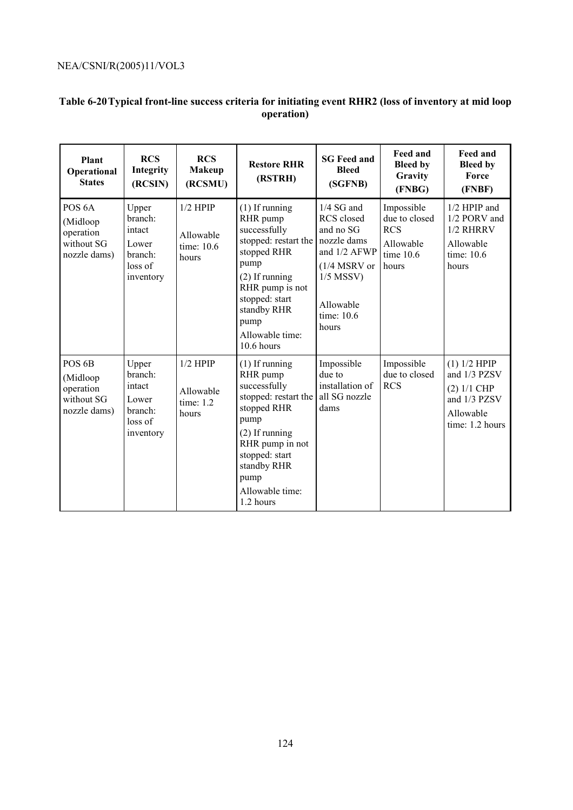# **Table 6-20 Typical front-line success criteria for initiating event RHR2 (loss of inventory at mid loop operation)**

| Plant<br>Operational<br><b>States</b>                                     | <b>RCS</b><br>Integrity<br>(RCSIN)                                     | <b>RCS</b><br><b>Makeup</b><br>(RCSMU)         | <b>Restore RHR</b><br>(RSTRH)                                                                                                                                                                                | <b>SG</b> Feed and<br><b>Bleed</b><br>(SGFNB)                                                                                                      | <b>Feed and</b><br><b>Bleed by</b><br>Gravity<br>(FNBG)                        | <b>Feed and</b><br><b>Bleed by</b><br>Force<br>(FNBF)                                         |
|---------------------------------------------------------------------------|------------------------------------------------------------------------|------------------------------------------------|--------------------------------------------------------------------------------------------------------------------------------------------------------------------------------------------------------------|----------------------------------------------------------------------------------------------------------------------------------------------------|--------------------------------------------------------------------------------|-----------------------------------------------------------------------------------------------|
| POS <sub>6</sub> A<br>(Midloop<br>operation<br>without SG<br>nozzle dams) | Upper<br>branch:<br>intact<br>Lower<br>branch:<br>loss of<br>inventory | $1/2$ HPIP<br>Allowable<br>time: 10.6<br>hours | $(1)$ If running<br>RHR pump<br>successfully<br>stopped: restart the<br>stopped RHR<br>pump<br>$(2)$ If running<br>RHR pump is not<br>stopped: start<br>standby RHR<br>pump<br>Allowable time:<br>10.6 hours | $1/4$ SG and<br><b>RCS</b> closed<br>and no SG<br>nozzle dams<br>and 1/2 AFWP<br>$(1/4$ MSRV or<br>$1/5$ MSSV)<br>Allowable<br>time: 10.6<br>hours | Impossible<br>due to closed<br><b>RCS</b><br>Allowable<br>time $10.6$<br>hours | 1/2 HPIP and<br>1/2 PORV and<br>1/2 RHRRV<br>Allowable<br>time: 10.6<br>hours                 |
| POS <sub>6</sub> B<br>(Midloop<br>operation<br>without SG<br>nozzle dams) | Upper<br>branch:<br>intact<br>Lower<br>branch:<br>loss of<br>inventory | $1/2$ HPIP<br>Allowable<br>time: 1.2<br>hours  | $(1)$ If running<br>RHR pump<br>successfully<br>stopped: restart the<br>stopped RHR<br>pump<br>$(2)$ If running<br>RHR pump in not<br>stopped: start<br>standby RHR<br>pump<br>Allowable time:<br>1.2 hours  | Impossible<br>due to<br>installation of<br>all SG nozzle<br>dams                                                                                   | Impossible<br>due to closed<br><b>RCS</b>                                      | (1) 1/2 HPIP<br>and 1/3 PZSV<br>$(2)$ 1/1 CHP<br>and 1/3 PZSV<br>Allowable<br>time: 1.2 hours |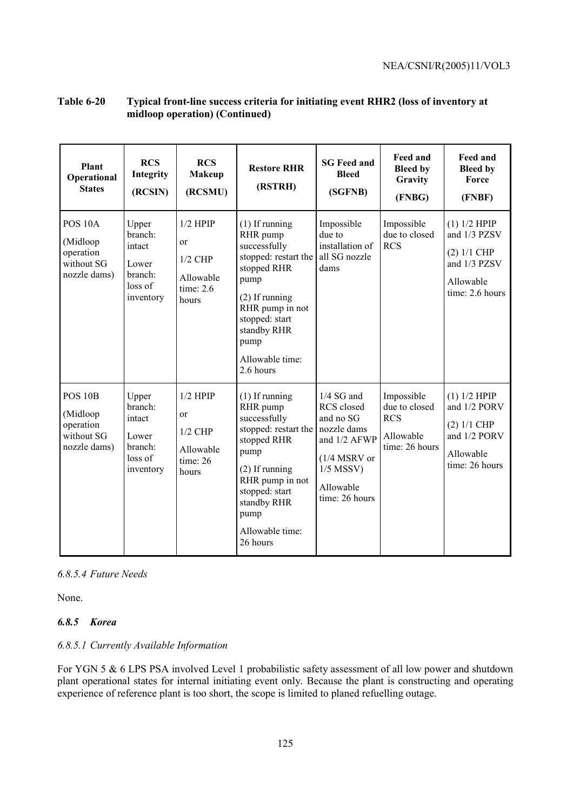| Plant<br>Operational<br><b>States</b>                                     | <b>RCS</b><br>Integrity<br>(RCSIN)                                     | <b>RCS</b><br><b>Makeup</b><br>(RCSMU)                                     | <b>Restore RHR</b><br>(RSTRH)                                                                                                                                                                               | <b>SG Feed and</b><br><b>Bleed</b><br>(SGFNB)                                                                                          | <b>Feed and</b><br><b>Bleed by</b><br>Gravity<br>(FNBG)                  | Feed and<br><b>Bleed by</b><br>Force<br>(FNBF)                                                |
|---------------------------------------------------------------------------|------------------------------------------------------------------------|----------------------------------------------------------------------------|-------------------------------------------------------------------------------------------------------------------------------------------------------------------------------------------------------------|----------------------------------------------------------------------------------------------------------------------------------------|--------------------------------------------------------------------------|-----------------------------------------------------------------------------------------------|
| POS <sub>10A</sub><br>(Midloop<br>operation<br>without SG<br>nozzle dams) | Upper<br>branch:<br>intact<br>Lower<br>branch:<br>loss of<br>inventory | $1/2$ HPIP<br>or<br>$1/2$ CHP<br>Allowable<br>time: $2.6$<br>hours         | $(1)$ If running<br>RHR pump<br>successfully<br>stopped: restart the<br>stopped RHR<br>pump<br>$(2)$ If running<br>RHR pump in not<br>stopped: start<br>standby RHR<br>pump<br>Allowable time:<br>2.6 hours | Impossible<br>due to<br>installation of<br>all SG nozzle<br>dams                                                                       | Impossible<br>due to closed<br><b>RCS</b>                                | (1) 1/2 HPIP<br>and 1/3 PZSV<br>$(2)$ 1/1 CHP<br>and 1/3 PZSV<br>Allowable<br>time: 2.6 hours |
| <b>POS 10B</b><br>(Midloop<br>operation<br>without SG<br>nozzle dams)     | Upper<br>branch:<br>intact<br>Lower<br>branch:<br>loss of<br>inventory | $1/2$ HPIP<br><sub>or</sub><br>$1/2$ CHP<br>Allowable<br>time: 26<br>hours | $(1)$ If running<br>RHR pump<br>successfully<br>stopped: restart the<br>stopped RHR<br>pump<br>$(2)$ If running<br>RHR pump in not<br>stopped: start<br>standby RHR<br>pump<br>Allowable time:<br>26 hours  | $1/4$ SG and<br>RCS closed<br>and no SG<br>nozzle dams<br>and 1/2 AFWP<br>$(1/4$ MSRV or<br>$1/5$ MSSV)<br>Allowable<br>time: 26 hours | Impossible<br>due to closed<br><b>RCS</b><br>Allowable<br>time: 26 hours | (1) 1/2 HPIP<br>and 1/2 PORV<br>$(2)$ 1/1 CHP<br>and 1/2 PORV<br>Allowable<br>time: 26 hours  |

# **Table 6-20 Typical front-line success criteria for initiating event RHR2 (loss of inventory at midloop operation) (Continued)**

### *6.8.5.4 Future Needs*

None.

### *6.8.5 Korea*

### *6.8.5.1 Currently Available Information*

For YGN 5 & 6 LPS PSA involved Level 1 probabilistic safety assessment of all low power and shutdown plant operational states for internal initiating event only. Because the plant is constructing and operating experience of reference plant is too short, the scope is limited to planed refuelling outage.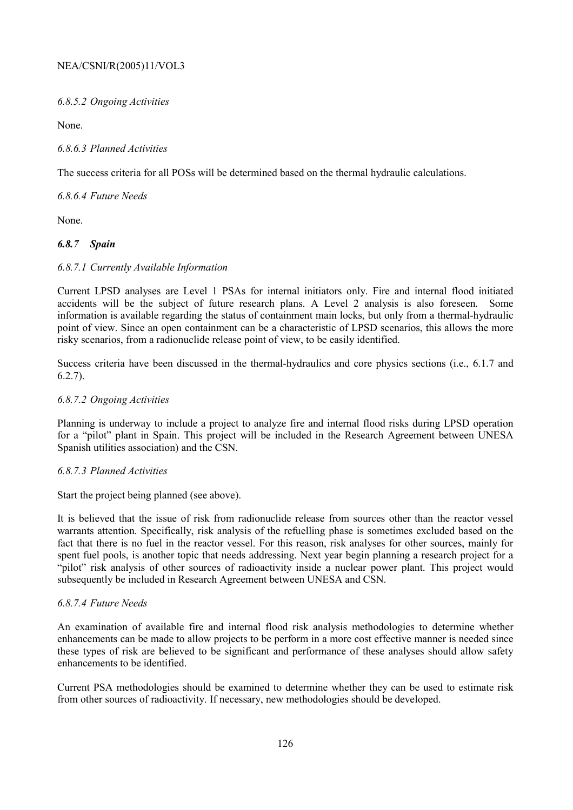### *6.8.5.2 Ongoing Activities*

None.

### *6.8.6.3 Planned Activities*

The success criteria for all POSs will be determined based on the thermal hydraulic calculations.

*6.8.6.4 Future Needs* 

None.

# *6.8.7 Spain*

### *6.8.7.1 Currently Available Information*

Current LPSD analyses are Level 1 PSAs for internal initiators only. Fire and internal flood initiated accidents will be the subject of future research plans. A Level 2 analysis is also foreseen. Some information is available regarding the status of containment main locks, but only from a thermal-hydraulic point of view. Since an open containment can be a characteristic of LPSD scenarios, this allows the more risky scenarios, from a radionuclide release point of view, to be easily identified.

Success criteria have been discussed in the thermal-hydraulics and core physics sections (i.e., 6.1.7 and 6.2.7).

### *6.8.7.2 Ongoing Activities*

Planning is underway to include a project to analyze fire and internal flood risks during LPSD operation for a "pilot" plant in Spain. This project will be included in the Research Agreement between UNESA Spanish utilities association) and the CSN.

# *6.8.7.3 Planned Activities*

Start the project being planned (see above).

It is believed that the issue of risk from radionuclide release from sources other than the reactor vessel warrants attention. Specifically, risk analysis of the refuelling phase is sometimes excluded based on the fact that there is no fuel in the reactor vessel. For this reason, risk analyses for other sources, mainly for spent fuel pools, is another topic that needs addressing. Next year begin planning a research project for a "pilot" risk analysis of other sources of radioactivity inside a nuclear power plant. This project would subsequently be included in Research Agreement between UNESA and CSN.

### *6.8.7.4 Future Needs*

An examination of available fire and internal flood risk analysis methodologies to determine whether enhancements can be made to allow projects to be perform in a more cost effective manner is needed since these types of risk are believed to be significant and performance of these analyses should allow safety enhancements to be identified.

Current PSA methodologies should be examined to determine whether they can be used to estimate risk from other sources of radioactivity. If necessary, new methodologies should be developed.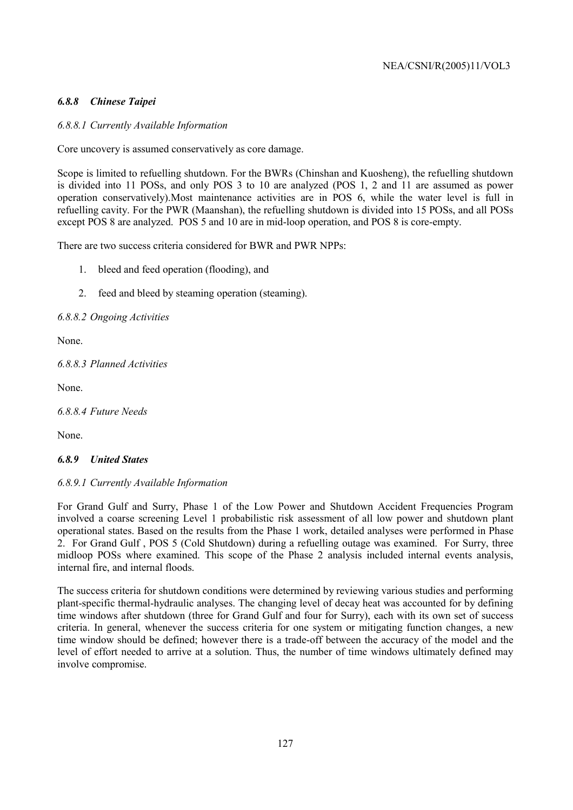# *6.8.8 Chinese Taipei*

# *6.8.8.1 Currently Available Information*

Core uncovery is assumed conservatively as core damage.

Scope is limited to refuelling shutdown. For the BWRs (Chinshan and Kuosheng), the refuelling shutdown is divided into 11 POSs, and only POS 3 to 10 are analyzed (POS 1, 2 and 11 are assumed as power operation conservatively).Most maintenance activities are in POS 6, while the water level is full in refuelling cavity. For the PWR (Maanshan), the refuelling shutdown is divided into 15 POSs, and all POSs except POS 8 are analyzed. POS 5 and 10 are in mid-loop operation, and POS 8 is core-empty.

There are two success criteria considered for BWR and PWR NPPs:

- 1. bleed and feed operation (flooding), and
- 2. feed and bleed by steaming operation (steaming).

*6.8.8.2 Ongoing Activities* 

None.

*6.8.8.3 Planned Activities* 

None.

*6.8.8.4 Future Needs* 

None.

### *6.8.9 United States*

### *6.8.9.1 Currently Available Information*

For Grand Gulf and Surry, Phase 1 of the Low Power and Shutdown Accident Frequencies Program involved a coarse screening Level 1 probabilistic risk assessment of all low power and shutdown plant operational states. Based on the results from the Phase 1 work, detailed analyses were performed in Phase 2. For Grand Gulf , POS 5 (Cold Shutdown) during a refuelling outage was examined. For Surry, three midloop POSs where examined. This scope of the Phase 2 analysis included internal events analysis, internal fire, and internal floods.

The success criteria for shutdown conditions were determined by reviewing various studies and performing plant-specific thermal-hydraulic analyses. The changing level of decay heat was accounted for by defining time windows after shutdown (three for Grand Gulf and four for Surry), each with its own set of success criteria. In general, whenever the success criteria for one system or mitigating function changes, a new time window should be defined; however there is a trade-off between the accuracy of the model and the level of effort needed to arrive at a solution. Thus, the number of time windows ultimately defined may involve compromise.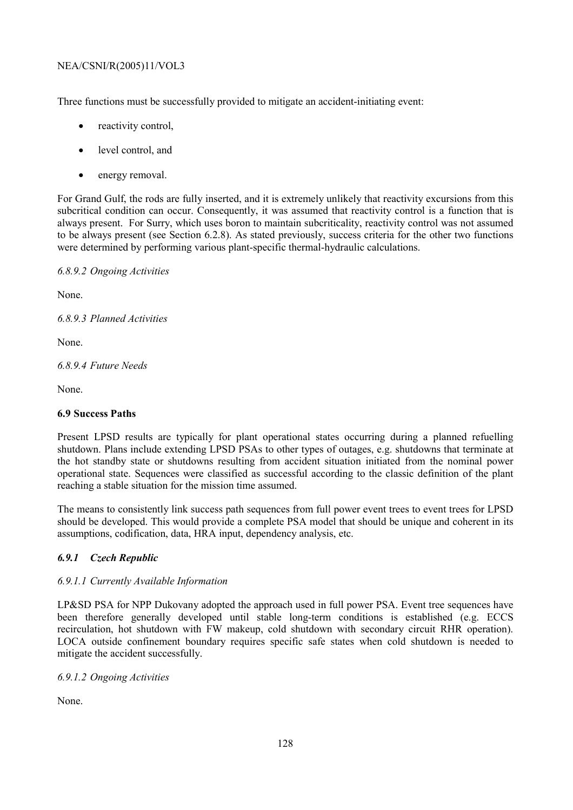Three functions must be successfully provided to mitigate an accident-initiating event:

- reactivity control.
- level control, and
- energy removal.

For Grand Gulf, the rods are fully inserted, and it is extremely unlikely that reactivity excursions from this subcritical condition can occur. Consequently, it was assumed that reactivity control is a function that is always present. For Surry, which uses boron to maintain subcriticality, reactivity control was not assumed to be always present (see Section 6.2.8). As stated previously, success criteria for the other two functions were determined by performing various plant-specific thermal-hydraulic calculations.

*6.8.9.2 Ongoing Activities* 

None.

*6.8.9.3 Planned Activities* 

None.

*6.8.9.4 Future Needs* 

None.

# **6.9 Success Paths**

Present LPSD results are typically for plant operational states occurring during a planned refuelling shutdown. Plans include extending LPSD PSAs to other types of outages, e.g. shutdowns that terminate at the hot standby state or shutdowns resulting from accident situation initiated from the nominal power operational state. Sequences were classified as successful according to the classic definition of the plant reaching a stable situation for the mission time assumed.

The means to consistently link success path sequences from full power event trees to event trees for LPSD should be developed. This would provide a complete PSA model that should be unique and coherent in its assumptions, codification, data, HRA input, dependency analysis, etc.

# *6.9.1 Czech Republic*

# *6.9.1.1 Currently Available Information*

LP&SD PSA for NPP Dukovany adopted the approach used in full power PSA. Event tree sequences have been therefore generally developed until stable long-term conditions is established (e.g. ECCS recirculation, hot shutdown with FW makeup, cold shutdown with secondary circuit RHR operation). LOCA outside confinement boundary requires specific safe states when cold shutdown is needed to mitigate the accident successfully.

# *6.9.1.2 Ongoing Activities*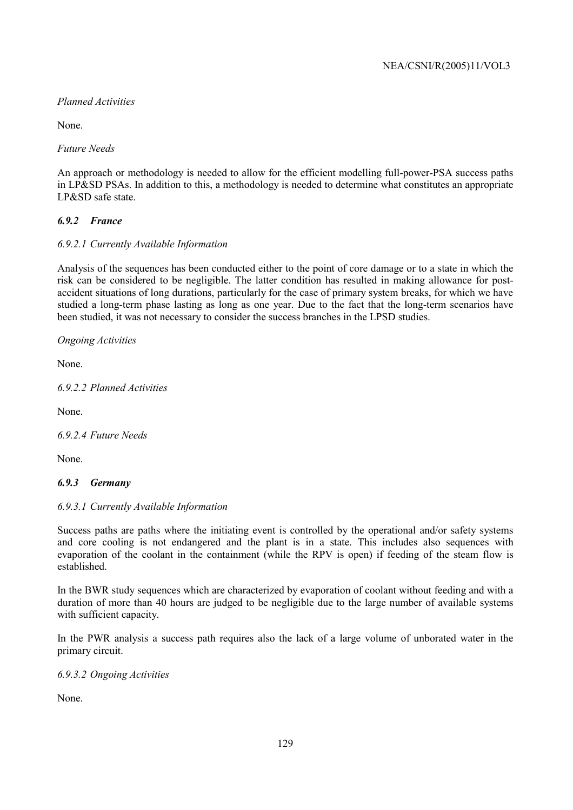# *Planned Activities*

None.

*Future Needs* 

An approach or methodology is needed to allow for the efficient modelling full-power-PSA success paths in LP&SD PSAs. In addition to this, a methodology is needed to determine what constitutes an appropriate LP&SD safe state.

# *6.9.2 France*

# *6.9.2.1 Currently Available Information*

Analysis of the sequences has been conducted either to the point of core damage or to a state in which the risk can be considered to be negligible. The latter condition has resulted in making allowance for postaccident situations of long durations, particularly for the case of primary system breaks, for which we have studied a long-term phase lasting as long as one year. Due to the fact that the long-term scenarios have been studied, it was not necessary to consider the success branches in the LPSD studies.

*Ongoing Activities* 

None.

*6.9.2.2 Planned Activities* 

None.

*6.9.2.4 Future Needs* 

None.

# *6.9.3 Germany*

# *6.9.3.1 Currently Available Information*

Success paths are paths where the initiating event is controlled by the operational and/or safety systems and core cooling is not endangered and the plant is in a state. This includes also sequences with evaporation of the coolant in the containment (while the RPV is open) if feeding of the steam flow is established.

In the BWR study sequences which are characterized by evaporation of coolant without feeding and with a duration of more than 40 hours are judged to be negligible due to the large number of available systems with sufficient capacity.

In the PWR analysis a success path requires also the lack of a large volume of unborated water in the primary circuit.

*6.9.3.2 Ongoing Activities*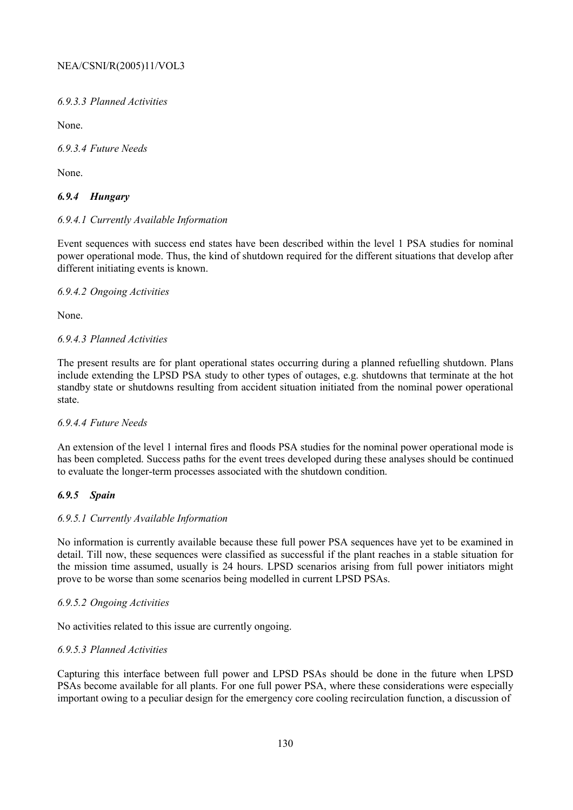*6.9.3.3 Planned Activities* 

None.

*6.9.3.4 Future Needs* 

None.

# *6.9.4 Hungary*

### *6.9.4.1 Currently Available Information*

Event sequences with success end states have been described within the level 1 PSA studies for nominal power operational mode. Thus, the kind of shutdown required for the different situations that develop after different initiating events is known.

### *6.9.4.2 Ongoing Activities*

None.

### *6.9.4.3 Planned Activities*

The present results are for plant operational states occurring during a planned refuelling shutdown. Plans include extending the LPSD PSA study to other types of outages, e.g. shutdowns that terminate at the hot standby state or shutdowns resulting from accident situation initiated from the nominal power operational state.

### *6.9.4.4 Future Needs*

An extension of the level 1 internal fires and floods PSA studies for the nominal power operational mode is has been completed. Success paths for the event trees developed during these analyses should be continued to evaluate the longer-term processes associated with the shutdown condition.

### *6.9.5 Spain*

### *6.9.5.1 Currently Available Information*

No information is currently available because these full power PSA sequences have yet to be examined in detail. Till now, these sequences were classified as successful if the plant reaches in a stable situation for the mission time assumed, usually is 24 hours. LPSD scenarios arising from full power initiators might prove to be worse than some scenarios being modelled in current LPSD PSAs.

### *6.9.5.2 Ongoing Activities*

No activities related to this issue are currently ongoing.

### *6.9.5.3 Planned Activities*

Capturing this interface between full power and LPSD PSAs should be done in the future when LPSD PSAs become available for all plants. For one full power PSA, where these considerations were especially important owing to a peculiar design for the emergency core cooling recirculation function, a discussion of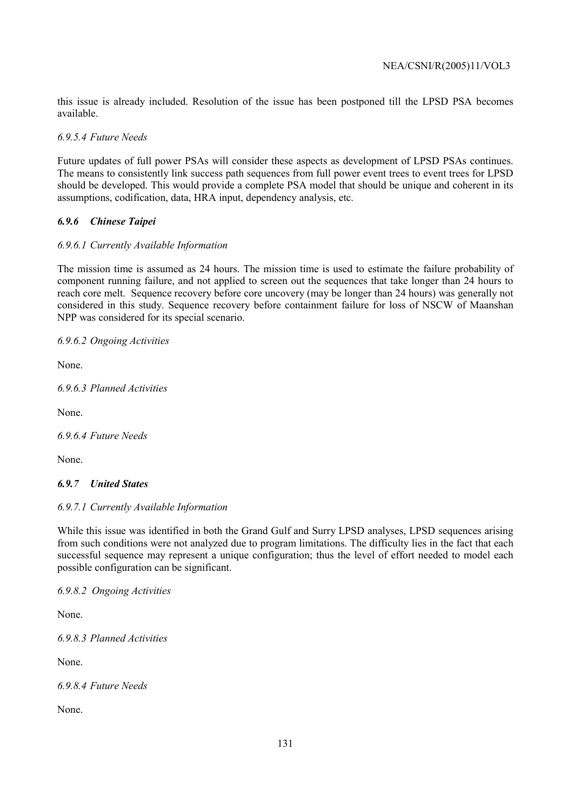this issue is already included. Resolution of the issue has been postponed till the LPSD PSA becomes available.

*6.9.5.4 Future Needs* 

Future updates of full power PSAs will consider these aspects as development of LPSD PSAs continues. The means to consistently link success path sequences from full power event trees to event trees for LPSD should be developed. This would provide a complete PSA model that should be unique and coherent in its assumptions, codification, data, HRA input, dependency analysis, etc.

# *6.9.6 Chinese Taipei*

# *6.9.6.1 Currently Available Information*

The mission time is assumed as 24 hours. The mission time is used to estimate the failure probability of component running failure, and not applied to screen out the sequences that take longer than 24 hours to reach core melt. Sequence recovery before core uncovery (may be longer than 24 hours) was generally not considered in this study. Sequence recovery before containment failure for loss of NSCW of Maanshan NPP was considered for its special scenario.

# *6.9.6.2 Ongoing Activities*

None.

*6.9.6.3 Planned Activities* 

None.

*6.9.6.4 Future Needs* 

None.

# *6.9.7 United States*

# *6.9.7.1 Currently Available Information*

While this issue was identified in both the Grand Gulf and Surry LPSD analyses, LPSD sequences arising from such conditions were not analyzed due to program limitations. The difficulty lies in the fact that each successful sequence may represent a unique configuration; thus the level of effort needed to model each possible configuration can be significant.

*6.9.8.2 Ongoing Activities* 

None.

*6.9.8.3 Planned Activities* 

None.

*6.9.8.4 Future Needs*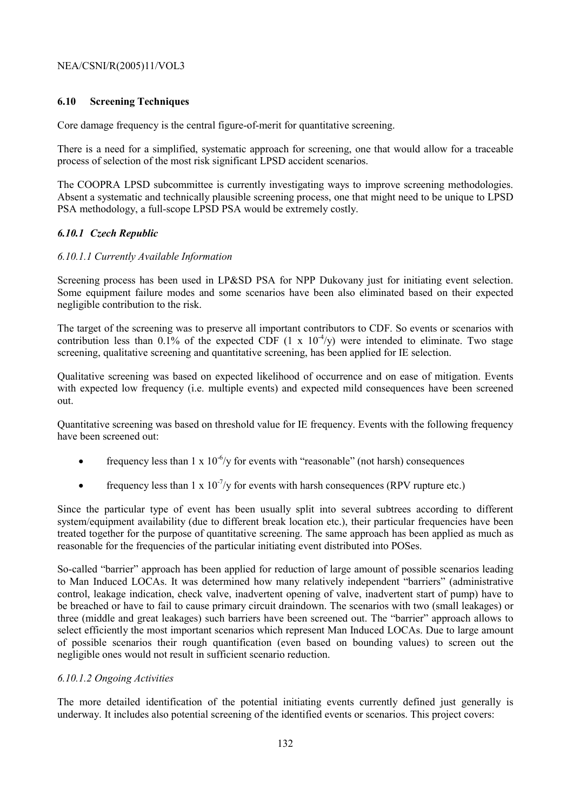# **6.10 Screening Techniques**

Core damage frequency is the central figure-of-merit for quantitative screening.

There is a need for a simplified, systematic approach for screening, one that would allow for a traceable process of selection of the most risk significant LPSD accident scenarios.

The COOPRA LPSD subcommittee is currently investigating ways to improve screening methodologies. Absent a systematic and technically plausible screening process, one that might need to be unique to LPSD PSA methodology, a full-scope LPSD PSA would be extremely costly.

### *6.10.1 Czech Republic*

### *6.10.1.1 Currently Available Information*

Screening process has been used in LP&SD PSA for NPP Dukovany just for initiating event selection. Some equipment failure modes and some scenarios have been also eliminated based on their expected negligible contribution to the risk.

The target of the screening was to preserve all important contributors to CDF. So events or scenarios with contribution less than 0.1% of the expected CDF  $(1 \times 10^{-4}/y)$  were intended to eliminate. Two stage screening, qualitative screening and quantitative screening, has been applied for IE selection.

Qualitative screening was based on expected likelihood of occurrence and on ease of mitigation. Events with expected low frequency (i.e. multiple events) and expected mild consequences have been screened out.

Quantitative screening was based on threshold value for IE frequency. Events with the following frequency have been screened out:

- frequency less than  $1 \times 10^{-6}/y$  for events with "reasonable" (not harsh) consequences
- frequency less than  $1 \times 10^{-7}/v$  for events with harsh consequences (RPV rupture etc.)

Since the particular type of event has been usually split into several subtrees according to different system/equipment availability (due to different break location etc.), their particular frequencies have been treated together for the purpose of quantitative screening. The same approach has been applied as much as reasonable for the frequencies of the particular initiating event distributed into POSes.

So-called "barrier" approach has been applied for reduction of large amount of possible scenarios leading to Man Induced LOCAs. It was determined how many relatively independent "barriers" (administrative control, leakage indication, check valve, inadvertent opening of valve, inadvertent start of pump) have to be breached or have to fail to cause primary circuit draindown. The scenarios with two (small leakages) or three (middle and great leakages) such barriers have been screened out. The "barrier" approach allows to select efficiently the most important scenarios which represent Man Induced LOCAs. Due to large amount of possible scenarios their rough quantification (even based on bounding values) to screen out the negligible ones would not result in sufficient scenario reduction.

### *6.10.1.2 Ongoing Activities*

The more detailed identification of the potential initiating events currently defined just generally is underway. It includes also potential screening of the identified events or scenarios. This project covers: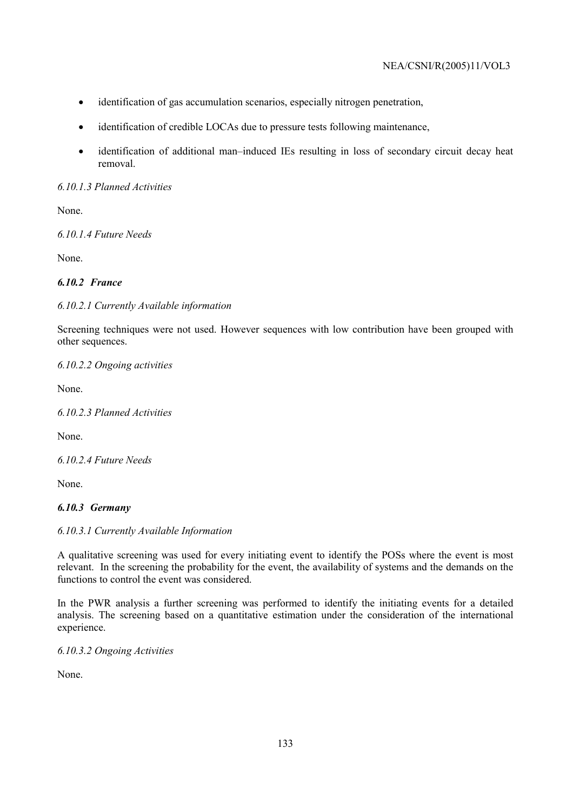- identification of gas accumulation scenarios, especially nitrogen penetration,
- identification of credible LOCAs due to pressure tests following maintenance,
- identification of additional man–induced IEs resulting in loss of secondary circuit decay heat removal.

# *6.10.1.3 Planned Activities*

None.

*6.10.1.4 Future Needs* 

None.

# *6.10.2 France*

# *6.10.2.1 Currently Available information*

Screening techniques were not used. However sequences with low contribution have been grouped with other sequences.

*6.10.2.2 Ongoing activities* 

None.

*6.10.2.3 Planned Activities* 

None.

*6.10.2.4 Future Needs* 

None.

# *6.10.3 Germany*

# *6.10.3.1 Currently Available Information*

A qualitative screening was used for every initiating event to identify the POSs where the event is most relevant. In the screening the probability for the event, the availability of systems and the demands on the functions to control the event was considered.

In the PWR analysis a further screening was performed to identify the initiating events for a detailed analysis. The screening based on a quantitative estimation under the consideration of the international experience.

*6.10.3.2 Ongoing Activities*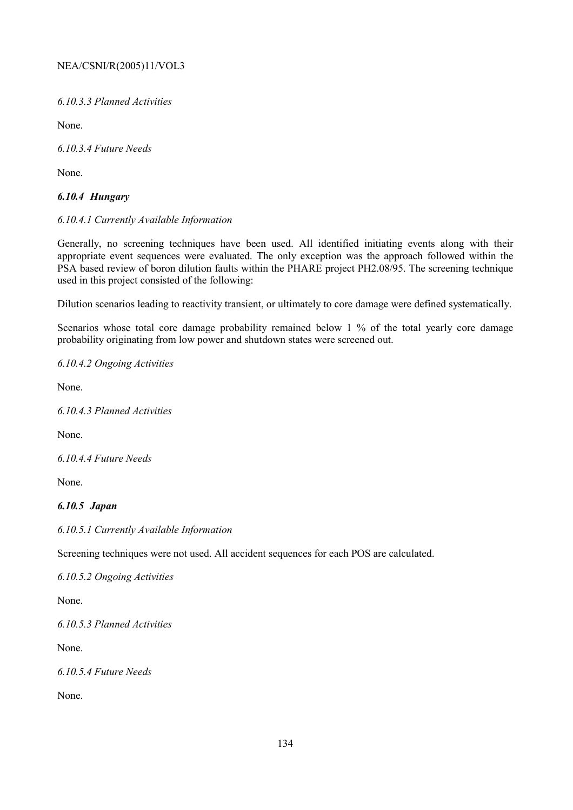*6.10.3.3 Planned Activities* 

None.

*6.10.3.4 Future Needs* 

None.

# *6.10.4 Hungary*

### *6.10.4.1 Currently Available Information*

Generally, no screening techniques have been used. All identified initiating events along with their appropriate event sequences were evaluated. The only exception was the approach followed within the PSA based review of boron dilution faults within the PHARE project PH2.08/95. The screening technique used in this project consisted of the following:

Dilution scenarios leading to reactivity transient, or ultimately to core damage were defined systematically.

Scenarios whose total core damage probability remained below 1 % of the total yearly core damage probability originating from low power and shutdown states were screened out.

### *6.10.4.2 Ongoing Activities*

None.

*6.10.4.3 Planned Activities* 

None.

*6.10.4.4 Future Needs* 

None.

# *6.10.5 Japan*

*6.10.5.1 Currently Available Information* 

Screening techniques were not used. All accident sequences for each POS are calculated.

*6.10.5.2 Ongoing Activities* 

None.

*6.10.5.3 Planned Activities* 

None.

*6.10.5.4 Future Needs*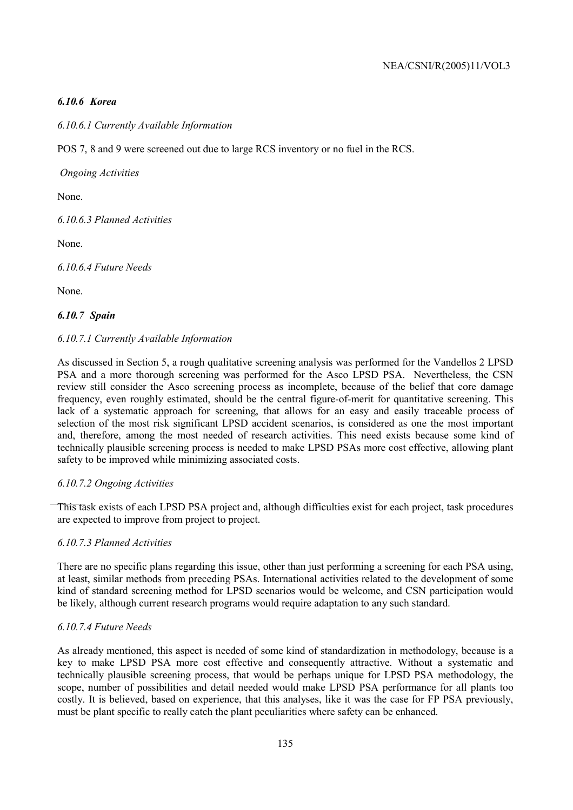# *6.10.6 Korea*

# *6.10.6.1 Currently Available Information*

POS 7, 8 and 9 were screened out due to large RCS inventory or no fuel in the RCS.

 *Ongoing Activities* 

None.

*6.10.6.3 Planned Activities* 

None.

*6.10.6.4 Future Needs* 

None.

### *6.10.7 Spain*

### *6.10.7.1 Currently Available Information*

As discussed in Section 5, a rough qualitative screening analysis was performed for the Vandellos 2 LPSD PSA and a more thorough screening was performed for the Asco LPSD PSA. Nevertheless, the CSN review still consider the Asco screening process as incomplete, because of the belief that core damage frequency, even roughly estimated, should be the central figure-of-merit for quantitative screening. This lack of a systematic approach for screening, that allows for an easy and easily traceable process of selection of the most risk significant LPSD accident scenarios, is considered as one the most important and, therefore, among the most needed of research activities. This need exists because some kind of technically plausible screening process is needed to make LPSD PSAs more cost effective, allowing plant safety to be improved while minimizing associated costs.

### *6.10.7.2 Ongoing Activities*

This task exists of each LPSD PSA project and, although difficulties exist for each project, task procedures are expected to improve from project to project.

### *6.10.7.3 Planned Activities*

There are no specific plans regarding this issue, other than just performing a screening for each PSA using, at least, similar methods from preceding PSAs. International activities related to the development of some kind of standard screening method for LPSD scenarios would be welcome, and CSN participation would be likely, although current research programs would require adaptation to any such standard.

# *6.10.7.4 Future Needs*

As already mentioned, this aspect is needed of some kind of standardization in methodology, because is a key to make LPSD PSA more cost effective and consequently attractive. Without a systematic and technically plausible screening process, that would be perhaps unique for LPSD PSA methodology, the scope, number of possibilities and detail needed would make LPSD PSA performance for all plants too costly. It is believed, based on experience, that this analyses, like it was the case for FP PSA previously, must be plant specific to really catch the plant peculiarities where safety can be enhanced.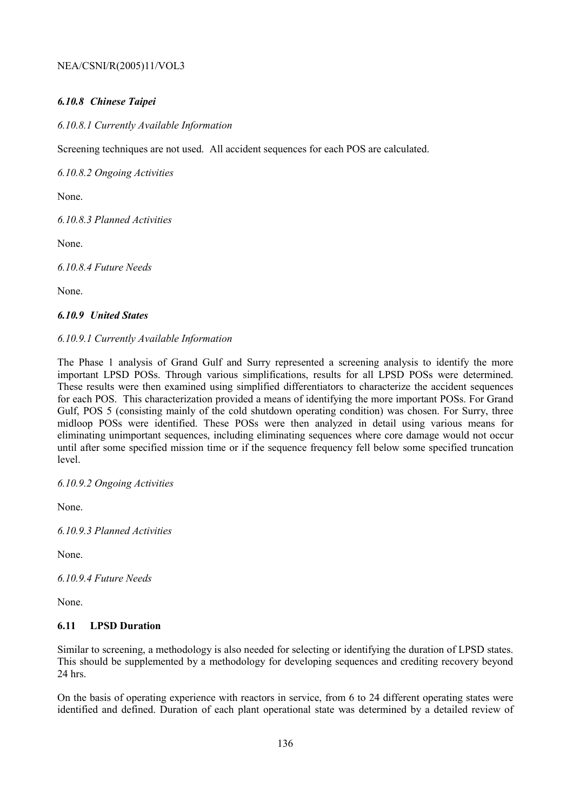# *6.10.8 Chinese Taipei*

*6.10.8.1 Currently Available Information* 

Screening techniques are not used. All accident sequences for each POS are calculated.

*6.10.8.2 Ongoing Activities* 

None.

*6.10.8.3 Planned Activities* 

None.

*6.10.8.4 Future Needs* 

None.

### *6.10.9 United States*

### *6.10.9.1 Currently Available Information*

The Phase 1 analysis of Grand Gulf and Surry represented a screening analysis to identify the more important LPSD POSs. Through various simplifications, results for all LPSD POSs were determined. These results were then examined using simplified differentiators to characterize the accident sequences for each POS. This characterization provided a means of identifying the more important POSs. For Grand Gulf, POS 5 (consisting mainly of the cold shutdown operating condition) was chosen. For Surry, three midloop POSs were identified. These POSs were then analyzed in detail using various means for eliminating unimportant sequences, including eliminating sequences where core damage would not occur until after some specified mission time or if the sequence frequency fell below some specified truncation level.

*6.10.9.2 Ongoing Activities* 

None.

*6.10.9.3 Planned Activities* 

None.

*6.10.9.4 Future Needs* 

None.

# **6.11 LPSD Duration**

Similar to screening, a methodology is also needed for selecting or identifying the duration of LPSD states. This should be supplemented by a methodology for developing sequences and crediting recovery beyond 24 hrs.

On the basis of operating experience with reactors in service, from 6 to 24 different operating states were identified and defined. Duration of each plant operational state was determined by a detailed review of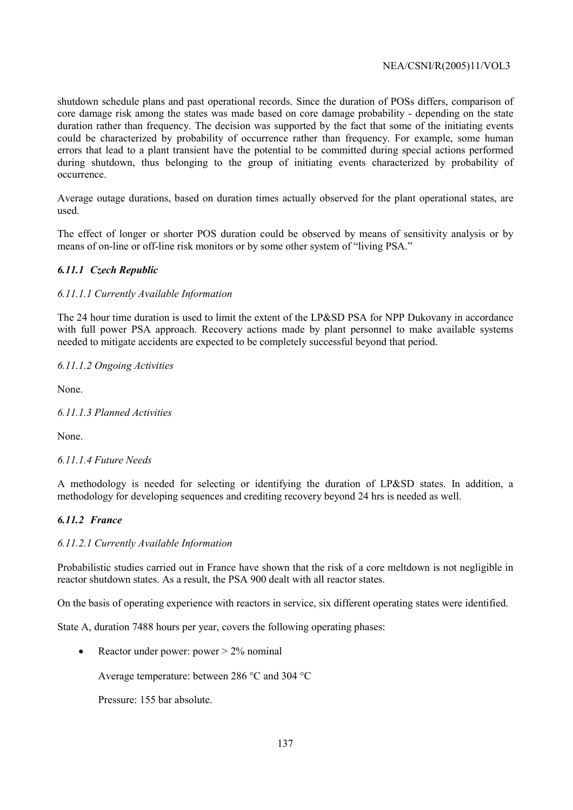shutdown schedule plans and past operational records. Since the duration of POSs differs, comparison of core damage risk among the states was made based on core damage probability - depending on the state duration rather than frequency. The decision was supported by the fact that some of the initiating events could be characterized by probability of occurrence rather than frequency. For example, some human errors that lead to a plant transient have the potential to be committed during special actions performed during shutdown, thus belonging to the group of initiating events characterized by probability of occurrence.

Average outage durations, based on duration times actually observed for the plant operational states, are used.

The effect of longer or shorter POS duration could be observed by means of sensitivity analysis or by means of on-line or off-line risk monitors or by some other system of "living PSA."

### *6.11.1 Czech Republic*

### *6.11.1.1 Currently Available Information*

The 24 hour time duration is used to limit the extent of the LP&SD PSA for NPP Dukovany in accordance with full power PSA approach. Recovery actions made by plant personnel to make available systems needed to mitigate accidents are expected to be completely successful beyond that period.

### *6.11.1.2 Ongoing Activities*

None.

### *6.11.1.3 Planned Activities*

None.

# *6.11.1.4 Future Needs*

A methodology is needed for selecting or identifying the duration of LP&SD states. In addition, a methodology for developing sequences and crediting recovery beyond 24 hrs is needed as well.

### *6.11.2 France*

### *6.11.2.1 Currently Available Information*

Probabilistic studies carried out in France have shown that the risk of a core meltdown is not negligible in reactor shutdown states. As a result, the PSA 900 dealt with all reactor states.

On the basis of operating experience with reactors in service, six different operating states were identified.

State A, duration 7488 hours per year, covers the following operating phases:

• Reactor under power: power  $> 2\%$  nominal

Average temperature: between 286 °C and 304 °C

Pressure: 155 bar absolute.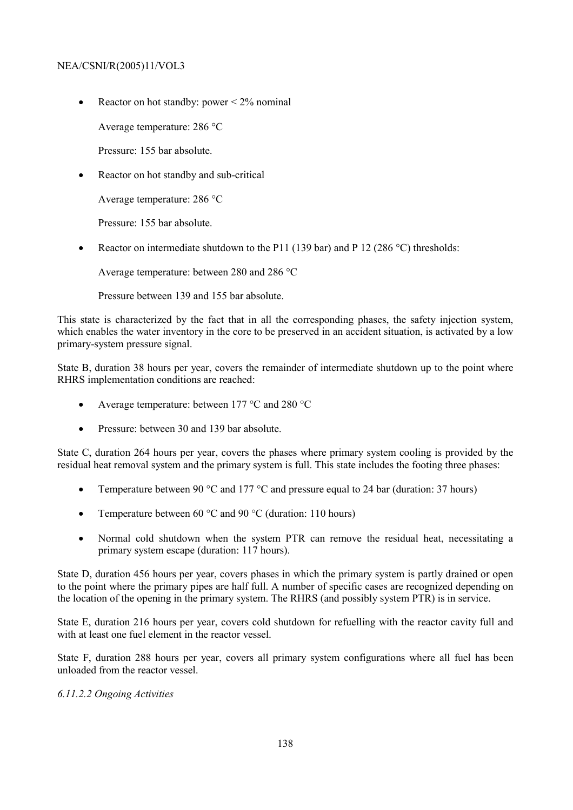• Reactor on hot standby: power  $\leq 2\%$  nominal

Average temperature: 286 °C

Pressure: 155 bar absolute.

• Reactor on hot standby and sub-critical

Average temperature: 286 °C

Pressure: 155 bar absolute.

• Reactor on intermediate shutdown to the P11 (139 bar) and P 12 (286 °C) thresholds:

Average temperature: between 280 and 286 °C

Pressure between 139 and 155 bar absolute.

This state is characterized by the fact that in all the corresponding phases, the safety injection system, which enables the water inventory in the core to be preserved in an accident situation, is activated by a low primary-system pressure signal.

State B, duration 38 hours per year, covers the remainder of intermediate shutdown up to the point where RHRS implementation conditions are reached:

- Average temperature: between 177 °C and 280 °C
- Pressure: between 30 and 139 bar absolute.

State C, duration 264 hours per year, covers the phases where primary system cooling is provided by the residual heat removal system and the primary system is full. This state includes the footing three phases:

- Temperature between 90  $^{\circ}$ C and 177  $^{\circ}$ C and pressure equal to 24 bar (duration: 37 hours)
- Temperature between 60  $\degree$ C and 90  $\degree$ C (duration: 110 hours)
- Normal cold shutdown when the system PTR can remove the residual heat, necessitating a primary system escape (duration: 117 hours).

State D, duration 456 hours per year, covers phases in which the primary system is partly drained or open to the point where the primary pipes are half full. A number of specific cases are recognized depending on the location of the opening in the primary system. The RHRS (and possibly system PTR) is in service.

State E, duration 216 hours per year, covers cold shutdown for refuelling with the reactor cavity full and with at least one fuel element in the reactor vessel.

State F, duration 288 hours per year, covers all primary system configurations where all fuel has been unloaded from the reactor vessel.

### *6.11.2.2 Ongoing Activities*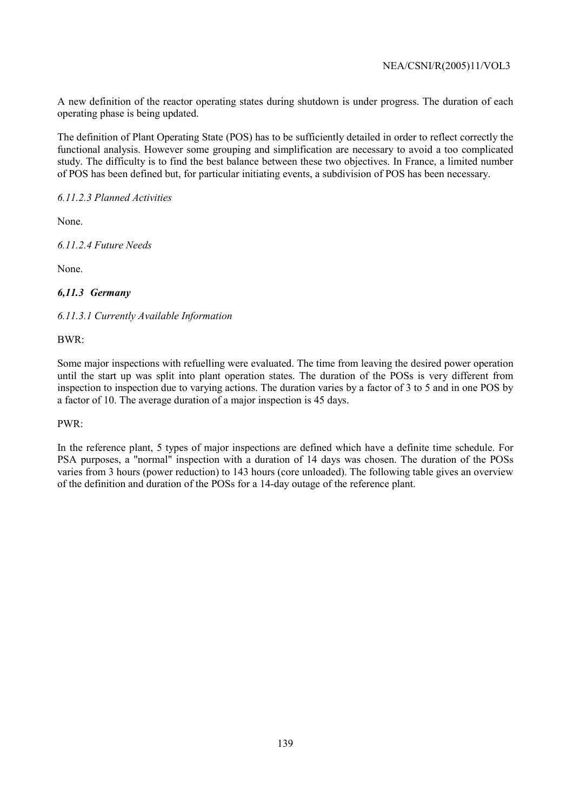A new definition of the reactor operating states during shutdown is under progress. The duration of each operating phase is being updated.

The definition of Plant Operating State (POS) has to be sufficiently detailed in order to reflect correctly the functional analysis. However some grouping and simplification are necessary to avoid a too complicated study. The difficulty is to find the best balance between these two objectives. In France, a limited number of POS has been defined but, for particular initiating events, a subdivision of POS has been necessary.

*6.11.2.3 Planned Activities* 

None.

*6.11.2.4 Future Needs* 

None.

# *6,11.3 Germany*

*6.11.3.1 Currently Available Information* 

BWR:

Some major inspections with refuelling were evaluated. The time from leaving the desired power operation until the start up was split into plant operation states. The duration of the POSs is very different from inspection to inspection due to varying actions. The duration varies by a factor of 3 to 5 and in one POS by a factor of 10. The average duration of a major inspection is 45 days.

### PWR:

In the reference plant, 5 types of major inspections are defined which have a definite time schedule. For PSA purposes, a "normal" inspection with a duration of 14 days was chosen. The duration of the POSs varies from 3 hours (power reduction) to 143 hours (core unloaded). The following table gives an overview of the definition and duration of the POSs for a 14-day outage of the reference plant.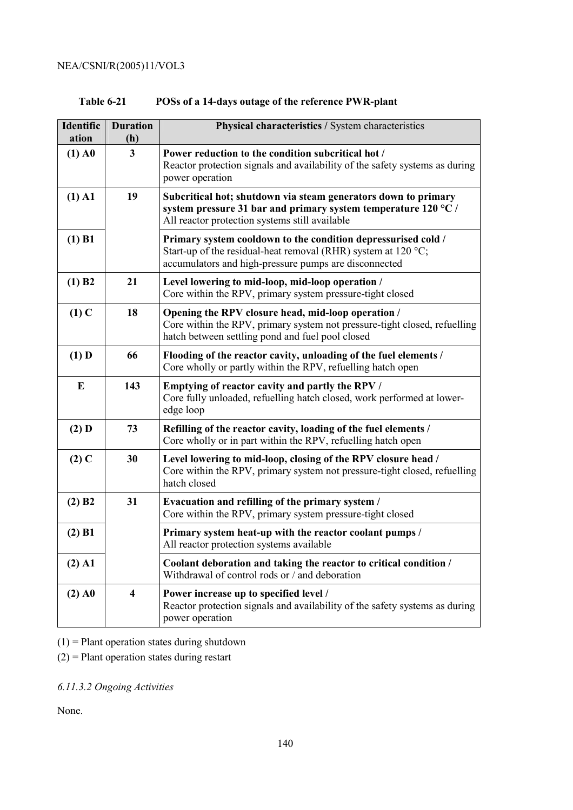| <b>Table 6-21</b> | POSs of a 14-days outage of the reference PWR-plant |
|-------------------|-----------------------------------------------------|
|                   |                                                     |

| Identific<br>ation | <b>Duration</b><br>(h)  | Physical characteristics / System characteristics                                                                                                                                                 |  |  |
|--------------------|-------------------------|---------------------------------------------------------------------------------------------------------------------------------------------------------------------------------------------------|--|--|
| $(1)$ A $0$        | $\overline{3}$          | Power reduction to the condition subcritical hot /<br>Reactor protection signals and availability of the safety systems as during<br>power operation                                              |  |  |
| $(1)$ A1           | 19                      | Subcritical hot; shutdown via steam generators down to primary<br>system pressure 31 bar and primary system temperature 120 $^{\circ}$ C /<br>All reactor protection systems still available      |  |  |
| $(1)$ B1           |                         | Primary system cooldown to the condition depressurised cold /<br>Start-up of the residual-heat removal (RHR) system at 120 $^{\circ}$ C;<br>accumulators and high-pressure pumps are disconnected |  |  |
| (1) B2             | 21                      | Level lowering to mid-loop, mid-loop operation /<br>Core within the RPV, primary system pressure-tight closed                                                                                     |  |  |
| $(1)$ C            | 18                      | Opening the RPV closure head, mid-loop operation /<br>Core within the RPV, primary system not pressure-tight closed, refuelling<br>hatch between settling pond and fuel pool closed               |  |  |
| $(1)$ D            | 66                      | Flooding of the reactor cavity, unloading of the fuel elements /<br>Core wholly or partly within the RPV, refuelling hatch open                                                                   |  |  |
| E                  | 143                     | Emptying of reactor cavity and partly the RPV /<br>Core fully unloaded, refuelling hatch closed, work performed at lower-<br>edge loop                                                            |  |  |
| $(2)$ D            | 73                      | Refilling of the reactor cavity, loading of the fuel elements /<br>Core wholly or in part within the RPV, refuelling hatch open                                                                   |  |  |
| $(2)$ C            | 30                      | Level lowering to mid-loop, closing of the RPV closure head /<br>Core within the RPV, primary system not pressure-tight closed, refuelling<br>hatch closed                                        |  |  |
| (2) B2             | 31                      | Evacuation and refilling of the primary system /<br>Core within the RPV, primary system pressure-tight closed                                                                                     |  |  |
| $(2)$ B1           |                         | Primary system heat-up with the reactor coolant pumps /<br>All reactor protection systems available                                                                                               |  |  |
| $(2)$ A1           |                         | Coolant deboration and taking the reactor to critical condition /<br>Withdrawal of control rods or / and deboration                                                                               |  |  |
| $(2)$ A $0$        | $\overline{\mathbf{4}}$ | Power increase up to specified level /<br>Reactor protection signals and availability of the safety systems as during<br>power operation                                                          |  |  |

 $(1)$  = Plant operation states during shutdown

(2) = Plant operation states during restart

*6.11.3.2 Ongoing Activities*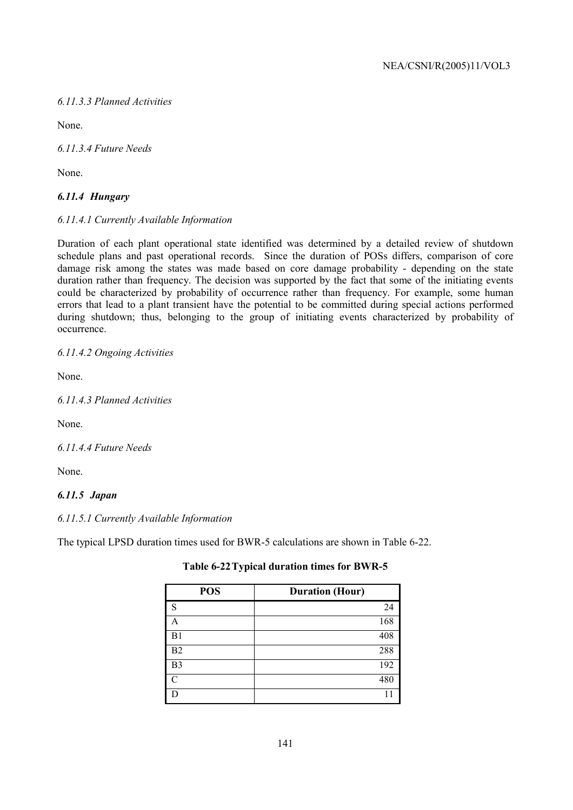# *6.11.3.3 Planned Activities*

None.

*6.11.3.4 Future Needs* 

None.

# *6.11.4 Hungary*

# *6.11.4.1 Currently Available Information*

Duration of each plant operational state identified was determined by a detailed review of shutdown schedule plans and past operational records. Since the duration of POSs differs, comparison of core damage risk among the states was made based on core damage probability - depending on the state duration rather than frequency. The decision was supported by the fact that some of the initiating events could be characterized by probability of occurrence rather than frequency. For example, some human errors that lead to a plant transient have the potential to be committed during special actions performed during shutdown; thus, belonging to the group of initiating events characterized by probability of occurrence.

*6.11.4.2 Ongoing Activities* 

None.

*6.11.4.3 Planned Activities* 

None.

*6.11.4.4 Future Needs* 

None.

# *6.11.5 Japan*

# *6.11.5.1 Currently Available Information*

The typical LPSD duration times used for BWR-5 calculations are shown in Table 6-22.

| <b>POS</b>     | <b>Duration (Hour)</b> |
|----------------|------------------------|
| c              | 24                     |
|                | 168                    |
| B1             | 408                    |
| B2             | 288                    |
| B <sub>3</sub> | 192                    |
| ◠              | 480                    |
|                |                        |

# **Table 6-22 Typical duration times for BWR-5**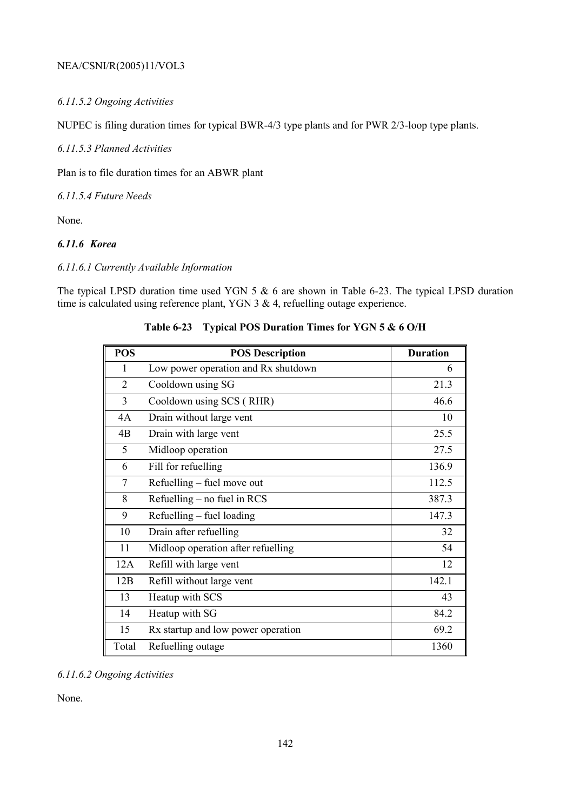# *6.11.5.2 Ongoing Activities*

NUPEC is filing duration times for typical BWR-4/3 type plants and for PWR 2/3-loop type plants.

*6.11.5.3 Planned Activities* 

Plan is to file duration times for an ABWR plant

*6.11.5.4 Future Needs* 

None.

# *6.11.6 Korea*

### *6.11.6.1 Currently Available Information*

The typical LPSD duration time used YGN 5 & 6 are shown in Table 6-23. The typical LPSD duration time is calculated using reference plant, YGN 3 & 4, refuelling outage experience.

| <b>POS</b>     | <b>POS Description</b>              | <b>Duration</b> |
|----------------|-------------------------------------|-----------------|
| 1              | Low power operation and Rx shutdown | 6               |
| $\overline{2}$ | Cooldown using SG                   | 21.3            |
| 3              | Cooldown using SCS (RHR)            | 46.6            |
| 4A             | Drain without large vent            | 10              |
| 4B             | Drain with large vent               | 25.5            |
| 5              | Midloop operation                   | 27.5            |
| 6              | Fill for refuelling                 | 136.9           |
| 7              | Refuelling – fuel move out          | 112.5           |
| 8              | Refuelling – no fuel in RCS         | 387.3           |
| 9              | Refuelling – fuel loading           | 147.3           |
| 10             | Drain after refuelling              | 32              |
| 11             | Midloop operation after refuelling  | 54              |
| 12A            | Refill with large vent              | 12              |
| 12B            | Refill without large vent           | 142.1           |
| 13             | Heatup with SCS                     | 43              |
| 14             | Heatup with SG                      | 84.2            |
| 15             | Rx startup and low power operation  | 69.2            |
| Total          | Refuelling outage                   | 1360            |

**Table 6-23 Typical POS Duration Times for YGN 5 & 6 O/H** 

# *6.11.6.2 Ongoing Activities*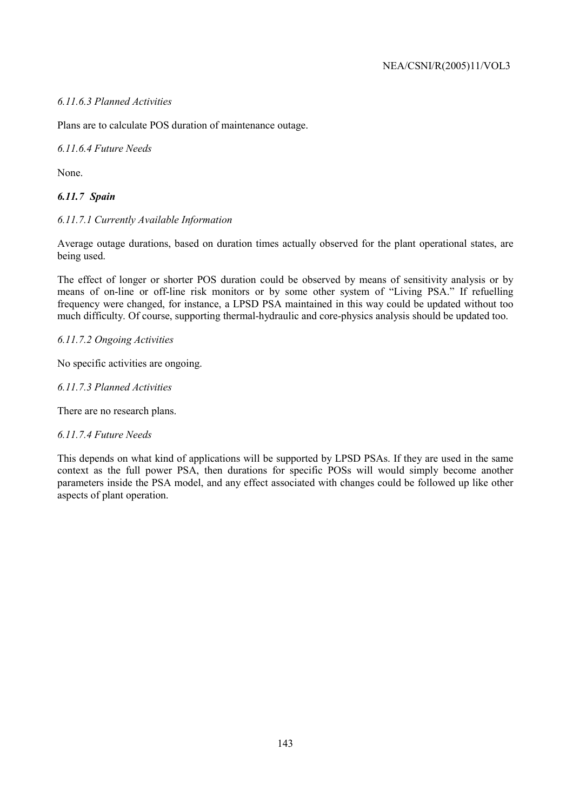# *6.11.6.3 Planned Activities*

Plans are to calculate POS duration of maintenance outage.

*6.11.6.4 Future Needs* 

None.

# *6.11.7 Spain*

### *6.11.7.1 Currently Available Information*

Average outage durations, based on duration times actually observed for the plant operational states, are being used.

The effect of longer or shorter POS duration could be observed by means of sensitivity analysis or by means of on-line or off-line risk monitors or by some other system of "Living PSA." If refuelling frequency were changed, for instance, a LPSD PSA maintained in this way could be updated without too much difficulty. Of course, supporting thermal-hydraulic and core-physics analysis should be updated too.

### *6.11.7.2 Ongoing Activities*

No specific activities are ongoing.

### *6.11.7.3 Planned Activities*

There are no research plans.

### *6.11.7.4 Future Needs*

This depends on what kind of applications will be supported by LPSD PSAs. If they are used in the same context as the full power PSA, then durations for specific POSs will would simply become another parameters inside the PSA model, and any effect associated with changes could be followed up like other aspects of plant operation.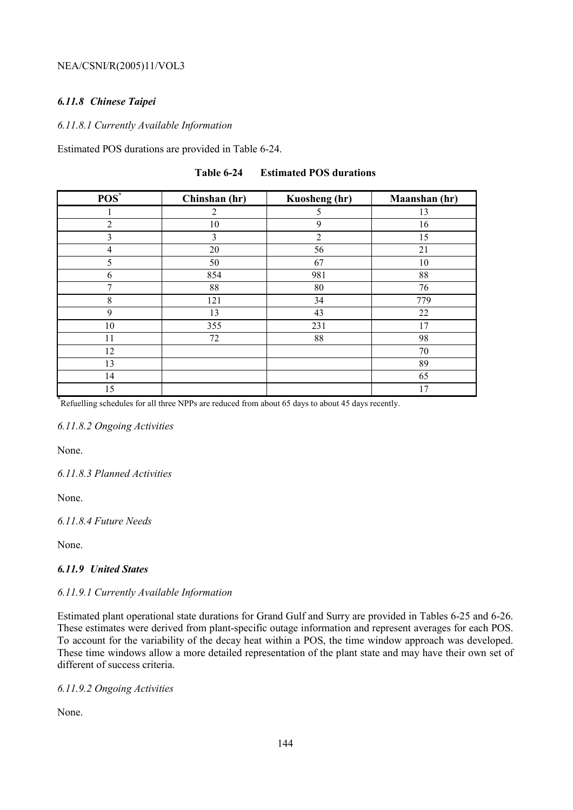# *6.11.8 Chinese Taipei*

### *6.11.8.1 Currently Available Information*

Estimated POS durations are provided in Table 6-24.

| $POS^*$        | Chinshan (hr) | Kuosheng (hr)  | Maanshan (hr) |
|----------------|---------------|----------------|---------------|
|                | 2             | 5              | 13            |
| $\overline{2}$ | 10            | 9              | 16            |
| 3              | 3             | $\overline{2}$ | 15            |
| $\overline{4}$ | 20            | 56             | 21            |
| 5              | 50            | 67             | 10            |
| 6              | 854           | 981            | 88            |
| 7              | 88            | 80             | 76            |
| 8              | 121           | 34             | 779           |
| 9              | 13            | 43             | 22            |
| 10             | 355           | 231            | 17            |
| 11             | 72            | 88             | 98            |
| 12             |               |                | 70            |
| 13             |               |                | 89            |
| 14             |               |                | 65            |
| 15             |               |                | 17            |

**Table 6-24 Estimated POS durations** 

15 17 17<br>
<sup>\*</sup>Refuelling schedules for all three NPPs are reduced from about 65 days to about 45 days recently.

### *6.11.8.2 Ongoing Activities*

None.

*6.11.8.3 Planned Activities* 

None.

*6.11.8.4 Future Needs* 

None.

# *6.11.9 United States*

# *6.11.9.1 Currently Available Information*

Estimated plant operational state durations for Grand Gulf and Surry are provided in Tables 6-25 and 6-26. These estimates were derived from plant-specific outage information and represent averages for each POS. To account for the variability of the decay heat within a POS, the time window approach was developed. These time windows allow a more detailed representation of the plant state and may have their own set of different of success criteria.

# *6.11.9.2 Ongoing Activities*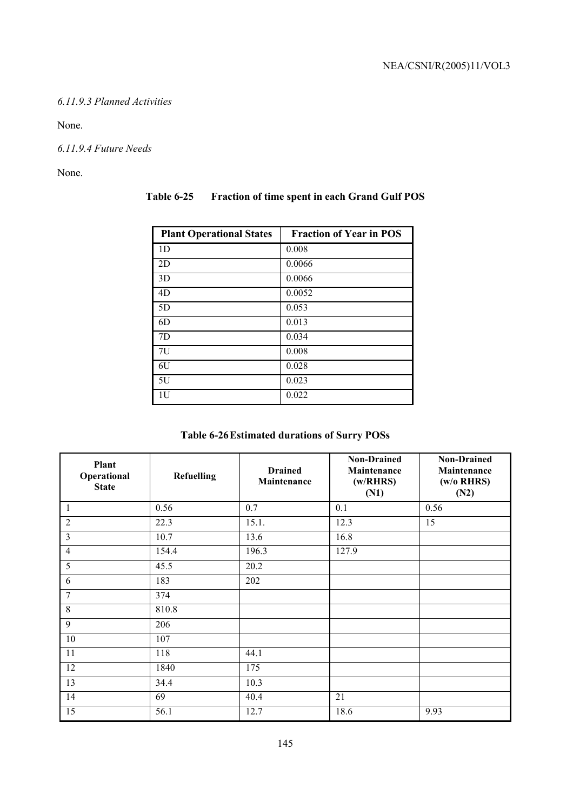## *6.11.9.3 Planned Activities*

None.

*6.11.9.4 Future Needs* 

None.

| <b>Plant Operational States</b> | <b>Fraction of Year in POS</b> |
|---------------------------------|--------------------------------|
| 1 <sub>D</sub>                  | 0.008                          |
| 2D                              | 0.0066                         |
| 3D                              | 0.0066                         |
| 4D                              | 0.0052                         |
| 5D                              | 0.053                          |
| 6D                              | 0.013                          |
| 7D                              | 0.034                          |
| 7U                              | 0.008                          |
| 6U                              | 0.028                          |
| 5U                              | 0.023                          |
| 1U                              | 0.022                          |

# **Table 6-25 Fraction of time spent in each Grand Gulf POS**

| Plant<br>Operational<br><b>State</b> | <b>Refuelling</b> | <b>Drained</b><br>Maintenance | <b>Non-Drained</b><br>Maintenance<br>(w/RRRS)<br>(N1) | <b>Non-Drained</b><br>Maintenance<br>(w/o RHRS)<br>(N2) |
|--------------------------------------|-------------------|-------------------------------|-------------------------------------------------------|---------------------------------------------------------|
| 1                                    | 0.56              | 0.7                           | 0.1                                                   | 0.56                                                    |
| $\overline{2}$                       | 22.3              | 15.1.                         | 12.3                                                  | 15                                                      |
| $\overline{3}$                       | 10.7              | 13.6                          | 16.8                                                  |                                                         |
| $\overline{4}$                       | 154.4             | 196.3                         | 127.9                                                 |                                                         |
| 5                                    | 45.5              | 20.2                          |                                                       |                                                         |
| 6                                    | 183               | 202                           |                                                       |                                                         |
| 7                                    | 374               |                               |                                                       |                                                         |
| 8                                    | 810.8             |                               |                                                       |                                                         |
| 9                                    | 206               |                               |                                                       |                                                         |
| 10                                   | 107               |                               |                                                       |                                                         |
| 11                                   | 118               | 44.1                          |                                                       |                                                         |
| 12                                   | 1840              | 175                           |                                                       |                                                         |
| 13                                   | 34.4              | 10.3                          |                                                       |                                                         |
| 14                                   | 69                | 40.4                          | 21                                                    |                                                         |
| 15                                   | 56.1              | 12.7                          | 18.6                                                  | 9.93                                                    |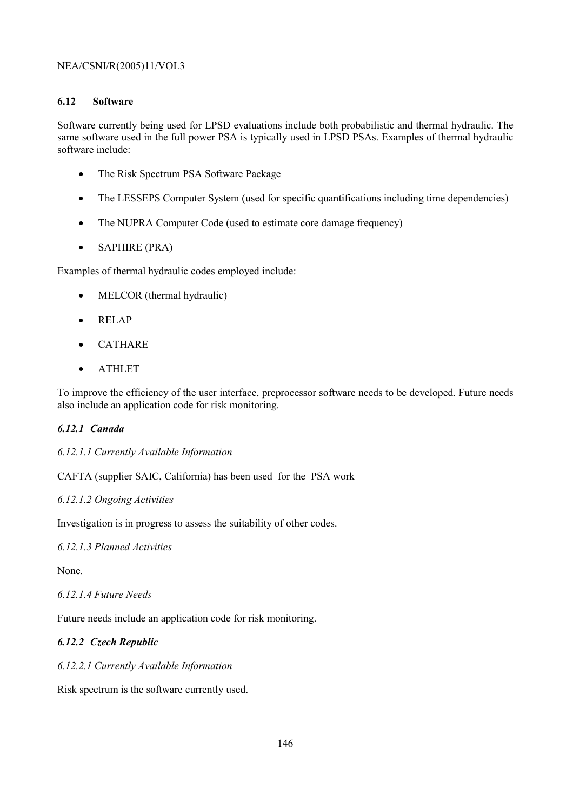## **6.12 Software**

Software currently being used for LPSD evaluations include both probabilistic and thermal hydraulic. The same software used in the full power PSA is typically used in LPSD PSAs. Examples of thermal hydraulic software include:

- The Risk Spectrum PSA Software Package
- The LESSEPS Computer System (used for specific quantifications including time dependencies)
- The NUPRA Computer Code (used to estimate core damage frequency)
- SAPHIRE (PRA)

Examples of thermal hydraulic codes employed include:

- MELCOR (thermal hydraulic)
- RELAP
- CATHARE
- ATHLET

To improve the efficiency of the user interface, preprocessor software needs to be developed. Future needs also include an application code for risk monitoring.

# *6.12.1 Canada*

*6.12.1.1 Currently Available Information* 

CAFTA (supplier SAIC, California) has been used for the PSA work

#### *6.12.1.2 Ongoing Activities*

Investigation is in progress to assess the suitability of other codes.

#### *6.12.1.3 Planned Activities*

None.

#### *6.12.1.4 Future Needs*

Future needs include an application code for risk monitoring.

# *6.12.2 Czech Republic*

#### *6.12.2.1 Currently Available Information*

Risk spectrum is the software currently used.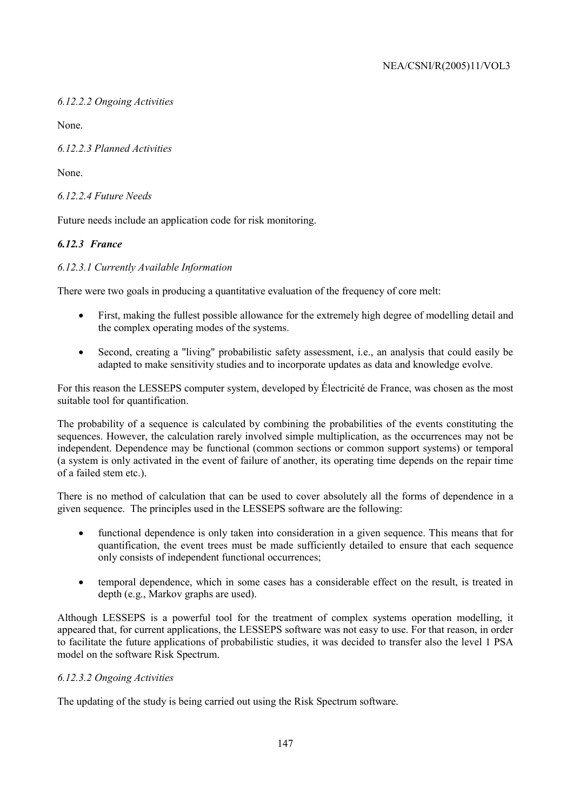*6.12.2.2 Ongoing Activities* 

None.

*6.12.2.3 Planned Activities* 

None.

*6.12.2.4 Future Needs* 

Future needs include an application code for risk monitoring.

# *6.12.3 France*

# *6.12.3.1 Currently Available Information*

There were two goals in producing a quantitative evaluation of the frequency of core melt:

- First, making the fullest possible allowance for the extremely high degree of modelling detail and the complex operating modes of the systems.
- Second, creating a "living" probabilistic safety assessment, i.e., an analysis that could easily be adapted to make sensitivity studies and to incorporate updates as data and knowledge evolve.

For this reason the LESSEPS computer system, developed by Électricité de France, was chosen as the most suitable tool for quantification.

The probability of a sequence is calculated by combining the probabilities of the events constituting the sequences. However, the calculation rarely involved simple multiplication, as the occurrences may not be independent. Dependence may be functional (common sections or common support systems) or temporal (a system is only activated in the event of failure of another, its operating time depends on the repair time of a failed stem etc.).

There is no method of calculation that can be used to cover absolutely all the forms of dependence in a given sequence. The principles used in the LESSEPS software are the following:

- functional dependence is only taken into consideration in a given sequence. This means that for quantification, the event trees must be made sufficiently detailed to ensure that each sequence only consists of independent functional occurrences;
- temporal dependence, which in some cases has a considerable effect on the result, is treated in depth (e.g., Markov graphs are used).

Although LESSEPS is a powerful tool for the treatment of complex systems operation modelling, it appeared that, for current applications, the LESSEPS software was not easy to use. For that reason, in order to facilitate the future applications of probabilistic studies, it was decided to transfer also the level 1 PSA model on the software Risk Spectrum.

# *6.12.3.2 Ongoing Activities*

The updating of the study is being carried out using the Risk Spectrum software.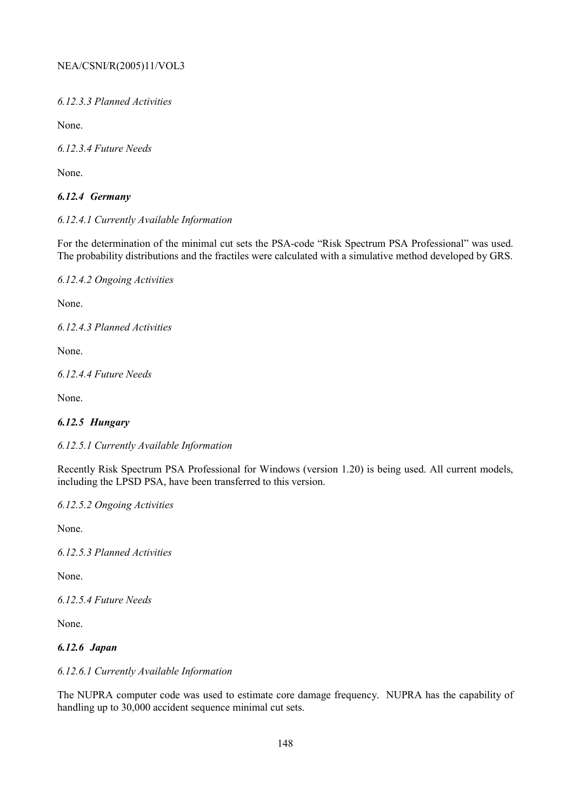*6.12.3.3 Planned Activities* 

None.

*6.12.3.4 Future Needs* 

None.

# *6.12.4 Germany*

## *6.12.4.1 Currently Available Information*

For the determination of the minimal cut sets the PSA-code "Risk Spectrum PSA Professional" was used. The probability distributions and the fractiles were calculated with a simulative method developed by GRS.

*6.12.4.2 Ongoing Activities* 

None.

*6.12.4.3 Planned Activities* 

None.

*6.12.4.4 Future Needs* 

None.

# *6.12.5 Hungary*

*6.12.5.1 Currently Available Information* 

Recently Risk Spectrum PSA Professional for Windows (version 1.20) is being used. All current models, including the LPSD PSA, have been transferred to this version.

*6.12.5.2 Ongoing Activities* 

None.

*6.12.5.3 Planned Activities* 

None.

*6.12.5.4 Future Needs* 

None.

# *6.12.6 Japan*

#### *6.12.6.1 Currently Available Information*

The NUPRA computer code was used to estimate core damage frequency. NUPRA has the capability of handling up to 30,000 accident sequence minimal cut sets.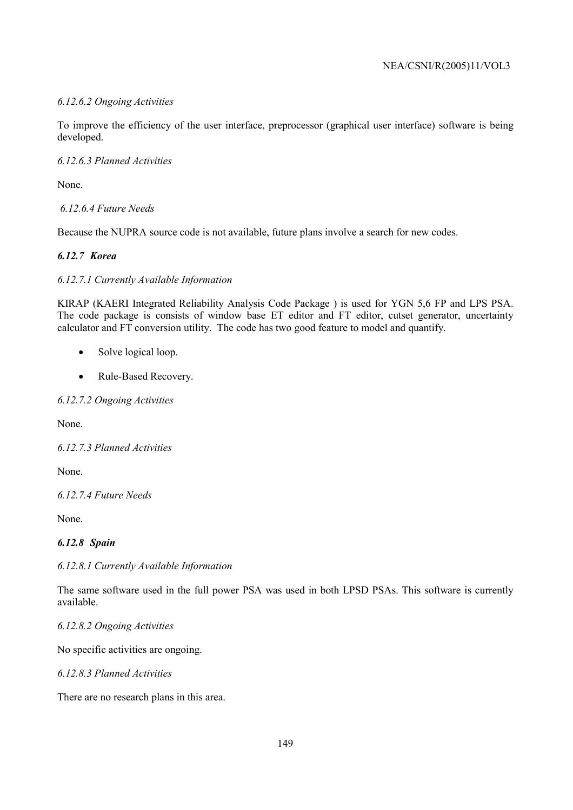## *6.12.6.2 Ongoing Activities*

To improve the efficiency of the user interface, preprocessor (graphical user interface) software is being developed.

#### *6.12.6.3 Planned Activities*

None.

 *6.12.6.4 Future Needs* 

Because the NUPRA source code is not available, future plans involve a search for new codes.

## *6.12.7 Korea*

## *6.12.7.1 Currently Available Information*

KIRAP (KAERI Integrated Reliability Analysis Code Package ) is used for YGN 5,6 FP and LPS PSA. The code package is consists of window base ET editor and FT editor, cutset generator, uncertainty calculator and FT conversion utility. The code has two good feature to model and quantify.

- Solve logical loop.
- Rule-Based Recovery.

#### *6.12.7.2 Ongoing Activities*

None.

*6.12.7.3 Planned Activities* 

None.

*6.12.7.4 Future Needs* 

None.

# *6.12.8 Spain*

*6.12.8.1 Currently Available Information* 

The same software used in the full power PSA was used in both LPSD PSAs. This software is currently available.

*6.12.8.2 Ongoing Activities* 

No specific activities are ongoing.

*6.12.8.3 Planned Activities* 

There are no research plans in this area.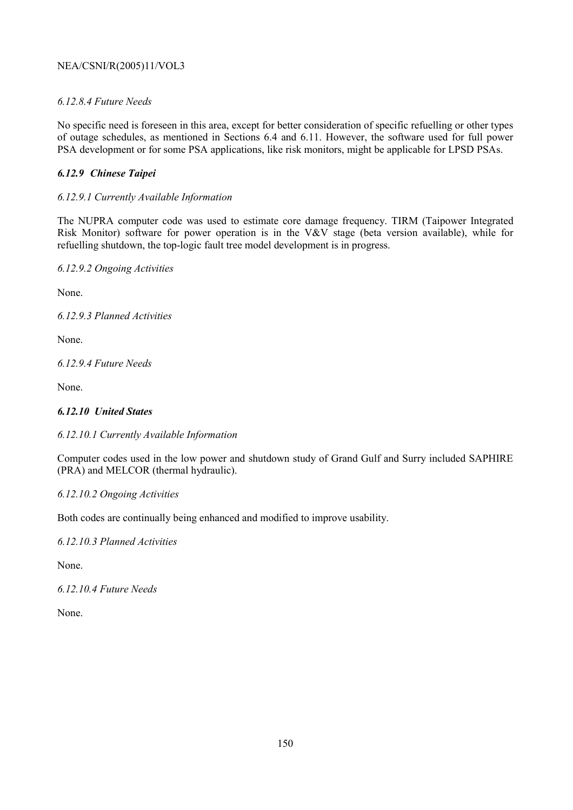## *6.12.8.4 Future Needs*

No specific need is foreseen in this area, except for better consideration of specific refuelling or other types of outage schedules, as mentioned in Sections 6.4 and 6.11. However, the software used for full power PSA development or for some PSA applications, like risk monitors, might be applicable for LPSD PSAs.

## *6.12.9 Chinese Taipei*

## *6.12.9.1 Currently Available Information*

The NUPRA computer code was used to estimate core damage frequency. TIRM (Taipower Integrated Risk Monitor) software for power operation is in the V&V stage (beta version available), while for refuelling shutdown, the top-logic fault tree model development is in progress.

*6.12.9.2 Ongoing Activities* 

None.

*6.12.9.3 Planned Activities* 

None.

*6.12.9.4 Future Needs* 

None.

# *6.12.10 United States*

#### *6.12.10.1 Currently Available Information*

Computer codes used in the low power and shutdown study of Grand Gulf and Surry included SAPHIRE (PRA) and MELCOR (thermal hydraulic).

#### *6.12.10.2 Ongoing Activities*

Both codes are continually being enhanced and modified to improve usability.

*6.12.10.3 Planned Activities* 

None.

*6.12.10.4 Future Needs* 

None.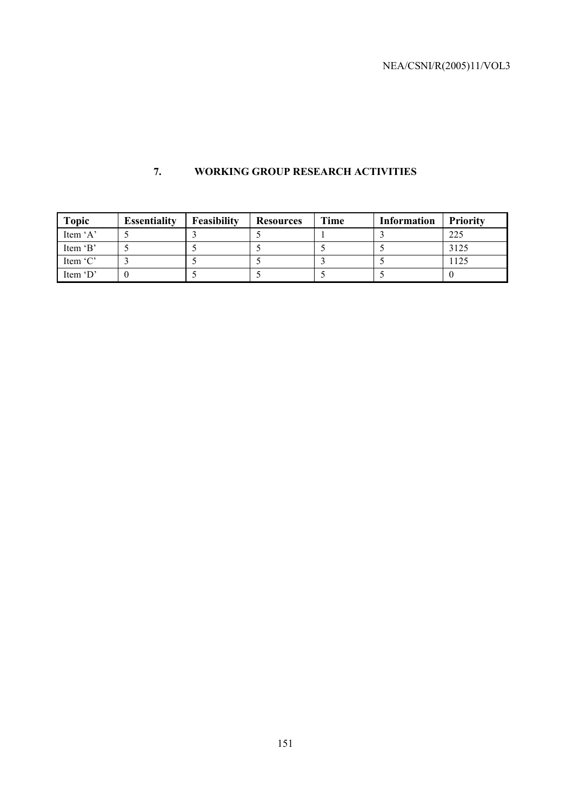# **7. WORKING GROUP RESEARCH ACTIVITIES**

| <b>Topic</b> | <b>Essentiality</b> | Feasibility | <b>Resources</b> | Time | <b>Information</b> | <b>Priority</b> |
|--------------|---------------------|-------------|------------------|------|--------------------|-----------------|
| Item $A$     |                     |             |                  |      |                    | 225             |
| Item 'B'     |                     |             |                  |      |                    | 3125            |
| Item 'C'     |                     |             |                  |      |                    | 1125            |
| Item 'D'     |                     |             |                  |      |                    |                 |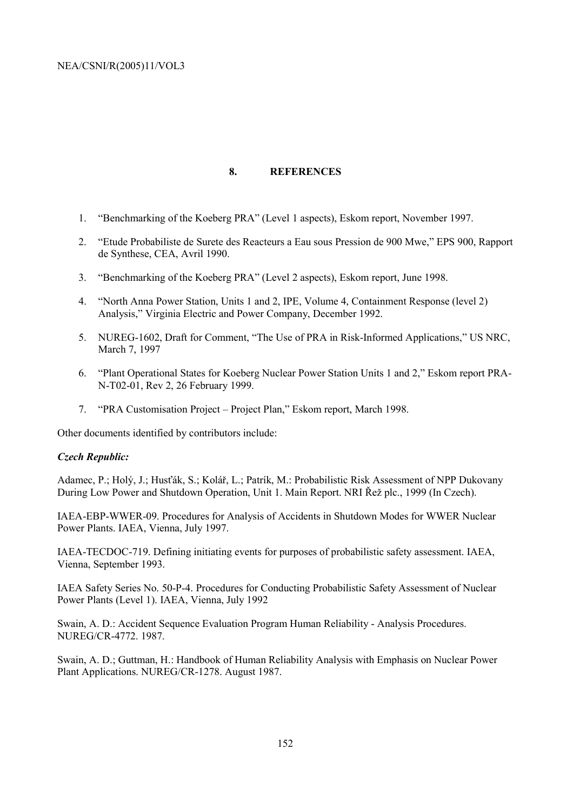#### **8. REFERENCES**

- 1. "Benchmarking of the Koeberg PRA" (Level 1 aspects), Eskom report, November 1997.
- 2. "Etude Probabiliste de Surete des Reacteurs a Eau sous Pression de 900 Mwe," EPS 900, Rapport de Synthese, CEA, Avril 1990.
- 3. "Benchmarking of the Koeberg PRA" (Level 2 aspects), Eskom report, June 1998.
- 4. "North Anna Power Station, Units 1 and 2, IPE, Volume 4, Containment Response (level 2) Analysis," Virginia Electric and Power Company, December 1992.
- 5. NUREG-1602, Draft for Comment, "The Use of PRA in Risk-Informed Applications," US NRC, March 7, 1997
- 6. "Plant Operational States for Koeberg Nuclear Power Station Units 1 and 2," Eskom report PRA-N-T02-01, Rev 2, 26 February 1999.
- 7. "PRA Customisation Project Project Plan," Eskom report, March 1998.

Other documents identified by contributors include:

#### *Czech Republic:*

Adamec, P.; Holý, J.; Husťák, S.; Kolář, L.; Patrík, M.: Probabilistic Risk Assessment of NPP Dukovany During Low Power and Shutdown Operation, Unit 1. Main Report. NRI Řež plc., 1999 (In Czech).

IAEA-EBP-WWER-09. Procedures for Analysis of Accidents in Shutdown Modes for WWER Nuclear Power Plants. IAEA, Vienna, July 1997.

IAEA-TECDOC-719. Defining initiating events for purposes of probabilistic safety assessment. IAEA, Vienna, September 1993.

IAEA Safety Series No. 50-P-4. Procedures for Conducting Probabilistic Safety Assessment of Nuclear Power Plants (Level 1). IAEA, Vienna, July 1992

Swain, A. D.: Accident Sequence Evaluation Program Human Reliability - Analysis Procedures. NUREG/CR-4772. 1987.

Swain, A. D.; Guttman, H.: Handbook of Human Reliability Analysis with Emphasis on Nuclear Power Plant Applications. NUREG/CR-1278. August 1987.